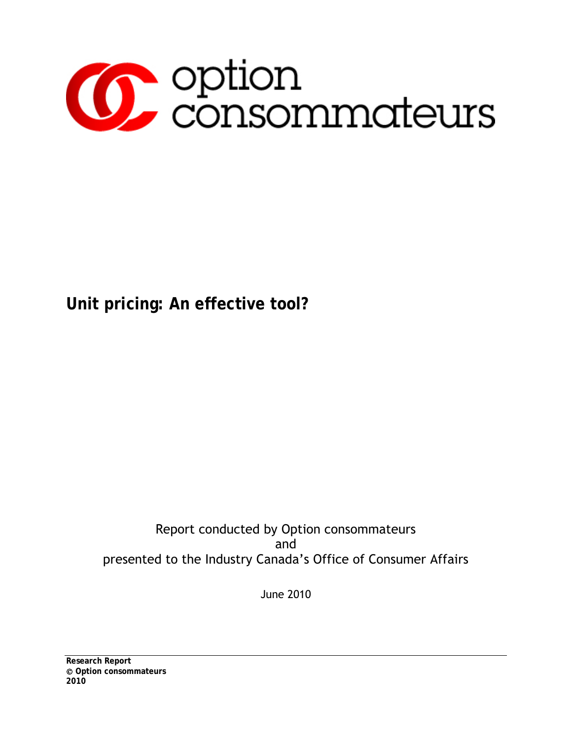

# **Unit pricing: An effective tool?**

### Report conducted by Option consommateurs and presented to the Industry Canada's Office of Consumer Affairs

June 2010

**Research Report Option consommateurs 2010**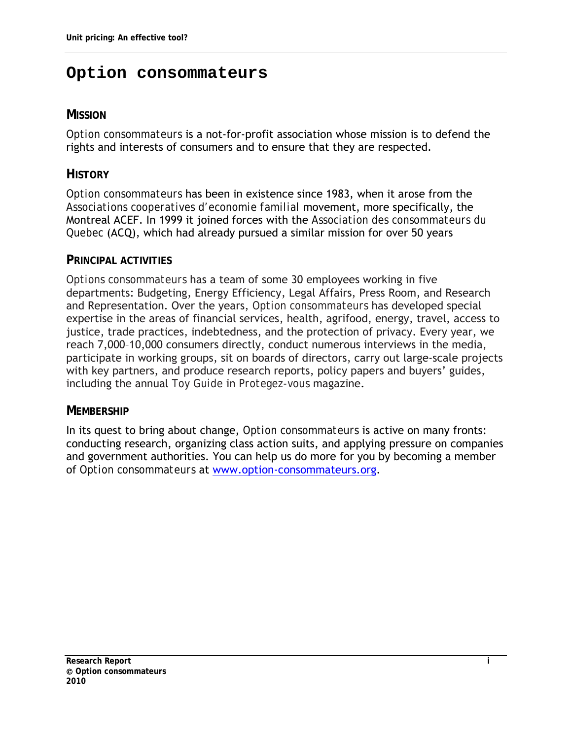### <span id="page-1-0"></span>**Option consommateurs**

#### **MISSION**

*Option consommateurs* is a not-for-profit association whose mission is to defend the rights and interests of consumers and to ensure that they are respected.

#### **HISTORY**

*Option consommateurs* has been in existence since 1983, when it arose from the *Associations cooperatives d'economie familial* movement, more specifically, the Montreal ACEF. In 1999 it joined forces with the *Association des consommateurs du Quebec* (ACQ), which had already pursued a similar mission for over 50 years

#### **PRINCIPAL ACTIVITIES**

*Options consommateurs* has a team of some 30 employees working in five departments: Budgeting, Energy Efficiency, Legal Affairs, Press Room, and Research and Representation. Over the years, *Option consommateurs* has developed special expertise in the areas of financial services, health, agrifood, energy, travel, access to justice, trade practices, indebtedness, and the protection of privacy. Every year, we reach 7,000–10,000 consumers directly, conduct numerous interviews in the media, participate in working groups, sit on boards of directors, carry out large-scale projects with key partners, and produce research reports, policy papers and buyers' guides, including the annual *Toy Guide* in *Protegez-vous* magazine.

#### **MEMBERSHIP**

In its quest to bring about change, *Option consommateurs* is active on many fronts: conducting research, organizing class action suits, and applying pressure on companies and government authorities. You can help us do more for you by becoming a member of *Option consommateurs* at [www.option-consommateurs.org](http://www.option-consommateurs.org/).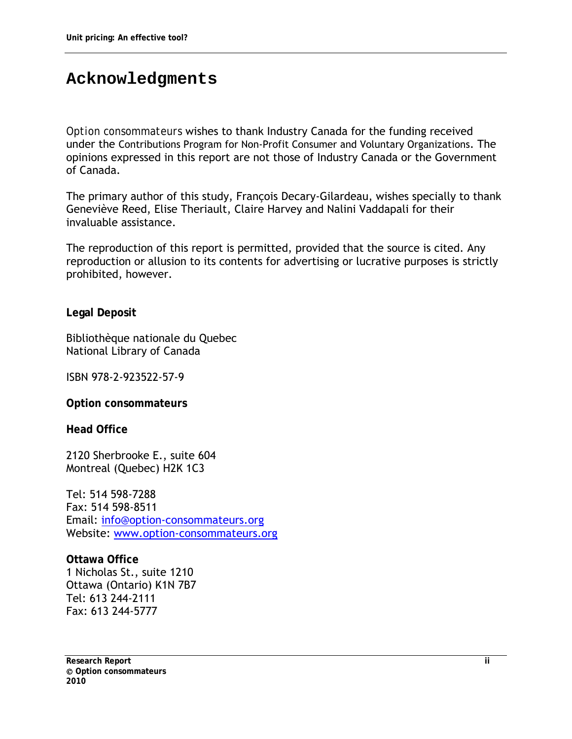### <span id="page-2-0"></span>**Acknowledgments**

*Option consommateurs* wishes to thank Industry Canada for the funding received under the Contributions Program for Non-Profit Consumer and Voluntary Organizations. The opinions expressed in this report are not those of Industry Canada or the Government of Canada.

The primary author of this study, François Decary-Gilardeau, wishes specially to thank Geneviève Reed, Elise Theriault, Claire Harvey and Nalini Vaddapali for their invaluable assistance.

The reproduction of this report is permitted, provided that the source is cited. Any reproduction or allusion to its contents for advertising or lucrative purposes is strictly prohibited, however.

**Legal Deposit** 

Bibliothèque nationale du Quebec National Library of Canada

ISBN 978-2-923522-57-9

**Option consommateurs** 

**Head Office** 

2120 Sherbrooke E., suite 604 Montreal (Quebec) H2K 1C3

Tel: 514 598-7288 Fax: 514 598-8511 Email: [info@option-consommateurs.org](mailto:info@option-consommateurs.org)  Website: [www.option-consommateurs.org](http://www.option-consommateurs.org/) 

**Ottawa Office** 1 Nicholas St., suite 1210 Ottawa (Ontario) K1N 7B7 Tel: 613 244-2111 Fax: 613 244-5777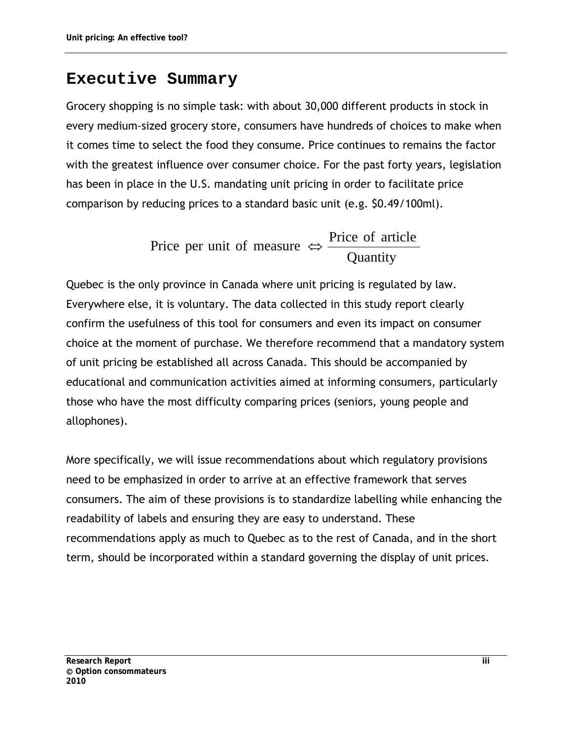### <span id="page-3-0"></span>**Executive Summary**

Grocery shopping is no simple task: with about 30,000 different products in stock in every medium-sized grocery store, consumers have hundreds of choices to make when it comes time to select the food they consume. Price continues to remains the factor with the greatest influence over consumer choice. For the past forty years, legislation has been in place in the U.S. mandating unit pricing in order to facilitate price comparison by reducing prices to a standard basic unit (e.g. \$0.49/100ml).

> **Quantity** Price per unit of measure  $\Leftrightarrow$  Price of article

Quebec is the only province in Canada where unit pricing is regulated by law. Everywhere else, it is voluntary. The data collected in this study report clearly confirm the usefulness of this tool for consumers and even its impact on consumer choice at the moment of purchase. We therefore recommend that a mandatory system of unit pricing be established all across Canada. This should be accompanied by educational and communication activities aimed at informing consumers, particularly those who have the most difficulty comparing prices (seniors, young people and allophones).

More specifically, we will issue recommendations about which regulatory provisions need to be emphasized in order to arrive at an effective framework that serves consumers. The aim of these provisions is to standardize labelling while enhancing the readability of labels and ensuring they are easy to understand. These recommendations apply as much to Quebec as to the rest of Canada, and in the short term, should be incorporated within a standard governing the display of unit prices.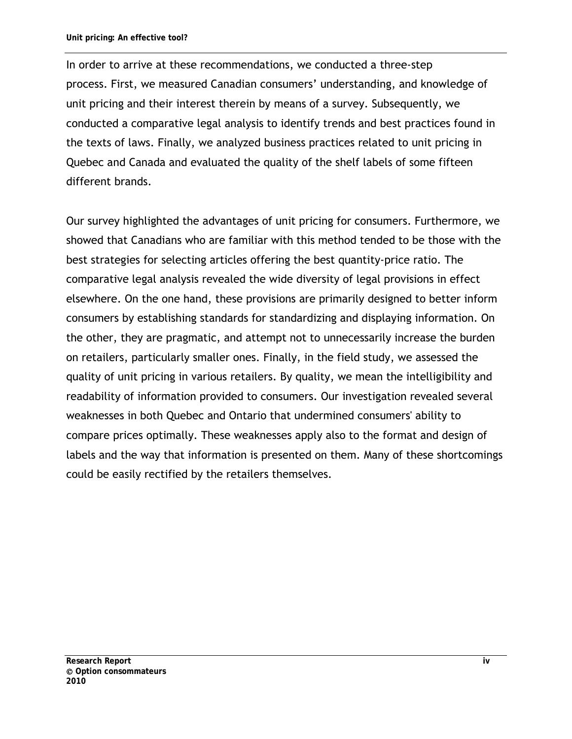In order to arrive at these recommendations, we conducted a three-step process. First, we measured Canadian consumers' understanding, and knowledge of unit pricing and their interest therein by means of a survey. Subsequently, we conducted a comparative legal analysis to identify trends and best practices found in the texts of laws. Finally, we analyzed business practices related to unit pricing in Quebec and Canada and evaluated the quality of the shelf labels of some fifteen different brands.

Our survey highlighted the advantages of unit pricing for consumers. Furthermore, we showed that Canadians who are familiar with this method tended to be those with the best strategies for selecting articles offering the best quantity-price ratio. The comparative legal analysis revealed the wide diversity of legal provisions in effect elsewhere. On the one hand, these provisions are primarily designed to better inform consumers by establishing standards for standardizing and displaying information. On the other, they are pragmatic, and attempt not to unnecessarily increase the burden on retailers, particularly smaller ones. Finally, in the field study, we assessed the quality of unit pricing in various retailers. By quality, we mean the intelligibility and readability of information provided to consumers. Our investigation revealed several weaknesses in both Quebec and Ontario that undermined consumers' ability to compare prices optimally. These weaknesses apply also to the format and design of labels and the way that information is presented on them. Many of these shortcomings could be easily rectified by the retailers themselves.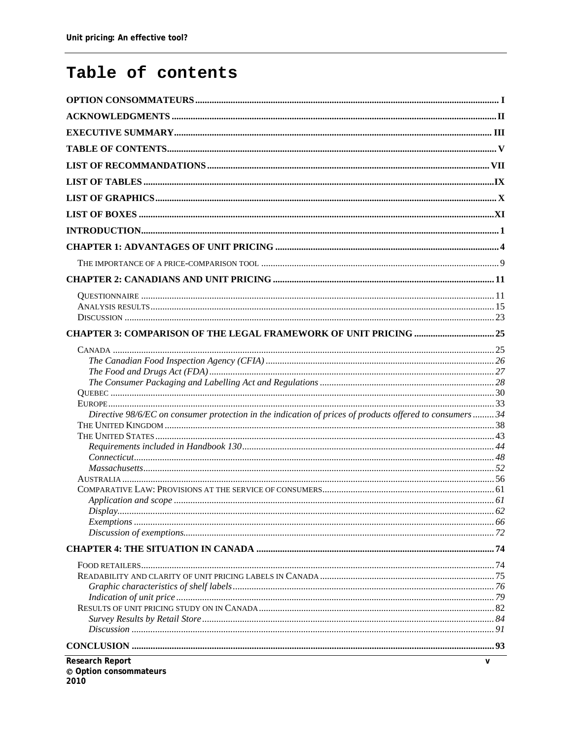## <span id="page-5-0"></span>Table of contents

| Research Report                                                                                          | $\mathsf{v}$ |
|----------------------------------------------------------------------------------------------------------|--------------|
|                                                                                                          |              |
|                                                                                                          |              |
|                                                                                                          |              |
|                                                                                                          |              |
|                                                                                                          |              |
|                                                                                                          |              |
|                                                                                                          |              |
|                                                                                                          |              |
|                                                                                                          |              |
|                                                                                                          |              |
|                                                                                                          |              |
| Display                                                                                                  |              |
|                                                                                                          |              |
|                                                                                                          |              |
|                                                                                                          |              |
|                                                                                                          |              |
|                                                                                                          |              |
|                                                                                                          |              |
|                                                                                                          |              |
| Directive 98/6/EC on consumer protection in the indication of prices of products offered to consumers 34 |              |
|                                                                                                          |              |
|                                                                                                          |              |
|                                                                                                          |              |
|                                                                                                          |              |
|                                                                                                          |              |
|                                                                                                          |              |
|                                                                                                          |              |
|                                                                                                          |              |
|                                                                                                          |              |
|                                                                                                          |              |
|                                                                                                          |              |
|                                                                                                          |              |
|                                                                                                          |              |
|                                                                                                          |              |
|                                                                                                          |              |
|                                                                                                          |              |
|                                                                                                          |              |
|                                                                                                          |              |
|                                                                                                          |              |
|                                                                                                          |              |
|                                                                                                          |              |
|                                                                                                          |              |
|                                                                                                          |              |
|                                                                                                          |              |
|                                                                                                          |              |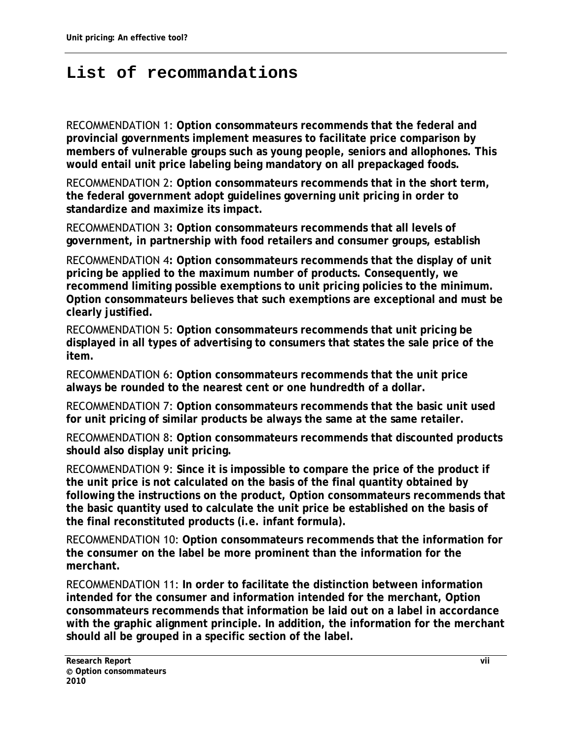## <span id="page-7-0"></span>**List of recommandations**

RECOMMENDATION 1: **Option consommateurs recommends that the federal and provincial governments implement measures to facilitate price comparison by members of vulnerable groups such as young people, seniors and allophones. This would entail unit price labeling being mandatory on all prepackaged foods.** 

RECOMMENDATION 2: **Option consommateurs recommends that in the short term, the federal government adopt guidelines governing unit pricing in order to standardize and maximize its impact.** 

RECOMMENDATION 3**: Option consommateurs recommends that all levels of government, in partnership with food retailers and consumer groups, establish** 

RECOMMENDATION 4**: Option consommateurs recommends that the display of unit pricing be applied to the maximum number of products. Consequently, we recommend limiting possible exemptions to unit pricing policies to the minimum. Option consommateurs believes that such exemptions are exceptional and must be clearly justified.**

RECOMMENDATION 5: **Option consommateurs recommends that unit pricing be displayed in all types of advertising to consumers that states the sale price of the item.** 

RECOMMENDATION 6: **Option consommateurs recommends that the unit price always be rounded to the nearest cent or one hundredth of a dollar.** 

RECOMMENDATION 7: **Option consommateurs recommends that the basic unit used for unit pricing of similar products be always the same at the same retailer.** 

RECOMMENDATION 8: **Option consommateurs recommends that discounted products should also display unit pricing.** 

RECOMMENDATION 9: **Since it is impossible to compare the price of the product if the unit price is not calculated on the basis of the final quantity obtained by following the instructions on the product, Option consommateurs recommends that the basic quantity used to calculate the unit price be established on the basis of the final reconstituted products (i.e. infant formula).** 

RECOMMENDATION 10: **Option consommateurs recommends that the information for the consumer on the label be more prominent than the information for the merchant.** 

RECOMMENDATION 11: **In order to facilitate the distinction between information intended for the consumer and information intended for the merchant, Option consommateurs recommends that information be laid out on a label in accordance with the graphic alignment principle. In addition, the information for the merchant should all be grouped in a specific section of the label.**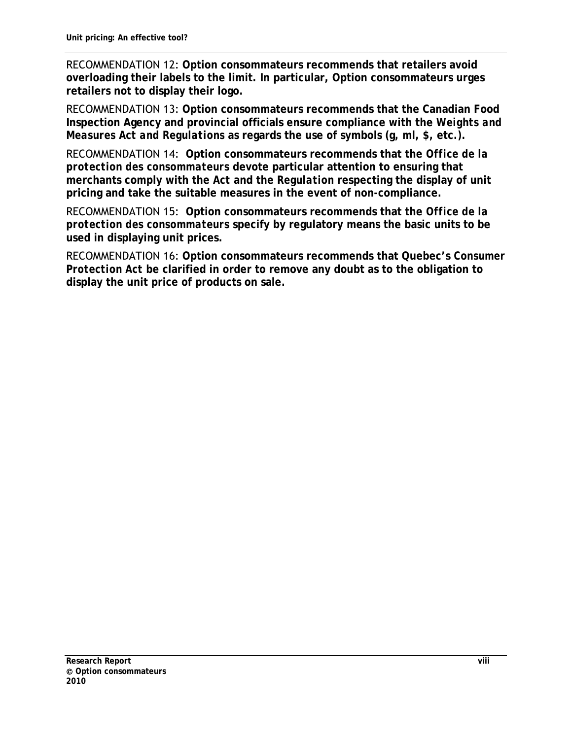RECOMMENDATION 12: **Option consommateurs recommends that retailers avoid overloading their labels to the limit. In particular, Option consommateurs urges retailers not to display their logo.** 

RECOMMENDATION 13: **Option consommateurs recommends that the Canadian Food Inspection Agency and provincial officials ensure compliance with the** *Weights and Measures Act and Regulations* **as regards the use of symbols (g, ml, \$, etc.).** 

RECOMMENDATION 14: **Option consommateurs recommends that the** *Office de la protection des consommateurs* **devote particular attention to ensuring that merchants comply with the** *Act* **and the** *Regulation* **respecting the display of unit pricing and take the suitable measures in the event of non-compliance.** 

RECOMMENDATION 15: **Option consommateurs recommends that the** *Office de la protection des consommateurs* **specify by regulatory means the basic units to be used in displaying unit prices.** 

RECOMMENDATION 16: **Option consommateurs recommends that Quebec's** *Consumer Protection Act* **be clarified in order to remove any doubt as to the obligation to display the unit price of products on sale.**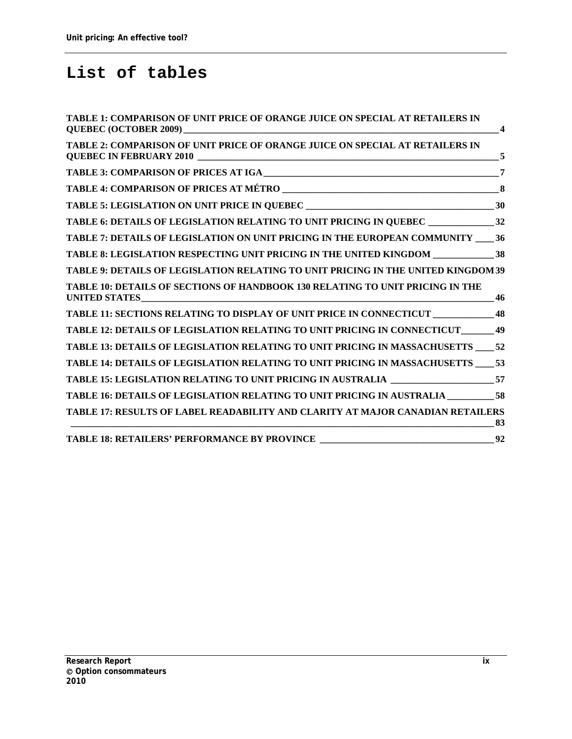# <span id="page-9-0"></span>**List of tables**

| TABLE 16: DETAILS OF LEGISLATION RELATING TO UNIT PRICING IN AUSTRALIA __________58   |                         |
|---------------------------------------------------------------------------------------|-------------------------|
| TABLE 15: LEGISLATION RELATING TO UNIT PRICING IN AUSTRALIA _____________________57   |                         |
| TABLE 14: DETAILS OF LEGISLATION RELATING TO UNIT PRICING IN MASSACHUSETTS ____53     |                         |
| TABLE 13: DETAILS OF LEGISLATION RELATING TO UNIT PRICING IN MASSACHUSETTS 52         |                         |
| TABLE 12: DETAILS OF LEGISLATION RELATING TO UNIT PRICING IN CONNECTICUT_______49     |                         |
| TABLE 11: SECTIONS RELATING TO DISPLAY OF UNIT PRICE IN CONNECTICUT _____________ 48  |                         |
| TABLE 10: DETAILS OF SECTIONS OF HANDBOOK 130 RELATING TO UNIT PRICING IN THE         |                         |
| TABLE 9: DETAILS OF LEGISLATION RELATING TO UNIT PRICING IN THE UNITED KINGDOM 39     |                         |
| TABLE 8: LEGISLATION RESPECTING UNIT PRICING IN THE UNITED KINGDOM _______________ 38 |                         |
| TABLE 7: DETAILS OF LEGISLATION ON UNIT PRICING IN THE EUROPEAN COMMUNITY _____36     |                         |
| TABLE 6: DETAILS OF LEGISLATION RELATING TO UNIT PRICING IN QUEBEC _______________32  |                         |
|                                                                                       |                         |
|                                                                                       |                         |
|                                                                                       | $\overline{7}$          |
| TABLE 2: COMPARISON OF UNIT PRICE OF ORANGE JUICE ON SPECIAL AT RETAILERS IN          | 5                       |
| TABLE 1: COMPARISON OF UNIT PRICE OF ORANGE JUICE ON SPECIAL AT RETAILERS IN          | $\overline{\mathbf{4}}$ |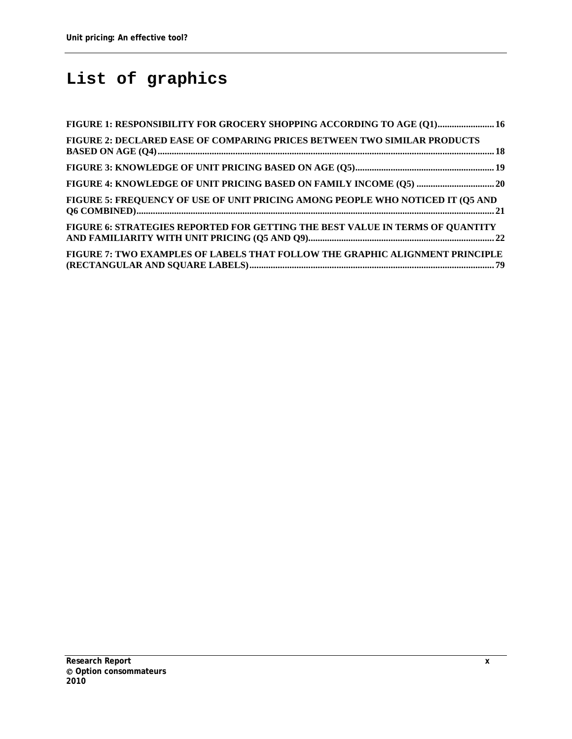# <span id="page-10-0"></span>**List of graphics**

| FIGURE 1: RESPONSIBILITY FOR GROCERY SHOPPING ACCORDING TO AGE (01) 16         |  |
|--------------------------------------------------------------------------------|--|
| FIGURE 2: DECLARED EASE OF COMPARING PRICES BETWEEN TWO SIMILAR PRODUCTS       |  |
|                                                                                |  |
|                                                                                |  |
| FIGURE 5: FREQUENCY OF USE OF UNIT PRICING AMONG PEOPLE WHO NOTICED IT (Q5 AND |  |
| FIGURE 6: STRATEGIES REPORTED FOR GETTING THE BEST VALUE IN TERMS OF QUANTITY  |  |
| FIGURE 7: TWO EXAMPLES OF LABELS THAT FOLLOW THE GRAPHIC ALIGNMENT PRINCIPLE   |  |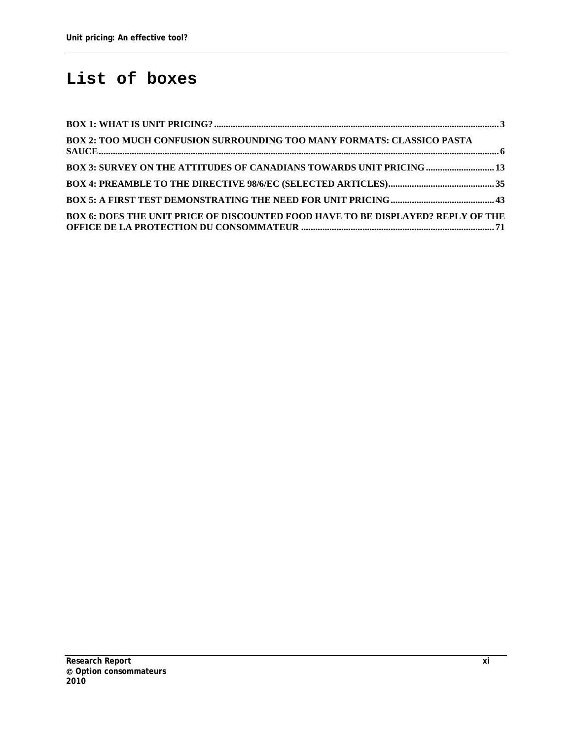### <span id="page-11-0"></span>**List of boxes**

| BOX 2: TOO MUCH CONFUSION SURROUNDING TOO MANY FORMATS: CLASSICO PASTA           |  |
|----------------------------------------------------------------------------------|--|
| <b>BOX 3: SURVEY ON THE ATTITUDES OF CANADIANS TOWARDS UNIT PRICING  13</b>      |  |
|                                                                                  |  |
|                                                                                  |  |
| BOX 6: DOES THE UNIT PRICE OF DISCOUNTED FOOD HAVE TO BE DISPLAYED? REPLY OF THE |  |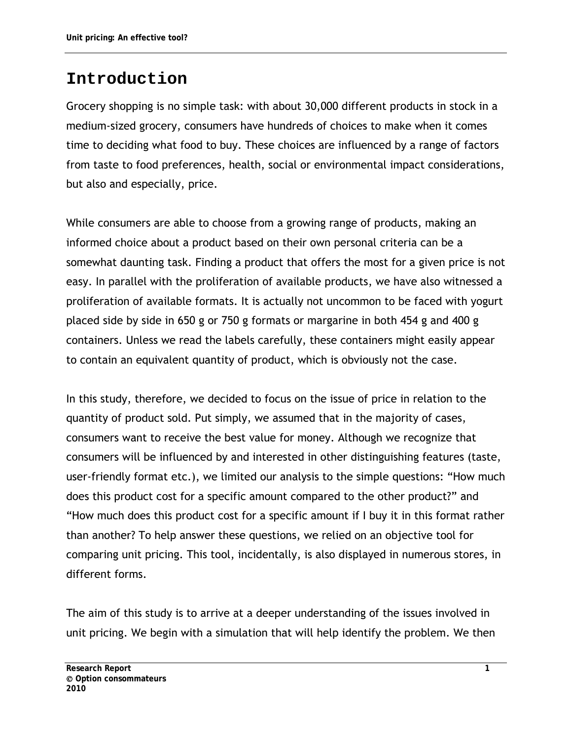### <span id="page-12-0"></span>**Introduction**

Grocery shopping is no simple task: with about 30,000 different products in stock in a medium-sized grocery, consumers have hundreds of choices to make when it comes time to deciding what food to buy. These choices are influenced by a range of factors from taste to food preferences, health, social or environmental impact considerations, but also and especially, price.

While consumers are able to choose from a growing range of products, making an informed choice about a product based on their own personal criteria can be a somewhat daunting task. Finding a product that offers the most for a given price is not easy. In parallel with the proliferation of available products, we have also witnessed a proliferation of available formats. It is actually not uncommon to be faced with yogurt placed side by side in 650 g or 750 g formats or margarine in both 454 g and 400 g containers. Unless we read the labels carefully, these containers might easily appear to contain an equivalent quantity of product, which is obviously not the case.

In this study, therefore, we decided to focus on the issue of price in relation to the quantity of product sold. Put simply, we assumed that in the majority of cases, consumers want to receive the best value for money. Although we recognize that consumers will be influenced by and interested in other distinguishing features (taste, user-friendly format etc.), we limited our analysis to the simple questions: "How much does this product cost for a specific amount compared to the other product?" and "How much does this product cost for a specific amount if I buy it in this format rather than another? To help answer these questions, we relied on an objective tool for comparing unit pricing. This tool, incidentally, is also displayed in numerous stores, in different forms.

The aim of this study is to arrive at a deeper understanding of the issues involved in unit pricing. We begin with a simulation that will help identify the problem. We then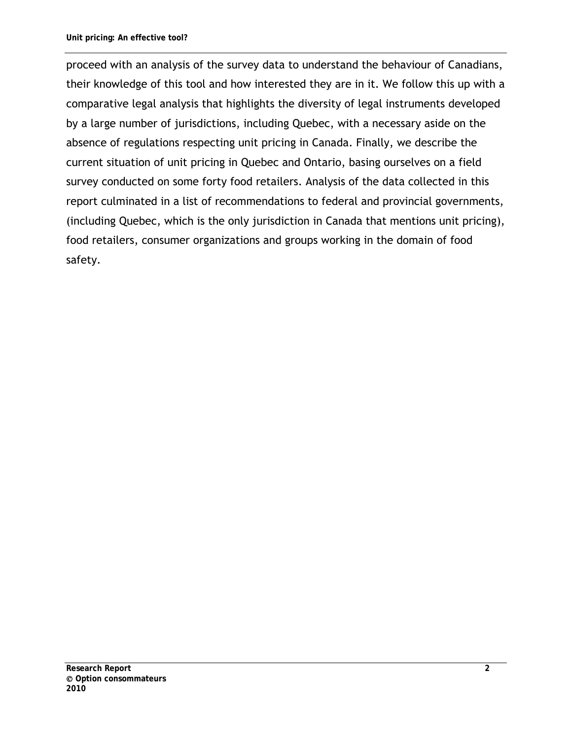proceed with an analysis of the survey data to understand the behaviour of Canadians, their knowledge of this tool and how interested they are in it. We follow this up with a comparative legal analysis that highlights the diversity of legal instruments developed by a large number of jurisdictions, including Quebec, with a necessary aside on the absence of regulations respecting unit pricing in Canada. Finally, we describe the current situation of unit pricing in Quebec and Ontario, basing ourselves on a field survey conducted on some forty food retailers. Analysis of the data collected in this report culminated in a list of recommendations to federal and provincial governments, (including Quebec, which is the only jurisdiction in Canada that mentions unit pricing), food retailers, consumer organizations and groups working in the domain of food safety.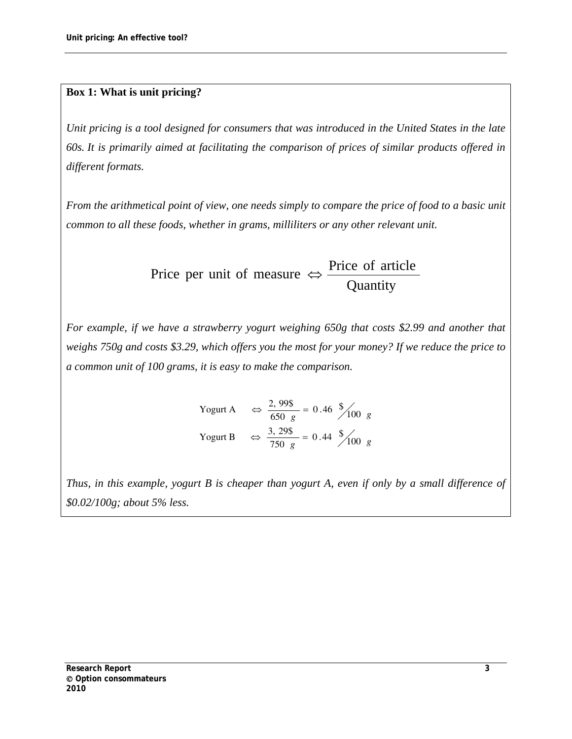#### <span id="page-14-0"></span>**Box 1: What is unit pricing?**

*Unit pricing is a tool designed for consumers that was introduced in the United States in the late 60s. It is primarily aimed at facilitating the comparison of prices of similar products offered in different formats.* 

*From the arithmetical point of view, one needs simply to compare the price of food to a basic unit common to all these foods, whether in grams, milliliters or any other relevant unit.* 

> **Quantity** Price per unit of measure  $\Leftrightarrow$  Price of article

*For example, if we have a strawberry yogurt weighing 650g that costs \$2.99 and another that weighs 750g and costs \$3.29, which offers you the most for your money? If we reduce the price to a common unit of 100 grams, it is easy to make the comparison.* 

> Yogurt A  $\Rightarrow \frac{2,99\}{650} = 0.46 \frac{1}{2} \times 100 g$ Yogurt B  $\Rightarrow \frac{3,29\}{750 \text{ g}} = 0.44 \frac{\sqrt{2}}{100 \text{ g}}$

*Thus, in this example, yogurt B is cheaper than yogurt A, even if only by a small difference of \$0.02/100g; about 5% less.*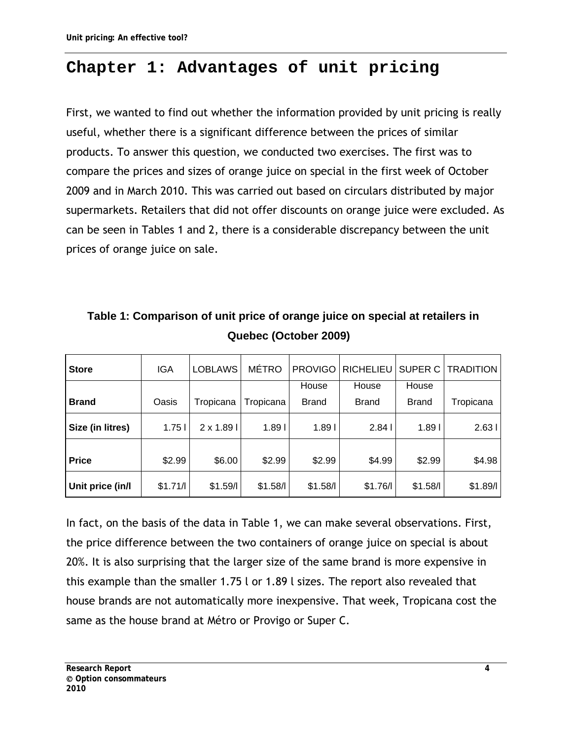# <span id="page-15-0"></span>**Chapter 1: Advantages of unit pricing**

First, we wanted to find out whether the information provided by unit pricing is really useful, whether there is a significant difference between the prices of similar products. To answer this question, we conducted two exercises. The first was to compare the prices and sizes of orange juice on special in the first week of October 2009 and in March 2010. This was carried out based on circulars distributed by major supermarkets. Retailers that did not offer discounts on orange juice were excluded. As can be seen in Tables 1 and 2, there is a considerable discrepancy between the unit prices of orange juice on sale.

<span id="page-15-1"></span>

| <b>Store</b>     | <b>IGA</b> | LOBLAWS         | <b>MÉTRO</b> |                   | PROVIGO   RICHELIEU |                   | SUPER C   TRADITION |
|------------------|------------|-----------------|--------------|-------------------|---------------------|-------------------|---------------------|
|                  |            |                 |              | House             | House               | House             |                     |
| <b>Brand</b>     | Oasis      | Tropicana       | Tropicana    | <b>Brand</b>      | <b>Brand</b>        | <b>Brand</b>      | Tropicana           |
| Size (in litres) | 1.751      | $2 \times 1.89$ | 1.891        | 1.89 <sub>1</sub> | 2.841               | 1.89 <sub>l</sub> | 2.631               |
| <b>Price</b>     | \$2.99     | \$6.00          | \$2.99       | \$2.99            | \$4.99              | \$2.99            | \$4.98              |
|                  |            |                 |              |                   |                     |                   |                     |

**Unit price (in/l** \$1.71/l \$1.59/l \$1.58/l \$1.58/l \$1.76/l \$1.58/l \$1.89/l

**Table 1: Comparison of unit price of orange juice on special at retailers in Quebec (October 2009)** 

In fact, on the basis of the data in Table 1, we can make several observations. First, the price difference between the two containers of orange juice on special is about 20%. It is also surprising that the larger size of the same brand is more expensive in this example than the smaller 1.75 l or 1.89 l sizes. The report also revealed that house brands are not automatically more inexpensive. That week, Tropicana cost the same as the house brand at Métro or Provigo or Super C.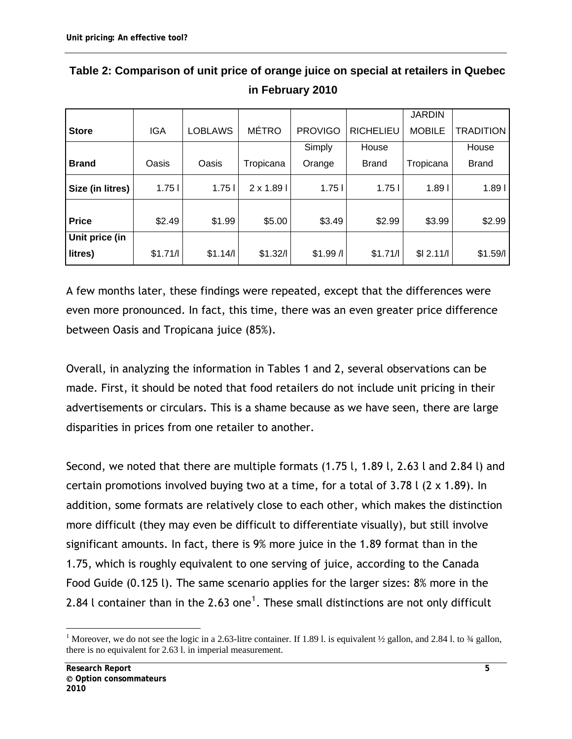|                  |         |                |                 |                |                  | <b>JARDIN</b>     |                   |
|------------------|---------|----------------|-----------------|----------------|------------------|-------------------|-------------------|
| <b>Store</b>     | IGA     | <b>LOBLAWS</b> | <b>MÉTRO</b>    | <b>PROVIGO</b> | <b>RICHELIEU</b> | <b>MOBILE</b>     | <b>TRADITION</b>  |
|                  |         |                |                 | Simply         | House            |                   | House             |
| <b>Brand</b>     | Oasis   | Oasis          | Tropicana       | Orange         | <b>Brand</b>     | Tropicana         | <b>Brand</b>      |
| Size (in litres) | 1.751   | 1.751          | $2 \times 1.89$ | 1.751          | 1.751            | 1.89 <sub>1</sub> | 1.89 <sub>1</sub> |
| <b>Price</b>     | \$2.49  | \$1.99         | \$5.00          | \$3.49         | \$2.99           | \$3.99            | \$2.99            |
| Unit price (in   |         |                |                 |                |                  |                   |                   |
| litres)          | \$1.71/ | \$1.14/        | \$1.32/         | \$1.99/        | \$1.71/          | \$12.11/          | \$1.59/           |

### <span id="page-16-0"></span>**Table 2: Comparison of unit price of orange juice on special at retailers in Quebec in February 2010**

A few months later, these findings were repeated, except that the differences were even more pronounced. In fact, this time, there was an even greater price difference between Oasis and Tropicana juice (85%).

Overall, in analyzing the information in Tables 1 and 2, several observations can be made. First, it should be noted that food retailers do not include unit pricing in their advertisements or circulars. This is a shame because as we have seen, there are large disparities in prices from one retailer to another.

Second, we noted that there are multiple formats (1.75 l, 1.89 l, 2.63 l and 2.84 l) and certain promotions involved buying two at a time, for a total of 3.78 l (2 x 1.89). In addition, some formats are relatively close to each other, which makes the distinction more difficult (they may even be difficult to differentiate visually), but still involve significant amounts. In fact, there is 9% more juice in the 1.89 format than in the 1.75, which is roughly equivalent to one serving of juice, according to the Canada Food Guide (0.125 l). The same scenario applies for the larger sizes: 8% more in the 2.84 l container than in the 2.63 one $^{\text{1}}.$  $^{\text{1}}.$  $^{\text{1}}.$  These small distinctions are not only difficult

 $\overline{a}$ 

<span id="page-16-1"></span><sup>&</sup>lt;sup>1</sup> Moreover, we do not see the logic in a 2.63-litre container. If 1.89 l. is equivalent  $\frac{1}{2}$  gallon, and 2.84 l. to  $\frac{3}{4}$  gallon, there is no equivalent for 2.63 l. in imperial measurement.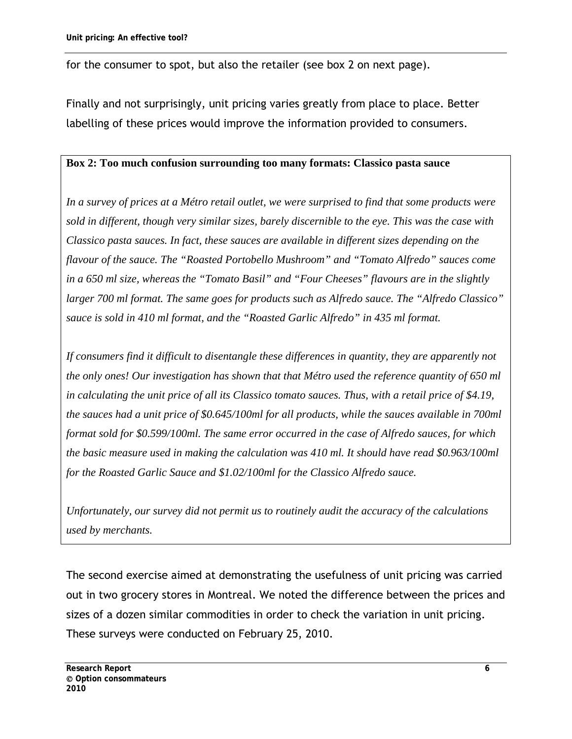for the consumer to spot, but also the retailer (see box 2 on next page).

Finally and not surprisingly, unit pricing varies greatly from place to place. Better labelling of these prices would improve the information provided to consumers.

#### <span id="page-17-0"></span>**Box 2: Too much confusion surrounding too many formats: Classico pasta sauce**

*In a survey of prices at a Métro retail outlet, we were surprised to find that some products were sold in different, though very similar sizes, barely discernible to the eye. This was the case with Classico pasta sauces. In fact, these sauces are available in different sizes depending on the flavour of the sauce. The "Roasted Portobello Mushroom" and "Tomato Alfredo" sauces come in a 650 ml size, whereas the "Tomato Basil" and "Four Cheeses" flavours are in the slightly larger 700 ml format. The same goes for products such as Alfredo sauce. The "Alfredo Classico" sauce is sold in 410 ml format, and the "Roasted Garlic Alfredo" in 435 ml format.* 

*If consumers find it difficult to disentangle these differences in quantity, they are apparently not the only ones! Our investigation has shown that that Métro used the reference quantity of 650 ml in calculating the unit price of all its Classico tomato sauces. Thus, with a retail price of \$4.19, the sauces had a unit price of \$0.645/100ml for all products, while the sauces available in 700ml format sold for \$0.599/100ml. The same error occurred in the case of Alfredo sauces, for which the basic measure used in making the calculation was 410 ml. It should have read \$0.963/100ml for the Roasted Garlic Sauce and \$1.02/100ml for the Classico Alfredo sauce.* 

*Unfortunately, our survey did not permit us to routinely audit the accuracy of the calculations used by merchants.*

The second exercise aimed at demonstrating the usefulness of unit pricing was carried out in two grocery stores in Montreal. We noted the difference between the prices and sizes of a dozen similar commodities in order to check the variation in unit pricing. These surveys were conducted on February 25, 2010.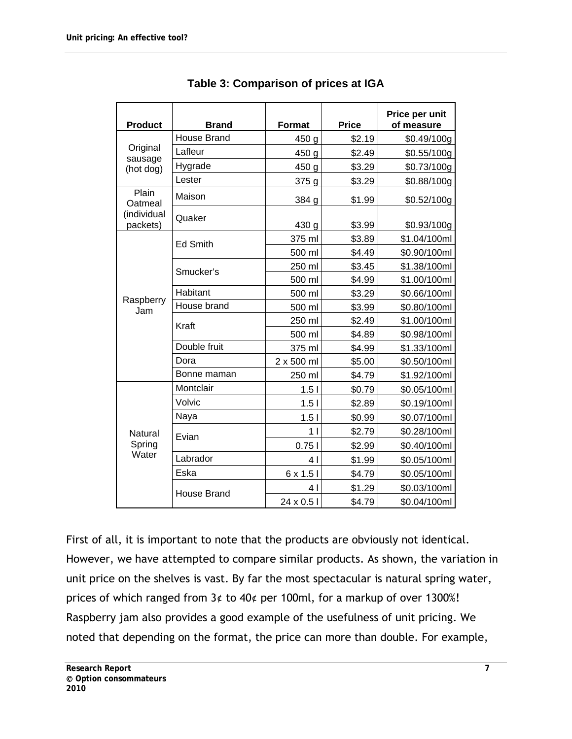<span id="page-18-0"></span>

| <b>Product</b>          | <b>Brand</b>       | <b>Format</b>    | <b>Price</b> | Price per unit<br>of measure |
|-------------------------|--------------------|------------------|--------------|------------------------------|
|                         | <b>House Brand</b> | 450 <sub>g</sub> | \$2.19       | \$0.49/100g                  |
| Original                | Lafleur            | 450 g            | \$2.49       | \$0.55/100g                  |
| sausage<br>(hot dog)    | Hygrade            | 450 g            | \$3.29       | \$0.73/100g                  |
|                         | Lester             | 375g             | \$3.29       | \$0.88/100g                  |
| Plain<br>Oatmeal        | Maison             | 384 g            | \$1.99       | \$0.52/100g                  |
| (individual<br>packets) | Quaker             | 430 g            | \$3.99       | \$0.93/100g                  |
|                         | <b>Ed Smith</b>    | 375 ml           | \$3.89       | \$1.04/100ml                 |
|                         |                    | 500 ml           | \$4.49       | \$0.90/100ml                 |
|                         | Smucker's          | 250 ml           | \$3.45       | \$1.38/100ml                 |
|                         |                    | 500 ml           | \$4.99       | \$1.00/100ml                 |
| Raspberry               | Habitant           | 500 ml           | \$3.29       | \$0.66/100ml                 |
| Jam                     | House brand        | 500 ml           | \$3.99       | \$0.80/100ml                 |
|                         | Kraft              | 250 ml           | \$2.49       | \$1.00/100ml                 |
|                         |                    | 500 ml           | \$4.89       | \$0.98/100ml                 |
|                         | Double fruit       | 375 ml           | \$4.99       | \$1.33/100ml                 |
|                         | Dora               | 2 x 500 ml       | \$5.00       | \$0.50/100ml                 |
|                         | Bonne maman        | 250 ml           | \$4.79       | \$1.92/100ml                 |
|                         | Montclair          | 1.51             | \$0.79       | \$0.05/100ml                 |
|                         | Volvic             | 1.51             | \$2.89       | \$0.19/100ml                 |
|                         | Naya               | 1.51             | \$0.99       | \$0.07/100ml                 |
| Natural                 | Evian              | 11               | \$2.79       | \$0.28/100ml                 |
| Spring<br>Water         |                    | 0.751            | \$2.99       | \$0.40/100ml                 |
|                         | Labrador           | 4 I              | \$1.99       | \$0.05/100ml                 |
|                         | Eska               | $6 \times 1.5$   | \$4.79       | \$0.05/100ml                 |
|                         |                    | 4 I              | \$1.29       | \$0.03/100ml                 |
|                         | House Brand        | 24 x 0.5 l       | \$4.79       | \$0.04/100ml                 |

**Table 3: Comparison of prices at IGA** 

First of all, it is important to note that the products are obviously not identical. However, we have attempted to compare similar products. As shown, the variation in unit price on the shelves is vast. By far the most spectacular is natural spring water, prices of which ranged from 3¢ to 40¢ per 100ml, for a markup of over 1300%! Raspberry jam also provides a good example of the usefulness of unit pricing. We noted that depending on the format, the price can more than double. For example,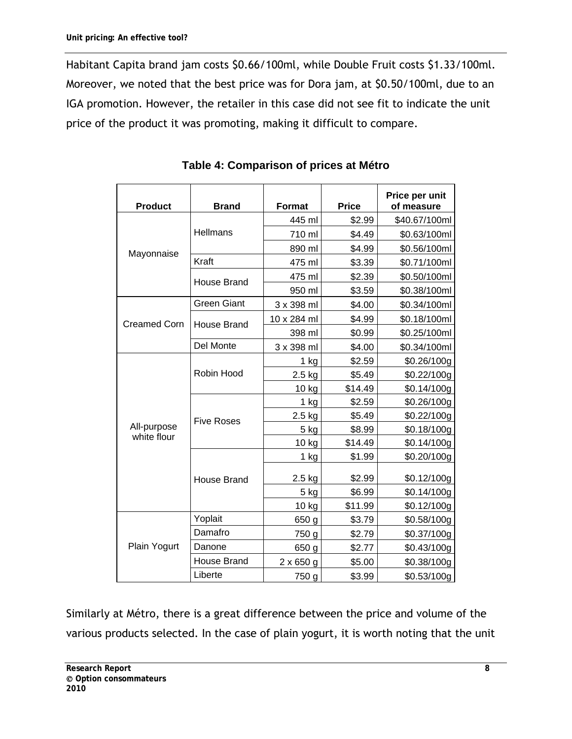Habitant Capita brand jam costs \$0.66/100ml, while Double Fruit costs \$1.33/100ml. Moreover, we noted that the best price was for Dora jam, at \$0.50/100ml, due to an IGA promotion. However, the retailer in this case did not see fit to indicate the unit price of the product it was promoting, making it difficult to compare.

<span id="page-19-0"></span>

| <b>Product</b>             | <b>Brand</b>       | <b>Format</b>    | <b>Price</b> | Price per unit<br>of measure |
|----------------------------|--------------------|------------------|--------------|------------------------------|
|                            |                    | 445 ml           | \$2.99       | \$40.67/100ml                |
|                            | <b>Hellmans</b>    | 710 ml           | \$4.49       | \$0.63/100ml                 |
| Mayonnaise                 |                    | 890 ml           | \$4.99       | \$0.56/100ml                 |
|                            | Kraft              | 475 ml           | \$3.39       | \$0.71/100ml                 |
|                            | <b>House Brand</b> | 475 ml           | \$2.39       | \$0.50/100ml                 |
|                            |                    | 950 ml           | \$3.59       | \$0.38/100ml                 |
|                            | <b>Green Giant</b> | 3 x 398 ml       | \$4.00       | \$0.34/100ml                 |
| <b>Creamed Corn</b>        | <b>House Brand</b> | 10 x 284 ml      | \$4.99       | \$0.18/100ml                 |
|                            |                    | 398 ml           | \$0.99       | \$0.25/100ml                 |
|                            | Del Monte          | 3 x 398 ml       | \$4.00       | \$0.34/100ml                 |
|                            |                    | $1$ kg           | \$2.59       | \$0.26/100g                  |
|                            | Robin Hood         | $2.5$ kg         | \$5.49       | \$0.22/100g                  |
|                            |                    | 10 kg            | \$14.49      | \$0.14/100g                  |
|                            | <b>Five Roses</b>  | $1$ kg           | \$2.59       | \$0.26/100g                  |
|                            |                    | 2.5 kg           | \$5.49       | \$0.22/100g                  |
| All-purpose<br>white flour |                    | 5 kg             | \$8.99       | \$0.18/100g                  |
|                            |                    | $10$ kg          | \$14.49      | \$0.14/100g                  |
|                            |                    | 1 kg             | \$1.99       | \$0.20/100g                  |
|                            | <b>House Brand</b> | 2.5 kg           | \$2.99       | \$0.12/100g                  |
|                            |                    | 5 kg             | \$6.99       | \$0.14/100g                  |
|                            |                    | 10 kg            | \$11.99      | \$0.12/100g                  |
|                            | Yoplait            | 650 g            | \$3.79       | \$0.58/100g                  |
|                            | Damafro            | 750 g            | \$2.79       | \$0.37/100g                  |
| Plain Yogurt               | Danone             | 650 g            | \$2.77       | \$0.43/100g                  |
|                            | House Brand        | $2 \times 650$ g | \$5.00       | \$0.38/100g                  |
|                            | Liberte            | 750 g            | \$3.99       | \$0.53/100g                  |

**Table 4: Comparison of prices at Métro** 

Similarly at Métro, there is a great difference between the price and volume of the various products selected. In the case of plain yogurt, it is worth noting that the unit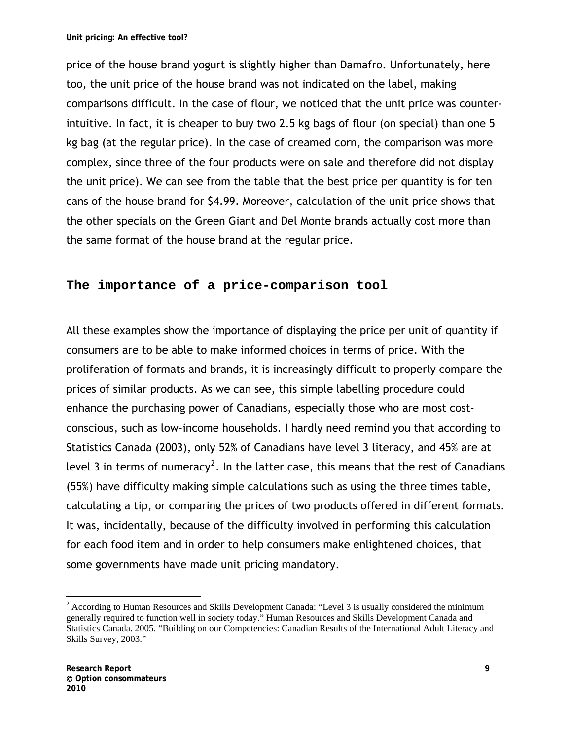price of the house brand yogurt is slightly higher than Damafro. Unfortunately, here too, the unit price of the house brand was not indicated on the label, making comparisons difficult. In the case of flour, we noticed that the unit price was counterintuitive. In fact, it is cheaper to buy two 2.5 kg bags of flour (on special) than one 5 kg bag (at the regular price). In the case of creamed corn, the comparison was more complex, since three of the four products were on sale and therefore did not display the unit price). We can see from the table that the best price per quantity is for ten cans of the house brand for \$4.99. Moreover, calculation of the unit price shows that the other specials on the Green Giant and Del Monte brands actually cost more than the same format of the house brand at the regular price.

#### <span id="page-20-0"></span>**The importance of a price-comparison tool**

All these examples show the importance of displaying the price per unit of quantity if consumers are to be able to make informed choices in terms of price. With the proliferation of formats and brands, it is increasingly difficult to properly compare the prices of similar products. As we can see, this simple labelling procedure could enhance the purchasing power of Canadians, especially those who are most costconscious, such as low-income households. I hardly need remind you that according to Statistics Canada (2003), only 52% of Canadians have level 3 literacy, and 45% are at level 3 in terms of numeracy<sup>[2](#page-20-1)</sup>. In the latter case, this means that the rest of Canadians (55%) have difficulty making simple calculations such as using the three times table, calculating a tip, or comparing the prices of two products offered in different formats. It was, incidentally, because of the difficulty involved in performing this calculation for each food item and in order to help consumers make enlightened choices, that some governments have made unit pricing mandatory.

 $\overline{a}$ 

<span id="page-20-1"></span><sup>&</sup>lt;sup>2</sup> According to Human Resources and Skills Development Canada: "Level 3 is usually considered the minimum generally required to function well in society today." Human Resources and Skills Development Canada and Statistics Canada. 2005. "Building on our Competencies: Canadian Results of the International Adult Literacy and Skills Survey, 2003."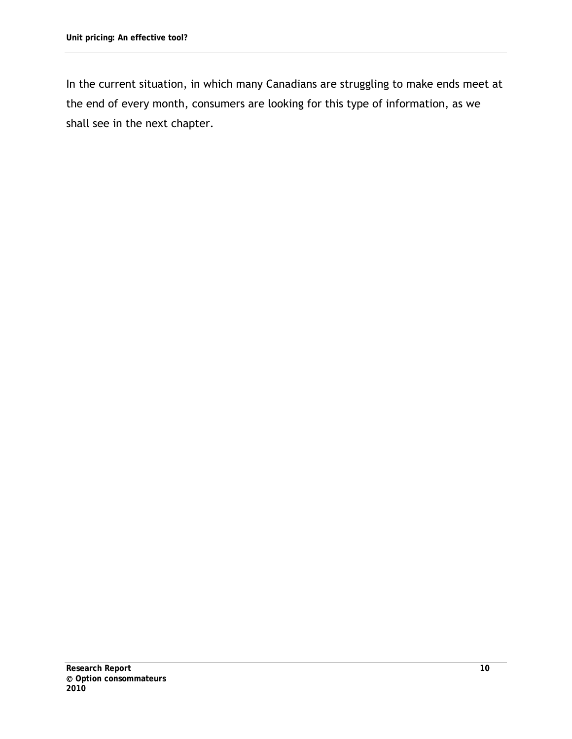In the current situation, in which many Canadians are struggling to make ends meet at the end of every month, consumers are looking for this type of information, as we shall see in the next chapter.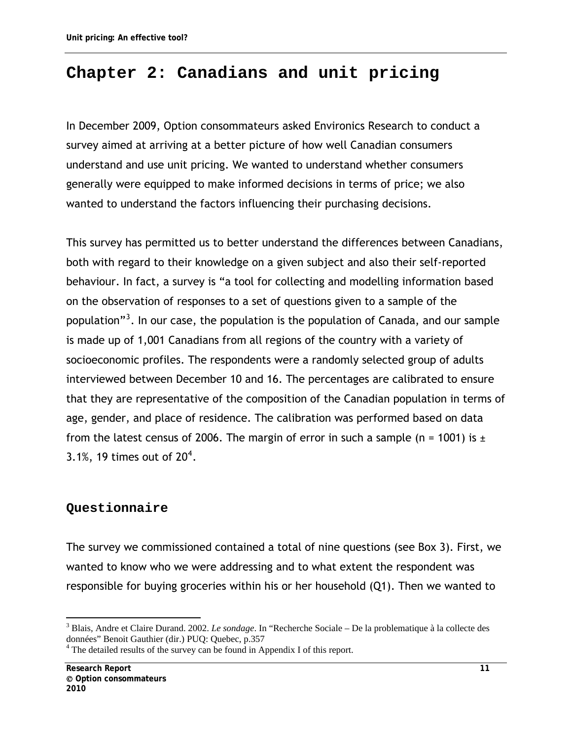## <span id="page-22-0"></span>**Chapter 2: Canadians and unit pricing**

In December 2009, Option consommateurs asked Environics Research to conduct a survey aimed at arriving at a better picture of how well Canadian consumers understand and use unit pricing. We wanted to understand whether consumers generally were equipped to make informed decisions in terms of price; we also wanted to understand the factors influencing their purchasing decisions.

This survey has permitted us to better understand the differences between Canadians, both with regard to their knowledge on a given subject and also their self-reported behaviour. In fact, a survey is "a tool for collecting and modelling information based on the observation of responses to a set of questions given to a sample of the population"<sup>[3](#page-22-2)</sup>. In our case, the population is the population of Canada, and our sample is made up of 1,001 Canadians from all regions of the country with a variety of socioeconomic profiles. The respondents were a randomly selected group of adults interviewed between December 10 and 16. The percentages are calibrated to ensure that they are representative of the composition of the Canadian population in terms of age, gender, and place of residence. The calibration was performed based on data from the latest census of 2006. The margin of error in such a sample (n = 1001) is  $\pm$ 3.1%, 19 times out of  $20^4$  $20^4$ .

### <span id="page-22-1"></span>**Questionnaire**

The survey we commissioned contained a total of nine questions (see Box 3). First, we wanted to know who we were addressing and to what extent the respondent was responsible for buying groceries within his or her household (Q1). Then we wanted to

 $\overline{a}$ 

<span id="page-22-2"></span><sup>3</sup> Blais, Andre et Claire Durand. 2002. *Le sondage*. In "Recherche Sociale – De la problematique à la collecte des données" Benoit Gauthier (dir.) PUQ: Quebec, p.357

<span id="page-22-3"></span><sup>&</sup>lt;sup>4</sup> The detailed results of the survey can be found in Appendix I of this report.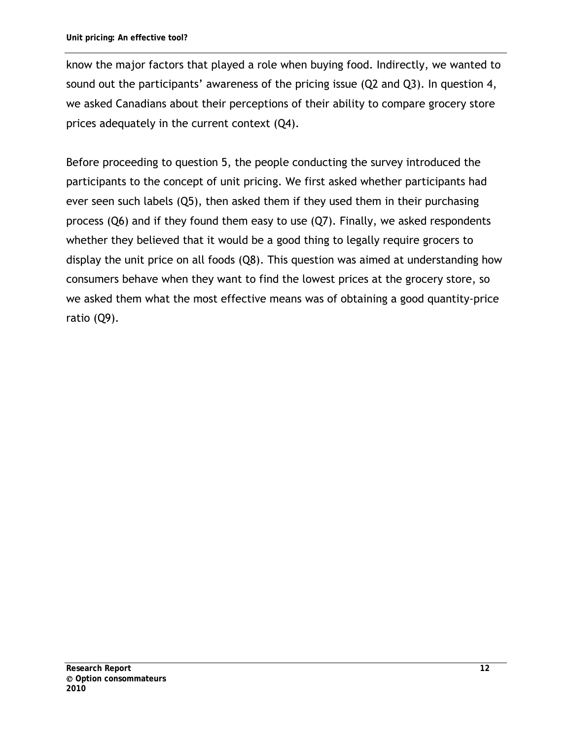know the major factors that played a role when buying food. Indirectly, we wanted to sound out the participants' awareness of the pricing issue (Q2 and Q3). In question 4, we asked Canadians about their perceptions of their ability to compare grocery store prices adequately in the current context (Q4).

Before proceeding to question 5, the people conducting the survey introduced the participants to the concept of unit pricing. We first asked whether participants had ever seen such labels (Q5), then asked them if they used them in their purchasing process (Q6) and if they found them easy to use (Q7). Finally, we asked respondents whether they believed that it would be a good thing to legally require grocers to display the unit price on all foods (Q8). This question was aimed at understanding how consumers behave when they want to find the lowest prices at the grocery store, so we asked them what the most effective means was of obtaining a good quantity-price ratio (Q9).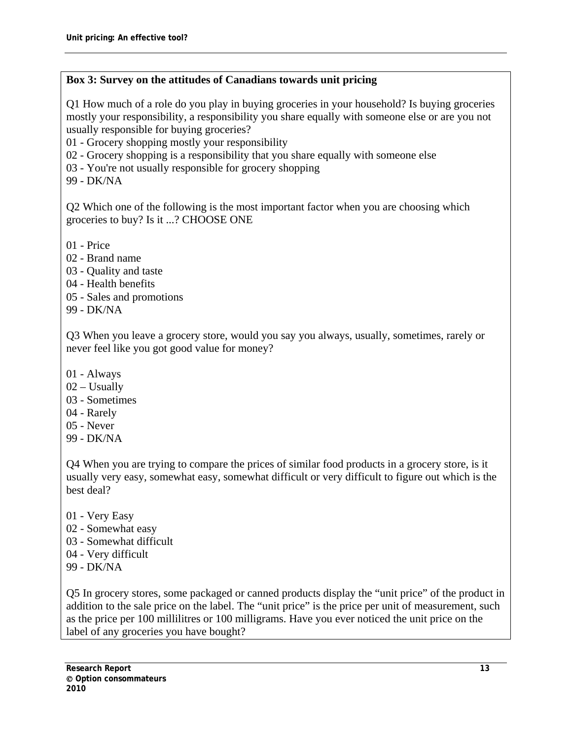#### <span id="page-24-0"></span>**Box 3: Survey on the attitudes of Canadians towards unit pricing**

Q1 How much of a role do you play in buying groceries in your household? Is buying groceries mostly your responsibility, a responsibility you share equally with someone else or are you not usually responsible for buying groceries?

01 - Grocery shopping mostly your responsibility

02 - Grocery shopping is a responsibility that you share equally with someone else

03 - You're not usually responsible for grocery shopping

99 - DK/NA

Q2 Which one of the following is the most important factor when you are choosing which groceries to buy? Is it ...? CHOOSE ONE

- 01 Price
- 02 Brand name
- 03 Quality and taste
- 04 Health benefits
- 05 Sales and promotions
- 99 DK/NA

Q3 When you leave a grocery store, would you say you always, usually, sometimes, rarely or never feel like you got good value for money?

- 01 Always
- $02 -$ Usually
- 03 Sometimes
- 04 Rarely
- 05 Never
- 99 DK/NA

Q4 When you are trying to compare the prices of similar food products in a grocery store, is it usually very easy, somewhat easy, somewhat difficult or very difficult to figure out which is the best deal?

- 01 Very Easy
- 02 Somewhat easy
- 03 Somewhat difficult
- 04 Very difficult
- 99 DK/NA

Q5 In grocery stores, some packaged or canned products display the "unit price" of the product in addition to the sale price on the label. The "unit price" is the price per unit of measurement, such as the price per 100 millilitres or 100 milligrams. Have you ever noticed the unit price on the label of any groceries you have bought?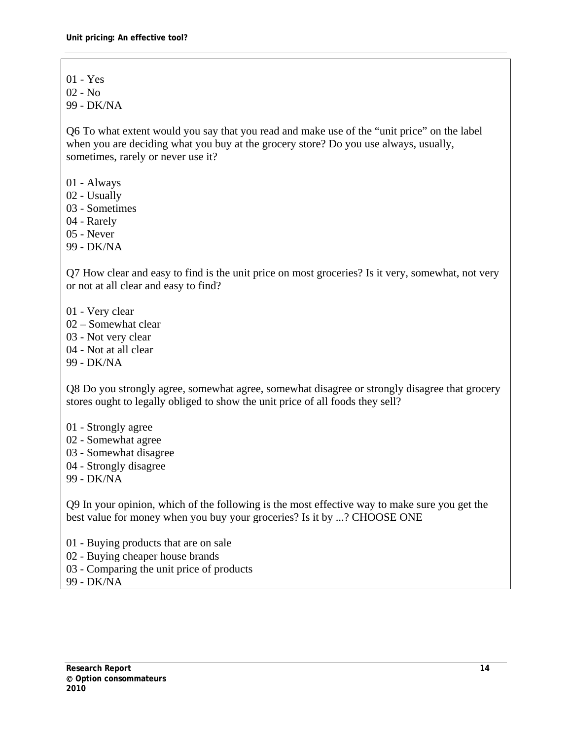01 - Yes

02 - No

99 - DK/NA

Q6 To what extent would you say that you read and make use of the "unit price" on the label when you are deciding what you buy at the grocery store? Do you use always, usually, sometimes, rarely or never use it?

01 - Always

02 - Usually

03 - Sometimes

04 - Rarely

05 - Never

99 - DK/NA

Q7 How clear and easy to find is the unit price on most groceries? Is it very, somewhat, not very or not at all clear and easy to find?

01 - Very clear

02 – Somewhat clear

03 - Not very clear

04 - Not at all clear

99 - DK/NA

Q8 Do you strongly agree, somewhat agree, somewhat disagree or strongly disagree that grocery stores ought to legally obliged to show the unit price of all foods they sell?

01 - Strongly agree

02 - Somewhat agree

03 - Somewhat disagree

04 - Strongly disagree

99 - DK/NA

Q9 In your opinion, which of the following is the most effective way to make sure you get the best value for money when you buy your groceries? Is it by ...? CHOOSE ONE

01 - Buying products that are on sale

02 - Buying cheaper house brands

03 - Comparing the unit price of products

99 - DK/NA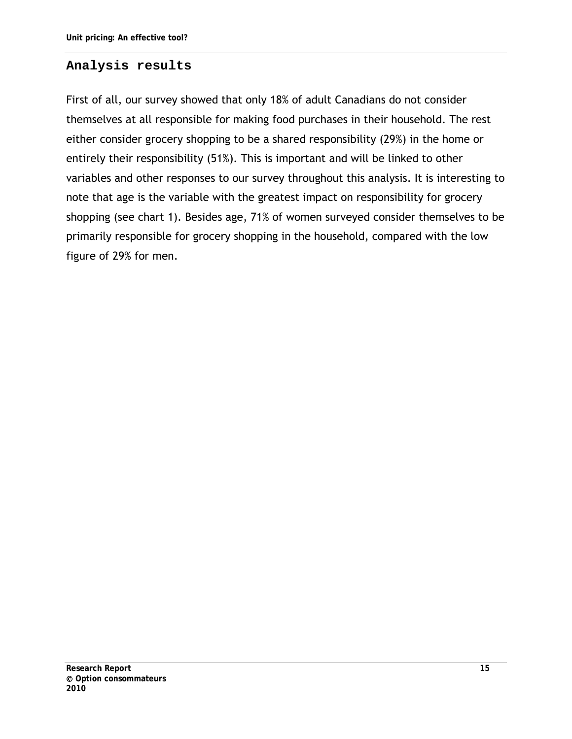#### <span id="page-26-0"></span>**Analysis results**

First of all, our survey showed that only 18% of adult Canadians do not consider themselves at all responsible for making food purchases in their household. The rest either consider grocery shopping to be a shared responsibility (29%) in the home or entirely their responsibility (51%). This is important and will be linked to other variables and other responses to our survey throughout this analysis. It is interesting to note that age is the variable with the greatest impact on responsibility for grocery shopping (see chart 1). Besides age, 71% of women surveyed consider themselves to be primarily responsible for grocery shopping in the household, compared with the low figure of 29% for men.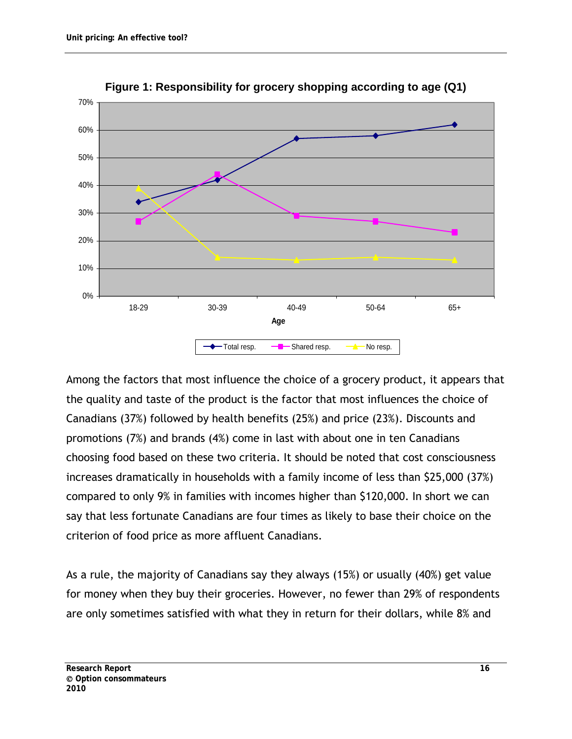<span id="page-27-0"></span>



Among the factors that most influence the choice of a grocery product, it appears that the quality and taste of the product is the factor that most influences the choice of Canadians (37%) followed by health benefits (25%) and price (23%). Discounts and promotions (7%) and brands (4%) come in last with about one in ten Canadians choosing food based on these two criteria. It should be noted that cost consciousness increases dramatically in households with a family income of less than \$25,000 (37%) compared to only 9% in families with incomes higher than \$120,000. In short we can say that less fortunate Canadians are four times as likely to base their choice on the criterion of food price as more affluent Canadians.

As a rule, the majority of Canadians say they always (15%) or usually (40%) get value for money when they buy their groceries. However, no fewer than 29% of respondents are only sometimes satisfied with what they in return for their dollars, while 8% and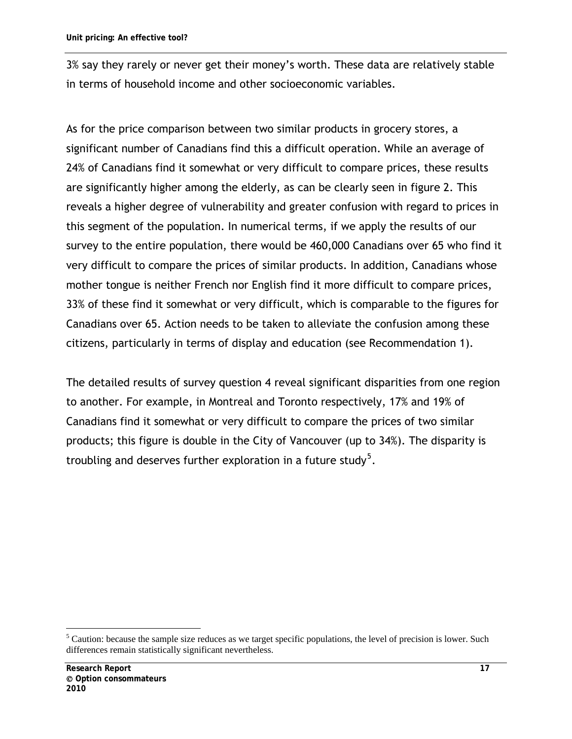3% say they rarely or never get their money's worth. These data are relatively stable in terms of household income and other socioeconomic variables.

As for the price comparison between two similar products in grocery stores, a significant number of Canadians find this a difficult operation. While an average of 24% of Canadians find it somewhat or very difficult to compare prices, these results are significantly higher among the elderly, as can be clearly seen in figure 2. This reveals a higher degree of vulnerability and greater confusion with regard to prices in this segment of the population. In numerical terms, if we apply the results of our survey to the entire population, there would be 460,000 Canadians over 65 who find it very difficult to compare the prices of similar products. In addition, Canadians whose mother tongue is neither French nor English find it more difficult to compare prices, 33% of these find it somewhat or very difficult, which is comparable to the figures for Canadians over 65. Action needs to be taken to alleviate the confusion among these citizens, particularly in terms of display and education (see Recommendation 1).

The detailed results of survey question 4 reveal significant disparities from one region to another. For example, in Montreal and Toronto respectively, 17% and 19% of Canadians find it somewhat or very difficult to compare the prices of two similar products; this figure is double in the City of Vancouver (up to 34%). The disparity is troubling and deserves further exploration in a future study $^5$  $^5$ .

 $\overline{a}$ 

<span id="page-28-0"></span><sup>5</sup> Caution: because the sample size reduces as we target specific populations, the level of precision is lower. Such differences remain statistically significant nevertheless.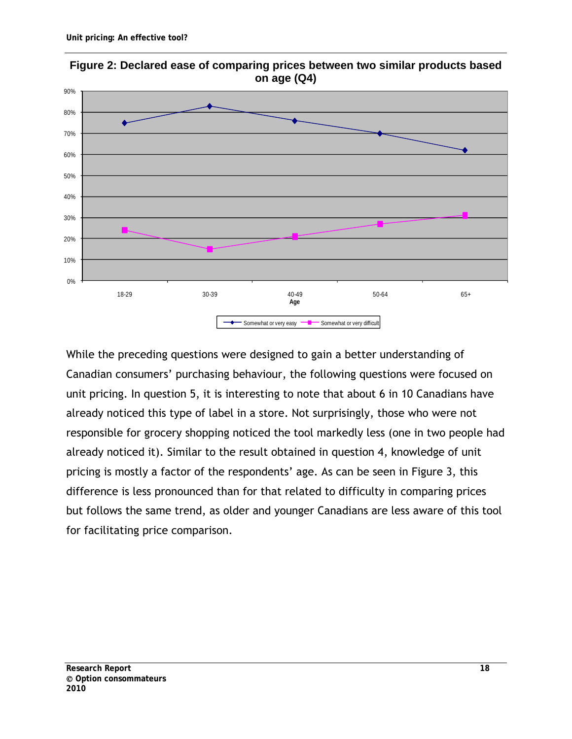<span id="page-29-0"></span>

**Figure 2: Declared ease of comparing prices between two similar products based on age (Q4)**

While the preceding questions were designed to gain a better understanding of Canadian consumers' purchasing behaviour, the following questions were focused on unit pricing. In question 5, it is interesting to note that about 6 in 10 Canadians have already noticed this type of label in a store. Not surprisingly, those who were not responsible for grocery shopping noticed the tool markedly less (one in two people had already noticed it). Similar to the result obtained in question 4, knowledge of unit pricing is mostly a factor of the respondents' age. As can be seen in Figure 3, this difference is less pronounced than for that related to difficulty in comparing prices but follows the same trend, as older and younger Canadians are less aware of this tool for facilitating price comparison.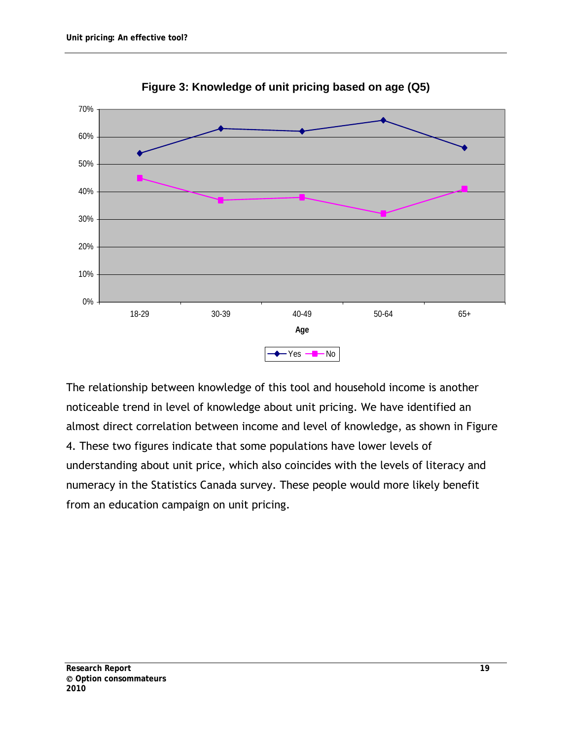<span id="page-30-0"></span>

**Figure 3: Knowledge of unit pricing based on age (Q5)**

The relationship between knowledge of this tool and household income is another noticeable trend in level of knowledge about unit pricing. We have identified an almost direct correlation between income and level of knowledge, as shown in Figure 4. These two figures indicate that some populations have lower levels of understanding about unit price, which also coincides with the levels of literacy and numeracy in the Statistics Canada survey. These people would more likely benefit from an education campaign on unit pricing.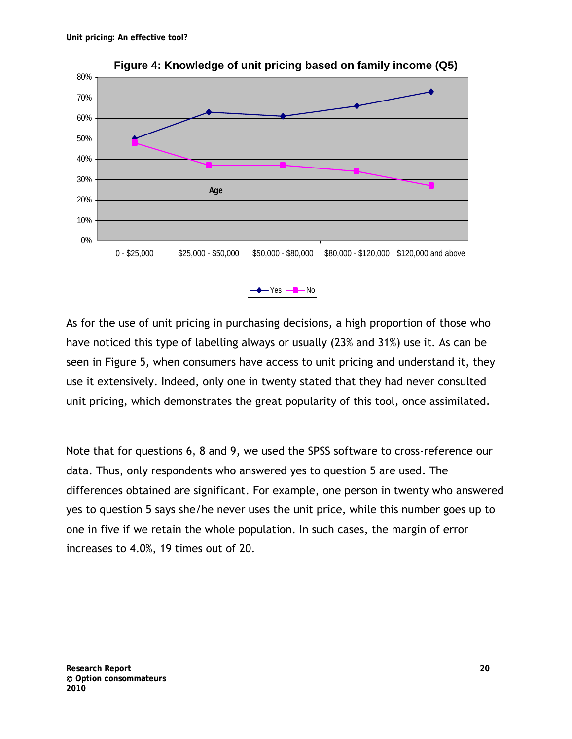<span id="page-31-0"></span>

As for the use of unit pricing in purchasing decisions, a high proportion of those who have noticed this type of labelling always or usually (23% and 31%) use it. As can be seen in Figure 5, when consumers have access to unit pricing and understand it, they use it extensively. Indeed, only one in twenty stated that they had never consulted unit pricing, which demonstrates the great popularity of this tool, once assimilated.

Note that for questions 6, 8 and 9, we used the SPSS software to cross-reference our data. Thus, only respondents who answered yes to question 5 are used. The differences obtained are significant. For example, one person in twenty who answered yes to question 5 says she/he never uses the unit price, while this number goes up to one in five if we retain the whole population. In such cases, the margin of error increases to 4.0%, 19 times out of 20.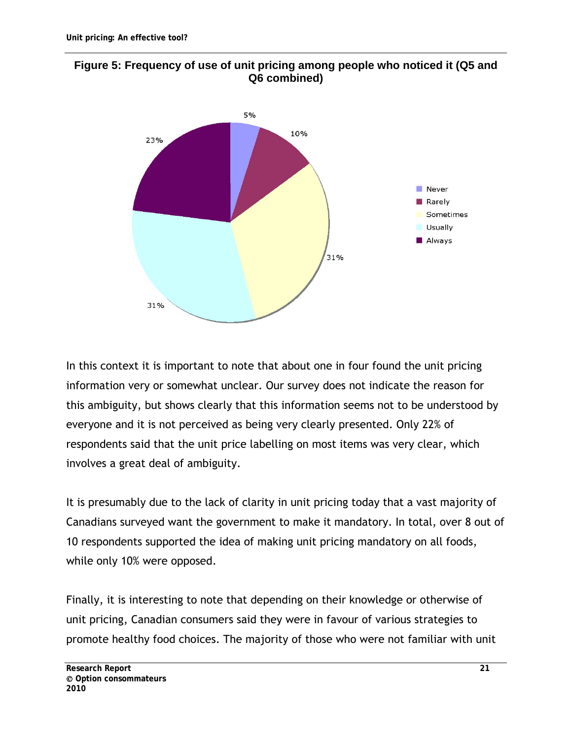<span id="page-32-0"></span>



In this context it is important to note that about one in four found the unit pricing information very or somewhat unclear. Our survey does not indicate the reason for this ambiguity, but shows clearly that this information seems not to be understood by everyone and it is not perceived as being very clearly presented. Only 22% of respondents said that the unit price labelling on most items was very clear, which involves a great deal of ambiguity.

It is presumably due to the lack of clarity in unit pricing today that a vast majority of Canadians surveyed want the government to make it mandatory. In total, over 8 out of 10 respondents supported the idea of making unit pricing mandatory on all foods, while only 10% were opposed.

Finally, it is interesting to note that depending on their knowledge or otherwise of unit pricing, Canadian consumers said they were in favour of various strategies to promote healthy food choices. The majority of those who were not familiar with unit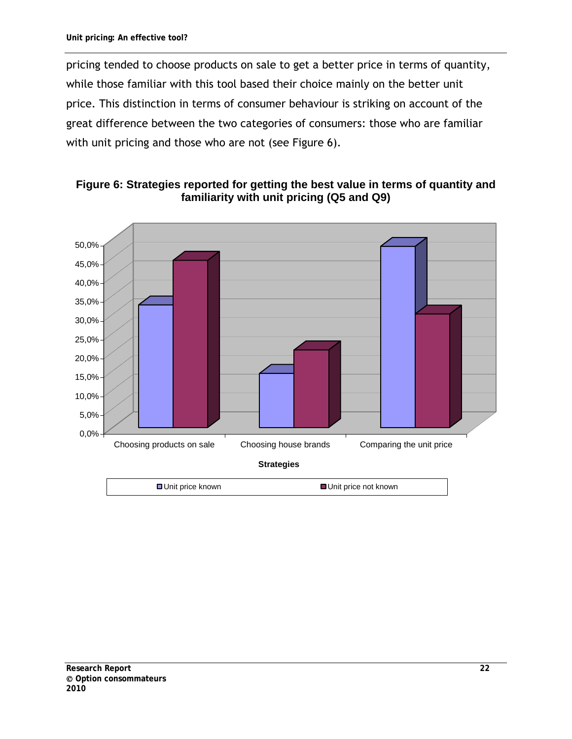pricing tended to choose products on sale to get a better price in terms of quantity, while those familiar with this tool based their choice mainly on the better unit price. This distinction in terms of consumer behaviour is striking on account of the great difference between the two categories of consumers: those who are familiar with unit pricing and those who are not (see Figure 6).

<span id="page-33-0"></span>

**Figure 6: Strategies reported for getting the best value in terms of quantity and familiarity with unit pricing (Q5 and Q9)**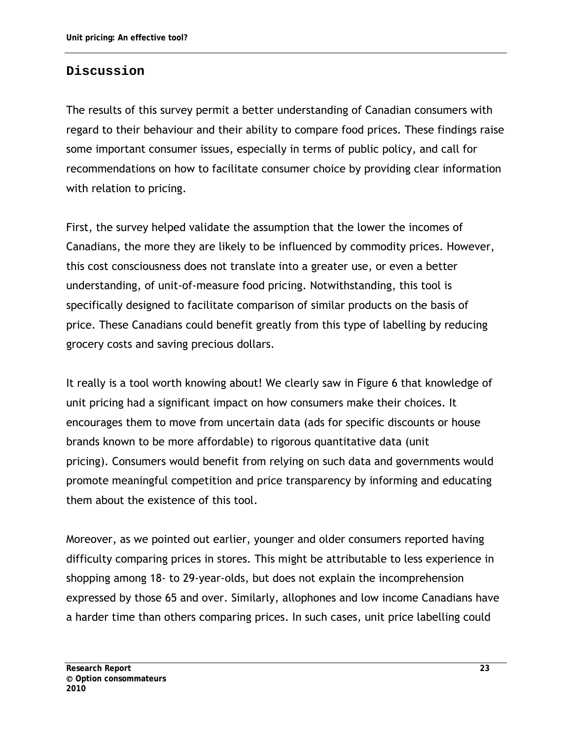### <span id="page-34-0"></span>**Discussion**

The results of this survey permit a better understanding of Canadian consumers with regard to their behaviour and their ability to compare food prices. These findings raise some important consumer issues, especially in terms of public policy, and call for recommendations on how to facilitate consumer choice by providing clear information with relation to pricing.

First, the survey helped validate the assumption that the lower the incomes of Canadians, the more they are likely to be influenced by commodity prices. However, this cost consciousness does not translate into a greater use, or even a better understanding, of unit-of-measure food pricing. Notwithstanding, this tool is specifically designed to facilitate comparison of similar products on the basis of price. These Canadians could benefit greatly from this type of labelling by reducing grocery costs and saving precious dollars.

It really is a tool worth knowing about! We clearly saw in Figure 6 that knowledge of unit pricing had a significant impact on how consumers make their choices. It encourages them to move from uncertain data (ads for specific discounts or house brands known to be more affordable) to rigorous quantitative data (unit pricing). Consumers would benefit from relying on such data and governments would promote meaningful competition and price transparency by informing and educating them about the existence of this tool.

Moreover, as we pointed out earlier, younger and older consumers reported having difficulty comparing prices in stores. This might be attributable to less experience in shopping among 18- to 29-year-olds, but does not explain the incomprehension expressed by those 65 and over. Similarly, allophones and low income Canadians have a harder time than others comparing prices. In such cases, unit price labelling could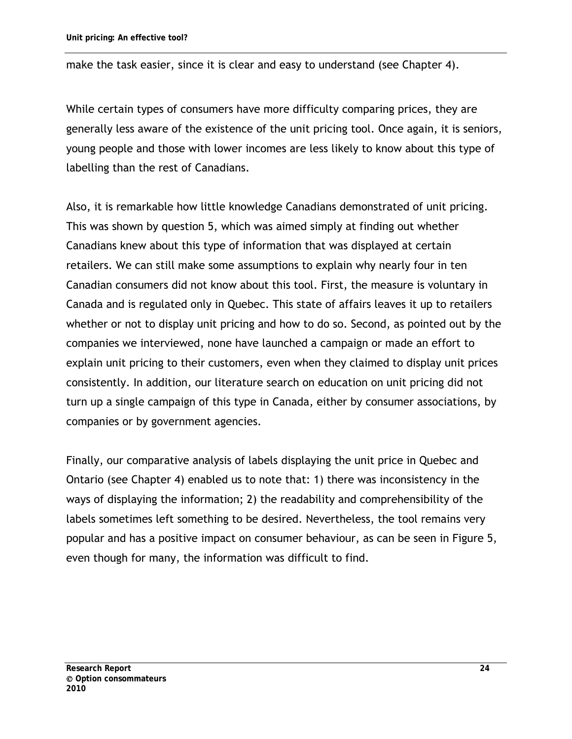make the task easier, since it is clear and easy to understand (see Chapter 4).

While certain types of consumers have more difficulty comparing prices, they are generally less aware of the existence of the unit pricing tool. Once again, it is seniors, young people and those with lower incomes are less likely to know about this type of labelling than the rest of Canadians.

Also, it is remarkable how little knowledge Canadians demonstrated of unit pricing. This was shown by question 5, which was aimed simply at finding out whether Canadians knew about this type of information that was displayed at certain retailers. We can still make some assumptions to explain why nearly four in ten Canadian consumers did not know about this tool. First, the measure is voluntary in Canada and is regulated only in Quebec. This state of affairs leaves it up to retailers whether or not to display unit pricing and how to do so. Second, as pointed out by the companies we interviewed, none have launched a campaign or made an effort to explain unit pricing to their customers, even when they claimed to display unit prices consistently. In addition, our literature search on education on unit pricing did not turn up a single campaign of this type in Canada, either by consumer associations, by companies or by government agencies.

Finally, our comparative analysis of labels displaying the unit price in Quebec and Ontario (see Chapter 4) enabled us to note that: 1) there was inconsistency in the ways of displaying the information; 2) the readability and comprehensibility of the labels sometimes left something to be desired. Nevertheless, the tool remains very popular and has a positive impact on consumer behaviour, as can be seen in Figure 5, even though for many, the information was difficult to find.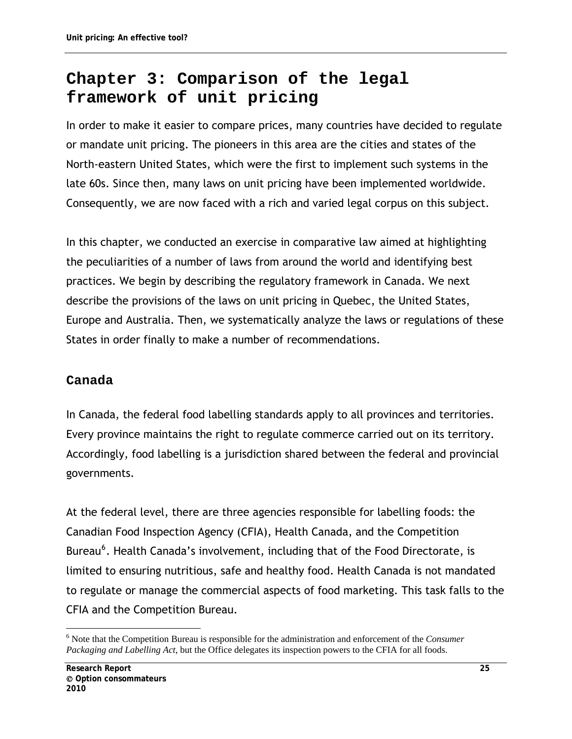# **Chapter 3: Comparison of the legal framework of unit pricing**

In order to make it easier to compare prices, many countries have decided to regulate or mandate unit pricing. The pioneers in this area are the cities and states of the North-eastern United States, which were the first to implement such systems in the late 60s. Since then, many laws on unit pricing have been implemented worldwide. Consequently, we are now faced with a rich and varied legal corpus on this subject.

In this chapter, we conducted an exercise in comparative law aimed at highlighting the peculiarities of a number of laws from around the world and identifying best practices. We begin by describing the regulatory framework in Canada. We next describe the provisions of the laws on unit pricing in Quebec, the United States, Europe and Australia. Then, we systematically analyze the laws or regulations of these States in order finally to make a number of recommendations.

# **Canada**

In Canada, the federal food labelling standards apply to all provinces and territories. Every province maintains the right to regulate commerce carried out on its territory. Accordingly, food labelling is a jurisdiction shared between the federal and provincial governments.

At the federal level, there are three agencies responsible for labelling foods: the Canadian Food Inspection Agency (CFIA), Health Canada, and the Competition Bureau<sup>[6](#page-36-0)</sup>. Health Canada's involvement, including that of the Food Directorate, is limited to ensuring nutritious, safe and healthy food. Health Canada is not mandated to regulate or manage the commercial aspects of food marketing. This task falls to the CFIA and the Competition Bureau.

<span id="page-36-0"></span> $\overline{a}$ 6 Note that the Competition Bureau is responsible for the administration and enforcement of the *Consumer Packaging and Labelling Act*, but the Office delegates its inspection powers to the CFIA for all foods.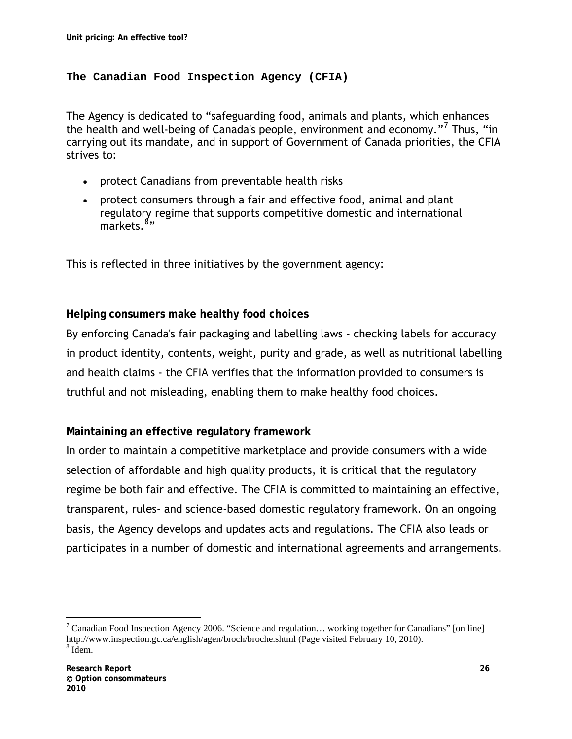#### **The Canadian Food Inspection Agency (CFIA)**

The Agency is dedicated to "safeguarding food, animals and plants, which enhances the health and well-being of Canada's people, environment and economy."<sup>[7](#page-37-0)</sup> Thus, "in carrying out its mandate, and in support of Government of Canada priorities, the CFIA strives to:

- protect Canadians from preventable health risks
- protect consumers through a fair and effective food, animal and plant regulatory regime that supports competitive domestic and international markets.<sup>[8](#page-37-1)</sup>"

This is reflected in three initiatives by the government agency:

**Helping consumers make healthy food choices**

By enforcing Canada's fair packaging and labelling laws - checking labels for accuracy in product identity, contents, weight, purity and grade, as well as nutritional labelling and health claims - the *CFIA* verifies that the information provided to consumers is truthful and not misleading, enabling them to make healthy food choices.

**Maintaining an effective regulatory framework**

In order to maintain a competitive marketplace and provide consumers with a wide selection of affordable and high quality products, it is critical that the regulatory regime be both fair and effective. The *CFIA* is committed to maintaining an effective, transparent, rules- and science-based domestic regulatory framework. On an ongoing basis, the Agency develops and updates acts and regulations. The *CFIA* also leads or participates in a number of domestic and international agreements and arrangements.

<span id="page-37-1"></span><span id="page-37-0"></span><sup>&</sup>lt;sup>7</sup> Canadian Food Inspection Agency 2006. "Science and regulation... working together for Canadians" [on line] http://www.inspection.gc.ca/english/agen/broch/broche.shtml (Page visited February 10, 2010). <sup>8</sup> Idem.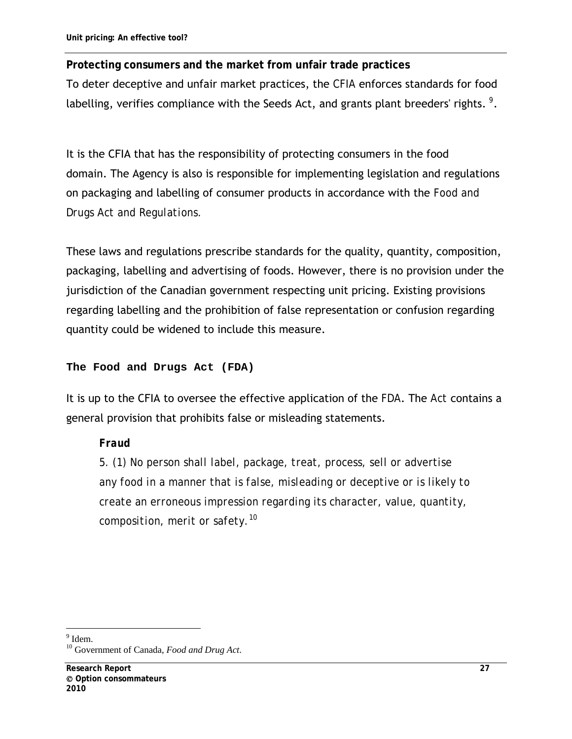**Protecting consumers and the market from unfair trade practices**  To deter deceptive and unfair market practices, the *CFIA* enforces standards for food labelling, verifies compliance with the Seeds Act, and grants plant breeders' rights. *[9](#page-38-0)* .

It is the CFIA that has the responsibility of protecting consumers in the food domain. The Agency is also is responsible for implementing legislation and regulations on packaging and labelling of consumer products in accordance with the *Food and Drugs Act and Regulations.* 

These laws and regulations prescribe standards for the quality, quantity, composition, packaging, labelling and advertising of foods. However, there is no provision under the jurisdiction of the Canadian government respecting unit pricing. Existing provisions regarding labelling and the prohibition of false representation or confusion regarding quantity could be widened to include this measure.

### **The Food and Drugs Act (FDA)**

It is up to the CFIA to oversee the effective application of the *FDA*. The *Act* contains a general provision that prohibits false or misleading statements.

### *Fraud*

*5. (1) No person shall label, package, treat, process, sell or advertise any food in a manner that is false, misleading or deceptive or is likely to create an erroneous impression regarding its character, value, quantity, composition, merit or safety.[10](#page-38-1)*

 $\overline{a}$  $<sup>9</sup>$  Idem.</sup>

<span id="page-38-1"></span><span id="page-38-0"></span><sup>10</sup> Government of Canada, *Food and Drug Act*.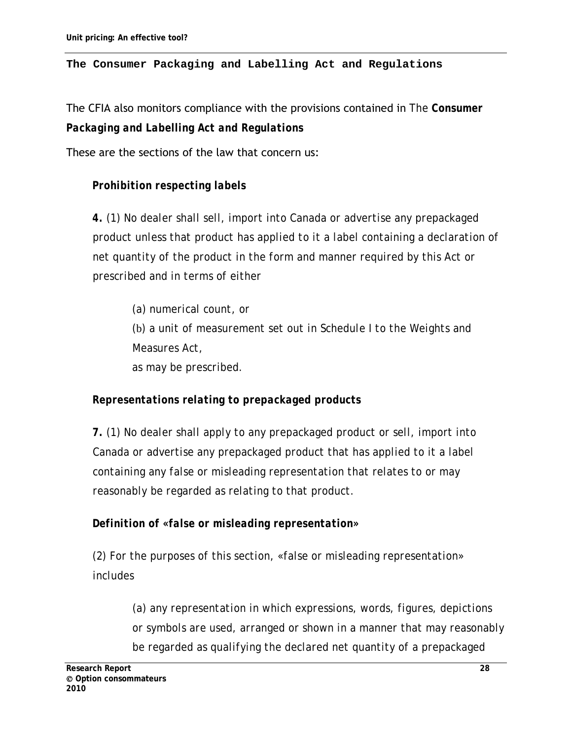#### **The [Consumer Packaging and Labelling Act and Regulations](http://www.competitionbureau.gc.ca/eic/site/cb-bc.nsf/eng/h_00148.html#packaging)**

The CFIA also monitors compliance with the provisions contained in *The [Consumer](http://www.competitionbureau.gc.ca/eic/site/cb-bc.nsf/eng/h_00148.html#packaging)  [Packaging and Labelling Act and Regulations](http://www.competitionbureau.gc.ca/eic/site/cb-bc.nsf/eng/h_00148.html#packaging)*

These are the sections of the law that concern us:

# *Prohibition respecting labels*

*4. (1) No dealer shall sell, import into Canada or advertise any prepackaged product unless that product has applied to it a label containing a declaration of net quantity of the product in the form and manner required by this Act or prescribed and in terms of either* 

*(a) numerical count, or (*b*) a unit of measurement set out in Schedule I to the Weights and Measures Act, as may be prescribed.* 

# *Representations relating to prepackaged products*

*7. (1) No dealer shall apply to any prepackaged product or sell, import into Canada or advertise any prepackaged product that has applied to it a label containing any false or misleading representation that relates to or may reasonably be regarded as relating to that product.* 

### *Definition of «false or misleading representation»*

*(2) For the purposes of this section, «false or misleading representation» includes* 

> *(a) any representation in which expressions, words, figures, depictions or symbols are used, arranged or shown in a manner that may reasonably be regarded as qualifying the declared net quantity of a prepackaged*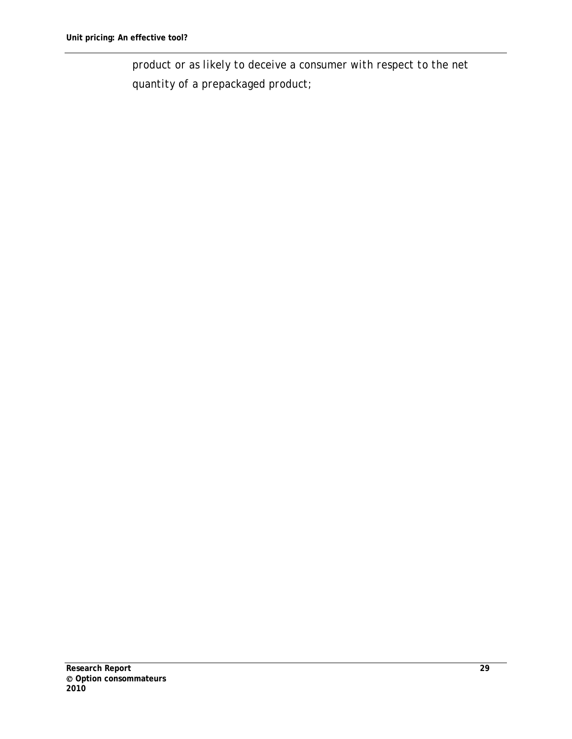*product or as likely to deceive a consumer with respect to the net quantity of a prepackaged product;*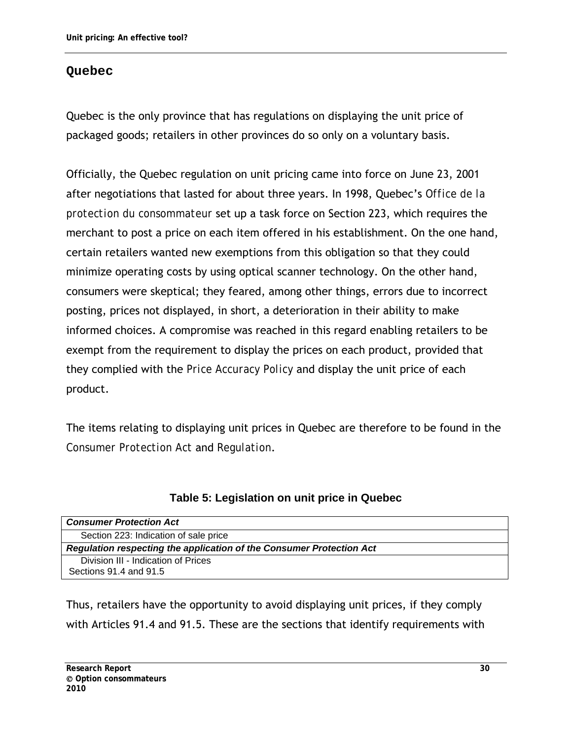# **Quebec**

Quebec is the only province that has regulations on displaying the unit price of packaged goods; retailers in other provinces do so only on a voluntary basis.

Officially, the Quebec regulation on unit pricing came into force on June 23, 2001 after negotiations that lasted for about three years. In 1998, Quebec's *Office de la protection du consommateur* set up a task force on Section 223, which requires the merchant to post a price on each item offered in his establishment. On the one hand, certain retailers wanted new exemptions from this obligation so that they could minimize operating costs by using optical scanner technology. On the other hand, consumers were skeptical; they feared, among other things, errors due to incorrect posting, prices not displayed, in short, a deterioration in their ability to make informed choices. A compromise was reached in this regard enabling retailers to be exempt from the requirement to display the prices on each product, provided that they complied with the *Price Accuracy Policy* and display the unit price of each product.

The items relating to displaying unit prices in Quebec are therefore to be found in the *Consumer Protection Act* and *Regulation*.

| <b>Consumer Protection Act</b>                                       |  |  |  |  |
|----------------------------------------------------------------------|--|--|--|--|
| Section 223: Indication of sale price                                |  |  |  |  |
| Regulation respecting the application of the Consumer Protection Act |  |  |  |  |
| Division III - Indication of Prices                                  |  |  |  |  |
| Sections 91.4 and 91.5                                               |  |  |  |  |

| Table 5: Legislation on unit price in Quebec |  |  |
|----------------------------------------------|--|--|
|----------------------------------------------|--|--|

Thus, retailers have the opportunity to avoid displaying unit prices, if they comply with Articles 91.4 and 91.5. These are the sections that identify requirements with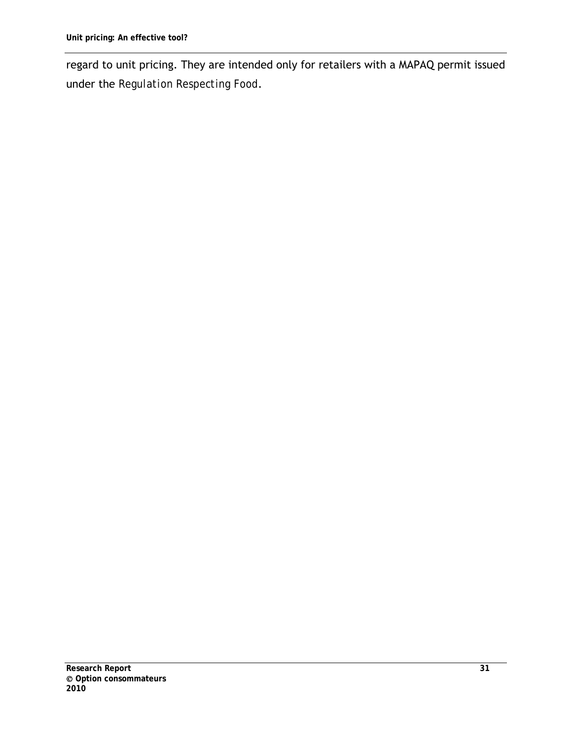regard to unit pricing. They are intended only for retailers with a MAPAQ permit issued under the *Regulation Respecting Food*.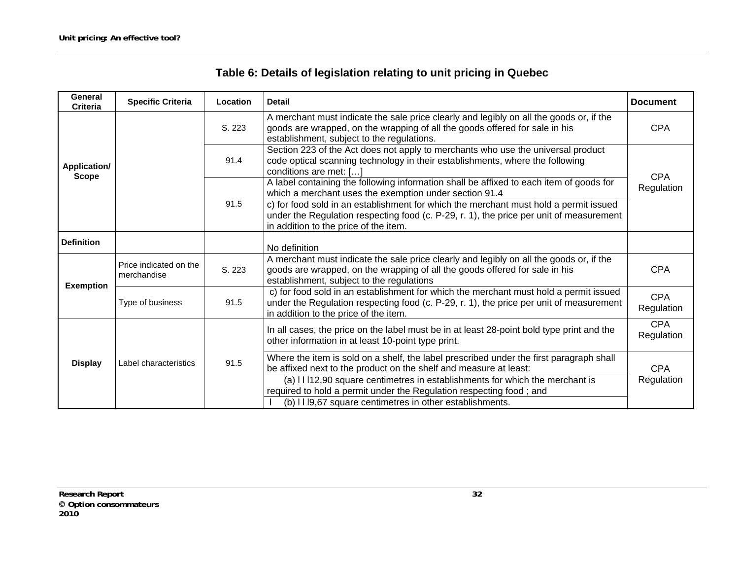| Table 6: Details of legislation relating to unit pricing in Quebec |  |  |
|--------------------------------------------------------------------|--|--|
|--------------------------------------------------------------------|--|--|

| <b>Document</b>          |
|--------------------------|
| <b>CPA</b>               |
| <b>CPA</b>               |
| Regulation               |
|                          |
|                          |
| <b>CPA</b>               |
| <b>CPA</b><br>Regulation |
| <b>CPA</b><br>Regulation |
| <b>CPA</b><br>Regulation |
|                          |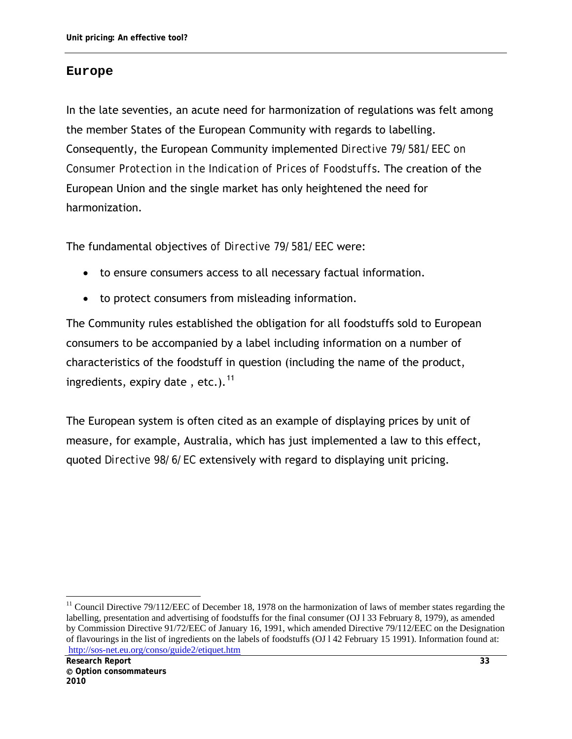#### **Europe**

In the late seventies, an acute need for harmonization of regulations was felt among the member States of the European Community with regards to labelling. Consequently, the European Community implemented *Directive 79/581/EEC on Consumer Protection in the Indication of Prices of Foodstuffs*. The creation of the European Union and the single market has only heightened the need for harmonization.

The fundamental objectives *of Directive 79/581/EEC* were:

- to ensure consumers access to all necessary factual information.
- to protect consumers from misleading information.

The Community rules established the obligation for all foodstuffs sold to European consumers to be accompanied by a label including information on a number of characteristics of the foodstuff in question (including the name of the product, ingredients, expiry date, etc.). $<sup>11</sup>$  $<sup>11</sup>$  $<sup>11</sup>$ </sup>

The European system is often cited as an example of displaying prices by unit of measure, for example, Australia, which has just implemented a law to this effect, quoted *Directive 98/6/EC* extensively with regard to displaying unit pricing.

<span id="page-44-0"></span> $11$  Council Directive 79/112/EEC of December 18, 1978 on the harmonization of laws of member states regarding the labelling, presentation and advertising of foodstuffs for the final consumer (OJ 1 33 February 8, 1979), as amended by Commission Directive 91/72/EEC of January 16, 1991, which amended Directive 79/112/EEC on the Designation of flavourings in the list of ingredients on the labels of foodstuffs (OJ l 42 February 15 1991). Information found at: <http://sos-net.eu.org/conso/guide2/etiquet.htm>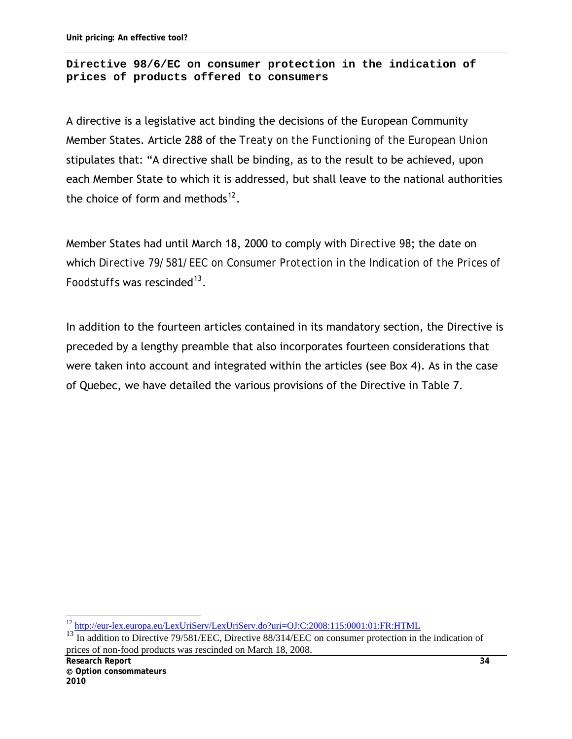#### **Directive 98/6/EC on consumer protection in the indication of prices of products offered to consumers**

A directive is a legislative act binding the decisions of the European Community Member States. Article 288 of the *Treaty on the Functioning of the European Union* stipulates that: "A directive shall be binding, as to the result to be achieved, upon each Member State to which it is addressed, but shall leave to the national authorities the choice of form and methods $^{12}$  $^{12}$  $^{12}$ .

Member States had until March 18, 2000 to comply with *Directive 98*; the date on which *Directive 79/581/EEC on Consumer Protection in the Indication of the Prices of Foodstuffs* was rescinded<sup>[13](#page-45-1)</sup>.

In addition to the fourteen articles contained in its mandatory section, the Directive is preceded by a lengthy preamble that also incorporates fourteen considerations that were taken into account and integrated within the articles (see Box 4). As in the case of Quebec, we have detailed the various provisions of the Directive in Table 7.

 $\overline{a}$ <sup>12</sup> <http://eur-lex.europa.eu/LexUriServ/LexUriServ.do?uri=OJ:C:2008:115:0001:01:FR:HTML>

<span id="page-45-1"></span><span id="page-45-0"></span><sup>&</sup>lt;sup>13</sup> In addition to Directive 79/581/EEC, Directive 88/314/EEC on consumer protection in the indication of prices of non-food products was rescinded on March 18, 2008.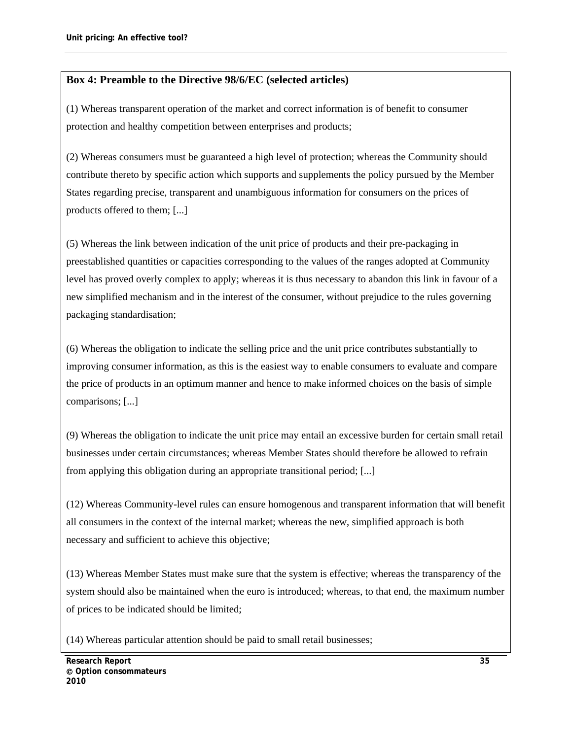### **Box 4: Preamble to the Directive 98/6/EC (selected articles)**

(1) Whereas transparent operation of the market and correct information is of benefit to consumer protection and healthy competition between enterprises and products;

(2) Whereas consumers must be guaranteed a high level of protection; whereas the Community should contribute thereto by specific action which supports and supplements the policy pursued by the Member States regarding precise, transparent and unambiguous information for consumers on the prices of products offered to them; [...]

(5) Whereas the link between indication of the unit price of products and their pre-packaging in preestablished quantities or capacities corresponding to the values of the ranges adopted at Community level has proved overly complex to apply; whereas it is thus necessary to abandon this link in favour of a new simplified mechanism and in the interest of the consumer, without prejudice to the rules governing packaging standardisation;

(6) Whereas the obligation to indicate the selling price and the unit price contributes substantially to improving consumer information, as this is the easiest way to enable consumers to evaluate and compare the price of products in an optimum manner and hence to make informed choices on the basis of simple comparisons; [...]

(9) Whereas the obligation to indicate the unit price may entail an excessive burden for certain small retail businesses under certain circumstances; whereas Member States should therefore be allowed to refrain from applying this obligation during an appropriate transitional period; [...]

(12) Whereas Community-level rules can ensure homogenous and transparent information that will benefit all consumers in the context of the internal market; whereas the new, simplified approach is both necessary and sufficient to achieve this objective;

(13) Whereas Member States must make sure that the system is effective; whereas the transparency of the system should also be maintained when the euro is introduced; whereas, to that end, the maximum number of prices to be indicated should be limited;

(14) Whereas particular attention should be paid to small retail businesses;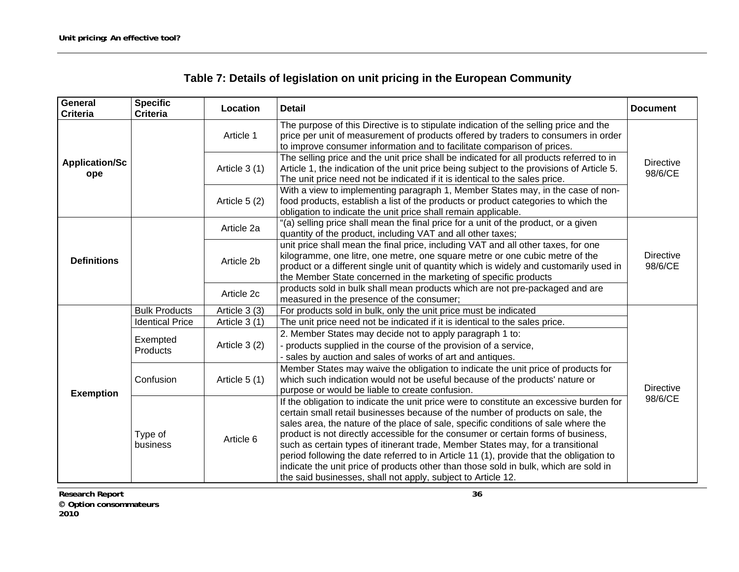| Table 7: Details of legislation on unit pricing in the European Community |  |  |
|---------------------------------------------------------------------------|--|--|
|                                                                           |  |  |

| General<br><b>Criteria</b>   | <b>Specific</b><br><b>Criteria</b> | Location      | <b>Detail</b>                                                                                                                                                                                                                                                                                                                                                                                                                                                                                                                                                                                                                                                                              | <b>Document</b>             |
|------------------------------|------------------------------------|---------------|--------------------------------------------------------------------------------------------------------------------------------------------------------------------------------------------------------------------------------------------------------------------------------------------------------------------------------------------------------------------------------------------------------------------------------------------------------------------------------------------------------------------------------------------------------------------------------------------------------------------------------------------------------------------------------------------|-----------------------------|
|                              |                                    | Article 1     | The purpose of this Directive is to stipulate indication of the selling price and the<br>price per unit of measurement of products offered by traders to consumers in order<br>to improve consumer information and to facilitate comparison of prices.                                                                                                                                                                                                                                                                                                                                                                                                                                     |                             |
| <b>Application/Sc</b><br>ope |                                    | Article 3 (1) | The selling price and the unit price shall be indicated for all products referred to in<br>Article 1, the indication of the unit price being subject to the provisions of Article 5.<br>The unit price need not be indicated if it is identical to the sales price.                                                                                                                                                                                                                                                                                                                                                                                                                        | <b>Directive</b><br>98/6/CE |
|                              |                                    | Article 5 (2) | With a view to implementing paragraph 1, Member States may, in the case of non-<br>food products, establish a list of the products or product categories to which the<br>obligation to indicate the unit price shall remain applicable.                                                                                                                                                                                                                                                                                                                                                                                                                                                    |                             |
|                              |                                    | Article 2a    | "(a) selling price shall mean the final price for a unit of the product, or a given<br>quantity of the product, including VAT and all other taxes;                                                                                                                                                                                                                                                                                                                                                                                                                                                                                                                                         |                             |
| <b>Definitions</b>           |                                    | Article 2b    | unit price shall mean the final price, including VAT and all other taxes, for one<br>kilogramme, one litre, one metre, one square metre or one cubic metre of the<br>product or a different single unit of quantity which is widely and customarily used in<br>the Member State concerned in the marketing of specific products                                                                                                                                                                                                                                                                                                                                                            | <b>Directive</b><br>98/6/CE |
|                              |                                    | Article 2c    | products sold in bulk shall mean products which are not pre-packaged and are<br>measured in the presence of the consumer;                                                                                                                                                                                                                                                                                                                                                                                                                                                                                                                                                                  |                             |
|                              | <b>Bulk Products</b>               | Article 3 (3) | For products sold in bulk, only the unit price must be indicated                                                                                                                                                                                                                                                                                                                                                                                                                                                                                                                                                                                                                           |                             |
|                              | <b>Identical Price</b>             | Article 3 (1) | The unit price need not be indicated if it is identical to the sales price.                                                                                                                                                                                                                                                                                                                                                                                                                                                                                                                                                                                                                |                             |
|                              | Exempted<br>Products               | Article 3 (2) | 2. Member States may decide not to apply paragraph 1 to:<br>- products supplied in the course of the provision of a service,<br>sales by auction and sales of works of art and antiques.                                                                                                                                                                                                                                                                                                                                                                                                                                                                                                   |                             |
| <b>Exemption</b>             | Confusion                          | Article 5 (1) | Member States may waive the obligation to indicate the unit price of products for<br>which such indication would not be useful because of the products' nature or<br>purpose or would be liable to create confusion.                                                                                                                                                                                                                                                                                                                                                                                                                                                                       | <b>Directive</b>            |
|                              | Type of<br>business                | Article 6     | If the obligation to indicate the unit price were to constitute an excessive burden for<br>certain small retail businesses because of the number of products on sale, the<br>sales area, the nature of the place of sale, specific conditions of sale where the<br>product is not directly accessible for the consumer or certain forms of business,<br>such as certain types of itinerant trade, Member States may, for a transitional<br>period following the date referred to in Article 11 (1), provide that the obligation to<br>indicate the unit price of products other than those sold in bulk, which are sold in<br>the said businesses, shall not apply, subject to Article 12. | 98/6/CE                     |

**Research Report 36 Option consommateurs 2010**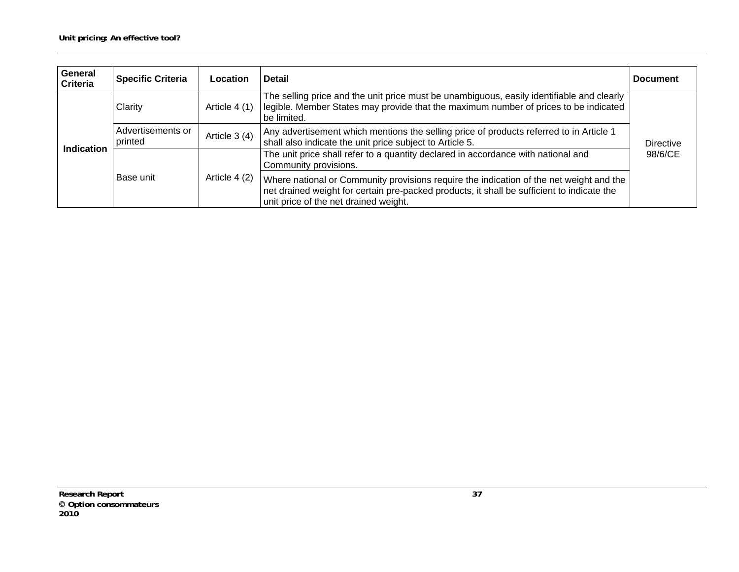| <b>General</b><br><b>Criteria</b> | <b>Specific Criteria</b>     | Location      | Detail                                                                                                                                                                                                                         | <b>Document</b>  |  |
|-----------------------------------|------------------------------|---------------|--------------------------------------------------------------------------------------------------------------------------------------------------------------------------------------------------------------------------------|------------------|--|
|                                   | Clarity                      | Article 4 (1) | The selling price and the unit price must be unambiguous, easily identifiable and clearly<br>legible. Member States may provide that the maximum number of prices to be indicated<br>be limited.                               |                  |  |
|                                   | Advertisements or<br>printed | Article 3 (4) | Any advertisement which mentions the selling price of products referred to in Article 1<br>shall also indicate the unit price subject to Article 5.                                                                            | <b>Directive</b> |  |
| Indication                        | Base unit                    |               | The unit price shall refer to a quantity declared in accordance with national and<br>Community provisions.                                                                                                                     | 98/6/CE          |  |
|                                   |                              | Article 4 (2) | Where national or Community provisions require the indication of the net weight and the<br>net drained weight for certain pre-packed products, it shall be sufficient to indicate the<br>unit price of the net drained weight. |                  |  |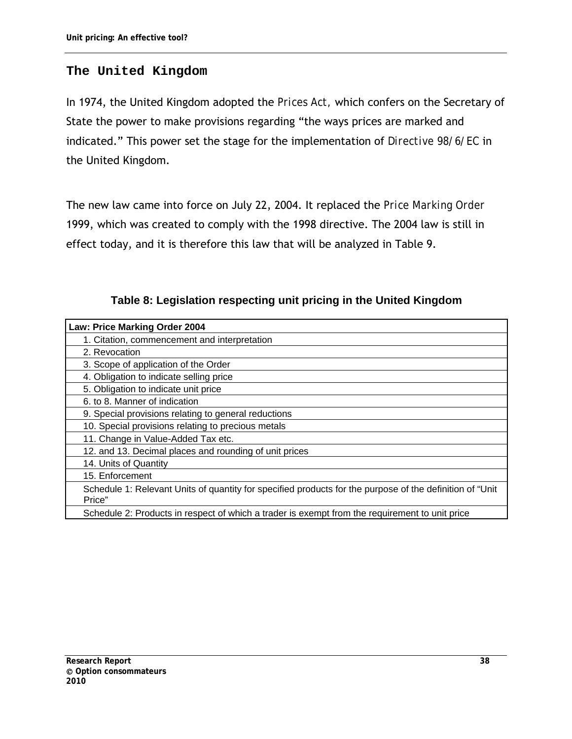# **The United Kingdom**

In 1974, the United Kingdom adopted the *Prices Act,* which confers on the Secretary of State the power to make provisions regarding "the ways prices are marked and indicated." This power set the stage for the implementation of *Directive 98/6/EC* in the United Kingdom.

The new law came into force on July 22, 2004. It replaced the *Price Marking Order*  1999, which was created to comply with the 1998 directive. The 2004 law is still in effect today, and it is therefore this law that will be analyzed in Table 9.

| Law: Price Marking Order 2004                |  |
|----------------------------------------------|--|
| 1. Citation, commencement and interpretation |  |
| 2. Revocation                                |  |
| 3. Scope of application of the Order         |  |
| 4. Obligation to indicate selling price      |  |

**Table 8: Legislation respecting unit pricing in the United Kingdom** 

| 3. Scope of application of the Order                                                                                |
|---------------------------------------------------------------------------------------------------------------------|
| 4. Obligation to indicate selling price                                                                             |
| 5. Obligation to indicate unit price                                                                                |
| 6. to 8. Manner of indication                                                                                       |
| 9. Special provisions relating to general reductions                                                                |
| 10. Special provisions relating to precious metals                                                                  |
| 11. Change in Value-Added Tax etc.                                                                                  |
| 12. and 13. Decimal places and rounding of unit prices                                                              |
| 14. Units of Quantity                                                                                               |
| 15. Enforcement                                                                                                     |
| Schedule 1: Relevant Units of quantity for specified products for the purpose of the definition of "Unit"<br>Price" |
| Schedule 2: Products in respect of which a trader is exempt from the requirement to unit price                      |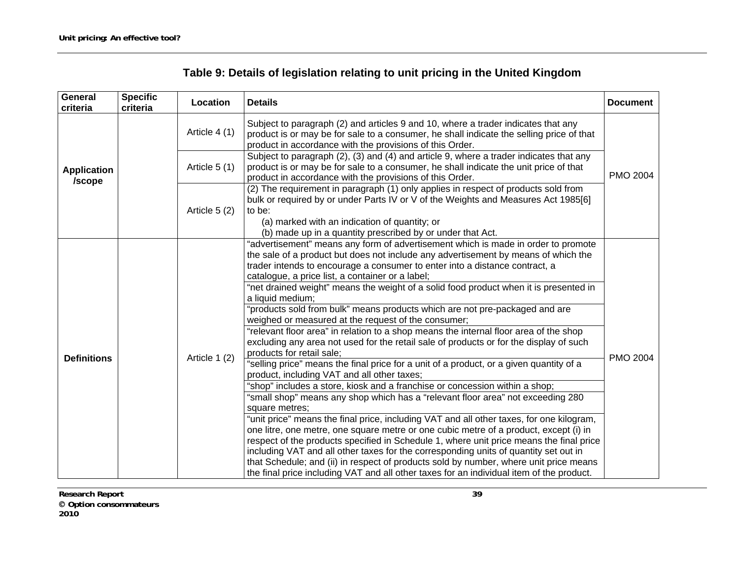| <b>General</b><br>criteria   | <b>Specific</b><br>criteria | Location      | <b>Details</b>                                                                                                                                                                                                                                                                                                                                                                                                                                                                                                                                                                                                                                                                                                                                                                                                                                                                                                                                                                                                                                                                                                                                                                                                                                                                                                                                                                                                                                                                                                                                                                                                                                                           | <b>Document</b> |
|------------------------------|-----------------------------|---------------|--------------------------------------------------------------------------------------------------------------------------------------------------------------------------------------------------------------------------------------------------------------------------------------------------------------------------------------------------------------------------------------------------------------------------------------------------------------------------------------------------------------------------------------------------------------------------------------------------------------------------------------------------------------------------------------------------------------------------------------------------------------------------------------------------------------------------------------------------------------------------------------------------------------------------------------------------------------------------------------------------------------------------------------------------------------------------------------------------------------------------------------------------------------------------------------------------------------------------------------------------------------------------------------------------------------------------------------------------------------------------------------------------------------------------------------------------------------------------------------------------------------------------------------------------------------------------------------------------------------------------------------------------------------------------|-----------------|
|                              |                             | Article 4 (1) | Subject to paragraph (2) and articles 9 and 10, where a trader indicates that any<br>product is or may be for sale to a consumer, he shall indicate the selling price of that<br>product in accordance with the provisions of this Order.                                                                                                                                                                                                                                                                                                                                                                                                                                                                                                                                                                                                                                                                                                                                                                                                                                                                                                                                                                                                                                                                                                                                                                                                                                                                                                                                                                                                                                |                 |
| <b>Application</b><br>/scope |                             | Article 5 (1) | Subject to paragraph (2), (3) and (4) and article 9, where a trader indicates that any<br>product is or may be for sale to a consumer, he shall indicate the unit price of that<br>product in accordance with the provisions of this Order.                                                                                                                                                                                                                                                                                                                                                                                                                                                                                                                                                                                                                                                                                                                                                                                                                                                                                                                                                                                                                                                                                                                                                                                                                                                                                                                                                                                                                              | <b>PMO 2004</b> |
|                              |                             | Article 5 (2) | (2) The requirement in paragraph (1) only applies in respect of products sold from<br>bulk or required by or under Parts IV or V of the Weights and Measures Act 1985[6]<br>to be:<br>(a) marked with an indication of quantity; or<br>(b) made up in a quantity prescribed by or under that Act.                                                                                                                                                                                                                                                                                                                                                                                                                                                                                                                                                                                                                                                                                                                                                                                                                                                                                                                                                                                                                                                                                                                                                                                                                                                                                                                                                                        |                 |
| <b>Definitions</b>           |                             | Article 1 (2) | "advertisement" means any form of advertisement which is made in order to promote<br>the sale of a product but does not include any advertisement by means of which the<br>trader intends to encourage a consumer to enter into a distance contract, a<br>catalogue, a price list, a container or a label;<br>"net drained weight" means the weight of a solid food product when it is presented in<br>a liquid medium;<br>"products sold from bulk" means products which are not pre-packaged and are<br>weighed or measured at the request of the consumer;<br>"relevant floor area" in relation to a shop means the internal floor area of the shop<br>excluding any area not used for the retail sale of products or for the display of such<br>products for retail sale;<br>"selling price" means the final price for a unit of a product, or a given quantity of a<br>product, including VAT and all other taxes;<br>"shop" includes a store, kiosk and a franchise or concession within a shop;<br>"small shop" means any shop which has a "relevant floor area" not exceeding 280<br>square metres;<br>"unit price" means the final price, including VAT and all other taxes, for one kilogram,<br>one litre, one metre, one square metre or one cubic metre of a product, except (i) in<br>respect of the products specified in Schedule 1, where unit price means the final price<br>including VAT and all other taxes for the corresponding units of quantity set out in<br>that Schedule; and (ii) in respect of products sold by number, where unit price means<br>the final price including VAT and all other taxes for an individual item of the product. | PMO 2004        |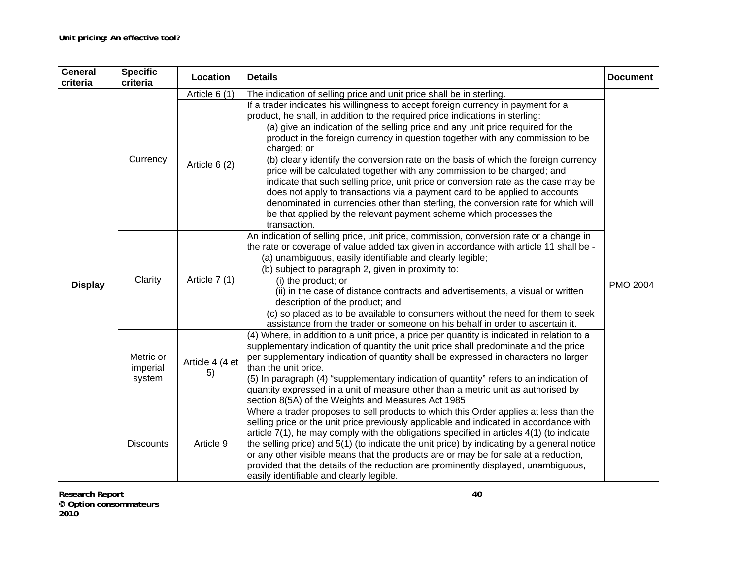| General<br>criteria | <b>Specific</b><br>criteria     | Location              | <b>Details</b>                                                                                                                                                                                                                                                                                                                                                                                                                                                                                                                                                                                                                                                                                                                                                                                                                                                            | <b>Document</b> |  |
|---------------------|---------------------------------|-----------------------|---------------------------------------------------------------------------------------------------------------------------------------------------------------------------------------------------------------------------------------------------------------------------------------------------------------------------------------------------------------------------------------------------------------------------------------------------------------------------------------------------------------------------------------------------------------------------------------------------------------------------------------------------------------------------------------------------------------------------------------------------------------------------------------------------------------------------------------------------------------------------|-----------------|--|
|                     |                                 | Article 6 (1)         | The indication of selling price and unit price shall be in sterling.                                                                                                                                                                                                                                                                                                                                                                                                                                                                                                                                                                                                                                                                                                                                                                                                      |                 |  |
| <b>Display</b>      | Currency                        | Article 6 (2)         | If a trader indicates his willingness to accept foreign currency in payment for a<br>product, he shall, in addition to the required price indications in sterling:<br>(a) give an indication of the selling price and any unit price required for the<br>product in the foreign currency in question together with any commission to be<br>charged; or<br>(b) clearly identify the conversion rate on the basis of which the foreign currency<br>price will be calculated together with any commission to be charged; and<br>indicate that such selling price, unit price or conversion rate as the case may be<br>does not apply to transactions via a payment card to be applied to accounts<br>denominated in currencies other than sterling, the conversion rate for which will<br>be that applied by the relevant payment scheme which processes the<br>transaction. |                 |  |
|                     | Clarity                         | Article 7 (1)         | An indication of selling price, unit price, commission, conversion rate or a change in<br>the rate or coverage of value added tax given in accordance with article 11 shall be -<br>(a) unambiguous, easily identifiable and clearly legible;<br>(b) subject to paragraph 2, given in proximity to:<br>(i) the product; or<br>(ii) in the case of distance contracts and advertisements, a visual or written<br>description of the product; and<br>(c) so placed as to be available to consumers without the need for them to seek<br>assistance from the trader or someone on his behalf in order to ascertain it.                                                                                                                                                                                                                                                       | <b>PMO 2004</b> |  |
|                     | Metric or<br>imperial<br>system | Article 4 (4 et<br>5) | (4) Where, in addition to a unit price, a price per quantity is indicated in relation to a<br>supplementary indication of quantity the unit price shall predominate and the price<br>per supplementary indication of quantity shall be expressed in characters no larger<br>than the unit price.<br>(5) In paragraph (4) "supplementary indication of quantity" refers to an indication of<br>quantity expressed in a unit of measure other than a metric unit as authorised by<br>section 8(5A) of the Weights and Measures Act 1985                                                                                                                                                                                                                                                                                                                                     |                 |  |
|                     | <b>Discounts</b>                | Article 9             | Where a trader proposes to sell products to which this Order applies at less than the<br>selling price or the unit price previously applicable and indicated in accordance with<br>article $7(1)$ , he may comply with the obligations specified in articles $4(1)$ (to indicate<br>the selling price) and 5(1) (to indicate the unit price) by indicating by a general notice<br>or any other visible means that the products are or may be for sale at a reduction,<br>provided that the details of the reduction are prominently displayed, unambiguous,<br>easily identifiable and clearly legible.                                                                                                                                                                                                                                                                   |                 |  |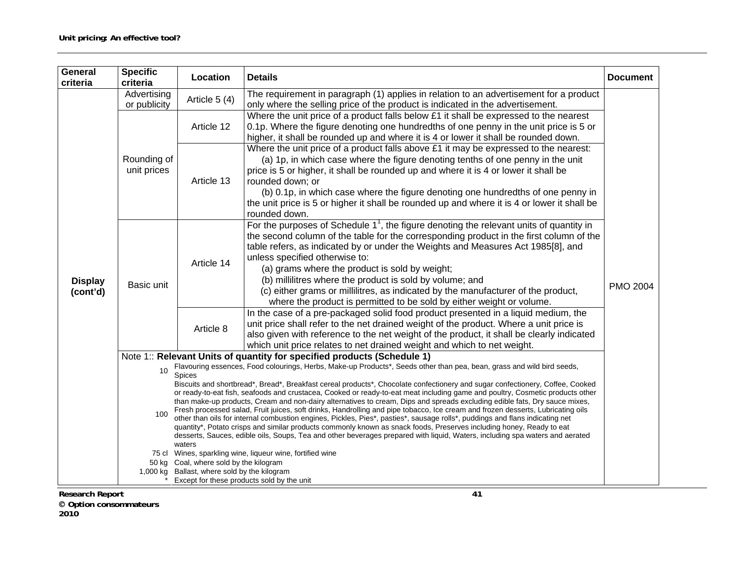| General<br>criteria          | <b>Specific</b><br>criteria | Location                                                                                                                                                                                                                                                                                                                                                                                                                                                                                                                                                                                                                                                                                                                                                                                                                                                                                                                          | <b>Details</b>                                                                                                                                                                                                                                                                                                                                                                                                                                                                                                                                                                         | <b>Document</b> |  |
|------------------------------|-----------------------------|-----------------------------------------------------------------------------------------------------------------------------------------------------------------------------------------------------------------------------------------------------------------------------------------------------------------------------------------------------------------------------------------------------------------------------------------------------------------------------------------------------------------------------------------------------------------------------------------------------------------------------------------------------------------------------------------------------------------------------------------------------------------------------------------------------------------------------------------------------------------------------------------------------------------------------------|----------------------------------------------------------------------------------------------------------------------------------------------------------------------------------------------------------------------------------------------------------------------------------------------------------------------------------------------------------------------------------------------------------------------------------------------------------------------------------------------------------------------------------------------------------------------------------------|-----------------|--|
|                              | Advertising<br>or publicity | Article 5 (4)                                                                                                                                                                                                                                                                                                                                                                                                                                                                                                                                                                                                                                                                                                                                                                                                                                                                                                                     | The requirement in paragraph (1) applies in relation to an advertisement for a product<br>only where the selling price of the product is indicated in the advertisement.                                                                                                                                                                                                                                                                                                                                                                                                               |                 |  |
|                              | Rounding of<br>unit prices  | Article 12                                                                                                                                                                                                                                                                                                                                                                                                                                                                                                                                                                                                                                                                                                                                                                                                                                                                                                                        | Where the unit price of a product falls below £1 it shall be expressed to the nearest<br>0.1p. Where the figure denoting one hundredths of one penny in the unit price is 5 or<br>higher, it shall be rounded up and where it is 4 or lower it shall be rounded down.                                                                                                                                                                                                                                                                                                                  |                 |  |
| <b>Display</b><br>(cont'd)   |                             | Article 13                                                                                                                                                                                                                                                                                                                                                                                                                                                                                                                                                                                                                                                                                                                                                                                                                                                                                                                        | Where the unit price of a product falls above £1 it may be expressed to the nearest:<br>(a) 1p, in which case where the figure denoting tenths of one penny in the unit<br>price is 5 or higher, it shall be rounded up and where it is 4 or lower it shall be<br>rounded down; or<br>(b) 0.1p, in which case where the figure denoting one hundredths of one penny in<br>the unit price is 5 or higher it shall be rounded up and where it is 4 or lower it shall be<br>rounded down.                                                                                                 |                 |  |
|                              | Basic unit                  | Article 14                                                                                                                                                                                                                                                                                                                                                                                                                                                                                                                                                                                                                                                                                                                                                                                                                                                                                                                        | For the purposes of Schedule $11$ , the figure denoting the relevant units of quantity in<br>the second column of the table for the corresponding product in the first column of the<br>table refers, as indicated by or under the Weights and Measures Act 1985[8], and<br>unless specified otherwise to:<br>(a) grams where the product is sold by weight;<br>(b) millilitres where the product is sold by volume; and<br>(c) either grams or millilitres, as indicated by the manufacturer of the product,<br>where the product is permitted to be sold by either weight or volume. | <b>PMO 2004</b> |  |
|                              |                             | Article 8                                                                                                                                                                                                                                                                                                                                                                                                                                                                                                                                                                                                                                                                                                                                                                                                                                                                                                                         | In the case of a pre-packaged solid food product presented in a liquid medium, the<br>unit price shall refer to the net drained weight of the product. Where a unit price is<br>also given with reference to the net weight of the product, it shall be clearly indicated<br>which unit price relates to net drained weight and which to net weight.                                                                                                                                                                                                                                   |                 |  |
|                              |                             |                                                                                                                                                                                                                                                                                                                                                                                                                                                                                                                                                                                                                                                                                                                                                                                                                                                                                                                                   | Note 1:: Relevant Units of quantity for specified products (Schedule 1)                                                                                                                                                                                                                                                                                                                                                                                                                                                                                                                |                 |  |
|                              | 10                          | Flavouring essences, Food colourings, Herbs, Make-up Products*, Seeds other than pea, bean, grass and wild bird seeds,<br>Spices                                                                                                                                                                                                                                                                                                                                                                                                                                                                                                                                                                                                                                                                                                                                                                                                  |                                                                                                                                                                                                                                                                                                                                                                                                                                                                                                                                                                                        |                 |  |
|                              | 100                         | Biscuits and shortbread*, Bread*, Breakfast cereal products*, Chocolate confectionery and sugar confectionery, Coffee, Cooked<br>or ready-to-eat fish, seafoods and crustacea, Cooked or ready-to-eat meat including game and poultry, Cosmetic products other<br>than make-up products, Cream and non-dairy alternatives to cream, Dips and spreads excluding edible fats, Dry sauce mixes,<br>Fresh processed salad, Fruit juices, soft drinks, Handrolling and pipe tobacco, Ice cream and frozen desserts, Lubricating oils<br>other than oils for internal combustion engines, Pickles, Pies*, pasties*, sausage rolls*, puddings and flans indicating net<br>quantity*, Potato crisps and similar products commonly known as snack foods, Preserves including honey, Ready to eat<br>desserts, Sauces, edible oils, Soups, Tea and other beverages prepared with liquid, Waters, including spa waters and aerated<br>waters |                                                                                                                                                                                                                                                                                                                                                                                                                                                                                                                                                                                        |                 |  |
|                              |                             |                                                                                                                                                                                                                                                                                                                                                                                                                                                                                                                                                                                                                                                                                                                                                                                                                                                                                                                                   | 75 cl Wines, sparkling wine, liqueur wine, fortified wine                                                                                                                                                                                                                                                                                                                                                                                                                                                                                                                              |                 |  |
|                              | 1,000 kg                    | 50 kg Coal, where sold by the kilogram<br>Ballast, where sold by the kilogram                                                                                                                                                                                                                                                                                                                                                                                                                                                                                                                                                                                                                                                                                                                                                                                                                                                     |                                                                                                                                                                                                                                                                                                                                                                                                                                                                                                                                                                                        |                 |  |
|                              |                             |                                                                                                                                                                                                                                                                                                                                                                                                                                                                                                                                                                                                                                                                                                                                                                                                                                                                                                                                   | Except for these products sold by the unit                                                                                                                                                                                                                                                                                                                                                                                                                                                                                                                                             |                 |  |
| <b>Research Report</b><br>41 |                             |                                                                                                                                                                                                                                                                                                                                                                                                                                                                                                                                                                                                                                                                                                                                                                                                                                                                                                                                   |                                                                                                                                                                                                                                                                                                                                                                                                                                                                                                                                                                                        |                 |  |

 **Option consommateurs** 

**2010**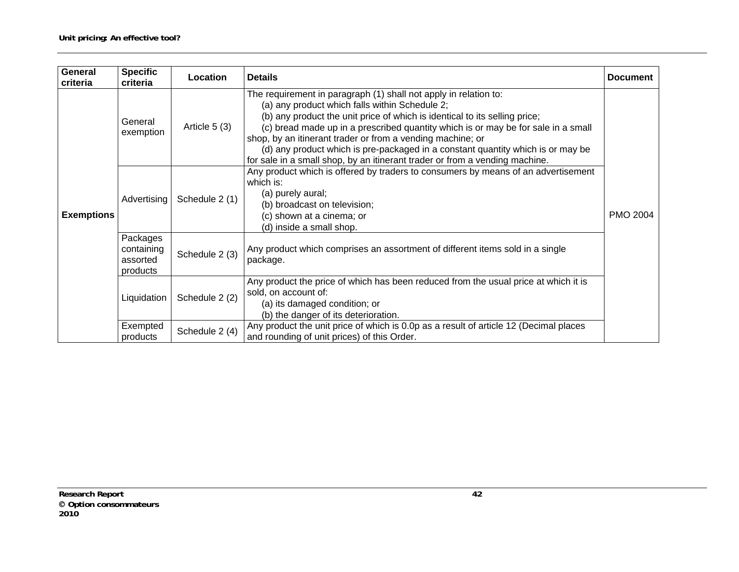| <b>General</b><br>criteria | <b>Specific</b><br>criteria                    | Location       | <b>Details</b>                                                                                                                                                                                                                                                                                                                                                                                                                                                                                                        | <b>Document</b> |
|----------------------------|------------------------------------------------|----------------|-----------------------------------------------------------------------------------------------------------------------------------------------------------------------------------------------------------------------------------------------------------------------------------------------------------------------------------------------------------------------------------------------------------------------------------------------------------------------------------------------------------------------|-----------------|
|                            | General<br>exemption                           | Article $5(3)$ | The requirement in paragraph (1) shall not apply in relation to:<br>(a) any product which falls within Schedule 2;<br>(b) any product the unit price of which is identical to its selling price;<br>(c) bread made up in a prescribed quantity which is or may be for sale in a small<br>shop, by an itinerant trader or from a vending machine; or<br>(d) any product which is pre-packaged in a constant quantity which is or may be<br>for sale in a small shop, by an itinerant trader or from a vending machine. |                 |
| <b>Exemptions</b>          | Advertising                                    | Schedule 2 (1) | Any product which is offered by traders to consumers by means of an advertisement<br>which is:<br>(a) purely aural;<br>(b) broadcast on television;<br>(c) shown at a cinema; or<br>(d) inside a small shop.                                                                                                                                                                                                                                                                                                          |                 |
|                            | Packages<br>containing<br>assorted<br>products | Schedule 2 (3) | Any product which comprises an assortment of different items sold in a single<br>package.                                                                                                                                                                                                                                                                                                                                                                                                                             |                 |
|                            | Liquidation                                    | Schedule 2 (2) | Any product the price of which has been reduced from the usual price at which it is<br>sold, on account of:<br>(a) its damaged condition; or<br>(b) the danger of its deterioration.                                                                                                                                                                                                                                                                                                                                  |                 |
|                            | Exempted<br>products                           | Schedule 2 (4) | Any product the unit price of which is 0.0p as a result of article 12 (Decimal places<br>and rounding of unit prices) of this Order.                                                                                                                                                                                                                                                                                                                                                                                  |                 |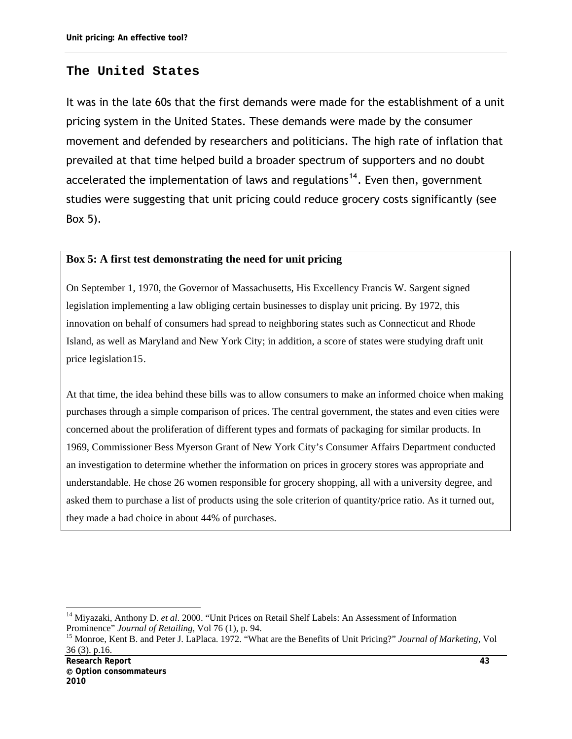# **The United States**

It was in the late 60s that the first demands were made for the establishment of a unit pricing system in the United States. These demands were made by the consumer movement and defended by researchers and politicians. The high rate of inflation that prevailed at that time helped build a broader spectrum of supporters and no doubt accelerated the implementation of laws and regulations<sup>[14](#page-54-0)</sup>. Even then, government studies were suggesting that unit pricing could reduce grocery costs significantly (see Box 5).

#### **Box 5: A first test demonstrating the need for unit pricing**

On September 1, 1970, the Governor of Massachusetts, His Excellency Francis W. Sargent signed legislation implementing a law obliging certain businesses to display unit pricing. By 1972, this innovation on behalf of consumers had spread to neighboring states such as Connecticut and Rhode Island, as well as Maryland and New York City; in addition, a score of states were studying draft unit price legislation[15](#page-54-1).

At that time, the idea behind these bills was to allow consumers to make an informed choice when making purchases through a simple comparison of prices. The central government, the states and even cities were concerned about the proliferation of different types and formats of packaging for similar products. In 1969, Commissioner Bess Myerson Grant of New York City's Consumer Affairs Department conducted an investigation to determine whether the information on prices in grocery stores was appropriate and understandable. He chose 26 women responsible for grocery shopping, all with a university degree, and asked them to purchase a list of products using the sole criterion of quantity/price ratio. As it turned out, they made a bad choice in about 44% of purchases.

<span id="page-54-0"></span><sup>14</sup> Miyazaki, Anthony D. *et al*. 2000. "Unit Prices on Retail Shelf Labels: An Assessment of Information Prominence" *Journal of Retailing*, Vol 76 (1), p. 94.<br><sup>15</sup> Monroe, Kent B. and Peter J. LaPlaca. 1972. "What are the Benefits of Unit Pricing?" *Journal of Marketing*, Vol

<span id="page-54-1"></span><sup>36 (3).</sup> p.16.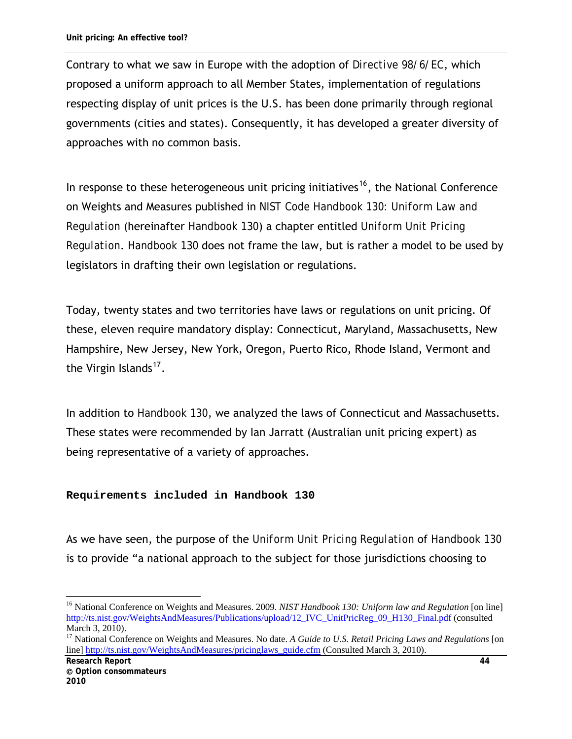Contrary to what we saw in Europe with the adoption of *Directive 98/6/EC*, which proposed a uniform approach to all Member States, implementation of regulations respecting display of unit prices is the U.S. has been done primarily through regional governments (cities and states). Consequently, it has developed a greater diversity of approaches with no common basis.

In response to these heterogeneous unit pricing initiatives<sup>[16](#page-55-0)</sup>, the National Conference on Weights and Measures published in *NIST Code Handbook 130: Uniform Law and Regulation* (hereinafter *Handbook 130*) a chapter entitled *Uniform Unit Pricing Regulation*. *Handbook 130* does not frame the law, but is rather a model to be used by legislators in drafting their own legislation or regulations.

Today, twenty states and two territories have laws or regulations on unit pricing. Of these, eleven require mandatory display: Connecticut, Maryland, Massachusetts, New Hampshire, New Jersey, New York, Oregon, Puerto Rico, Rhode Island, Vermont and the Virgin Islands<sup>[17](#page-55-1)</sup>.

In addition to *Handbook 130*, we analyzed the laws of Connecticut and Massachusetts. These states were recommended by Ian Jarratt (Australian unit pricing expert) as being representative of a variety of approaches.

#### **Requirements included in Handbook 130**

As we have seen, the purpose of the *Uniform Unit Pricing Regulation* of *Handbook 130* is to provide "a national approach to the subject for those jurisdictions choosing to

<span id="page-55-0"></span><sup>&</sup>lt;sup>16</sup> National Conference on Weights and Measures. 2009. *NIST Handbook 130: Uniform law and Regulation* [on line] [http://ts.nist.gov/WeightsAndMeasures/Publications/upload/12\\_IVC\\_UnitPricReg\\_09\\_H130\\_Final.pdf](http://ts.nist.gov/WeightsAndMeasures/Publications/upload/12_IVC_UnitPricReg_09_H130_Final.pdf) (consulted March 3, 2010).

<span id="page-55-1"></span><sup>&</sup>lt;sup>17</sup> National Conference on Weights and Measures. No date. *A Guide to U.S. Retail Pricing Laws and Regulations* [on line] [http://ts.nist.gov/WeightsAndMeasures/pricinglaws\\_guide.cfm](http://ts.nist.gov/WeightsAndMeasures/pricinglaws_guide.cfm) (Consulted March 3, 2010).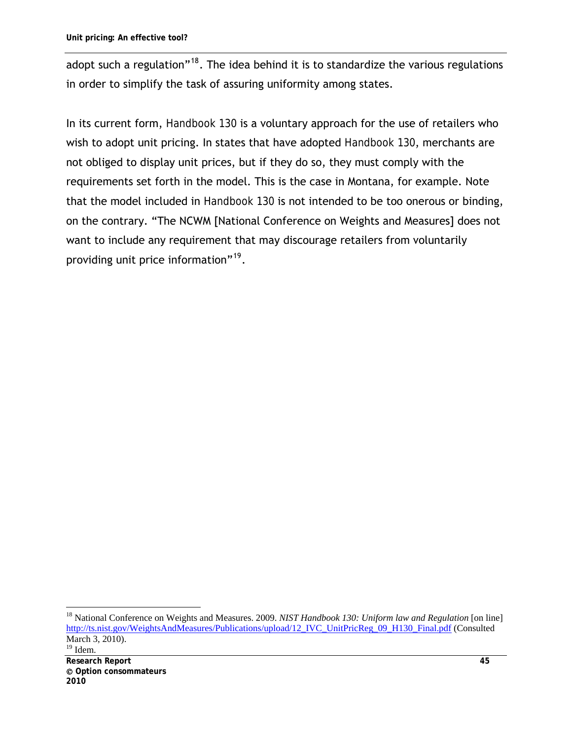adopt such a regulation"<sup>[18](#page-56-0)</sup>. The idea behind it is to standardize the various regulations in order to simplify the task of assuring uniformity among states.

In its current form, *Handbook 130* is a voluntary approach for the use of retailers who wish to adopt unit pricing. In states that have adopted *Handbook 130*, merchants are not obliged to display unit prices, but if they do so, they must comply with the requirements set forth in the model. This is the case in Montana, for example. Note that the model included in *Handbook 130* is not intended to be too onerous or binding, on the contrary. "The NCWM [National Conference on Weights and Measures] does not want to include any requirement that may discourage retailers from voluntarily providing unit price information"<sup>[19](#page-56-1)</sup>.

<span id="page-56-1"></span><span id="page-56-0"></span><sup>&</sup>lt;sup>18</sup> National Conference on Weights and Measures. 2009. *NIST Handbook 130: Uniform law and Regulation* [on line] [http://ts.nist.gov/WeightsAndMeasures/Publications/upload/12\\_IVC\\_UnitPricReg\\_09\\_H130\\_Final.pdf](http://ts.nist.gov/WeightsAndMeasures/Publications/upload/12_IVC_UnitPricReg_09_H130_Final.pdf) (Consulted March 3, 2010).  $19$  Idem.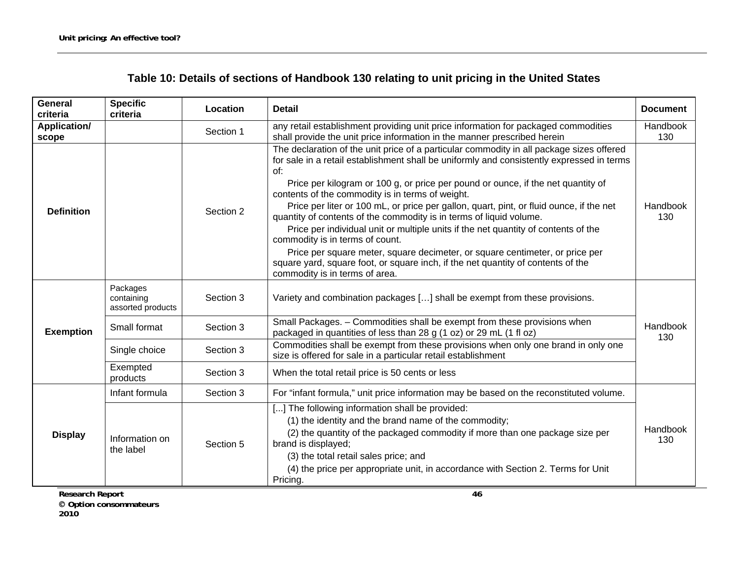| Table 10: Details of sections of Handbook 130 relating to unit pricing in the United States |  |
|---------------------------------------------------------------------------------------------|--|
|---------------------------------------------------------------------------------------------|--|

| <b>General</b><br>criteria   | <b>Specific</b><br>criteria                 | Location  | <b>Detail</b><br><b>Document</b>                                                                                                                                                                                                                                                                                                                                                                                                                                                                                                                                                                                                                                                                                |                 |  |
|------------------------------|---------------------------------------------|-----------|-----------------------------------------------------------------------------------------------------------------------------------------------------------------------------------------------------------------------------------------------------------------------------------------------------------------------------------------------------------------------------------------------------------------------------------------------------------------------------------------------------------------------------------------------------------------------------------------------------------------------------------------------------------------------------------------------------------------|-----------------|--|
| <b>Application/</b><br>scope |                                             | Section 1 | any retail establishment providing unit price information for packaged commodities<br>shall provide the unit price information in the manner prescribed herein                                                                                                                                                                                                                                                                                                                                                                                                                                                                                                                                                  | Handbook<br>130 |  |
| <b>Definition</b>            |                                             | Section 2 | The declaration of the unit price of a particular commodity in all package sizes offered<br>for sale in a retail establishment shall be uniformly and consistently expressed in terms<br>of:<br>Price per kilogram or 100 g, or price per pound or ounce, if the net quantity of<br>contents of the commodity is in terms of weight.<br>Price per liter or 100 mL, or price per gallon, quart, pint, or fluid ounce, if the net<br>quantity of contents of the commodity is in terms of liquid volume.<br>Price per individual unit or multiple units if the net quantity of contents of the<br>commodity is in terms of count.<br>Price per square meter, square decimeter, or square centimeter, or price per | Handbook<br>130 |  |
|                              |                                             |           | square yard, square foot, or square inch, if the net quantity of contents of the<br>commodity is in terms of area.                                                                                                                                                                                                                                                                                                                                                                                                                                                                                                                                                                                              |                 |  |
|                              | Packages<br>containing<br>assorted products | Section 3 | Variety and combination packages [] shall be exempt from these provisions.                                                                                                                                                                                                                                                                                                                                                                                                                                                                                                                                                                                                                                      |                 |  |
| <b>Exemption</b>             | Small format                                | Section 3 | Small Packages. - Commodities shall be exempt from these provisions when<br>packaged in quantities of less than 28 g (1 oz) or 29 mL (1 fl oz)                                                                                                                                                                                                                                                                                                                                                                                                                                                                                                                                                                  | Handbook<br>130 |  |
|                              | Single choice<br>Section 3                  |           | Commodities shall be exempt from these provisions when only one brand in only one<br>size is offered for sale in a particular retail establishment                                                                                                                                                                                                                                                                                                                                                                                                                                                                                                                                                              |                 |  |
|                              | Exempted<br>products                        | Section 3 | When the total retail price is 50 cents or less                                                                                                                                                                                                                                                                                                                                                                                                                                                                                                                                                                                                                                                                 |                 |  |
|                              | Infant formula                              | Section 3 | For "infant formula," unit price information may be based on the reconstituted volume.                                                                                                                                                                                                                                                                                                                                                                                                                                                                                                                                                                                                                          |                 |  |
| <b>Display</b>               | Information on<br>the label                 | Section 5 | [] The following information shall be provided:<br>(1) the identity and the brand name of the commodity;<br>(2) the quantity of the packaged commodity if more than one package size per<br>brand is displayed;<br>(3) the total retail sales price; and<br>(4) the price per appropriate unit, in accordance with Section 2. Terms for Unit<br>Pricing.                                                                                                                                                                                                                                                                                                                                                        | Handbook<br>130 |  |

**Research Report 46 Option consommateurs 2010**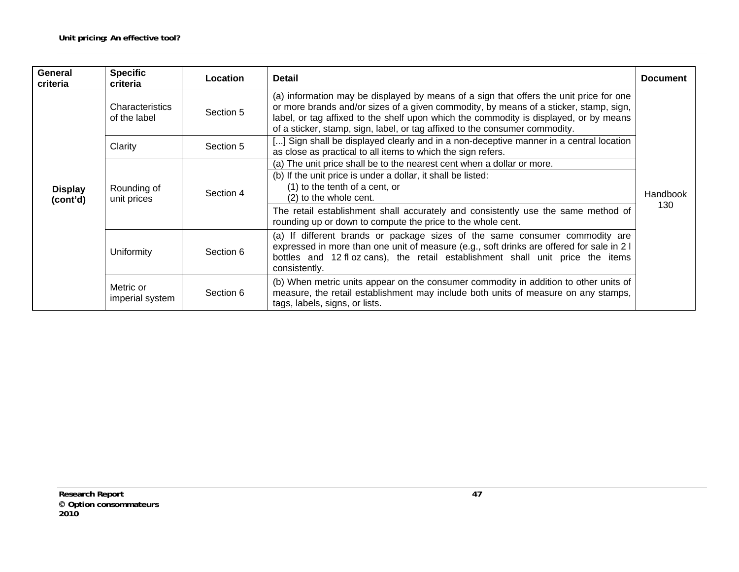| General<br>criteria        | <b>Specific</b><br>criteria             | Location  | <b>Detail</b>                                                                                                                                                                                                                                                                                                                                           | <b>Document</b> |  |
|----------------------------|-----------------------------------------|-----------|---------------------------------------------------------------------------------------------------------------------------------------------------------------------------------------------------------------------------------------------------------------------------------------------------------------------------------------------------------|-----------------|--|
| <b>Display</b><br>(cont'd) | <b>Characteristics</b><br>of the label  | Section 5 | (a) information may be displayed by means of a sign that offers the unit price for one<br>or more brands and/or sizes of a given commodity, by means of a sticker, stamp, sign,<br>label, or tag affixed to the shelf upon which the commodity is displayed, or by means<br>of a sticker, stamp, sign, label, or tag affixed to the consumer commodity. |                 |  |
|                            | Clarity<br>Section 5                    |           | [] Sign shall be displayed clearly and in a non-deceptive manner in a central location<br>as close as practical to all items to which the sign refers.                                                                                                                                                                                                  |                 |  |
|                            | Rounding of<br>Section 4<br>unit prices |           | (a) The unit price shall be to the nearest cent when a dollar or more.<br>(b) If the unit price is under a dollar, it shall be listed:<br>(1) to the tenth of a cent, or<br>(2) to the whole cent.<br>The retail establishment shall accurately and consistently use the same method of<br>rounding up or down to compute the price to the whole cent.  | Handbook<br>130 |  |
|                            | Uniformity<br>Section 6                 |           | (a) If different brands or package sizes of the same consumer commodity are<br>expressed in more than one unit of measure (e.g., soft drinks are offered for sale in 2 I<br>bottles and 12 fl oz cans), the retail establishment shall unit price the items<br>consistently.                                                                            |                 |  |
|                            | Metric or<br>imperial system            | Section 6 | (b) When metric units appear on the consumer commodity in addition to other units of<br>measure, the retail establishment may include both units of measure on any stamps,<br>tags, labels, signs, or lists.                                                                                                                                            |                 |  |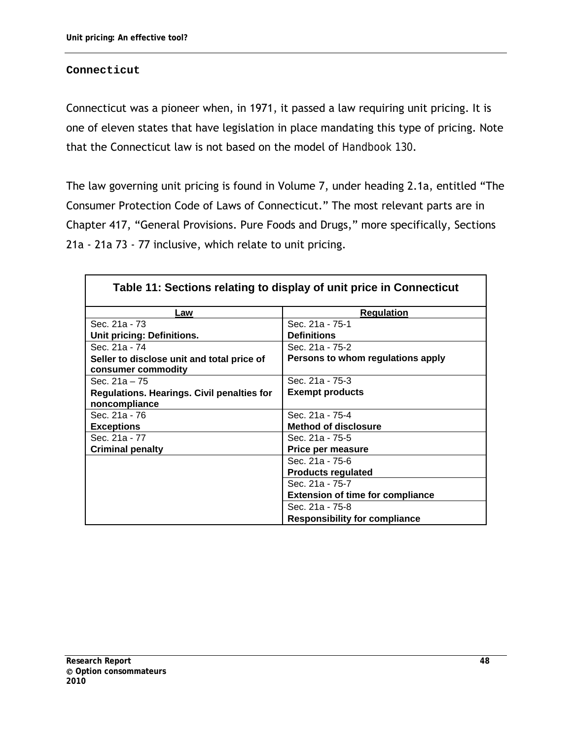#### **Connecticut**

Connecticut was a pioneer when, in 1971, it passed a law requiring unit pricing. It is one of eleven states that have legislation in place mandating this type of pricing. Note that the Connecticut law is not based on the model of *Handbook 130*.

The law governing unit pricing is found in Volume 7, under heading 2.1a, entitled "The Consumer Protection Code of Laws of Connecticut." The most relevant parts are in Chapter 417, "General Provisions. Pure Foods and Drugs," more specifically, Sections 21a - 21a 73 - 77 inclusive, which relate to unit pricing.

|                                            | Table 11: Sections relating to display of unit price in Connecticut |
|--------------------------------------------|---------------------------------------------------------------------|
| Law                                        | <b>Regulation</b>                                                   |
| Sec. 21a - 73                              | Sec. 21a - 75-1                                                     |
| Unit pricing: Definitions.                 | <b>Definitions</b>                                                  |
| Sec. 21a - 74                              | Sec. 21a - 75-2                                                     |
| Seller to disclose unit and total price of | Persons to whom regulations apply                                   |
| consumer commodity                         |                                                                     |
| Sec. $21a - 75$                            | Sec. 21a - 75-3                                                     |
| Regulations. Hearings. Civil penalties for | <b>Exempt products</b>                                              |
| noncompliance                              |                                                                     |
| Sec. 21a - 76                              | Sec. 21a - 75-4                                                     |
| <b>Exceptions</b>                          | <b>Method of disclosure</b>                                         |
| Sec. 21a - 77                              | Sec. 21a - 75-5                                                     |
| <b>Criminal penalty</b>                    | Price per measure                                                   |
|                                            | Sec. 21a - 75-6                                                     |
|                                            | <b>Products regulated</b>                                           |
|                                            | Sec. 21a - 75-7                                                     |
|                                            | <b>Extension of time for compliance</b>                             |
|                                            | Sec. 21a - 75-8                                                     |
|                                            | <b>Responsibility for compliance</b>                                |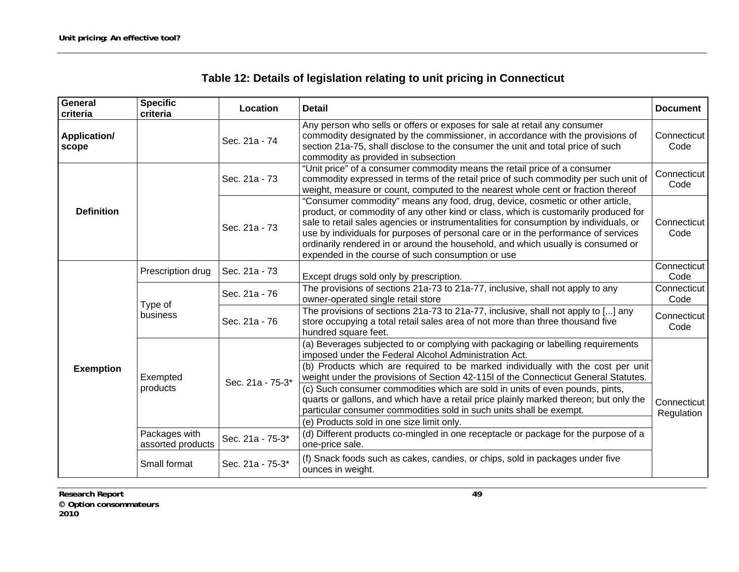| Table 12: Details of legislation relating to unit pricing in Connecticut |  |  |
|--------------------------------------------------------------------------|--|--|
|                                                                          |  |  |

| General<br>criteria          | <b>Specific</b><br>criteria                            | Location         | <b>Detail</b>                                                                                                                                                                                                                                                                                                                                                                                                                                                                                | <b>Document</b>           |
|------------------------------|--------------------------------------------------------|------------------|----------------------------------------------------------------------------------------------------------------------------------------------------------------------------------------------------------------------------------------------------------------------------------------------------------------------------------------------------------------------------------------------------------------------------------------------------------------------------------------------|---------------------------|
| <b>Application/</b><br>scope |                                                        | Sec. 21a - 74    | Any person who sells or offers or exposes for sale at retail any consumer<br>commodity designated by the commissioner, in accordance with the provisions of<br>section 21a-75, shall disclose to the consumer the unit and total price of such<br>commodity as provided in subsection                                                                                                                                                                                                        | Connecticut<br>Code       |
|                              |                                                        | Sec. 21a - 73    | "Unit price" of a consumer commodity means the retail price of a consumer<br>commodity expressed in terms of the retail price of such commodity per such unit of<br>weight, measure or count, computed to the nearest whole cent or fraction thereof                                                                                                                                                                                                                                         | Connecticut<br>Code       |
| <b>Definition</b>            |                                                        | Sec. 21a - 73    | "Consumer commodity" means any food, drug, device, cosmetic or other article,<br>product, or commodity of any other kind or class, which is customarily produced for<br>sale to retail sales agencies or instrumentalities for consumption by individuals, or<br>use by individuals for purposes of personal care or in the performance of services<br>ordinarily rendered in or around the household, and which usually is consumed or<br>expended in the course of such consumption or use | Connecticut<br>Code       |
|                              | Prescription drug                                      | Sec. 21a - 73    | Except drugs sold only by prescription.                                                                                                                                                                                                                                                                                                                                                                                                                                                      | Connecticut<br>Code       |
|                              | Type of<br>business                                    | Sec. 21a - 76    | The provisions of sections 21a-73 to 21a-77, inclusive, shall not apply to any<br>owner-operated single retail store                                                                                                                                                                                                                                                                                                                                                                         | Connecticut<br>Code       |
|                              |                                                        | Sec. 21a - 76    | The provisions of sections 21a-73 to 21a-77, inclusive, shall not apply to [] any<br>store occupying a total retail sales area of not more than three thousand five<br>hundred square feet.                                                                                                                                                                                                                                                                                                  | Connecticut<br>Code       |
|                              |                                                        |                  | (a) Beverages subjected to or complying with packaging or labelling requirements<br>imposed under the Federal Alcohol Administration Act.                                                                                                                                                                                                                                                                                                                                                    |                           |
| <b>Exemption</b>             | Exempted<br>products                                   | Sec. 21a - 75-3* | (b) Products which are required to be marked individually with the cost per unit<br>weight under the provisions of Section 42-115l of the Connecticut General Statutes.                                                                                                                                                                                                                                                                                                                      |                           |
|                              |                                                        |                  | (c) Such consumer commodities which are sold in units of even pounds, pints,<br>quarts or gallons, and which have a retail price plainly marked thereon; but only the<br>particular consumer commodities sold in such units shall be exempt.<br>(e) Products sold in one size limit only.                                                                                                                                                                                                    | Connecticut<br>Regulation |
|                              | Packages with<br>Sec. 21a - 75-3*<br>assorted products |                  | (d) Different products co-mingled in one receptacle or package for the purpose of a<br>one-price sale.                                                                                                                                                                                                                                                                                                                                                                                       |                           |
|                              | Small format                                           | Sec. 21a - 75-3* | (f) Snack foods such as cakes, candies, or chips, sold in packages under five<br>ounces in weight.                                                                                                                                                                                                                                                                                                                                                                                           |                           |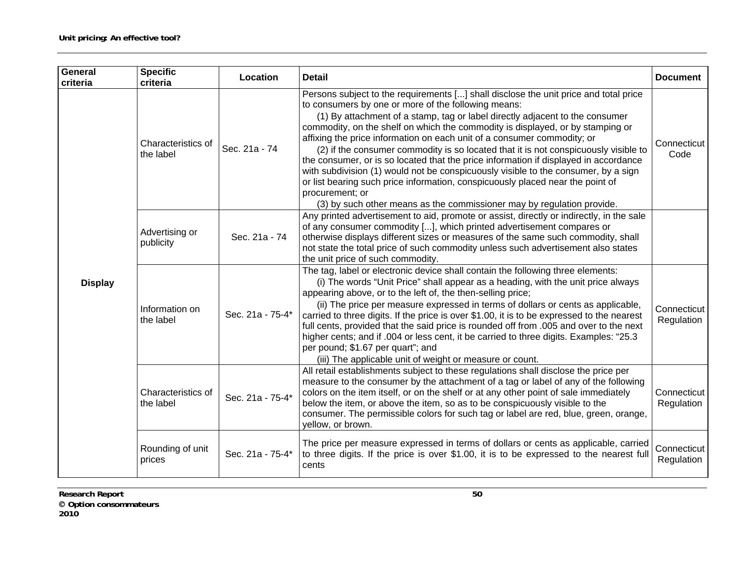| General<br>criteria | <b>Specific</b><br>criteria                         | Location         | <b>Detail</b>                                                                                                                                                                                                                                                                                                                                                                                                                                                                                                                                                                                                                                                                                                                                                                                                                                | <b>Document</b>           |
|---------------------|-----------------------------------------------------|------------------|----------------------------------------------------------------------------------------------------------------------------------------------------------------------------------------------------------------------------------------------------------------------------------------------------------------------------------------------------------------------------------------------------------------------------------------------------------------------------------------------------------------------------------------------------------------------------------------------------------------------------------------------------------------------------------------------------------------------------------------------------------------------------------------------------------------------------------------------|---------------------------|
|                     | Characteristics of<br>Sec. 21a - 74<br>the label    |                  | Persons subject to the requirements [] shall disclose the unit price and total price<br>to consumers by one or more of the following means:<br>(1) By attachment of a stamp, tag or label directly adjacent to the consumer<br>commodity, on the shelf on which the commodity is displayed, or by stamping or<br>affixing the price information on each unit of a consumer commodity; or<br>(2) if the consumer commodity is so located that it is not conspicuously visible to<br>the consumer, or is so located that the price information if displayed in accordance<br>with subdivision (1) would not be conspicuously visible to the consumer, by a sign<br>or list bearing such price information, conspicuously placed near the point of<br>procurement; or<br>(3) by such other means as the commissioner may by regulation provide. | Connecticut<br>Code       |
|                     | Advertising or<br>publicity                         | Sec. 21a - 74    | Any printed advertisement to aid, promote or assist, directly or indirectly, in the sale<br>of any consumer commodity [], which printed advertisement compares or<br>otherwise displays different sizes or measures of the same such commodity, shall<br>not state the total price of such commodity unless such advertisement also states<br>the unit price of such commodity.                                                                                                                                                                                                                                                                                                                                                                                                                                                              |                           |
| <b>Display</b>      | Information on<br>the label                         | Sec. 21a - 75-4* | The tag, label or electronic device shall contain the following three elements:<br>(i) The words "Unit Price" shall appear as a heading, with the unit price always<br>appearing above, or to the left of, the then-selling price;<br>(ii) The price per measure expressed in terms of dollars or cents as applicable,<br>carried to three digits. If the price is over \$1.00, it is to be expressed to the nearest<br>full cents, provided that the said price is rounded off from .005 and over to the next<br>higher cents; and if .004 or less cent, it be carried to three digits. Examples: "25.3<br>per pound; \$1.67 per quart"; and<br>(iii) The applicable unit of weight or measure or count.                                                                                                                                    | Connecticut<br>Regulation |
|                     | Characteristics of<br>Sec. 21a - 75-4*<br>the label |                  | All retail establishments subject to these regulations shall disclose the price per<br>measure to the consumer by the attachment of a tag or label of any of the following<br>colors on the item itself, or on the shelf or at any other point of sale immediately<br>below the item, or above the item, so as to be conspicuously visible to the<br>consumer. The permissible colors for such tag or label are red, blue, green, orange,<br>yellow, or brown.                                                                                                                                                                                                                                                                                                                                                                               | Connecticut<br>Regulation |
|                     | Rounding of unit<br>prices                          | Sec. 21a - 75-4* | The price per measure expressed in terms of dollars or cents as applicable, carried<br>to three digits. If the price is over \$1.00, it is to be expressed to the nearest full<br>cents                                                                                                                                                                                                                                                                                                                                                                                                                                                                                                                                                                                                                                                      | Connecticut<br>Regulation |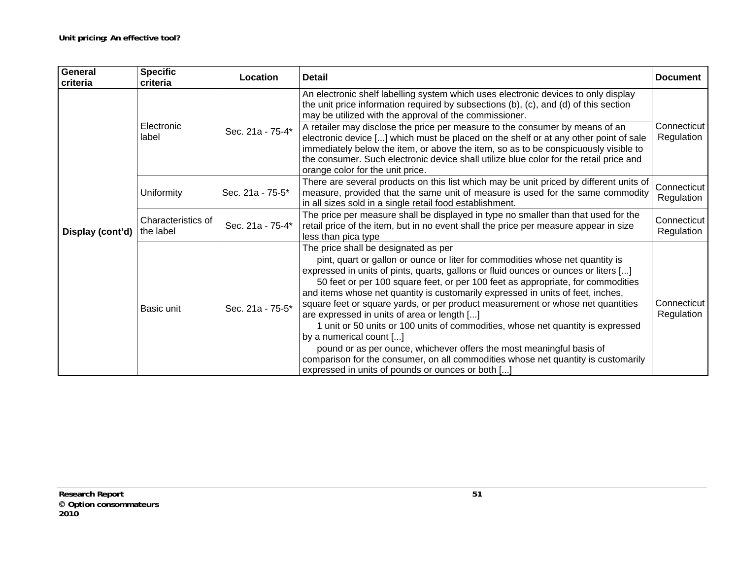| <b>General</b><br>criteria | <b>Specific</b><br>criteria             | Location         | <b>Detail</b>                                                                                                                                                                                                                                                                                                                                                                                                                                                                                                                                                                                                                                                                                                                                                                                                                                        | <b>Document</b>           |
|----------------------------|-----------------------------------------|------------------|------------------------------------------------------------------------------------------------------------------------------------------------------------------------------------------------------------------------------------------------------------------------------------------------------------------------------------------------------------------------------------------------------------------------------------------------------------------------------------------------------------------------------------------------------------------------------------------------------------------------------------------------------------------------------------------------------------------------------------------------------------------------------------------------------------------------------------------------------|---------------------------|
|                            | Electronic<br>Sec. 21a - 75-4*<br>label |                  | An electronic shelf labelling system which uses electronic devices to only display<br>the unit price information required by subsections (b), (c), and (d) of this section<br>may be utilized with the approval of the commissioner.<br>A retailer may disclose the price per measure to the consumer by means of an<br>electronic device [] which must be placed on the shelf or at any other point of sale<br>immediately below the item, or above the item, so as to be conspicuously visible to<br>the consumer. Such electronic device shall utilize blue color for the retail price and<br>orange color for the unit price.                                                                                                                                                                                                                    | Connecticut<br>Regulation |
|                            | Uniformity                              | Sec. 21a - 75-5* | There are several products on this list which may be unit priced by different units of<br>measure, provided that the same unit of measure is used for the same commodity<br>in all sizes sold in a single retail food establishment.                                                                                                                                                                                                                                                                                                                                                                                                                                                                                                                                                                                                                 | Connecticut<br>Regulation |
| Display (cont'd)           | Characteristics of<br>the label         | Sec. 21a - 75-4* | The price per measure shall be displayed in type no smaller than that used for the<br>retail price of the item, but in no event shall the price per measure appear in size<br>less than pica type                                                                                                                                                                                                                                                                                                                                                                                                                                                                                                                                                                                                                                                    | Connecticut<br>Regulation |
|                            | Basic unit                              | Sec. 21a - 75-5* | The price shall be designated as per<br>pint, quart or gallon or ounce or liter for commodities whose net quantity is<br>expressed in units of pints, quarts, gallons or fluid ounces or ounces or liters []<br>50 feet or per 100 square feet, or per 100 feet as appropriate, for commodities<br>and items whose net quantity is customarily expressed in units of feet, inches,<br>square feet or square yards, or per product measurement or whose net quantities<br>are expressed in units of area or length []<br>1 unit or 50 units or 100 units of commodities, whose net quantity is expressed<br>by a numerical count []<br>pound or as per ounce, whichever offers the most meaningful basis of<br>comparison for the consumer, on all commodities whose net quantity is customarily<br>expressed in units of pounds or ounces or both [] | Connecticut<br>Regulation |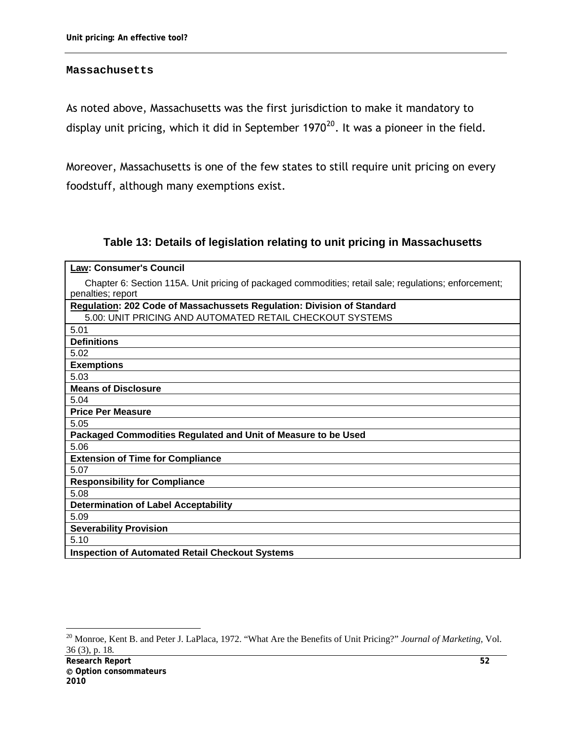#### **Massachusetts**

As noted above, Massachusetts was the first jurisdiction to make it mandatory to display unit pricing, which it did in September 1970<sup>[20](#page-63-0)</sup>. It was a pioneer in the field.

Moreover, Massachusetts is one of the few states to still require unit pricing on every foodstuff, although many exemptions exist.

## **Table 13: Details of legislation relating to unit pricing in Massachusetts**

| <b>Law: Consumer's Council</b>                                                                        |
|-------------------------------------------------------------------------------------------------------|
| Chapter 6: Section 115A. Unit pricing of packaged commodities; retail sale; regulations; enforcement; |
| penalties; report                                                                                     |
| Regulation: 202 Code of Massachussets Regulation: Division of Standard                                |
| 5.00: UNIT PRICING AND AUTOMATED RETAIL CHECKOUT SYSTEMS                                              |
| 5.01                                                                                                  |
| <b>Definitions</b>                                                                                    |
| 5.02                                                                                                  |
| <b>Exemptions</b>                                                                                     |
| 5.03                                                                                                  |
| <b>Means of Disclosure</b>                                                                            |
| 5.04                                                                                                  |
| <b>Price Per Measure</b>                                                                              |
| 5.05                                                                                                  |
| Packaged Commodities Regulated and Unit of Measure to be Used                                         |
| 5.06                                                                                                  |
| <b>Extension of Time for Compliance</b>                                                               |
| 5.07                                                                                                  |
| <b>Responsibility for Compliance</b>                                                                  |
| 5.08                                                                                                  |
| <b>Determination of Label Acceptability</b>                                                           |
| 5.09                                                                                                  |
| <b>Severability Provision</b>                                                                         |
| 5.10                                                                                                  |
| <b>Inspection of Automated Retail Checkout Systems</b>                                                |

<span id="page-63-0"></span><sup>20</sup> Monroe, Kent B. and Peter J. LaPlaca, 1972. "What Are the Benefits of Unit Pricing?" *Journal of Marketing,* Vol. 36 (3), p. 18*.*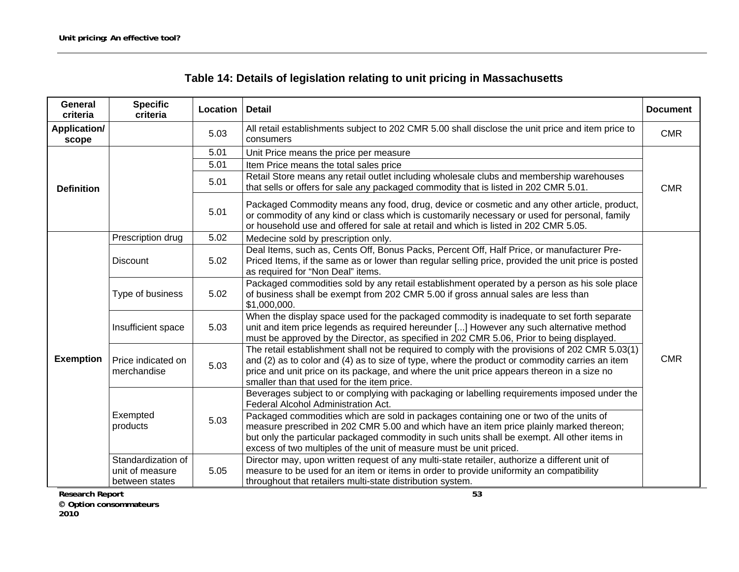| <b>General</b><br>criteria   | <b>Specific</b><br>criteria                             | Location | <b>Detail</b>                                                                                                                                                                                                                                                                                                                                           | <b>Document</b> |
|------------------------------|---------------------------------------------------------|----------|---------------------------------------------------------------------------------------------------------------------------------------------------------------------------------------------------------------------------------------------------------------------------------------------------------------------------------------------------------|-----------------|
| <b>Application/</b><br>scope |                                                         | 5.03     | All retail establishments subject to 202 CMR 5.00 shall disclose the unit price and item price to<br>consumers                                                                                                                                                                                                                                          | <b>CMR</b>      |
|                              |                                                         | 5.01     | Unit Price means the price per measure                                                                                                                                                                                                                                                                                                                  |                 |
|                              |                                                         | 5.01     | Item Price means the total sales price                                                                                                                                                                                                                                                                                                                  |                 |
| <b>Definition</b>            |                                                         | 5.01     | Retail Store means any retail outlet including wholesale clubs and membership warehouses<br>that sells or offers for sale any packaged commodity that is listed in 202 CMR 5.01.                                                                                                                                                                        | <b>CMR</b>      |
|                              |                                                         | 5.01     | Packaged Commodity means any food, drug, device or cosmetic and any other article, product,<br>or commodity of any kind or class which is customarily necessary or used for personal, family<br>or household use and offered for sale at retail and which is listed in 202 CMR 5.05.                                                                    |                 |
|                              | Prescription drug                                       | 5.02     | Medecine sold by prescription only.                                                                                                                                                                                                                                                                                                                     |                 |
| <b>Exemption</b>             | <b>Discount</b>                                         | 5.02     | Deal Items, such as, Cents Off, Bonus Packs, Percent Off, Half Price, or manufacturer Pre-<br>Priced Items, if the same as or lower than regular selling price, provided the unit price is posted<br>as required for "Non Deal" items.                                                                                                                  |                 |
|                              | Type of business                                        | 5.02     | Packaged commodities sold by any retail establishment operated by a person as his sole place<br>of business shall be exempt from 202 CMR 5.00 if gross annual sales are less than<br>\$1,000,000.                                                                                                                                                       |                 |
|                              | Insufficient space                                      | 5.03     | When the display space used for the packaged commodity is inadequate to set forth separate<br>unit and item price legends as required hereunder [] However any such alternative method<br>must be approved by the Director, as specified in 202 CMR 5.06, Prior to being displayed.                                                                     |                 |
|                              | Price indicated on<br>merchandise                       | 5.03     | The retail establishment shall not be required to comply with the provisions of 202 CMR 5.03(1)<br>and (2) as to color and (4) as to size of type, where the product or commodity carries an item<br>price and unit price on its package, and where the unit price appears thereon in a size no<br>smaller than that used for the item price.           | <b>CMR</b>      |
|                              |                                                         |          | Beverages subject to or complying with packaging or labelling requirements imposed under the<br>Federal Alcohol Administration Act.                                                                                                                                                                                                                     |                 |
|                              | Exempted<br>products                                    | 5.03     | Packaged commodities which are sold in packages containing one or two of the units of<br>measure prescribed in 202 CMR 5.00 and which have an item price plainly marked thereon;<br>but only the particular packaged commodity in such units shall be exempt. All other items in<br>excess of two multiples of the unit of measure must be unit priced. |                 |
|                              | Standardization of<br>unit of measure<br>between states | 5.05     | Director may, upon written request of any multi-state retailer, authorize a different unit of<br>measure to be used for an item or items in order to provide uniformity an compatibility<br>throughout that retailers multi-state distribution system.                                                                                                  |                 |

**Research Report 53** 

 **Option consommateurs 2010**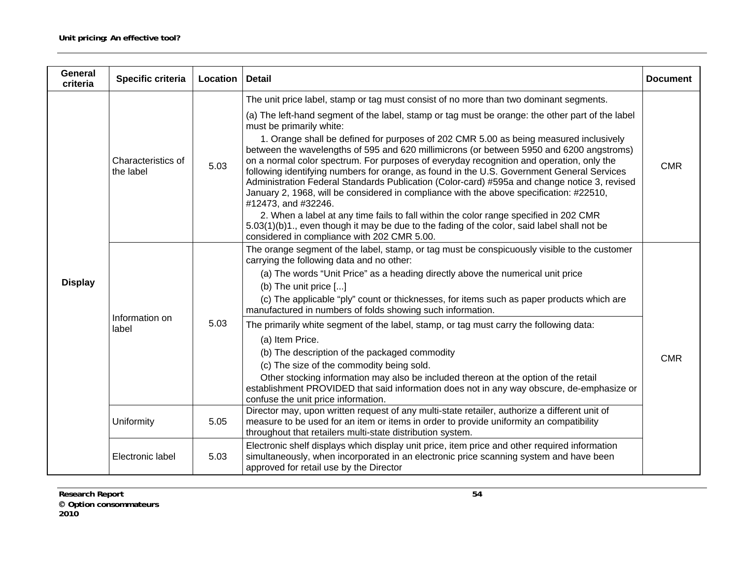| <b>General</b><br>criteria | Specific criteria               | Location | <b>Detail</b>                                                                                                                                                                                                                                                                                                                                                                                                                                                                                                                                                                                                                                                                                                                                                                                                                                                                                                                                                                                                                                                  | <b>Document</b> |
|----------------------------|---------------------------------|----------|----------------------------------------------------------------------------------------------------------------------------------------------------------------------------------------------------------------------------------------------------------------------------------------------------------------------------------------------------------------------------------------------------------------------------------------------------------------------------------------------------------------------------------------------------------------------------------------------------------------------------------------------------------------------------------------------------------------------------------------------------------------------------------------------------------------------------------------------------------------------------------------------------------------------------------------------------------------------------------------------------------------------------------------------------------------|-----------------|
| <b>Display</b>             | Characteristics of<br>the label | 5.03     | The unit price label, stamp or tag must consist of no more than two dominant segments.<br>(a) The left-hand segment of the label, stamp or tag must be orange: the other part of the label<br>must be primarily white:<br>1. Orange shall be defined for purposes of 202 CMR 5.00 as being measured inclusively<br>between the wavelengths of 595 and 620 millimicrons (or between 5950 and 6200 angstroms)<br>on a normal color spectrum. For purposes of everyday recognition and operation, only the<br>following identifying numbers for orange, as found in the U.S. Government General Services<br>Administration Federal Standards Publication (Color-card) #595a and change notice 3, revised<br>January 2, 1968, will be considered in compliance with the above specification: #22510,<br>#12473, and #32246.<br>2. When a label at any time fails to fall within the color range specified in 202 CMR<br>5.03(1)(b)1., even though it may be due to the fading of the color, said label shall not be<br>considered in compliance with 202 CMR 5.00. | <b>CMR</b>      |
|                            | Information on<br>label         | 5.03     | The orange segment of the label, stamp, or tag must be conspicuously visible to the customer<br>carrying the following data and no other:<br>(a) The words "Unit Price" as a heading directly above the numerical unit price<br>(b) The unit price $[]$<br>(c) The applicable "ply" count or thicknesses, for items such as paper products which are<br>manufactured in numbers of folds showing such information.<br>The primarily white segment of the label, stamp, or tag must carry the following data:<br>(a) Item Price.<br>(b) The description of the packaged commodity<br>(c) The size of the commodity being sold.<br>Other stocking information may also be included thereon at the option of the retail<br>establishment PROVIDED that said information does not in any way obscure, de-emphasize or<br>confuse the unit price information.                                                                                                                                                                                                       | <b>CMR</b>      |
|                            | Uniformity                      | 5.05     | Director may, upon written request of any multi-state retailer, authorize a different unit of<br>measure to be used for an item or items in order to provide uniformity an compatibility<br>throughout that retailers multi-state distribution system.                                                                                                                                                                                                                                                                                                                                                                                                                                                                                                                                                                                                                                                                                                                                                                                                         |                 |
|                            | Electronic label                | 5.03     | Electronic shelf displays which display unit price, item price and other required information<br>simultaneously, when incorporated in an electronic price scanning system and have been<br>approved for retail use by the Director                                                                                                                                                                                                                                                                                                                                                                                                                                                                                                                                                                                                                                                                                                                                                                                                                             |                 |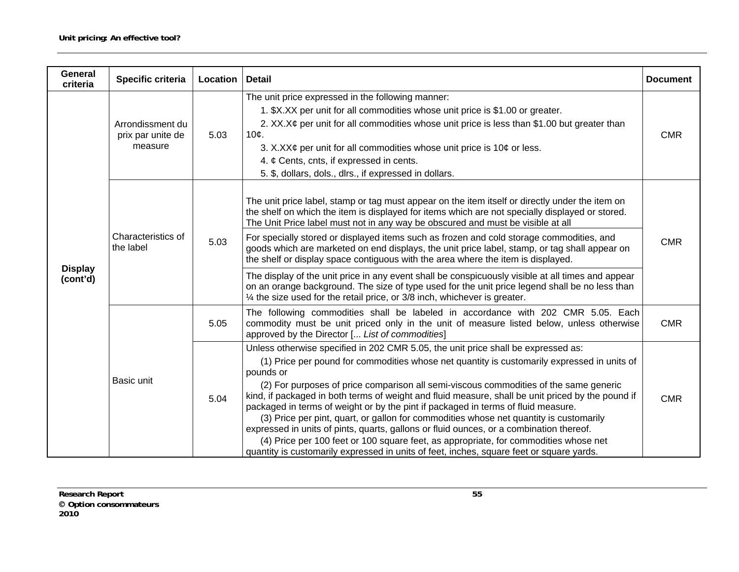| General<br>criteria        | Specific criteria                                | Location | <b>Detail</b>                                                                                                                                                                                                                                                                                                                                                                                                                                                                                                                                                                                                                                                                                                                                                                                                                                                         | <b>Document</b> |  |  |
|----------------------------|--------------------------------------------------|----------|-----------------------------------------------------------------------------------------------------------------------------------------------------------------------------------------------------------------------------------------------------------------------------------------------------------------------------------------------------------------------------------------------------------------------------------------------------------------------------------------------------------------------------------------------------------------------------------------------------------------------------------------------------------------------------------------------------------------------------------------------------------------------------------------------------------------------------------------------------------------------|-----------------|--|--|
| <b>Display</b><br>(cont'd) | Arrondissment du<br>prix par unite de<br>measure | 5.03     | The unit price expressed in the following manner:<br>1. \$X.XX per unit for all commodities whose unit price is \$1.00 or greater.<br>2. $XX.X\phi$ per unit for all commodities whose unit price is less than \$1.00 but greater than<br>$10c$ .<br>3. X.XX¢ per unit for all commodities whose unit price is 10¢ or less.<br>4. $\phi$ Cents, cnts, if expressed in cents.<br>5. \$, dollars, dols., dlrs., if expressed in dollars.                                                                                                                                                                                                                                                                                                                                                                                                                                |                 |  |  |
|                            | Characteristics of<br>the label                  | 5.03     | The unit price label, stamp or tag must appear on the item itself or directly under the item on<br>the shelf on which the item is displayed for items which are not specially displayed or stored.<br>The Unit Price label must not in any way be obscured and must be visible at all<br>For specially stored or displayed items such as frozen and cold storage commodities, and<br>goods which are marketed on end displays, the unit price label, stamp, or tag shall appear on<br>the shelf or display space contiguous with the area where the item is displayed.<br>The display of the unit price in any event shall be conspicuously visible at all times and appear<br>on an orange background. The size of type used for the unit price legend shall be no less than<br>$\frac{1}{4}$ the size used for the retail price, or 3/8 inch, whichever is greater. | <b>CMR</b>      |  |  |
|                            |                                                  | 5.05     | The following commodities shall be labeled in accordance with 202 CMR 5.05. Each<br>commodity must be unit priced only in the unit of measure listed below, unless otherwise<br>approved by the Director [ List of commodities]                                                                                                                                                                                                                                                                                                                                                                                                                                                                                                                                                                                                                                       | <b>CMR</b>      |  |  |
|                            | Basic unit                                       | 5.04     | Unless otherwise specified in 202 CMR 5.05, the unit price shall be expressed as:<br>(1) Price per pound for commodities whose net quantity is customarily expressed in units of<br>pounds or<br>(2) For purposes of price comparison all semi-viscous commodities of the same generic<br>kind, if packaged in both terms of weight and fluid measure, shall be unit priced by the pound if<br>packaged in terms of weight or by the pint if packaged in terms of fluid measure.<br>(3) Price per pint, quart, or gallon for commodities whose net quantity is customarily<br>expressed in units of pints, quarts, gallons or fluid ounces, or a combination thereof.<br>(4) Price per 100 feet or 100 square feet, as appropriate, for commodities whose net<br>quantity is customarily expressed in units of feet, inches, square feet or square yards.             | <b>CMR</b>      |  |  |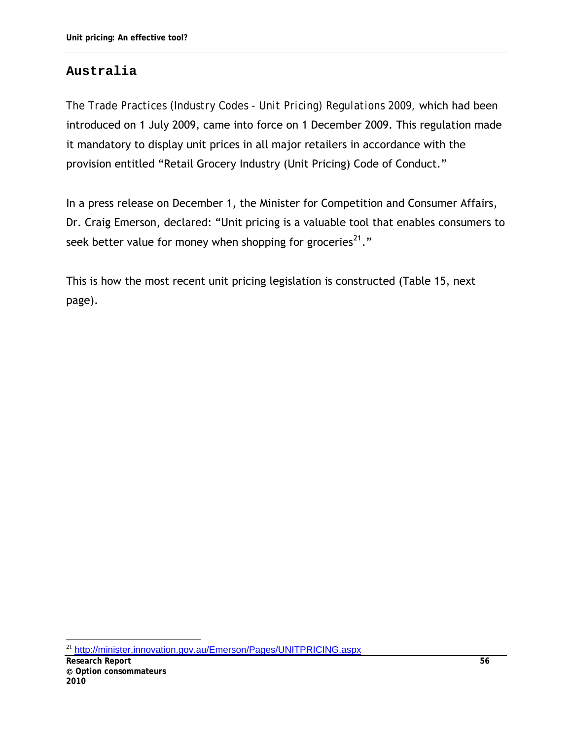# **Australia**

*The Trade Practices (Industry Codes - Unit Pricing) Regulations 2009,* which had been introduced on 1 July 2009, came into force on 1 December 2009. This regulation made it mandatory to display unit prices in all major retailers in accordance with the provision entitled "Retail Grocery Industry (Unit Pricing) Code of Conduct."

In a press release on December 1, the Minister for Competition and Consumer Affairs, Dr. Craig Emerson, declared: "Unit pricing is a valuable tool that enables consumers to seek better value for money when shopping for groceries<sup>[21](#page-67-0)</sup>."

This is how the most recent unit pricing legislation is constructed (Table 15, next page).

<span id="page-67-0"></span> $\overline{a}$ <sup>21</sup> <http://minister.innovation.gov.au/Emerson/Pages/UNITPRICING.aspx>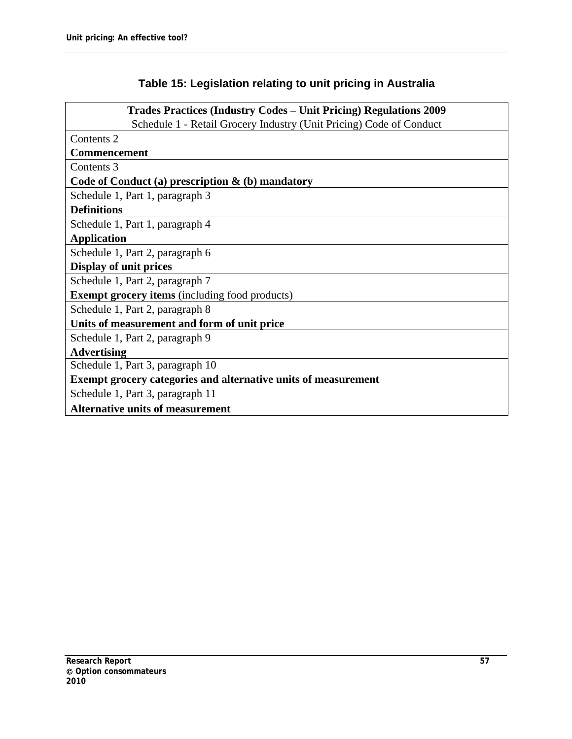# **Table 15: Legislation relating to unit pricing in Australia**

| <b>Trades Practices (Industry Codes – Unit Pricing) Regulations 2009</b> |
|--------------------------------------------------------------------------|
| Schedule 1 - Retail Grocery Industry (Unit Pricing) Code of Conduct      |
| Contents 2                                                               |
| <b>Commencement</b>                                                      |
| Contents 3                                                               |
| Code of Conduct (a) prescription $\&$ (b) mandatory                      |
| Schedule 1, Part 1, paragraph 3                                          |
| <b>Definitions</b>                                                       |
| Schedule 1, Part 1, paragraph 4                                          |
| <b>Application</b>                                                       |
| Schedule 1, Part 2, paragraph 6                                          |
| <b>Display of unit prices</b>                                            |
| Schedule 1, Part 2, paragraph 7                                          |
| <b>Exempt grocery items</b> (including food products)                    |
| Schedule 1, Part 2, paragraph 8                                          |
| Units of measurement and form of unit price                              |
| Schedule 1, Part 2, paragraph 9                                          |
| <b>Advertising</b>                                                       |
| Schedule 1, Part 3, paragraph 10                                         |
| <b>Exempt grocery categories and alternative units of measurement</b>    |
| Schedule 1, Part 3, paragraph 11                                         |
| <b>Alternative units of measurement</b>                                  |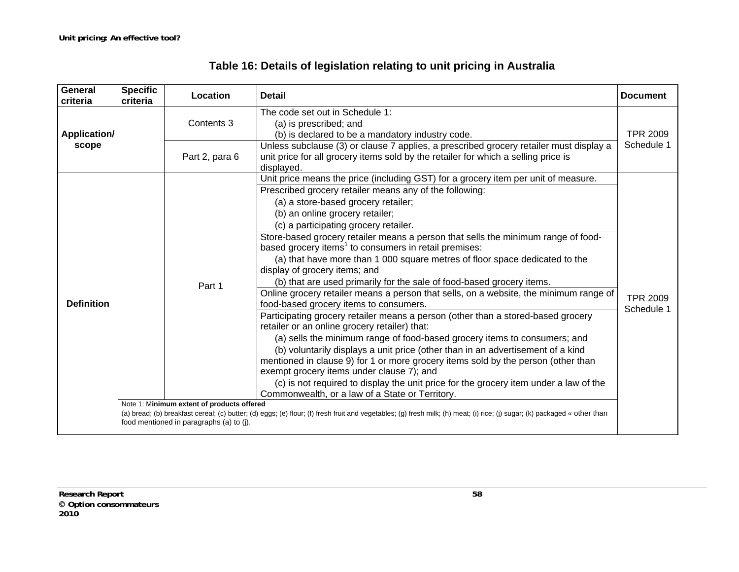| Table 16: Details of legislation relating to unit pricing in Australia |  |  |  |  |
|------------------------------------------------------------------------|--|--|--|--|
|------------------------------------------------------------------------|--|--|--|--|

| <b>General</b><br>criteria   | <b>Specific</b><br>criteria | Location                                                                                         | <b>Detail</b>                                                                                                                                                                                                                                                                                                                                                                                                                                                                                                                                                                                                                                                                                                                                                                                                                                                                                                                                                                                                                                                                                                                                                                                                                                                                                                                                                                                                                                                                                                           | <b>Document</b>               |  |
|------------------------------|-----------------------------|--------------------------------------------------------------------------------------------------|-------------------------------------------------------------------------------------------------------------------------------------------------------------------------------------------------------------------------------------------------------------------------------------------------------------------------------------------------------------------------------------------------------------------------------------------------------------------------------------------------------------------------------------------------------------------------------------------------------------------------------------------------------------------------------------------------------------------------------------------------------------------------------------------------------------------------------------------------------------------------------------------------------------------------------------------------------------------------------------------------------------------------------------------------------------------------------------------------------------------------------------------------------------------------------------------------------------------------------------------------------------------------------------------------------------------------------------------------------------------------------------------------------------------------------------------------------------------------------------------------------------------------|-------------------------------|--|
| <b>Application/</b><br>scope |                             | Contents 3                                                                                       | The code set out in Schedule 1:<br>(a) is prescribed; and<br>(b) is declared to be a mandatory industry code.                                                                                                                                                                                                                                                                                                                                                                                                                                                                                                                                                                                                                                                                                                                                                                                                                                                                                                                                                                                                                                                                                                                                                                                                                                                                                                                                                                                                           | <b>TPR 2009</b>               |  |
|                              |                             | Part 2, para 6                                                                                   | Unless subclause (3) or clause 7 applies, a prescribed grocery retailer must display a<br>unit price for all grocery items sold by the retailer for which a selling price is<br>displayed.                                                                                                                                                                                                                                                                                                                                                                                                                                                                                                                                                                                                                                                                                                                                                                                                                                                                                                                                                                                                                                                                                                                                                                                                                                                                                                                              | Schedule 1                    |  |
| <b>Definition</b>            |                             | Part 1<br>Note 1: Minimum extent of products offered<br>food mentioned in paragraphs (a) to (j). | Unit price means the price (including GST) for a grocery item per unit of measure.<br>Prescribed grocery retailer means any of the following:<br>(a) a store-based grocery retailer;<br>(b) an online grocery retailer;<br>(c) a participating grocery retailer.<br>Store-based grocery retailer means a person that sells the minimum range of food-<br>based grocery items <sup>1</sup> to consumers in retail premises:<br>(a) that have more than 1 000 square metres of floor space dedicated to the<br>display of grocery items; and<br>(b) that are used primarily for the sale of food-based grocery items.<br>Online grocery retailer means a person that sells, on a website, the minimum range of<br>food-based grocery items to consumers.<br>Participating grocery retailer means a person (other than a stored-based grocery<br>retailer or an online grocery retailer) that:<br>(a) sells the minimum range of food-based grocery items to consumers; and<br>(b) voluntarily displays a unit price (other than in an advertisement of a kind<br>mentioned in clause 9) for 1 or more grocery items sold by the person (other than<br>exempt grocery items under clause 7); and<br>(c) is not required to display the unit price for the grocery item under a law of the<br>Commonwealth, or a law of a State or Territory.<br>(a) bread; (b) breakfast cereal; (c) butter; (d) eggs; (e) flour; (f) fresh fruit and vegetables; (g) fresh milk; (h) meat; (i) rice; (j) sugar; (k) packaged « other than | <b>TPR 2009</b><br>Schedule 1 |  |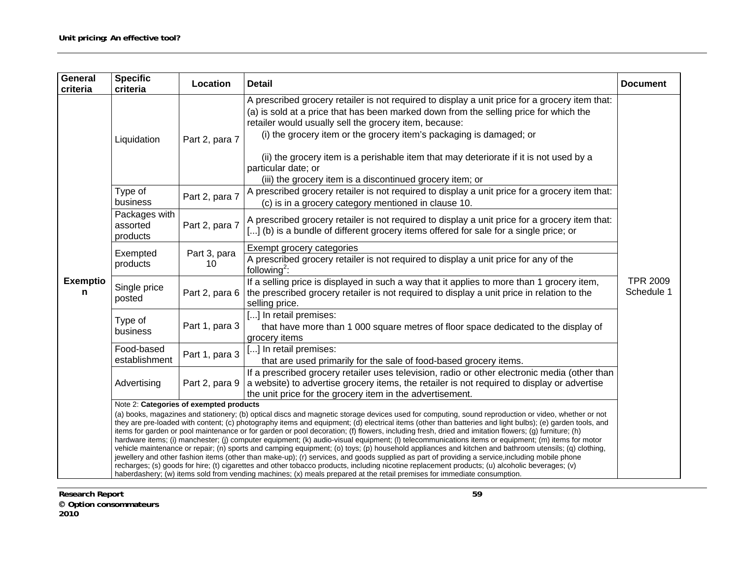| General<br>criteria  | <b>Specific</b><br>criteria                                                                                                                                                                                                                                                                                                                                                                                                                                                                                                                                                                                                                                                                                                                                                                                                                                                                                                                                                                                                                                                                                                                                                                                              | Location           | <b>Detail</b>                                                                                                                                                                                                                                                                                                                                                                                                                                                                                          | <b>Document</b>               |  |  |  |
|----------------------|--------------------------------------------------------------------------------------------------------------------------------------------------------------------------------------------------------------------------------------------------------------------------------------------------------------------------------------------------------------------------------------------------------------------------------------------------------------------------------------------------------------------------------------------------------------------------------------------------------------------------------------------------------------------------------------------------------------------------------------------------------------------------------------------------------------------------------------------------------------------------------------------------------------------------------------------------------------------------------------------------------------------------------------------------------------------------------------------------------------------------------------------------------------------------------------------------------------------------|--------------------|--------------------------------------------------------------------------------------------------------------------------------------------------------------------------------------------------------------------------------------------------------------------------------------------------------------------------------------------------------------------------------------------------------------------------------------------------------------------------------------------------------|-------------------------------|--|--|--|
|                      | Liquidation                                                                                                                                                                                                                                                                                                                                                                                                                                                                                                                                                                                                                                                                                                                                                                                                                                                                                                                                                                                                                                                                                                                                                                                                              | Part 2, para 7     | A prescribed grocery retailer is not required to display a unit price for a grocery item that:<br>(a) is sold at a price that has been marked down from the selling price for which the<br>retailer would usually sell the grocery item, because:<br>(i) the grocery item or the grocery item's packaging is damaged; or<br>(ii) the grocery item is a perishable item that may deteriorate if it is not used by a<br>particular date; or<br>(iii) the grocery item is a discontinued grocery item; or |                               |  |  |  |
|                      | Type of<br>business                                                                                                                                                                                                                                                                                                                                                                                                                                                                                                                                                                                                                                                                                                                                                                                                                                                                                                                                                                                                                                                                                                                                                                                                      | Part 2, para 7     | A prescribed grocery retailer is not required to display a unit price for a grocery item that:<br>(c) is in a grocery category mentioned in clause 10.                                                                                                                                                                                                                                                                                                                                                 |                               |  |  |  |
|                      | Packages with<br>assorted<br>products                                                                                                                                                                                                                                                                                                                                                                                                                                                                                                                                                                                                                                                                                                                                                                                                                                                                                                                                                                                                                                                                                                                                                                                    | Part 2, para 7     | A prescribed grocery retailer is not required to display a unit price for a grocery item that:<br>[] (b) is a bundle of different grocery items offered for sale for a single price; or                                                                                                                                                                                                                                                                                                                |                               |  |  |  |
| <b>Exemptio</b><br>n | Exempted<br>products                                                                                                                                                                                                                                                                                                                                                                                                                                                                                                                                                                                                                                                                                                                                                                                                                                                                                                                                                                                                                                                                                                                                                                                                     | Part 3, para<br>10 | Exempt grocery categories<br>A prescribed grocery retailer is not required to display a unit price for any of the<br>following <sup>2</sup> :                                                                                                                                                                                                                                                                                                                                                          |                               |  |  |  |
|                      | Single price<br>posted                                                                                                                                                                                                                                                                                                                                                                                                                                                                                                                                                                                                                                                                                                                                                                                                                                                                                                                                                                                                                                                                                                                                                                                                   | Part 2, para 6     | If a selling price is displayed in such a way that it applies to more than 1 grocery item,<br>the prescribed grocery retailer is not required to display a unit price in relation to the<br>selling price.                                                                                                                                                                                                                                                                                             | <b>TPR 2009</b><br>Schedule 1 |  |  |  |
|                      | Type of<br>business                                                                                                                                                                                                                                                                                                                                                                                                                                                                                                                                                                                                                                                                                                                                                                                                                                                                                                                                                                                                                                                                                                                                                                                                      | Part 1, para 3     | [] In retail premises:<br>that have more than 1 000 square metres of floor space dedicated to the display of<br>grocery items                                                                                                                                                                                                                                                                                                                                                                          |                               |  |  |  |
|                      | Food-based<br>establishment                                                                                                                                                                                                                                                                                                                                                                                                                                                                                                                                                                                                                                                                                                                                                                                                                                                                                                                                                                                                                                                                                                                                                                                              | Part 1, para 3     | [] In retail premises:<br>that are used primarily for the sale of food-based grocery items.                                                                                                                                                                                                                                                                                                                                                                                                            |                               |  |  |  |
|                      | Advertising                                                                                                                                                                                                                                                                                                                                                                                                                                                                                                                                                                                                                                                                                                                                                                                                                                                                                                                                                                                                                                                                                                                                                                                                              | Part 2, para 9     | If a prescribed grocery retailer uses television, radio or other electronic media (other than<br>a website) to advertise grocery items, the retailer is not required to display or advertise<br>the unit price for the grocery item in the advertisement.                                                                                                                                                                                                                                              |                               |  |  |  |
|                      | Note 2: Categories of exempted products                                                                                                                                                                                                                                                                                                                                                                                                                                                                                                                                                                                                                                                                                                                                                                                                                                                                                                                                                                                                                                                                                                                                                                                  |                    |                                                                                                                                                                                                                                                                                                                                                                                                                                                                                                        |                               |  |  |  |
|                      | (a) books, magazines and stationery; (b) optical discs and magnetic storage devices used for computing, sound reproduction or video, whether or not<br>they are pre-loaded with content; (c) photography items and equipment; (d) electrical items (other than batteries and light bulbs); (e) garden tools, and<br>items for garden or pool maintenance or for garden or pool decoration; (f) flowers, including fresh, dried and imitation flowers; (g) furniture; (h)<br>hardware items; (i) manchester; (j) computer equipment; (k) audio-visual equipment; (l) telecommunications items or equipment; (m) items for motor<br>vehicle maintenance or repair; (n) sports and camping equipment; (o) toys; (p) household appliances and kitchen and bathroom utensils; (q) clothing,<br>jewellery and other fashion items (other than make-up); (r) services, and goods supplied as part of providing a service, including mobile phone<br>recharges; (s) goods for hire; (t) cigarettes and other tobacco products, including nicotine replacement products; (u) alcoholic beverages; (v)<br>haberdashery; (w) items sold from vending machines; (x) meals prepared at the retail premises for immediate consumption. |                    |                                                                                                                                                                                                                                                                                                                                                                                                                                                                                                        |                               |  |  |  |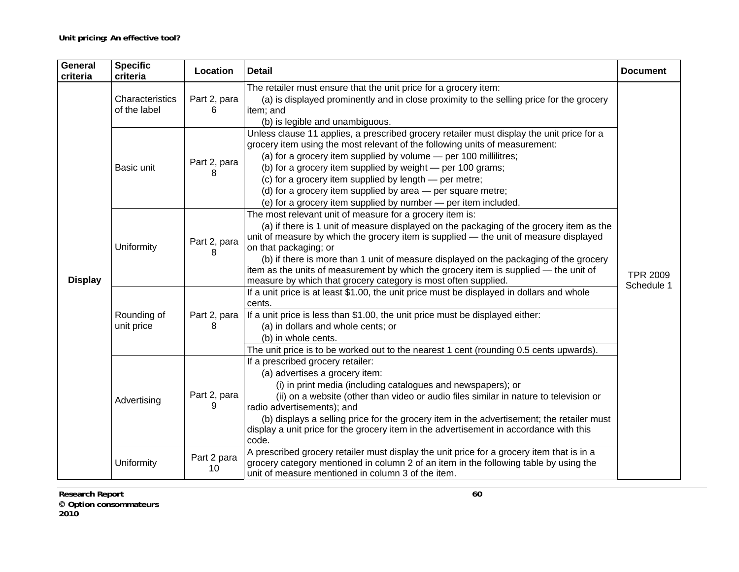| General<br>criteria | <b>Specific</b><br>criteria     | Location          | <b>Detail</b><br><b>Document</b>                                                                                                                                                                                                                                                                                                                                                                                                                                                                                         |                               |
|---------------------|---------------------------------|-------------------|--------------------------------------------------------------------------------------------------------------------------------------------------------------------------------------------------------------------------------------------------------------------------------------------------------------------------------------------------------------------------------------------------------------------------------------------------------------------------------------------------------------------------|-------------------------------|
| <b>Display</b>      | Characteristics<br>of the label | Part 2, para<br>6 | The retailer must ensure that the unit price for a grocery item:<br>(a) is displayed prominently and in close proximity to the selling price for the grocery<br>item; and<br>(b) is legible and unambiguous.                                                                                                                                                                                                                                                                                                             |                               |
|                     | Basic unit                      | Part 2, para<br>8 | Unless clause 11 applies, a prescribed grocery retailer must display the unit price for a<br>grocery item using the most relevant of the following units of measurement:<br>(a) for a grocery item supplied by volume - per 100 millilitres;<br>(b) for a grocery item supplied by weight - per 100 grams;<br>(c) for a grocery item supplied by length - per metre;<br>(d) for a grocery item supplied by area - per square metre;<br>(e) for a grocery item supplied by number - per item included.                    |                               |
|                     | Uniformity                      | Part 2, para<br>8 | The most relevant unit of measure for a grocery item is:<br>(a) if there is 1 unit of measure displayed on the packaging of the grocery item as the<br>unit of measure by which the grocery item is supplied - the unit of measure displayed<br>on that packaging; or<br>(b) if there is more than 1 unit of measure displayed on the packaging of the grocery<br>item as the units of measurement by which the grocery item is supplied - the unit of<br>measure by which that grocery category is most often supplied. | <b>TPR 2009</b><br>Schedule 1 |
|                     | Rounding of<br>unit price       | Part 2, para<br>8 | If a unit price is at least \$1.00, the unit price must be displayed in dollars and whole<br>cents.<br>If a unit price is less than \$1.00, the unit price must be displayed either:<br>(a) in dollars and whole cents; or<br>(b) in whole cents.<br>The unit price is to be worked out to the nearest 1 cent (rounding 0.5 cents upwards).                                                                                                                                                                              |                               |
|                     | Advertising                     | Part 2, para<br>9 | If a prescribed grocery retailer:<br>(a) advertises a grocery item:<br>(i) in print media (including catalogues and newspapers); or<br>(ii) on a website (other than video or audio files similar in nature to television or<br>radio advertisements); and<br>(b) displays a selling price for the grocery item in the advertisement; the retailer must<br>display a unit price for the grocery item in the advertisement in accordance with this<br>code.                                                               |                               |
|                     | Uniformity                      | Part 2 para<br>10 | A prescribed grocery retailer must display the unit price for a grocery item that is in a<br>grocery category mentioned in column 2 of an item in the following table by using the<br>unit of measure mentioned in column 3 of the item.                                                                                                                                                                                                                                                                                 |                               |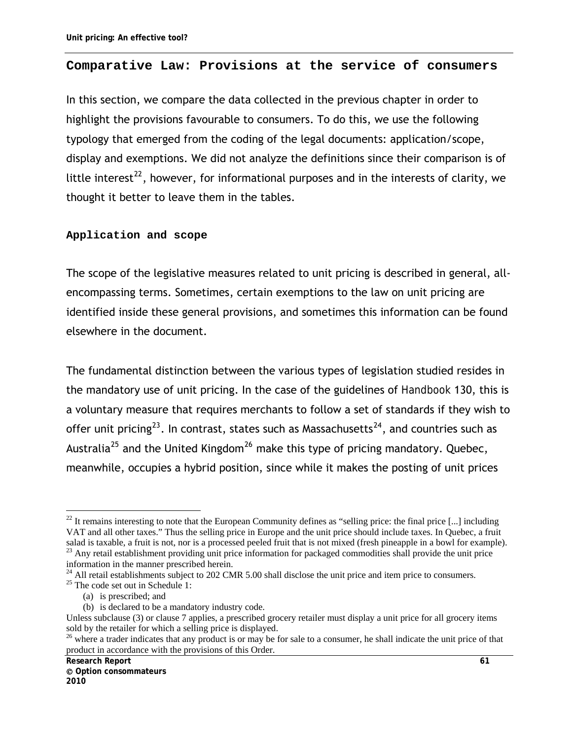#### **Comparative Law: Provisions at the service of consumers**

In this section, we compare the data collected in the previous chapter in order to highlight the provisions favourable to consumers. To do this, we use the following typology that emerged from the coding of the legal documents: application/scope, display and exemptions. We did not analyze the definitions since their comparison is of little interest<sup>[22](#page-72-0)</sup>, however, for informational purposes and in the interests of clarity, we thought it better to leave them in the tables.

#### **Application and scope**

The scope of the legislative measures related to unit pricing is described in general, allencompassing terms. Sometimes, certain exemptions to the law on unit pricing are identified inside these general provisions, and sometimes this information can be found elsewhere in the document.

The fundamental distinction between the various types of legislation studied resides in the mandatory use of unit pricing. In the case of the guidelines of *Handbook* 130, this is a voluntary measure that requires merchants to follow a set of standards if they wish to offer unit pricing<sup>[23](#page-72-1)</sup>. In contrast, states such as Massachusetts<sup>[24](#page-72-2)</sup>, and countries such as Australia<sup>[25](#page-72-3)</sup> and the United Kingdom<sup>[26](#page-72-4)</sup> make this type of pricing mandatory. Quebec, meanwhile, occupies a hybrid position, since while it makes the posting of unit prices

<span id="page-72-0"></span> $\overline{a}$  $22$  It remains interesting to note that the European Community defines as "selling price: the final price [...] including VAT and all other taxes." Thus the selling price in Europe and the unit price should include taxes. In Quebec, a fruit salad is taxable, a fruit is not, nor is a processed peeled fruit that is not mixed (fresh pineapple in a bowl for example).

<span id="page-72-1"></span> $23$  Any retail establishment providing unit price information for packaged commodities shall provide the unit price information in the manner prescribed herein.

<span id="page-72-3"></span><span id="page-72-2"></span><sup>&</sup>lt;sup>24</sup> All retail establishments subject to 202 CMR 5.00 shall disclose the unit price and item price to consumers. <sup>25</sup> The code set out in Schedule 1:

<sup>(</sup>a) is prescribed; and

<sup>(</sup>b) is declared to be a mandatory industry code.

Unless subclause (3) or clause 7 applies, a prescribed grocery retailer must display a unit price for all grocery items sold by the retailer for which a selling price is displayed.

<span id="page-72-4"></span> $^{26}$  where a trader indicates that any product is or may be for sale to a consumer, he shall indicate the unit price of that product in accordance with the provisions of this Order.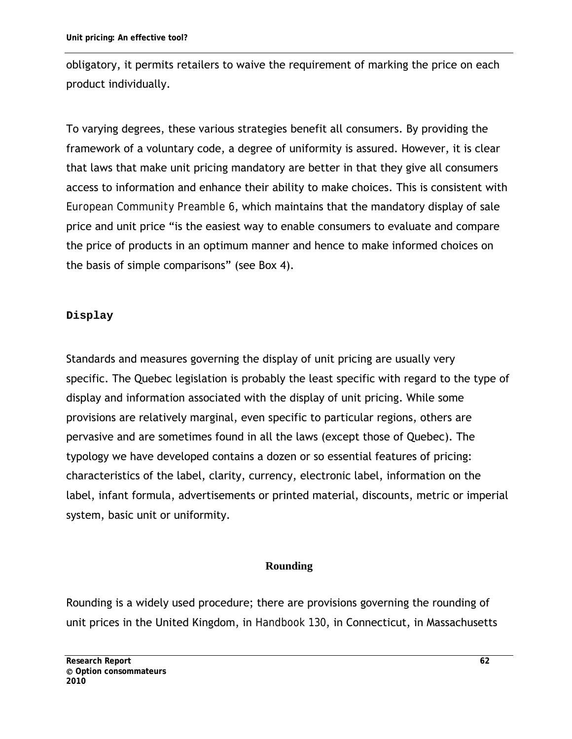obligatory, it permits retailers to waive the requirement of marking the price on each product individually.

To varying degrees, these various strategies benefit all consumers. By providing the framework of a voluntary code, a degree of uniformity is assured. However, it is clear that laws that make unit pricing mandatory are better in that they give all consumers access to information and enhance their ability to make choices. This is consistent with *European Community Preamble 6*, which maintains that the mandatory display of sale price and unit price "is the easiest way to enable consumers to evaluate and compare the price of products in an optimum manner and hence to make informed choices on the basis of simple comparisons" (see Box 4).

## **Display**

Standards and measures governing the display of unit pricing are usually very specific. The Quebec legislation is probably the least specific with regard to the type of display and information associated with the display of unit pricing. While some provisions are relatively marginal, even specific to particular regions, others are pervasive and are sometimes found in all the laws (except those of Quebec). The typology we have developed contains a dozen or so essential features of pricing: characteristics of the label, clarity, currency, electronic label, information on the label, infant formula, advertisements or printed material, discounts, metric or imperial system, basic unit or uniformity.

#### **Rounding**

Rounding is a widely used procedure; there are provisions governing the rounding of unit prices in the United Kingdom, in *Handbook 130*, in Connecticut, in Massachusetts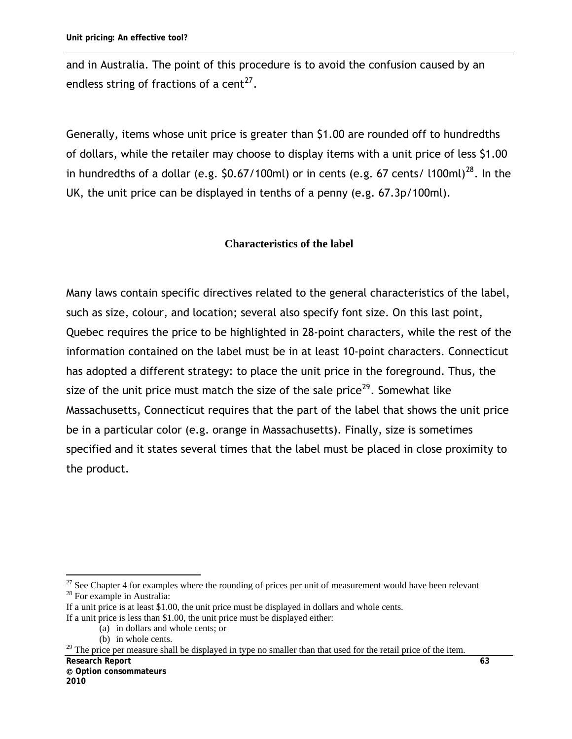and in Australia. The point of this procedure is to avoid the confusion caused by an endless string of fractions of a cent<sup>[27](#page-74-0)</sup>.

Generally, items whose unit price is greater than \$1.00 are rounded off to hundredths of dollars, while the retailer may choose to display items with a unit price of less \$1.00 in hundredths of a dollar (e.g.  $$0.67/100$ ml) or in cents (e.g. 67 cents/ l100ml)<sup>[28](#page-74-1)</sup>. In the UK, the unit price can be displayed in tenths of a penny (e.g. 67.3p/100ml).

#### **Characteristics of the label**

Many laws contain specific directives related to the general characteristics of the label, such as size, colour, and location; several also specify font size. On this last point, Quebec requires the price to be highlighted in 28-point characters, while the rest of the information contained on the label must be in at least 10-point characters. Connecticut has adopted a different strategy: to place the unit price in the foreground. Thus, the size of the unit price must match the size of the sale price<sup>[29](#page-74-2)</sup>. Somewhat like Massachusetts, Connecticut requires that the part of the label that shows the unit price be in a particular color (e.g. orange in Massachusetts). Finally, size is sometimes specified and it states several times that the label must be placed in close proximity to the product.

<span id="page-74-0"></span> $\overline{a}$  $27$  See Chapter 4 for examples where the rounding of prices per unit of measurement would have been relevant <sup>28</sup> For example in Australia:

<span id="page-74-1"></span>If a unit price is at least \$1.00, the unit price must be displayed in dollars and whole cents.

If a unit price is less than \$1.00, the unit price must be displayed either:

<sup>(</sup>a) in dollars and whole cents; or

<sup>(</sup>b) in whole cents.

<span id="page-74-2"></span>**Research Report 63**  $29$  The price per measure shall be displayed in type no smaller than that used for the retail price of the item.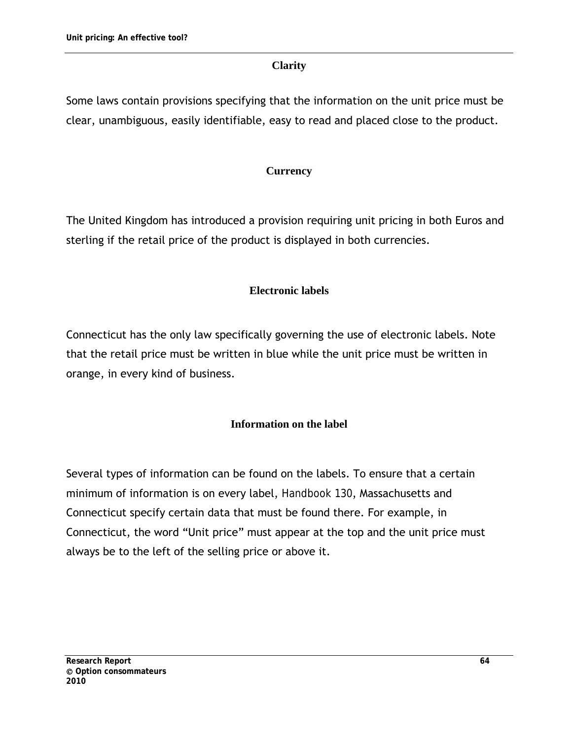### **Clarity**

Some laws contain provisions specifying that the information on the unit price must be clear, unambiguous, easily identifiable, easy to read and placed close to the product.

## **Currency**

The United Kingdom has introduced a provision requiring unit pricing in both Euros and sterling if the retail price of the product is displayed in both currencies.

#### **Electronic labels**

Connecticut has the only law specifically governing the use of electronic labels. Note that the retail price must be written in blue while the unit price must be written in orange, in every kind of business.

#### **Information on the label**

Several types of information can be found on the labels. To ensure that a certain minimum of information is on every label, *Handbook 130*, Massachusetts and Connecticut specify certain data that must be found there. For example, in Connecticut, the word "Unit price" must appear at the top and the unit price must always be to the left of the selling price or above it.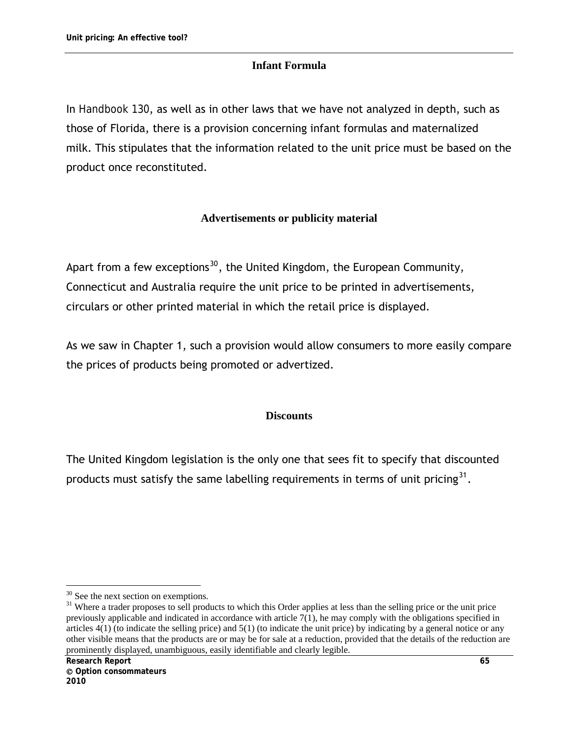## **Infant Formula**

In *Handbook 130*, as well as in other laws that we have not analyzed in depth, such as those of Florida, there is a provision concerning infant formulas and maternalized milk. This stipulates that the information related to the unit price must be based on the product once reconstituted.

## **Advertisements or publicity material**

Apart from a few exceptions<sup>[30](#page-76-0)</sup>, the United Kingdom, the European Community, Connecticut and Australia require the unit price to be printed in advertisements, circulars or other printed material in which the retail price is displayed.

As we saw in Chapter 1, such a provision would allow consumers to more easily compare the prices of products being promoted or advertized.

#### **Discounts**

The United Kingdom legislation is the only one that sees fit to specify that discounted products must satisfy the same labelling requirements in terms of unit pricing<sup>[31](#page-76-1)</sup>.

 $\overline{a}$  $30$  See the next section on exemptions.

<span id="page-76-1"></span><span id="page-76-0"></span><sup>&</sup>lt;sup>31</sup> Where a trader proposes to sell products to which this Order applies at less than the selling price or the unit price previously applicable and indicated in accordance with article 7(1), he may comply with the obligations specified in articles  $4(1)$  (to indicate the selling price) and  $5(1)$  (to indicate the unit price) by indicating by a general notice or any other visible means that the products are or may be for sale at a reduction, provided that the details of the reduction are prominently displayed, unambiguous, easily identifiable and clearly legible.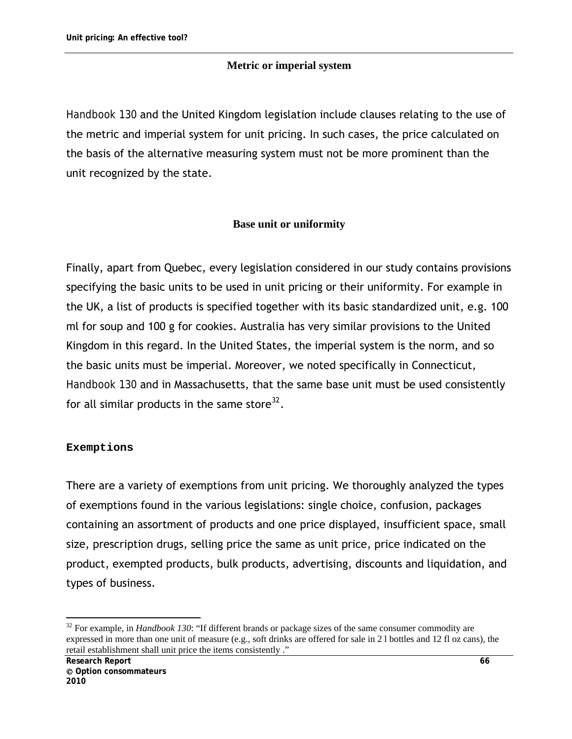## **Metric or imperial system**

*Handbook 130* and the United Kingdom legislation include clauses relating to the use of the metric and imperial system for unit pricing. In such cases, the price calculated on the basis of the alternative measuring system must not be more prominent than the unit recognized by the state.

#### **Base unit or uniformity**

Finally, apart from Quebec, every legislation considered in our study contains provisions specifying the basic units to be used in unit pricing or their uniformity. For example in the UK, a list of products is specified together with its basic standardized unit, e.g. 100 ml for soup and 100 g for cookies. Australia has very similar provisions to the United Kingdom in this regard. In the United States, the imperial system is the norm, and so the basic units must be imperial. Moreover, we noted specifically in Connecticut, *Handbook 130* and in Massachusetts, that the same base unit must be used consistently for all similar products in the same store $32$ .

#### **Exemptions**

There are a variety of exemptions from unit pricing. We thoroughly analyzed the types of exemptions found in the various legislations: single choice, confusion, packages containing an assortment of products and one price displayed, insufficient space, small size, prescription drugs, selling price the same as unit price, price indicated on the product, exempted products, bulk products, advertising, discounts and liquidation, and types of business.

<span id="page-77-0"></span> $\overline{a}$ 32 For example, in *Handbook 130*: "If different brands or package sizes of the same consumer commodity are expressed in more than one unit of measure (e.g., soft drinks are offered for sale in 2 l bottles and 12 fl oz cans), the retail establishment shall unit price the items consistently ."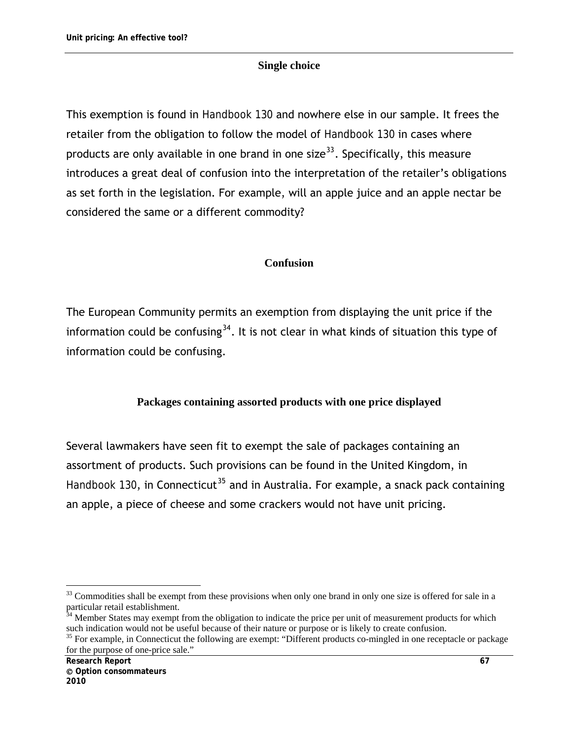#### **Single choice**

This exemption is found in *Handbook 130* and nowhere else in our sample. It frees the retailer from the obligation to follow the model of *Handbook 130* in cases where products are only available in one brand in one size<sup>[33](#page-78-0)</sup>. Specifically, this measure introduces a great deal of confusion into the interpretation of the retailer's obligations as set forth in the legislation. For example, will an apple juice and an apple nectar be considered the same or a different commodity?

#### **Confusion**

The European Community permits an exemption from displaying the unit price if the information could be confusing<sup>[34](#page-78-1)</sup>. It is not clear in what kinds of situation this type of information could be confusing.

#### **Packages containing assorted products with one price displayed**

Several lawmakers have seen fit to exempt the sale of packages containing an assortment of products. Such provisions can be found in the United Kingdom, in *Handbook 130*, in Connecticut<sup>[35](#page-78-2)</sup> and in Australia. For example, a snack pack containing an apple, a piece of cheese and some crackers would not have unit pricing.

<span id="page-78-0"></span> $\overline{a}$  $33$  Commodities shall be exempt from these provisions when only one brand in only one size is offered for sale in a particular retail establishment.

<span id="page-78-1"></span><sup>&</sup>lt;sup>34</sup> Member States may exempt from the obligation to indicate the price per unit of measurement products for which such indication would not be useful because of their nature or purpose or is likely to create confusion.<br><sup>35</sup> For example, in Connecticut the following are exempt: "Different products co-mingled in one receptacle or packag

<span id="page-78-2"></span>for the purpose of one-price sale."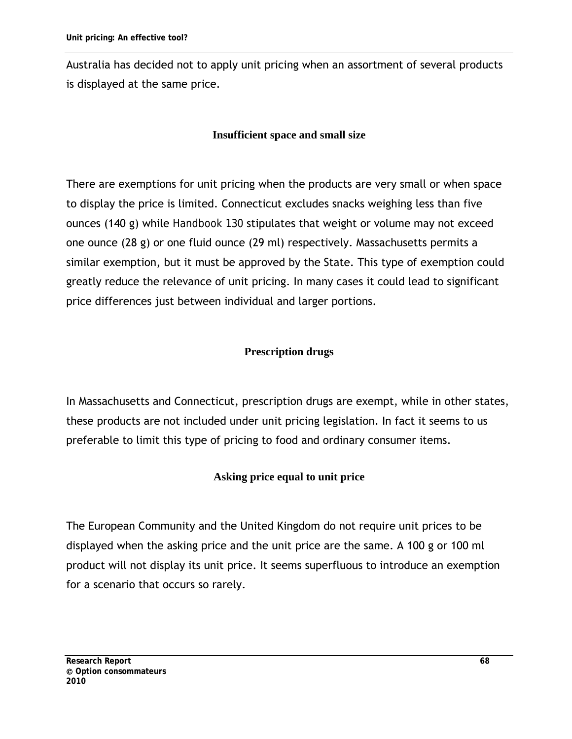Australia has decided not to apply unit pricing when an assortment of several products is displayed at the same price.

#### **Insufficient space and small size**

There are exemptions for unit pricing when the products are very small or when space to display the price is limited. Connecticut excludes snacks weighing less than five ounces (140 g) while *Handbook 130* stipulates that weight or volume may not exceed one ounce (28 g) or one fluid ounce (29 ml) respectively. Massachusetts permits a similar exemption, but it must be approved by the State. This type of exemption could greatly reduce the relevance of unit pricing. In many cases it could lead to significant price differences just between individual and larger portions.

#### **Prescription drugs**

In Massachusetts and Connecticut, prescription drugs are exempt, while in other states, these products are not included under unit pricing legislation. In fact it seems to us preferable to limit this type of pricing to food and ordinary consumer items.

#### **Asking price equal to unit price**

The European Community and the United Kingdom do not require unit prices to be displayed when the asking price and the unit price are the same. A 100 g or 100 ml product will not display its unit price. It seems superfluous to introduce an exemption for a scenario that occurs so rarely.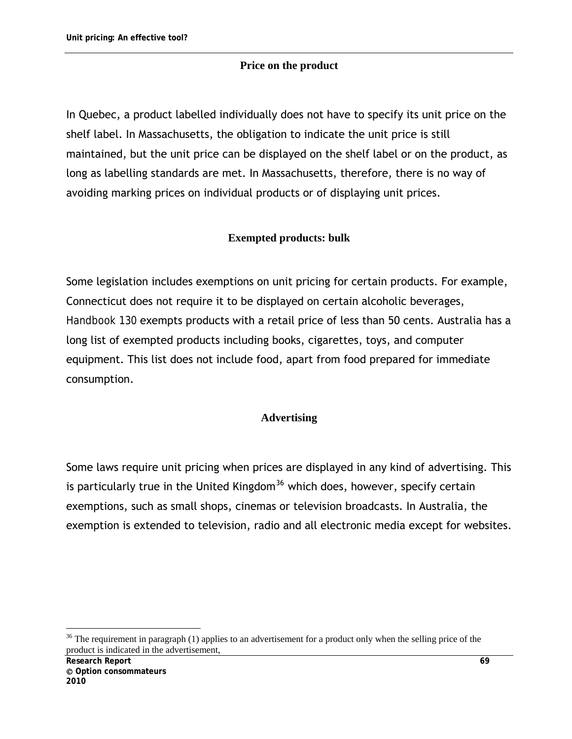### **Price on the product**

In Quebec, a product labelled individually does not have to specify its unit price on the shelf label. In Massachusetts, the obligation to indicate the unit price is still maintained, but the unit price can be displayed on the shelf label or on the product, as long as labelling standards are met. In Massachusetts, therefore, there is no way of avoiding marking prices on individual products or of displaying unit prices.

## **Exempted products: bulk**

Some legislation includes exemptions on unit pricing for certain products. For example, Connecticut does not require it to be displayed on certain alcoholic beverages, *Handbook 130* exempts products with a retail price of less than 50 cents. Australia has a long list of exempted products including books, cigarettes, toys, and computer equipment. This list does not include food, apart from food prepared for immediate consumption.

#### **Advertising**

Some laws require unit pricing when prices are displayed in any kind of advertising. This is particularly true in the United Kingdom<sup>[36](#page-80-0)</sup> which does, however, specify certain exemptions, such as small shops, cinemas or television broadcasts. In Australia, the exemption is extended to television, radio and all electronic media except for websites.

 $\overline{a}$ 

<span id="page-80-0"></span> $36$  The requirement in paragraph (1) applies to an advertisement for a product only when the selling price of the product is indicated in the advertisement,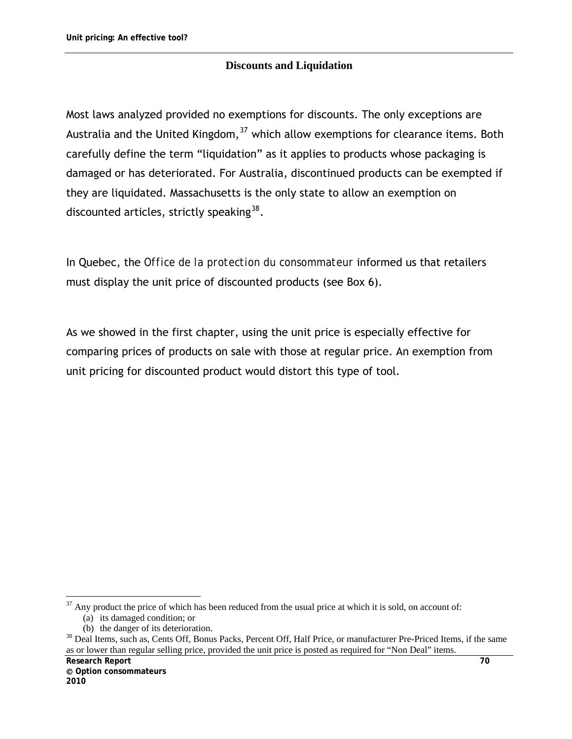#### **Discounts and Liquidation**

Most laws analyzed provided no exemptions for discounts. The only exceptions are Australia and the United Kingdom,  $37$  which allow exemptions for clearance items. Both carefully define the term "liquidation" as it applies to products whose packaging is damaged or has deteriorated. For Australia, discontinued products can be exempted if they are liquidated. Massachusetts is the only state to allow an exemption on discounted articles, strictly speaking  $38$ .

In Quebec, the *Office de la protection du consommateur* informed us that retailers must display the unit price of discounted products (see Box 6).

As we showed in the first chapter, using the unit price is especially effective for comparing prices of products on sale with those at regular price. An exemption from unit pricing for discounted product would distort this type of tool.

 $\overline{a}$ 

<span id="page-81-0"></span> $37$  Any product the price of which has been reduced from the usual price at which it is sold, on account of:

<sup>(</sup>a) its damaged condition; or

<span id="page-81-1"></span><sup>(</sup>b) the danger of its deterioration.<br><sup>38</sup> Deal Items, such as, Cents Off, Bonus Packs, Percent Off, Half Price, or manufacturer Pre-Priced Items, if the same as or lower than regular selling price, provided the unit price is posted as required for "Non Deal" items.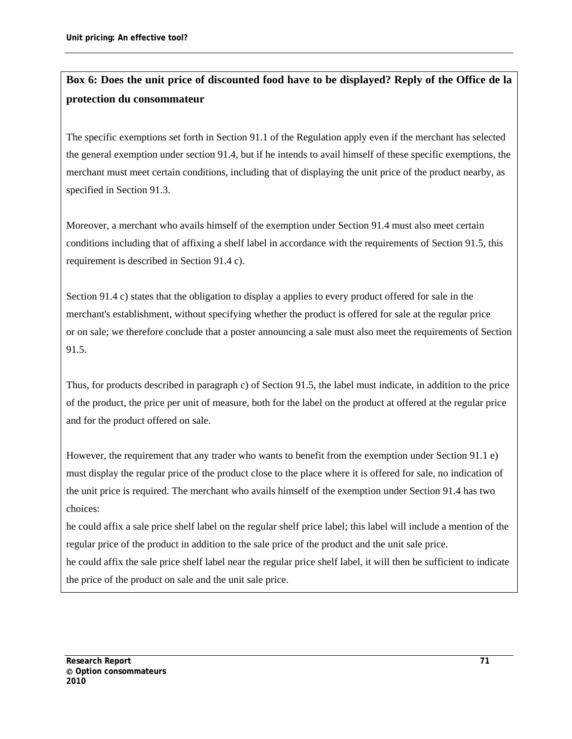# **Box 6: Does the unit price of discounted food have to be displayed? Reply of the Office de la protection du consommateur**

The specific exemptions set forth in Section 91.1 of the Regulation apply even if the merchant has selected the general exemption under section 91.4, but if he intends to avail himself of these specific exemptions, the merchant must meet certain conditions, including that of displaying the unit price of the product nearby, as specified in Section 91.3.

Moreover, a merchant who avails himself of the exemption under Section 91.4 must also meet certain conditions including that of affixing a shelf label in accordance with the requirements of Section 91.5, this requirement is described in Section 91.4 c).

Section 91.4 c) states that the obligation to display a applies to every product offered for sale in the merchant's establishment, without specifying whether the product is offered for sale at the regular price or on sale; we therefore conclude that a poster announcing a sale must also meet the requirements of Section 91.5.

Thus, for products described in paragraph c) of Section 91.5, the label must indicate, in addition to the price of the product, the price per unit of measure, both for the label on the product at offered at the regular price and for the product offered on sale.

However, the requirement that any trader who wants to benefit from the exemption under Section 91.1 e) must display the regular price of the product close to the place where it is offered for sale, no indication of the unit price is required. The merchant who avails himself of the exemption under Section 91.4 has two choices:

he could affix a sale price shelf label on the regular shelf price label; this label will include a mention of the regular price of the product in addition to the sale price of the product and the unit sale price.

he could affix the sale price shelf label near the regular price shelf label, it will then be sufficient to indicate the price of the product on sale and the unit sale price.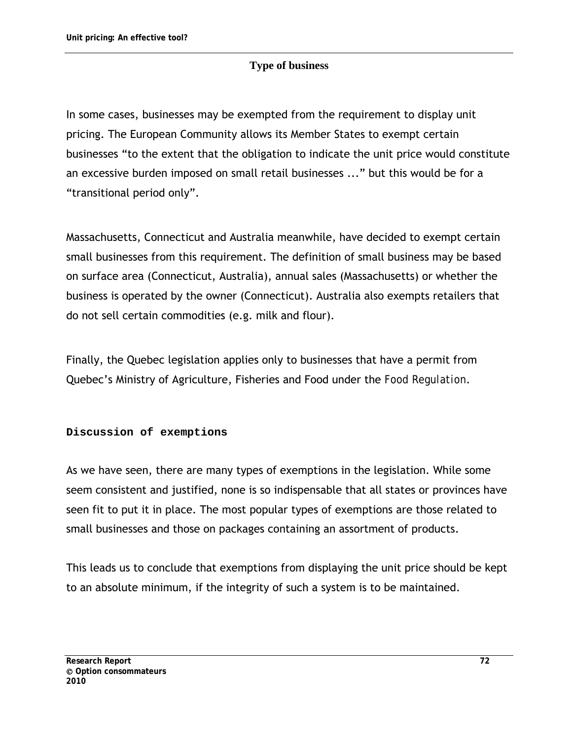### **Type of business**

In some cases, businesses may be exempted from the requirement to display unit pricing. The European Community allows its Member States to exempt certain businesses "to the extent that the obligation to indicate the unit price would constitute an excessive burden imposed on small retail businesses ..." but this would be for a "transitional period only".

Massachusetts, Connecticut and Australia meanwhile, have decided to exempt certain small businesses from this requirement. The definition of small business may be based on surface area (Connecticut, Australia), annual sales (Massachusetts) or whether the business is operated by the owner (Connecticut). Australia also exempts retailers that do not sell certain commodities (e.g. milk and flour).

Finally, the Quebec legislation applies only to businesses that have a permit from Quebec's Ministry of Agriculture, Fisheries and Food under the *Food Regulation*.

#### **Discussion of exemptions**

As we have seen, there are many types of exemptions in the legislation. While some seem consistent and justified, none is so indispensable that all states or provinces have seen fit to put it in place. The most popular types of exemptions are those related to small businesses and those on packages containing an assortment of products.

This leads us to conclude that exemptions from displaying the unit price should be kept to an absolute minimum, if the integrity of such a system is to be maintained.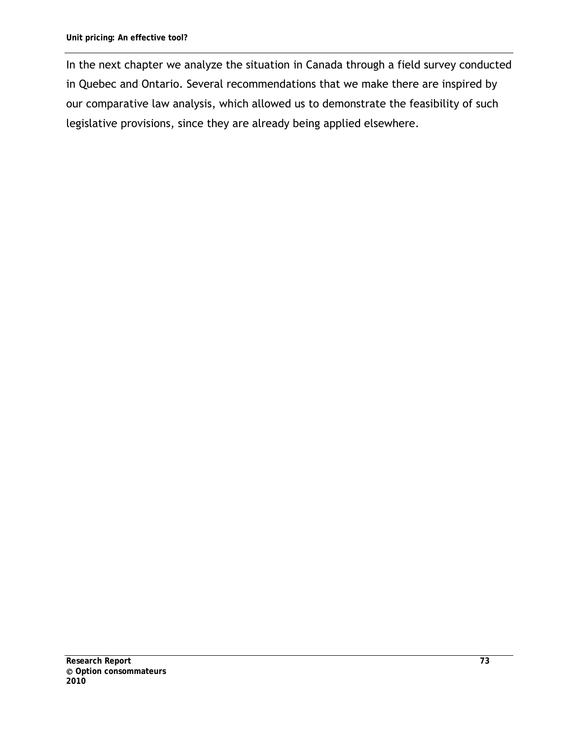In the next chapter we analyze the situation in Canada through a field survey conducted in Quebec and Ontario. Several recommendations that we make there are inspired by our comparative law analysis, which allowed us to demonstrate the feasibility of such legislative provisions, since they are already being applied elsewhere.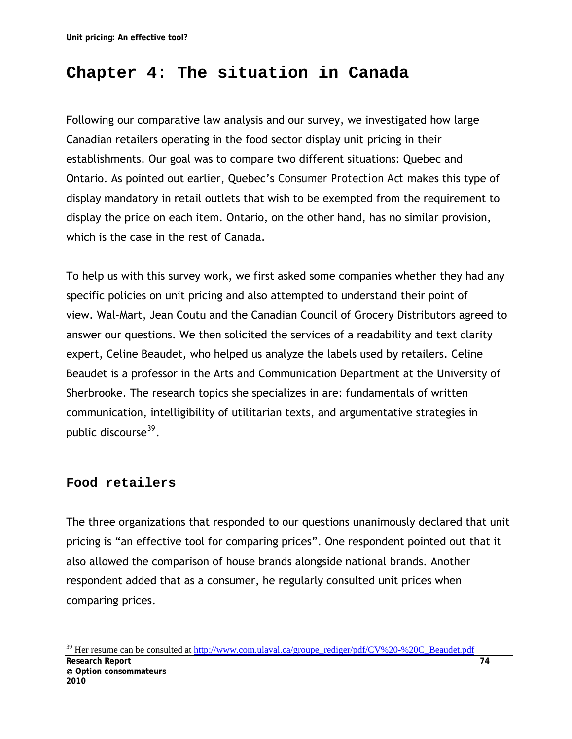# **Chapter 4: The situation in Canada**

Following our comparative law analysis and our survey, we investigated how large Canadian retailers operating in the food sector display unit pricing in their establishments. Our goal was to compare two different situations: Quebec and Ontario. As pointed out earlier, Quebec's *Consumer Protection Act* makes this type of display mandatory in retail outlets that wish to be exempted from the requirement to display the price on each item. Ontario, on the other hand, has no similar provision, which is the case in the rest of Canada.

To help us with this survey work, we first asked some companies whether they had any specific policies on unit pricing and also attempted to understand their point of view. Wal-Mart, Jean Coutu and the Canadian Council of Grocery Distributors agreed to answer our questions. We then solicited the services of a readability and text clarity expert, Celine Beaudet, who helped us analyze the labels used by retailers. Celine Beaudet is a professor in the Arts and Communication Department at the University of Sherbrooke. The research topics she specializes in are: fundamentals of written communication, intelligibility of utilitarian texts, and argumentative strategies in public discourse<sup>[39](#page-85-0)</sup>.

## **Food retailers**

 $\overline{a}$ 

The three organizations that responded to our questions unanimously declared that unit pricing is "an effective tool for comparing prices". One respondent pointed out that it also allowed the comparison of house brands alongside national brands. Another respondent added that as a consumer, he regularly consulted unit prices when comparing prices.

<span id="page-85-0"></span>**Research Report 74 Option consommateurs 2010**  <sup>39</sup> Her resume can be consulted at [http://www.com.ulaval.ca/groupe\\_rediger/pdf/CV%20-%20C\\_Beaudet.pdf](http://www.com.ulaval.ca/groupe_rediger/pdf/CV%20-%20C_Beaudet.pdf)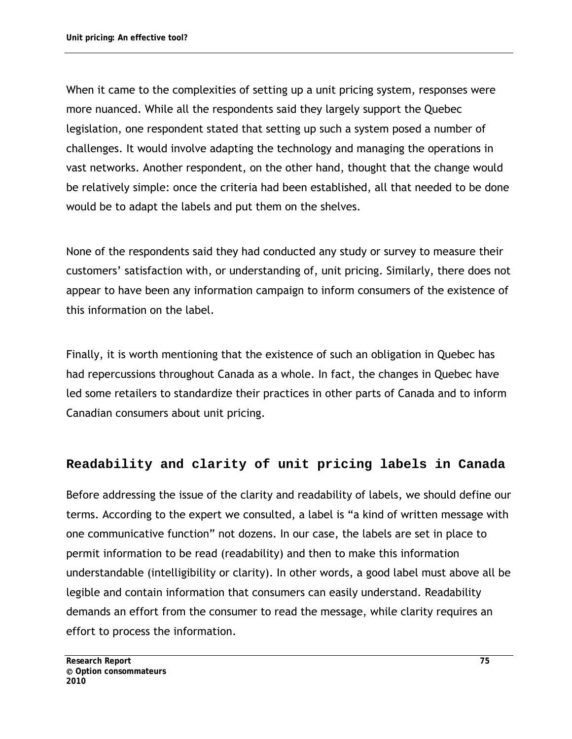When it came to the complexities of setting up a unit pricing system, responses were more nuanced. While all the respondents said they largely support the Quebec legislation, one respondent stated that setting up such a system posed a number of challenges. It would involve adapting the technology and managing the operations in vast networks. Another respondent, on the other hand, thought that the change would be relatively simple: once the criteria had been established, all that needed to be done would be to adapt the labels and put them on the shelves.

None of the respondents said they had conducted any study or survey to measure their customers' satisfaction with, or understanding of, unit pricing. Similarly, there does not appear to have been any information campaign to inform consumers of the existence of this information on the label.

Finally, it is worth mentioning that the existence of such an obligation in Quebec has had repercussions throughout Canada as a whole. In fact, the changes in Quebec have led some retailers to standardize their practices in other parts of Canada and to inform Canadian consumers about unit pricing.

## **Readability and clarity of unit pricing labels in Canada**

Before addressing the issue of the clarity and readability of labels, we should define our terms. According to the expert we consulted, a label is "a kind of written message with one communicative function" not dozens. In our case, the labels are set in place to permit information to be read (readability) and then to make this information understandable (intelligibility or clarity). In other words, a good label must above all be legible and contain information that consumers can easily understand. Readability demands an effort from the consumer to read the message, while clarity requires an effort to process the information.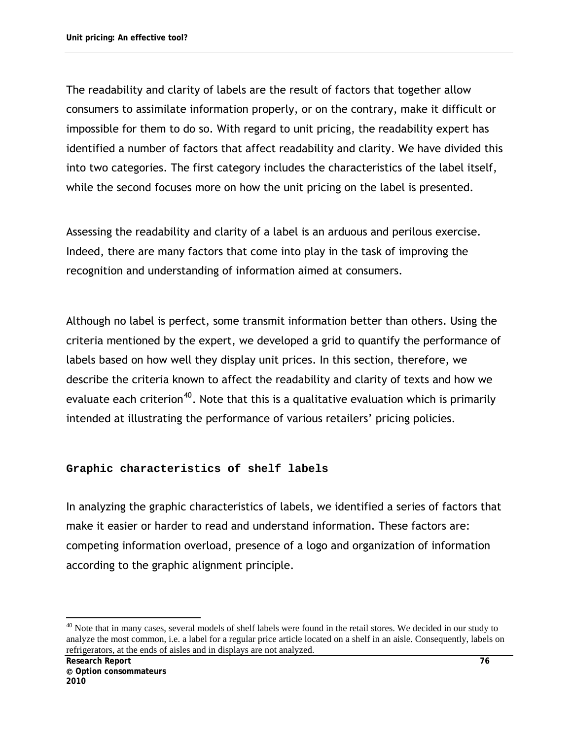The readability and clarity of labels are the result of factors that together allow consumers to assimilate information properly, or on the contrary, make it difficult or impossible for them to do so. With regard to unit pricing, the readability expert has identified a number of factors that affect readability and clarity. We have divided this into two categories. The first category includes the characteristics of the label itself, while the second focuses more on how the unit pricing on the label is presented.

Assessing the readability and clarity of a label is an arduous and perilous exercise. Indeed, there are many factors that come into play in the task of improving the recognition and understanding of information aimed at consumers.

Although no label is perfect, some transmit information better than others. Using the criteria mentioned by the expert, we developed a grid to quantify the performance of labels based on how well they display unit prices. In this section, therefore, we describe the criteria known to affect the readability and clarity of texts and how we evaluate each criterion<sup>[40](#page-87-0)</sup>. Note that this is a qualitative evaluation which is primarily intended at illustrating the performance of various retailers' pricing policies.

#### **Graphic characteristics of shelf labels**

In analyzing the graphic characteristics of labels, we identified a series of factors that make it easier or harder to read and understand information. These factors are: competing information overload, presence of a logo and organization of information according to the graphic alignment principle.

<span id="page-87-0"></span> $\overline{a}$ <sup>40</sup> Note that in many cases, several models of shelf labels were found in the retail stores. We decided in our study to analyze the most common, i.e. a label for a regular price article located on a shelf in an aisle. Consequently, labels on refrigerators, at the ends of aisles and in displays are not analyzed.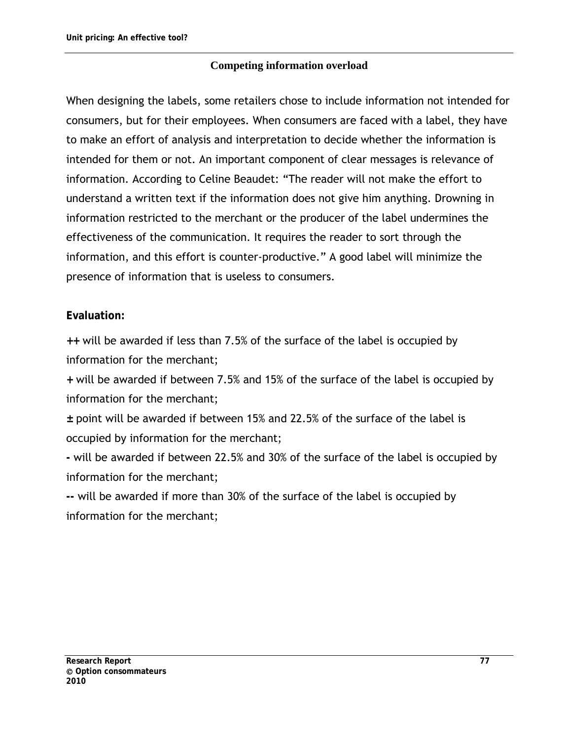#### **Competing information overload**

When designing the labels, some retailers chose to include information not intended for consumers, but for their employees. When consumers are faced with a label, they have to make an effort of analysis and interpretation to decide whether the information is intended for them or not. An important component of clear messages is relevance of information. According to Celine Beaudet: "The reader will not make the effort to understand a written text if the information does not give him anything. Drowning in information restricted to the merchant or the producer of the label undermines the effectiveness of the communication. It requires the reader to sort through the information, and this effort is counter-productive." A good label will minimize the presence of information that is useless to consumers.

## **Evaluation:**

**++** will be awarded if less than 7.5% of the surface of the label is occupied by information for the merchant;

**+** will be awarded if between 7.5% and 15% of the surface of the label is occupied by information for the merchant;

**±** point will be awarded if between 15% and 22.5% of the surface of the label is occupied by information for the merchant;

**-** will be awarded if between 22.5% and 30% of the surface of the label is occupied by information for the merchant;

**--** will be awarded if more than 30% of the surface of the label is occupied by information for the merchant;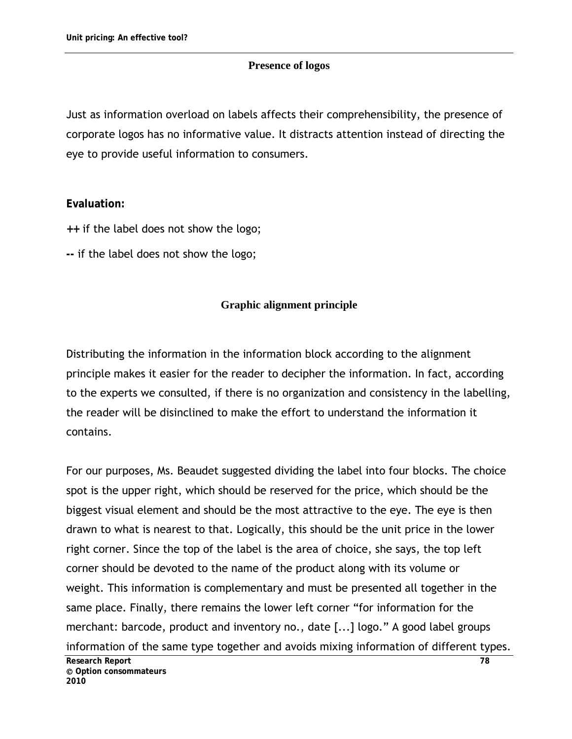#### **Presence of logos**

Just as information overload on labels affects their comprehensibility, the presence of corporate logos has no informative value. It distracts attention instead of directing the eye to provide useful information to consumers.

#### **Evaluation:**

- **++** if the label does not show the logo;
- **--** if the label does not show the logo;

#### **Graphic alignment principle**

Distributing the information in the information block according to the alignment principle makes it easier for the reader to decipher the information. In fact, according to the experts we consulted, if there is no organization and consistency in the labelling, the reader will be disinclined to make the effort to understand the information it contains.

For our purposes, Ms. Beaudet suggested dividing the label into four blocks. The choice spot is the upper right, which should be reserved for the price, which should be the biggest visual element and should be the most attractive to the eye. The eye is then drawn to what is nearest to that. Logically, this should be the unit price in the lower right corner. Since the top of the label is the area of choice, she says, the top left corner should be devoted to the name of the product along with its volume or weight. This information is complementary and must be presented all together in the same place. Finally, there remains the lower left corner "for information for the merchant: barcode, product and inventory no., date [...] logo." A good label groups information of the same type together and avoids mixing information of different types.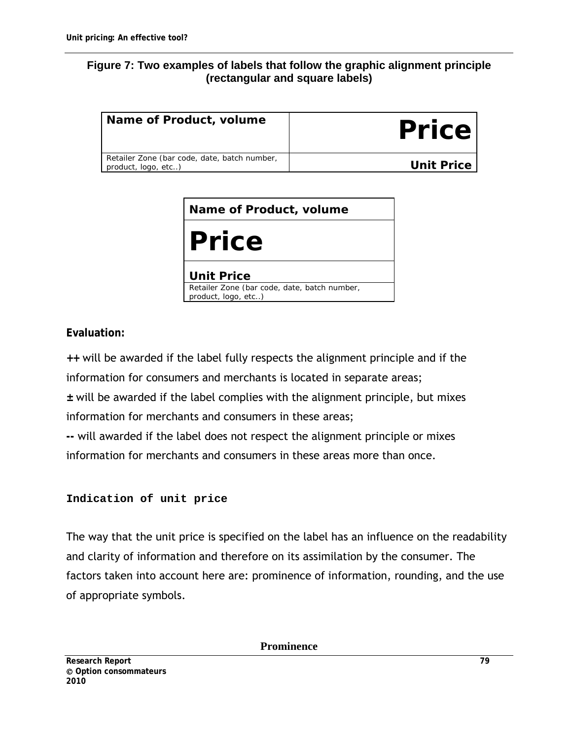#### **Figure 7: Two examples of labels that follow the graphic alignment principle (rectangular and square labels)**

| Name of Product, volume                                             | <b>Price</b> |
|---------------------------------------------------------------------|--------------|
| Retailer Zone (bar code, date, batch number,<br>product, logo, etc) | Unit Price   |

| Name of Product, volume                                             |  |  |  |  |  |
|---------------------------------------------------------------------|--|--|--|--|--|
| <b>Price</b>                                                        |  |  |  |  |  |
| <b>Unit Price</b>                                                   |  |  |  |  |  |
| Retailer Zone (bar code, date, batch number,<br>product, logo, etc) |  |  |  |  |  |

**Evaluation:**

**++** will be awarded if the label fully respects the alignment principle and if the information for consumers and merchants is located in separate areas;

**±** will be awarded if the label complies with the alignment principle, but mixes information for merchants and consumers in these areas;

**--** will awarded if the label does not respect the alignment principle or mixes information for merchants and consumers in these areas more than once.

#### **Indication of unit price**

The way that the unit price is specified on the label has an influence on the readability and clarity of information and therefore on its assimilation by the consumer. The factors taken into account here are: prominence of information, rounding, and the use of appropriate symbols.

**Prominence**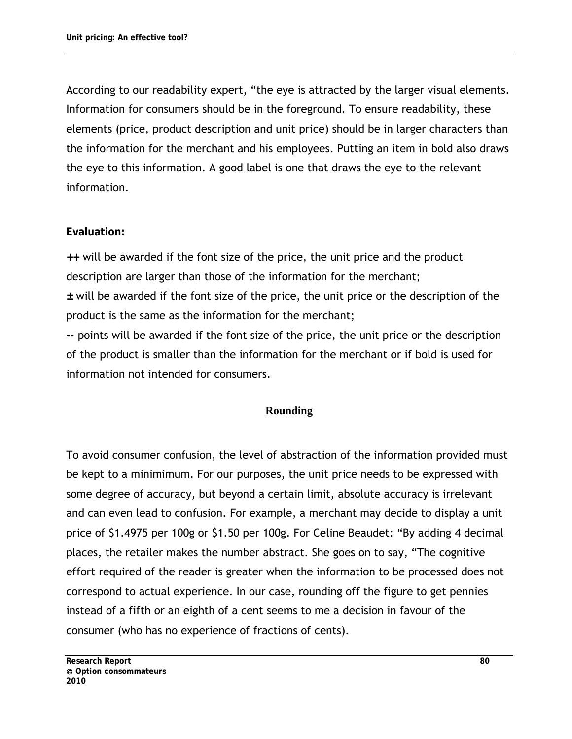According to our readability expert, "the eye is attracted by the larger visual elements. Information for consumers should be in the foreground. To ensure readability, these elements (price, product description and unit price) should be in larger characters than the information for the merchant and his employees. Putting an item in bold also draws the eye to this information. A good label is one that draws the eye to the relevant information.

#### **Evaluation:**

**++** will be awarded if the font size of the price, the unit price and the product description are larger than those of the information for the merchant; **±** will be awarded if the font size of the price, the unit price or the description of the product is the same as the information for the merchant;

**--** points will be awarded if the font size of the price, the unit price or the description of the product is smaller than the information for the merchant or if bold is used for information not intended for consumers.

#### **Rounding**

To avoid consumer confusion, the level of abstraction of the information provided must be kept to a minimimum. For our purposes, the unit price needs to be expressed with some degree of accuracy, but beyond a certain limit, absolute accuracy is irrelevant and can even lead to confusion. For example, a merchant may decide to display a unit price of \$1.4975 per 100g or \$1.50 per 100g. For Celine Beaudet: "By adding 4 decimal places, the retailer makes the number abstract. She goes on to say, "The cognitive effort required of the reader is greater when the information to be processed does not correspond to actual experience. In our case, rounding off the figure to get pennies instead of a fifth or an eighth of a cent seems to me a decision in favour of the consumer (who has no experience of fractions of cents).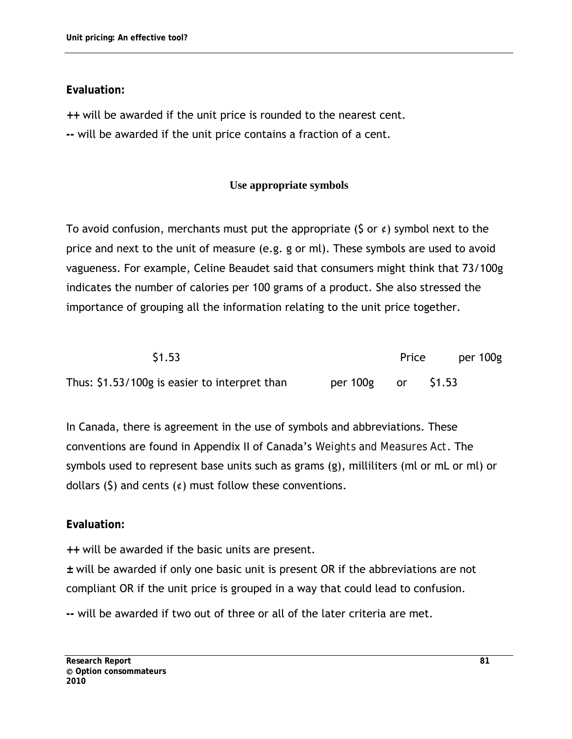## **Evaluation:**

**++** will be awarded if the unit price is rounded to the nearest cent.

**--** will be awarded if the unit price contains a fraction of a cent.

## **Use appropriate symbols**

To avoid confusion, merchants must put the appropriate (\$ or  $\epsilon$ ) symbol next to the price and next to the unit of measure (e.g. g or ml). These symbols are used to avoid vagueness. For example, Celine Beaudet said that consumers might think that 73/100g indicates the number of calories per 100 grams of a product. She also stressed the importance of grouping all the information relating to the unit price together.

| \$1.53                                        |                    | Price | per 100g |
|-----------------------------------------------|--------------------|-------|----------|
| Thus: \$1.53/100g is easier to interpret than | per 100g or \$1.53 |       |          |

In Canada, there is agreement in the use of symbols and abbreviations. These conventions are found in Appendix II of Canada's *Weights and Measures Act*. The symbols used to represent base units such as grams (g), milliliters (ml or mL or ml) or dollars (\$) and cents  $(\phi)$  must follow these conventions.

## **Evaluation:**

**++** will be awarded if the basic units are present.

**±** will be awarded if only one basic unit is present OR if the abbreviations are not compliant OR if the unit price is grouped in a way that could lead to confusion.

**--** will be awarded if two out of three or all of the later criteria are met.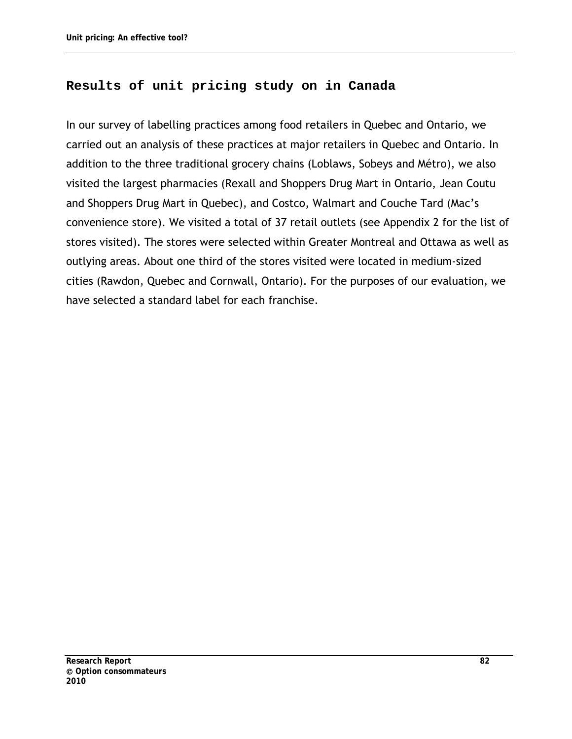## **Results of unit pricing study on in Canada**

In our survey of labelling practices among food retailers in Quebec and Ontario, we carried out an analysis of these practices at major retailers in Quebec and Ontario. In addition to the three traditional grocery chains (Loblaws, Sobeys and Métro), we also visited the largest pharmacies (Rexall and Shoppers Drug Mart in Ontario, Jean Coutu and Shoppers Drug Mart in Quebec), and Costco, Walmart and Couche Tard (Mac's convenience store). We visited a total of 37 retail outlets (see Appendix 2 for the list of stores visited). The stores were selected within Greater Montreal and Ottawa as well as outlying areas. About one third of the stores visited were located in medium-sized cities (Rawdon, Quebec and Cornwall, Ontario). For the purposes of our evaluation, we have selected a standard label for each franchise.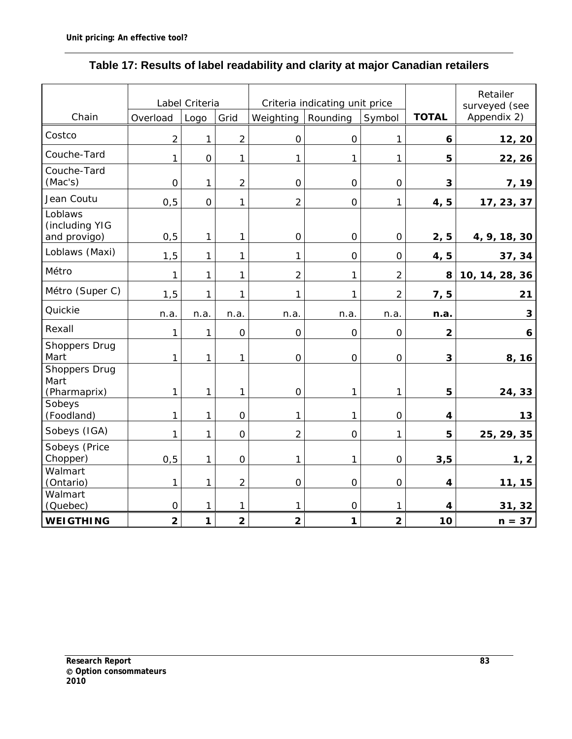|                                              | Label Criteria |             | Criteria indicating unit price |                         |                |                         | Retailer<br>surveyed (see |                |
|----------------------------------------------|----------------|-------------|--------------------------------|-------------------------|----------------|-------------------------|---------------------------|----------------|
| Chain                                        | Overload       | Logo        | Grid                           | Weighting               | Rounding       | Symbol                  | <b>TOTAL</b>              | Appendix 2)    |
| Costco                                       | $\overline{2}$ | 1           | $\overline{2}$                 | 0                       | $\overline{O}$ | 1                       | 6                         | 12, 20         |
| Couche-Tard                                  | 1              | $\mathbf 0$ | 1                              | 1                       | 1              | 1                       | 5                         | 22, 26         |
| Couche-Tard<br>(Mac's)                       | $\mathbf 0$    | 1           | $\overline{2}$                 | $\overline{0}$          | $\overline{O}$ | $\mathsf O$             | 3                         | 7, 19          |
| Jean Coutu                                   | 0, 5           | $\mathbf 0$ | 1                              | $\overline{2}$          | $\overline{O}$ | $\mathbf{1}$            | 4, 5                      | 17, 23, 37     |
| Loblaws<br>(including YIG<br>and provigo)    | 0, 5           | 1           | 1                              | 0                       | $\overline{O}$ | $\mathsf{O}\xspace$     | 2, 5                      | 4, 9, 18, 30   |
| Loblaws (Maxi)                               | 1,5            | 1           | 1                              | 1                       | $\overline{O}$ | $\overline{0}$          | 4, 5                      | 37, 34         |
| Métro                                        | 1              | 1           | 1                              | $\overline{2}$          | 1              | $\overline{2}$          | 8                         | 10, 14, 28, 36 |
| Métro (Super C)                              | 1,5            | 1           | 1                              | 1                       | 1              | $\overline{2}$          | 7, 5                      | 21             |
| Quickie                                      | n.a.           | n.a.        | n.a.                           | n.a.                    | n.a.           | n.a.                    | n.a.                      | 3              |
| Rexall                                       | 1              | 1           | $\mathbf 0$                    | $\overline{0}$          | $\overline{O}$ | $\mathsf O$             | $\overline{\mathbf{2}}$   | 6              |
| Shoppers Drug<br>Mart                        | 1              | 1           | 1                              | $\mathbf 0$             | $\mathbf 0$    | $\mathsf{O}\xspace$     | $\mathbf{3}$              | 8, 16          |
| <b>Shoppers Drug</b><br>Mart<br>(Pharmaprix) | 1              | 1           | 1                              | $\overline{0}$          | 1              | $\mathbf{1}$            | 5                         | 24, 33         |
| Sobeys<br>(Foodland)                         | 1              | 1           | $\mathbf 0$                    | 1                       | 1              | $\overline{0}$          | $\overline{\mathbf{4}}$   | 13             |
| Sobeys (IGA)                                 | 1              | 1           | $\mathbf 0$                    | $\overline{2}$          | $\overline{O}$ | 1                       | 5                         | 25, 29, 35     |
| Sobeys (Price<br>Chopper)                    | 0, 5           | 1           | $\mathbf 0$                    | 1                       | 1              | $\mathbf 0$             | 3,5                       | 1, 2           |
| Walmart<br>(Ontario)                         | 1              | 1           | $\overline{2}$                 | $\overline{O}$          | $\overline{O}$ | $\mathsf{O}$            | $\overline{4}$            | 11, 15         |
| Walmart<br>(Quebec)                          | $\mathbf 0$    | 1           | 1                              | 1                       | $\overline{O}$ | 1                       | 4                         | 31, 32         |
| <b>WEIGTHING</b>                             | $\overline{2}$ | 1           | $\overline{\mathbf{2}}$        | $\overline{\mathbf{2}}$ | 1              | $\overline{\mathbf{2}}$ | 10                        | $n = 37$       |

# **Table 17: Results of label readability and clarity at major Canadian retailers**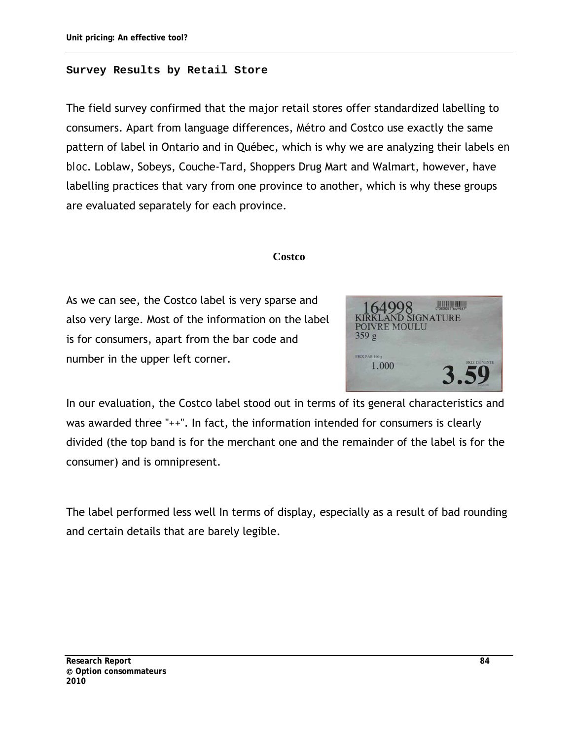#### **Survey Results by Retail Store**

The field survey confirmed that the major retail stores offer standardized labelling to consumers. Apart from language differences, Métro and Costco use exactly the same pattern of label in Ontario and in Québec, which is why we are analyzing their labels *en bloc*. Loblaw, Sobeys, Couche-Tard, Shoppers Drug Mart and Walmart, however, have labelling practices that vary from one province to another, which is why these groups are evaluated separately for each province.

#### **Costco**

As we can see, the Costco label is very sparse and also very large. Most of the information on the label is for consumers, apart from the bar code and number in the upper left corner.



In our evaluation, the Costco label stood out in terms of its general characteristics and was awarded three "++". In fact, the information intended for consumers is clearly divided (the top band is for the merchant one and the remainder of the label is for the consumer) and is omnipresent.

The label performed less well In terms of display, especially as a result of bad rounding and certain details that are barely legible.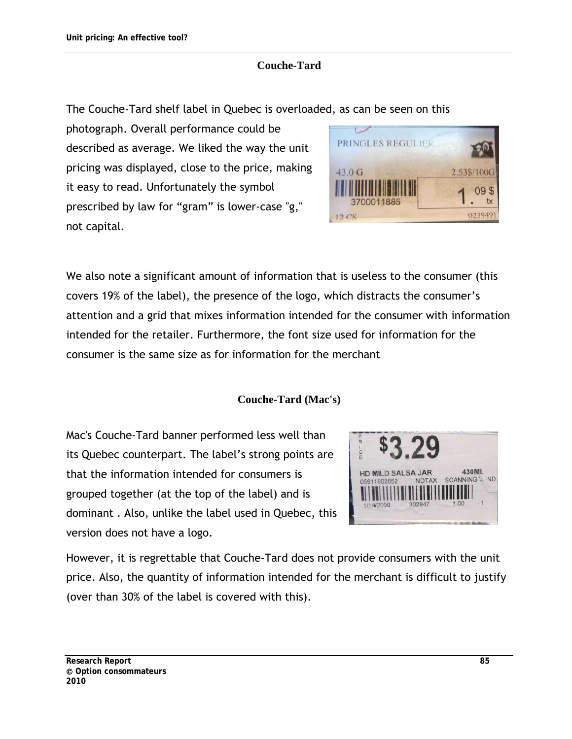#### **Couche-Tard**

The Couche-Tard shelf label in Quebec is overloaded, as can be seen on this

photograph. Overall performance could be described as average. We liked the way the unit pricing was displayed, close to the price, making it easy to read. Unfortunately the symbol prescribed by law for "gram" is lower-case "g," not capital.



We also note a significant amount of information that is useless to the consumer (this covers 19% of the label), the presence of the logo, which distracts the consumer's attention and a grid that mixes information intended for the consumer with information intended for the retailer. Furthermore, the font size used for information for the consumer is the same size as for information for the merchant

#### **Couche-Tard (Mac's)**

Mac's Couche-Tard banner performed less well than its Quebec counterpart. The label's strong points are that the information intended for consumers is grouped together (at the top of the label) and is dominant . Also, unlike the label used in Quebec, this version does not have a logo.



However, it is regrettable that Couche-Tard does not provide consumers with the unit price. Also, the quantity of information intended for the merchant is difficult to justify (over than 30% of the label is covered with this).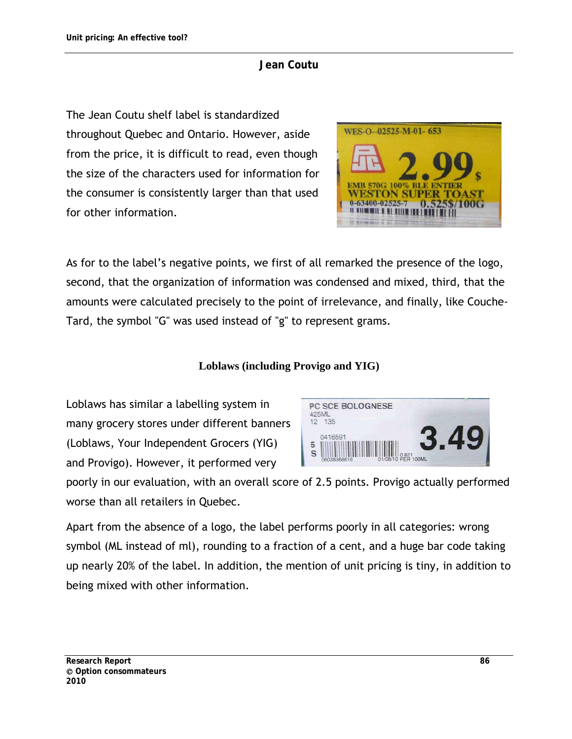#### **Jean Coutu**

The Jean Coutu shelf label is standardized throughout Quebec and Ontario. However, aside from the price, it is difficult to read, even though the size of the characters used for information for the consumer is consistently larger than that used for other information.



As for to the label's negative points, we first of all remarked the presence of the logo, second, that the organization of information was condensed and mixed, third, that the amounts were calculated precisely to the point of irrelevance, and finally, like Couche-Tard, the symbol "G" was used instead of "g" to represent grams.

## **Loblaws (including Provigo and YIG)**

Loblaws has similar a labelling system in many grocery stores under different banners (Loblaws, Your Independent Grocers (YIG) and Provigo). However, it performed very



poorly in our evaluation, with an overall score of 2.5 points. Provigo actually performed worse than all retailers in Quebec.

Apart from the absence of a logo, the label performs poorly in all categories: wrong symbol (ML instead of ml), rounding to a fraction of a cent, and a huge bar code taking up nearly 20% of the label. In addition, the mention of unit pricing is tiny, in addition to being mixed with other information.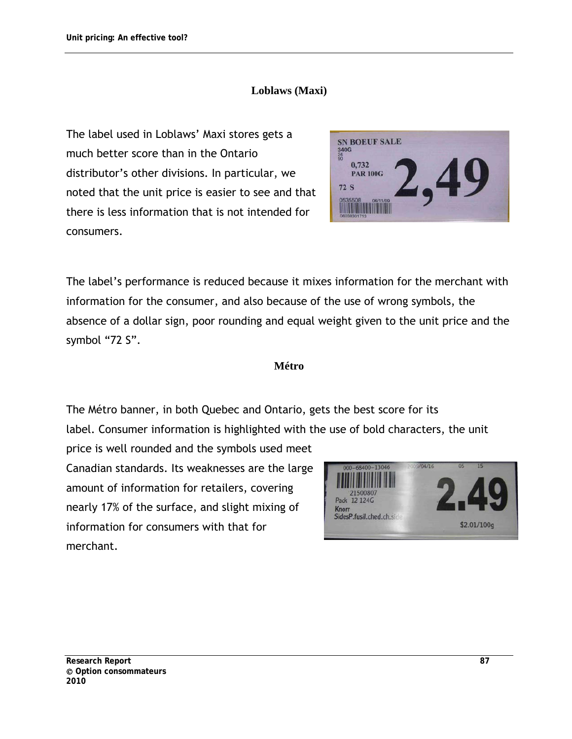#### **Loblaws (Maxi)**

The label used in Loblaws' Maxi stores gets a much better score than in the Ontario distributor's other divisions. In particular, we noted that the unit price is easier to see and that there is less information that is not intended for consumers.

**SN BOEUF SALE** 340G 0,732 **PAR 100G 72 S** 

The label's performance is reduced because it mixes information for the merchant with information for the consumer, and also because of the use of wrong symbols, the absence of a dollar sign, poor rounding and equal weight given to the unit price and the symbol "72 S".

#### **Métro**

The Métro banner, in both Quebec and Ontario, gets the best score for its label. Consumer information is highlighted with the use of bold characters, the unit

price is well rounded and the symbols used meet Canadian standards. Its weaknesses are the large amount of information for retailers, covering nearly 17% of the surface, and slight mixing of information for consumers with that for merchant.

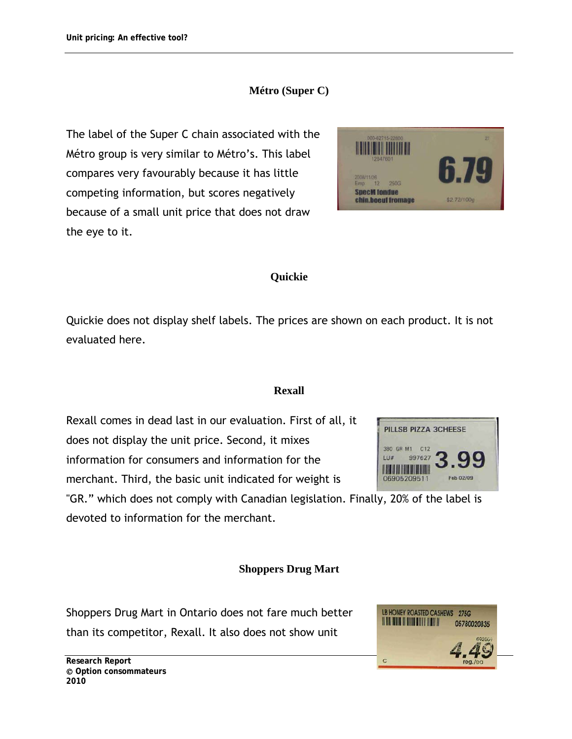## **Métro (Super C)**

The label of the Super C chain associated with the Métro group is very similar to Métro's. This label compares very favourably because it has little competing information, but scores negatively because of a small unit price that does not draw the eye to it.



PILLSB PIZZA 3CHEESE

Feb 02/09

380 GR M1 C12 997627

06905209511

LU# **THE REAL PROPERTY** 

#### **Quickie**

Quickie does not display shelf labels. The prices are shown on each product. It is not evaluated here.

#### **Rexall**

Rexall comes in dead last in our evaluation. First of all, it does not display the unit price. Second, it mixes information for consumers and information for the merchant. Third, the basic unit indicated for weight is

"GR." which does not comply with Canadian legislation. Finally, 20% of the label is devoted to information for the merchant.

#### **Shoppers Drug Mart**

Shoppers Drug Mart in Ontario does not fare much better than its competitor, Rexall. It also does not show unit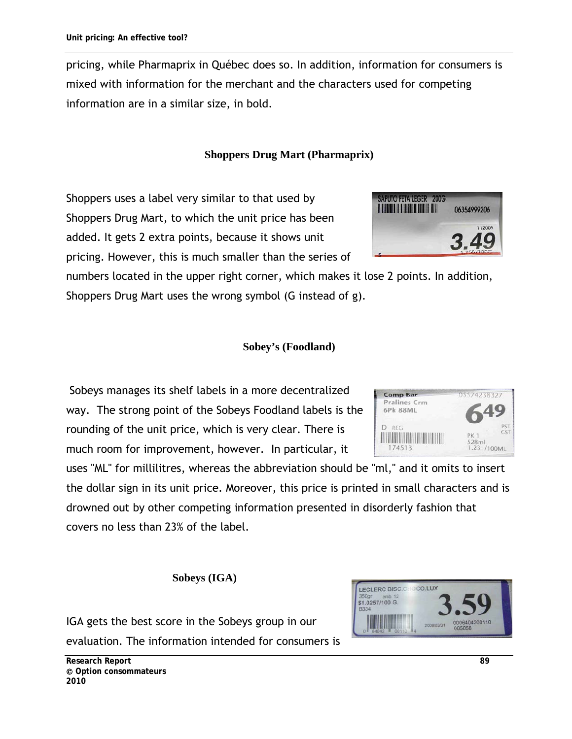pricing, while Pharmaprix in Québec does so. In addition, information for consumers is mixed with information for the merchant and the characters used for competing information are in a similar size, in bold.

## **Shoppers Drug Mart (Pharmaprix)**

Shoppers uses a label very similar to that used by Shoppers Drug Mart, to which the unit price has been added. It gets 2 extra points, because it shows unit pricing. However, this is much smaller than the series of

numbers located in the upper right corner, which makes it lose 2 points. In addition, Shoppers Drug Mart uses the wrong symbol (G instead of g).

#### **Sobey's (Foodland)**

 Sobeys manages its shelf labels in a more decentralized way. The strong point of the Sobeys Foodland labels is the rounding of the unit price, which is very clear. There is much room for improvement, however. In particular, it

uses "ML" for millilitres, whereas the abbreviation should be "ml," and it omits to insert the dollar sign in its unit price. Moreover, this price is printed in small characters and is drowned out by other competing information presented in disorderly fashion that covers no less than 23% of the label.

**Sobeys (IGA)** 

IGA gets the best score in the Sobeys group in our evaluation. The information intended for consumers is





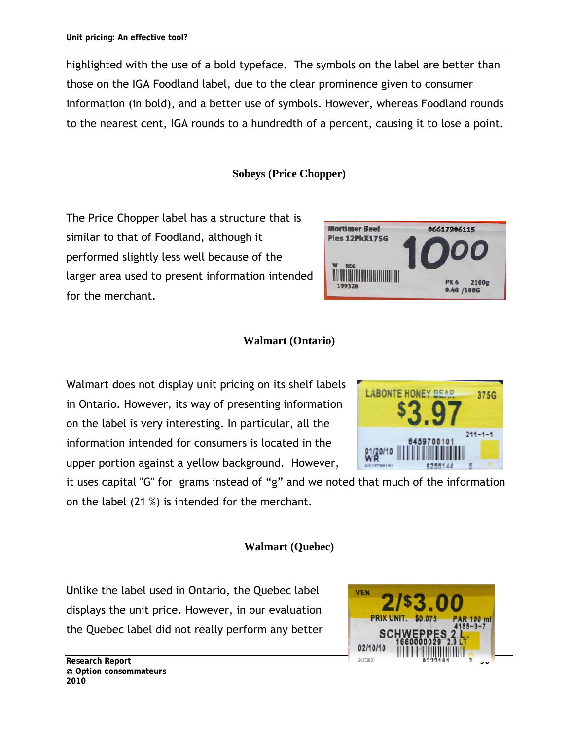highlighted with the use of a bold typeface. The symbols on the label are better than those on the IGA Foodland label, due to the clear prominence given to consumer information (in bold), and a better use of symbols. However, whereas Foodland rounds to the nearest cent, IGA rounds to a hundredth of a percent, causing it to lose a point.

#### **Sobeys (Price Chopper)**

The Price Chopper label has a structure that is similar to that of Foodland, although it performed slightly less well because of the larger area used to present information intended for the merchant.



#### **Walmart (Ontario)**

Walmart does not display unit pricing on its shelf labels in Ontario. However, its way of presenting information on the label is very interesting. In particular, all the information intended for consumers is located in the upper portion against a yellow background. However,

it uses capital "G" for grams instead of "g" and we noted that much of the information on the label (21 %) is intended for the merchant.

#### **Walmart (Quebec)**

Unlike the label used in Ontario, the Quebec label displays the unit price. However, in our evaluation the Quebec label did not really perform any better



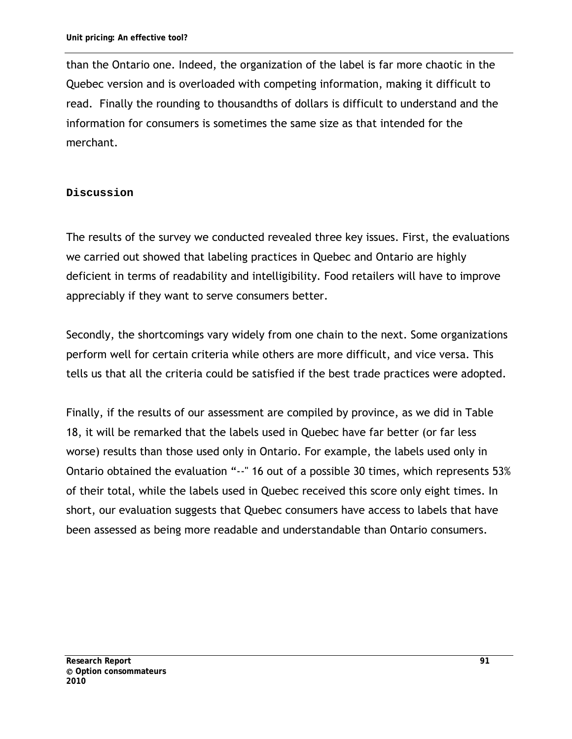than the Ontario one. Indeed, the organization of the label is far more chaotic in the Quebec version and is overloaded with competing information, making it difficult to read. Finally the rounding to thousandths of dollars is difficult to understand and the information for consumers is sometimes the same size as that intended for the merchant.

#### **Discussion**

The results of the survey we conducted revealed three key issues. First, the evaluations we carried out showed that labeling practices in Quebec and Ontario are highly deficient in terms of readability and intelligibility. Food retailers will have to improve appreciably if they want to serve consumers better.

Secondly, the shortcomings vary widely from one chain to the next. Some organizations perform well for certain criteria while others are more difficult, and vice versa. This tells us that all the criteria could be satisfied if the best trade practices were adopted.

Finally, if the results of our assessment are compiled by province, as we did in Table 18, it will be remarked that the labels used in Quebec have far better (or far less worse) results than those used only in Ontario. For example, the labels used only in Ontario obtained the evaluation "--" 16 out of a possible 30 times, which represents 53% of their total, while the labels used in Quebec received this score only eight times. In short, our evaluation suggests that Quebec consumers have access to labels that have been assessed as being more readable and understandable than Ontario consumers.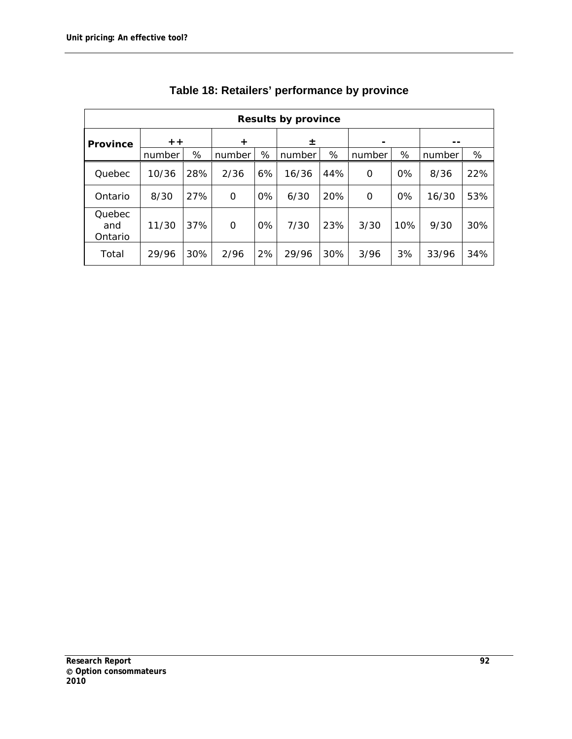| <b>Results by province</b> |            |     |          |       |        |     |        |       |        |     |
|----------------------------|------------|-----|----------|-------|--------|-----|--------|-------|--------|-----|
| <b>Province</b>            | $+ +$<br>÷ |     |          | 士     |        |     |        |       |        |     |
|                            | number     | %   | number   | %     | number | %   | number | %     | number | %   |
| Quebec                     | 10/36      | 28% | 2/36     | 6%    | 16/36  | 44% | O      | $0\%$ | 8/36   | 22% |
| Ontario                    | 8/30       | 27% | 0        | 0%    | 6/30   | 20% | 0      | $0\%$ | 16/30  | 53% |
| Quebec<br>and<br>Ontario   | 11/30      | 37% | $\Omega$ | $0\%$ | 7/30   | 23% | 3/30   | 10%   | 9/30   | 30% |
| Total                      | 29/96      | 30% | 2/96     | 2%    | 29/96  | 30% | 3/96   | 3%    | 33/96  | 34% |

| Table 18: Retailers' performance by province |  |  |
|----------------------------------------------|--|--|
|----------------------------------------------|--|--|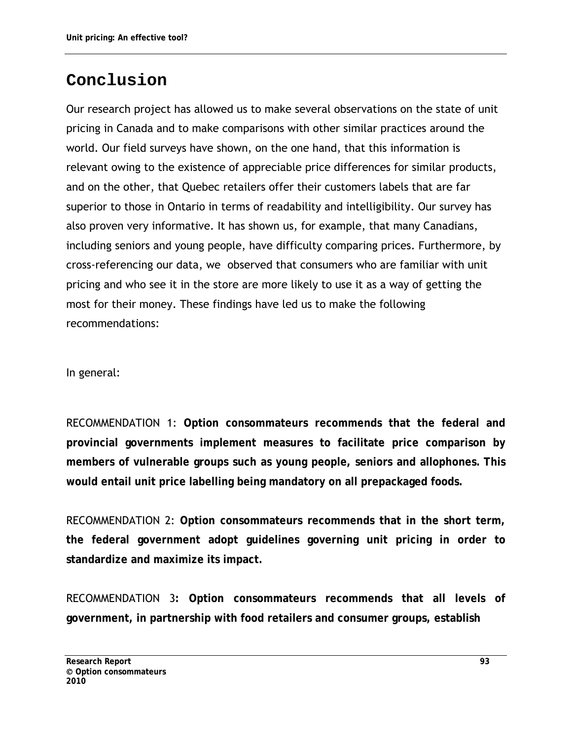# **Conclusion**

Our research project has allowed us to make several observations on the state of unit pricing in Canada and to make comparisons with other similar practices around the world. Our field surveys have shown, on the one hand, that this information is relevant owing to the existence of appreciable price differences for similar products, and on the other, that Quebec retailers offer their customers labels that are far superior to those in Ontario in terms of readability and intelligibility. Our survey has also proven very informative. It has shown us, for example, that many Canadians, including seniors and young people, have difficulty comparing prices. Furthermore, by cross-referencing our data, we observed that consumers who are familiar with unit pricing and who see it in the store are more likely to use it as a way of getting the most for their money. These findings have led us to make the following recommendations:

In general:

RECOMMENDATION 1: **Option consommateurs recommends that the federal and provincial governments implement measures to facilitate price comparison by members of vulnerable groups such as young people, seniors and allophones. This would entail unit price labelling being mandatory on all prepackaged foods.** 

RECOMMENDATION 2: **Option consommateurs recommends that in the short term, the federal government adopt guidelines governing unit pricing in order to standardize and maximize its impact.** 

RECOMMENDATION 3**: Option consommateurs recommends that all levels of government, in partnership with food retailers and consumer groups, establish**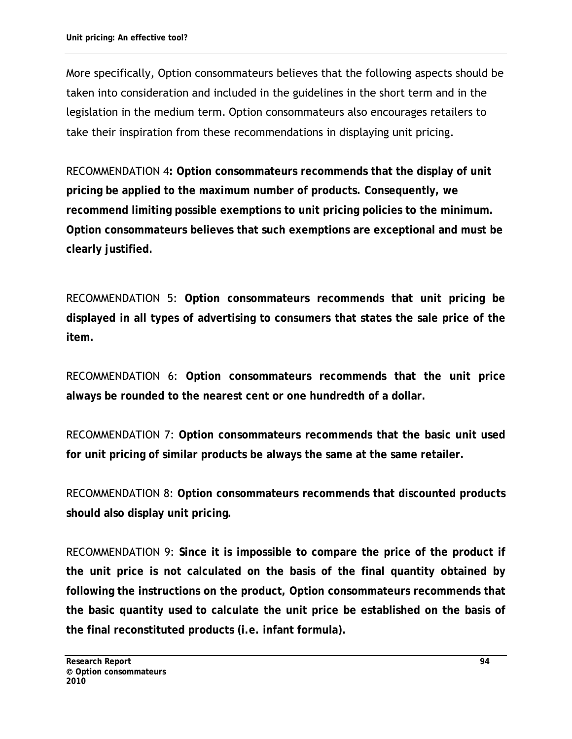More specifically, Option consommateurs believes that the following aspects should be taken into consideration and included in the guidelines in the short term and in the legislation in the medium term. Option consommateurs also encourages retailers to take their inspiration from these recommendations in displaying unit pricing.

RECOMMENDATION 4**: Option consommateurs recommends that the display of unit pricing be applied to the maximum number of products. Consequently, we recommend limiting possible exemptions to unit pricing policies to the minimum. Option consommateurs believes that such exemptions are exceptional and must be clearly justified.**

RECOMMENDATION 5: **Option consommateurs recommends that unit pricing be displayed in all types of advertising to consumers that states the sale price of the item.** 

RECOMMENDATION 6: **Option consommateurs recommends that the unit price always be rounded to the nearest cent or one hundredth of a dollar.** 

RECOMMENDATION 7: **Option consommateurs recommends that the basic unit used for unit pricing of similar products be always the same at the same retailer.** 

RECOMMENDATION 8: **Option consommateurs recommends that discounted products should also display unit pricing.** 

RECOMMENDATION 9: **Since it is impossible to compare the price of the product if the unit price is not calculated on the basis of the final quantity obtained by following the instructions on the product, Option consommateurs recommends that the basic quantity used to calculate the unit price be established on the basis of the final reconstituted products (i.e. infant formula).**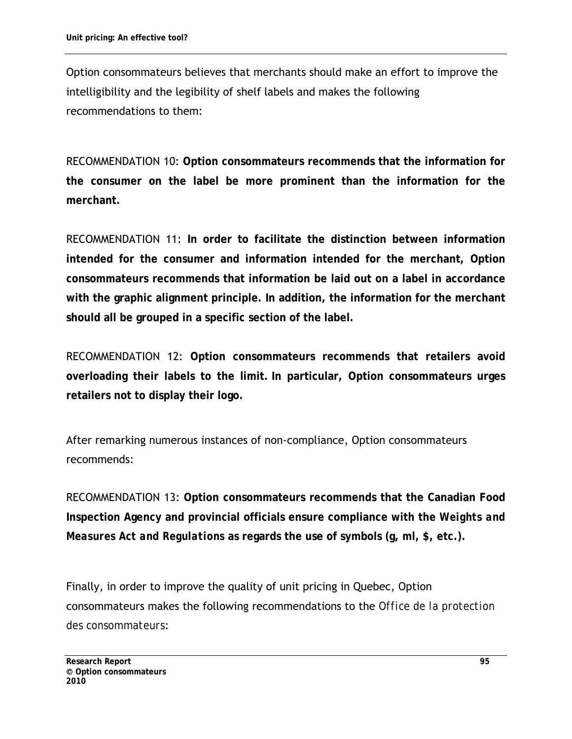Option consommateurs believes that merchants should make an effort to improve the intelligibility and the legibility of shelf labels and makes the following recommendations to them:

RECOMMENDATION 10: **Option consommateurs recommends that the information for the consumer on the label be more prominent than the information for the merchant.** 

RECOMMENDATION 11: **In order to facilitate the distinction between information intended for the consumer and information intended for the merchant, Option consommateurs recommends that information be laid out on a label in accordance with the graphic alignment principle. In addition, the information for the merchant should all be grouped in a specific section of the label.** 

RECOMMENDATION 12: **Option consommateurs recommends that retailers avoid overloading their labels to the limit. In particular, Option consommateurs urges retailers not to display their logo.** 

After remarking numerous instances of non-compliance, Option consommateurs recommends:

RECOMMENDATION 13: **Option consommateurs recommends that the Canadian Food Inspection Agency and provincial officials ensure compliance with the** *Weights and Measures Act and Regulations* **as regards the use of symbols (g, ml, \$, etc.).** 

Finally, in order to improve the quality of unit pricing in Quebec, Option consommateurs makes the following recommendations to the *Office de la protection des consommateurs*: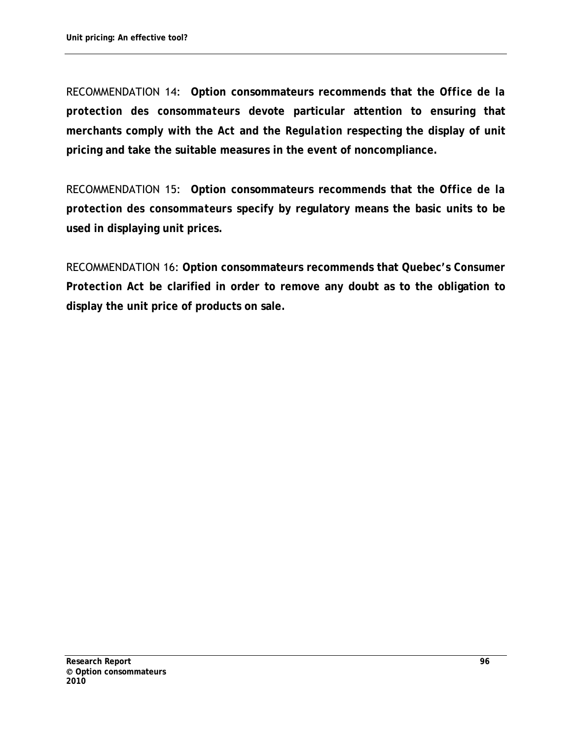RECOMMENDATION 14: **Option consommateurs recommends that the** *Office de la protection des consommateurs* **devote particular attention to ensuring that merchants comply with the** *Act* **and the** *Regulation* **respecting the display of unit pricing and take the suitable measures in the event of noncompliance.** 

RECOMMENDATION 15: **Option consommateurs recommends that the** *Office de la protection des consommateurs* **specify by regulatory means the basic units to be used in displaying unit prices.** 

RECOMMENDATION 16: **Option consommateurs recommends that Quebec's** *Consumer Protection Act* **be clarified in order to remove any doubt as to the obligation to display the unit price of products on sale.**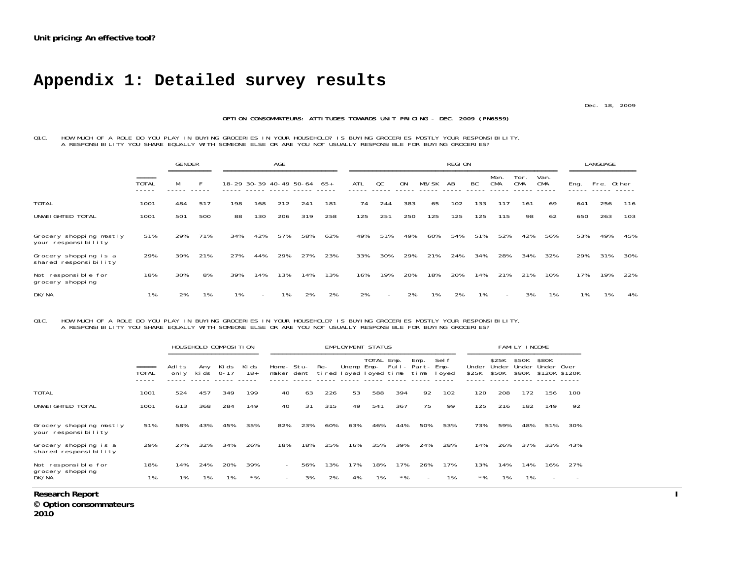## **Appendix 1: Detailed survey results**

Dec. 18, 2009

#### OPTION CONSOMMATEURS: ATTITUDES TOWARDS UNIT PRICING - DEC. 2009 (PN6559)

Q1C. HOW MUCH OF A ROLE DO YOU PLAY IN BUYING GROCERIES IN YOUR HOUSEHOLD? IS BUYING GROCERIES MOSTLY YOUR RESPONSIBILITY,<br>A RESPONSIBILITY YOU SHARE EQUALLY WITH SOMEONE ELSE OR ARE YOU NOT USUALLY RESPONSIBLE FOR BUYING

|                                                |                                 | <b>GENDER</b> |     |     |                          | AGE |                             |     |     |                          |           |       | <b>REGION</b> |     |                    |             |                    |      | LANGUAGE   |     |
|------------------------------------------------|---------------------------------|---------------|-----|-----|--------------------------|-----|-----------------------------|-----|-----|--------------------------|-----------|-------|---------------|-----|--------------------|-------------|--------------------|------|------------|-----|
|                                                | $=$ $=$ $=$ $=$<br><b>TOTAL</b> | М             |     |     |                          |     | 18-29 30-39 40-49 50-64 65+ |     | ATL | QC                       | <b>ON</b> | MB/SK | AB            | BC  | Mon.<br><b>CMA</b> | Tor.<br>CMA | Van.<br><b>CMA</b> | Eng. | Fre. Other |     |
| <b>TOTAL</b>                                   | 1001                            | 484           | 517 | 198 | 168                      | 212 | 241                         | 181 | 74  | 244                      | 383       | 65    | 102           | 133 | 117                | 161         | 69                 | 641  | 256        | 116 |
| UNWEI GHTED TOTAL                              | 1001                            | 501           | 500 | 88  | 130                      | 206 | 319                         | 258 | 125 | 251                      | 250       | 125   | 125           | 125 | 115                | 98          | 62                 | 650  | 263        | 103 |
| Grocery shopping mostly<br>your responsibility | 51%                             | 29%           | 71% | 34% | 42%                      | 57% | 58%                         | 62% | 49% | 51%                      | 49%       | 60%   | 54%           | 51% | 52%                | 42%         | 56%                | 53%  | 49%        | 45% |
| Grocery shopping is a<br>shared responsibility | 29%                             | 39%           | 21% | 27% | 44%                      | 29% | 27%                         | 23% | 33% | 30%                      | 29%       | 21%   | 24%           | 34% | 28%                | 34%         | 32%                | 29%  | 31%        | 30% |
| Not responsible for<br>grocery shopping        | 18%                             | 30%           | 8%  | 39% | 14%                      | 13% | 14%                         | 13% | 16% | 19%                      | 20%       | 18%   | 20%           | 14% | 21%                | 21%         | 10%                | 17%  | 19%        | 22% |
| DK/NA                                          | 1%                              | 2%            | 1%  | 1%  | $\overline{\phantom{a}}$ | 1%  | 2%                          | 2%  | 2%  | $\overline{\phantom{a}}$ | 2%        | 1%    | 2%            | 1%  | $\sim$             | 3%          | 1%                 | 1%   | 1%         | 4%  |

Q1C. HOW MUCH OF A ROLE DO YOU PLAY IN BUYING GROCERIES IN YOUR HOUSEHOLD? IS BUYING GROCERIES MOSTLY YOUR RESPONSIBILITY,<br>A RESPONSIBILITY YOU SHARE EQUALLY WITH SOMEONE ELSE OR ARE YOU NOT USUALLY RESPONSIBLE FOR BUYING

|                                                |              |                 | HOUSEHOLD COMPOSITION |       |                |                          |                                                      |     | <b>EMPLOYMENT STATUS</b> |            |       |                                |                         |                |                         | FAMILY INCOME           |                |                       |
|------------------------------------------------|--------------|-----------------|-----------------------|-------|----------------|--------------------------|------------------------------------------------------|-----|--------------------------|------------|-------|--------------------------------|-------------------------|----------------|-------------------------|-------------------------|----------------|-----------------------|
|                                                | <b>TOTAL</b> | Adl ts<br>onl y | Any<br>ki ds 0-17     | Ki ds | Ki ds<br>$18+$ |                          | Home- Stu-<br>maker dent tired loyed loyed time time | Re- |                          | TOTAL Emp. |       | Emp.<br>Unemp Emp- Full- Part- | Sel f<br>Emp-<br>I oyed | Under<br>\$25K | \$25K<br>Under<br>\$50K | \$50K<br>Under<br>\$80K | \$80K<br>Under | 0ver<br>\$120K \$120K |
| <b>TOTAL</b>                                   | 1001         | 524             | 457                   | 349   | 199            | 40                       | 63                                                   | 226 | 53                       | 588        | 394   | 92                             | 102                     | 120            | 208                     | 172                     | 156            | 100                   |
| UNWEI GHTED TOTAL                              | 1001         | 613             | 368                   | 284   | 149            | 40                       | 31                                                   | 315 | 49                       | 541        | 367   | 75                             | 99                      | 125            | 216                     | 182                     | 149            | 92                    |
| Grocery shopping mostly<br>your responsibility | 51%          | 58%             | 43%                   | 45%   | 35%            | 82%                      | 23%                                                  | 60% | 63%                      | 46%        | 44%   | 50%                            | 53%                     | 73%            | 59%                     | 48%                     | 51%            | 30%                   |
| Grocery shopping is a<br>shared responsibility | 29%          | 27%             | 32%                   | 34%   | 26%            | 18%                      | 18%                                                  | 25% | 16%                      | 35%        | 39%   | 24%                            | 28%                     | 14%            | 26%                     | 37%                     | 33%            | 43%                   |
| Not responsible for                            | 18%          | 14%             | 24%                   | 20%   | 39%            | $\sim$                   | 56%                                                  | 13% | 17%                      | 18%        | 17%   | 26%                            | 17%                     | 13%            | 14%                     | 14%                     | 16%            | 27%                   |
| grocery shopping<br>DK/NA                      | $1\%$        | 1%              | 1%                    | 1%    | $*$ %          | $\overline{\phantom{0}}$ | 3%                                                   | 2%  | 4%                       | 1%         | $*$ % | $\overline{\phantom{0}}$       | $1\%$                   | $*$ %          | 1%                      | 1%                      |                |                       |

**Research Report I** 

 **Option consommateurs**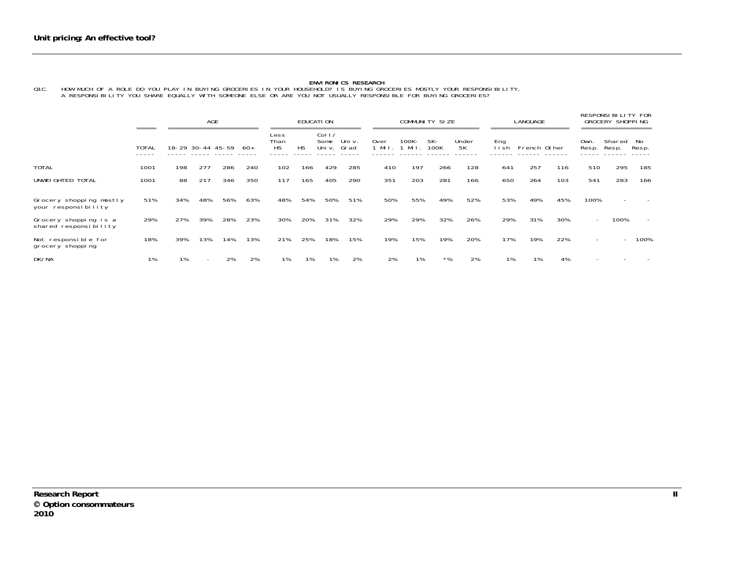ENVIRONICS RESEARCH<br>Q1C. HOW MUCH OF A ROLE DO YOU PLAY IN BUYING GROCERIES IN YOUR HOUSEHOLD? IS BUYING GROCERIES MOSTLY YOUR RESPONSIBILITY,<br>A RESPONSIBILITY YOU SHARE EQUALLY WITH SOMEONE ELSE OR ARE YOU NOT USUALLY RES

|                                                |       |     | AGE<br>;================= |     |      |                           |           | <b>EDUCATION</b>        |                |                  |               | COMMUNITY SIZE |             |               | <b>LANGUAGE</b> |     |               | RESPONSIBILITY FOR<br><b>GROCERY SHOPPING</b><br>============ |                          |
|------------------------------------------------|-------|-----|---------------------------|-----|------|---------------------------|-----------|-------------------------|----------------|------------------|---------------|----------------|-------------|---------------|-----------------|-----|---------------|---------------------------------------------------------------|--------------------------|
|                                                | TOTAL |     | 18-29 30-44 45-59         |     | -60+ | Less<br>Than<br><b>HS</b> | <b>HS</b> | Col 1<br>Some<br>Uni v. | Uni v.<br>Grad | 0ver<br>$1$ Mil. | 100K-<br>Mil. | 5K-<br>100K    | Under<br>5K | Eng<br>l i sh | French Other    |     | Own.<br>Resp. | Shared<br>Resp.                                               | No<br>Resp.              |
| <b>TOTAL</b>                                   | 1001  | 198 | 277                       | 286 | 240  | 102                       | 166       | 429                     | 285            | 410              | 197           | 266            | 128         | 641           | 257             | 116 | 510           | 295                                                           | 185                      |
| UNWEI GHTED TOTAL                              | 1001  | 88  | 217                       | 346 | 350  | 117                       | 165       | 405                     | 290            | 351              | 203           | 281            | 166         | 650           | 264             | 103 | 541           | 283                                                           | 166                      |
| Grocery shopping mostly<br>your responsibility | 51%   | 34% | 48%                       | 56% | 63%  | 48%                       | 54%       | 50%                     | 51%            | 50%              | 55%           | 49%            | 52%         | 53%           | 49%             | 45% | 100%          |                                                               |                          |
| Grocery shopping is a<br>shared responsibility | 29%   | 27% | 39%                       | 28% | 23%  | 30%                       | 20%       | 31%                     | 32%            | 29%              | 29%           | 32%            | 26%         | 29%           | 31%             | 30% |               | 100%                                                          | $\overline{\phantom{a}}$ |
| Not responsible for<br>grocery shopping        | 18%   | 39% | 13%                       | 14% | 13%  | 21%                       | 25%       | 18%                     | 15%            | 19%              | 15%           | 19%            | 20%         | 17%           | 19%             | 22% |               | $\overline{\phantom{0}}$                                      | 100%                     |
| DK/NA                                          | 1%    | 1%  |                           | 2%  | 2%   | 1%                        | 1%        | 1%                      | 2%             | 2%               | 1%            | *%             | 2%          | 1%            | 1%              | 4%  |               |                                                               |                          |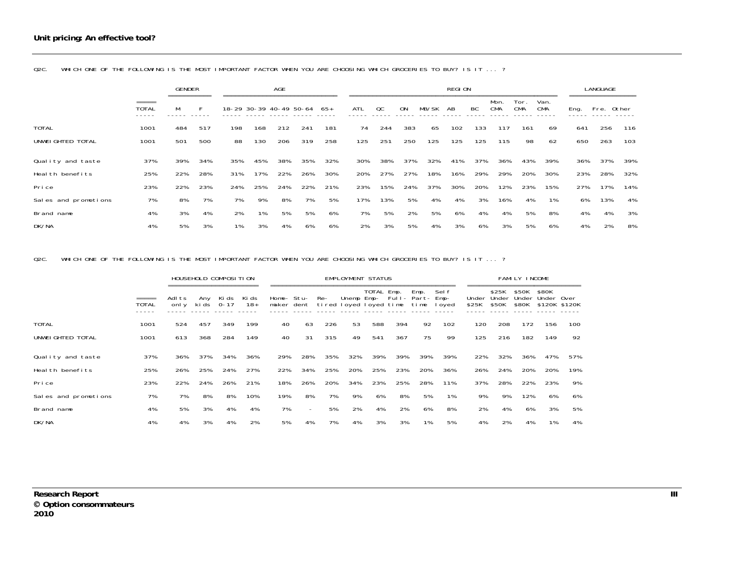|                      |                                 | <b>GENDER</b><br>========== |     |     | <b>AGE</b><br>18-29 30-39 40-49 50-64 |     |     |     |     |     |     |       | REGI ON |     |                    |                   |                    |      | <b>LANGUAGE</b> |     |
|----------------------|---------------------------------|-----------------------------|-----|-----|---------------------------------------|-----|-----|-----|-----|-----|-----|-------|---------|-----|--------------------|-------------------|--------------------|------|-----------------|-----|
|                      | $=$ $=$ $=$ $=$<br><b>TOTAL</b> | М                           | F.  |     |                                       |     |     | 65+ | ATL | QC  | ON  | MB/SK | AB      | BC  | Mon.<br><b>CMA</b> | Tor<br><b>CMA</b> | Van.<br><b>CMA</b> | Eng. | Fre. Other      |     |
| <b>TOTAL</b>         | 1001                            | 484                         | 517 | 198 | 168                                   | 212 | 241 | 181 | 74  | 244 | 383 | 65    | 102     | 133 | 117                | 161               | 69                 | 641  | 256             | 116 |
| UNWEI GHTED TOTAL    | 1001                            | 501                         | 500 | 88  | 130                                   | 206 | 319 | 258 | 125 | 251 | 250 | 125   | 125     | 125 | 115                | 98                | 62                 | 650  | 263             | 103 |
| Quality and taste    | 37%                             | 39%                         | 34% | 35% | 45%                                   | 38% | 35% | 32% | 30% | 38% | 37% | 32%   | 41%     | 37% | 36%                | 43%               | 39%                | 36%  | 37%             | 39% |
| Heal th benefits     | 25%                             | 22%                         | 28% | 31% | 17%                                   | 22% | 26% | 30% | 20% | 27% | 27% | 18%   | 16%     | 29% | 29%                | 20%               | 30%                | 23%  | 28%             | 32% |
| Pri ce               | 23%                             | 22%                         | 23% | 24% | 25%                                   | 24% | 22% | 21% | 23% | 15% | 24% | 37%   | 30%     | 20% | 12%                | 23%               | 15%                | 27%  | 17%             | 14% |
| Sales and promotions | 7%                              | 8%                          | 7%  | 7%  | 9%                                    | 8%  | 7%  | 5%  | 17% | 13% | 5%  | 4%    | 4%      | 3%  | 16%                | 4%                | 1%                 | 6%   | 13%             | 4%  |
| Brand name           | 4%                              | 3%                          | 4%  | 2%  | 1%                                    | 5%  | 5%  | 6%  | 7%  | 5%  | 2%  | 5%    | 6%      | 4%  | 4%                 | 5%                | 8%                 | 4%   | 4%              | 3%  |
| DK/NA                | 4%                              | 5%                          | 3%  | 1%  | 3%                                    | 4%  | 6%  | 6%  | 2%  | 3%  | 5%  | 4%    | 3%      | 6%  | 3%                 | 5%                | 6%                 | 4%   | 2%              | 8%  |

Q2C. WHICH ONE OF THE FOLLOWING IS THE MOST IMPORTANT FACTOR WHEN YOU ARE CHOOSING WHICH GROCERIES TO BUY? IS IT ... ?

Q2C. WHICH ONE OF THE FOLLOWING IS THE MOST IMPORTANT FACTOR WHEN YOU ARE CHOOSING WHICH GROCERIES TO BUY? IS IT ... ?

|                      |                                 |                 |              | HOUSEHOLD COMPOSITION |                |                          |                          |                               | EMPLOYMENT STATUS           |            |     |              |                 |                |                         | FAMILY INCOME           |                     |               |
|----------------------|---------------------------------|-----------------|--------------|-----------------------|----------------|--------------------------|--------------------------|-------------------------------|-----------------------------|------------|-----|--------------|-----------------|----------------|-------------------------|-------------------------|---------------------|---------------|
|                      | $=$ $=$ $=$ $=$<br><b>TOTAL</b> | Adl ts<br>onl y | Any<br>ki ds | Kids<br>$0 - 17$      | Ki ds<br>$18+$ | Home- Stu-<br>maker dent |                          | Re-<br>tired loyed loyed time | Unemp Emp- Full- Part- Emp- | TOTAL Emp. |     | Emp.<br>time | Sel f<br>I oyed | Under<br>\$25K | \$25K<br>Under<br>\$50K | \$50K<br>Under<br>\$80K | \$80K<br>Under Over | \$120K \$120K |
| <b>TOTAL</b>         | 1001                            | 524             | 457          | 349                   | 199            | 40                       | 63                       | 226                           | 53                          | 588        | 394 | 92           | 102             | 120            | 208                     | 172                     | 156                 | 100           |
| UNWEI GHTED TOTAL    | 1001                            | 613             | 368          | 284                   | 149            | 40                       | 31                       | 315                           | 49                          | 541        | 367 | 75           | 99              | 125            | 216                     | 182                     | 149                 | 92            |
| Quality and taste    | 37%                             | 36%             | 37%          | 34%                   | 36%            | 29%                      | 28%                      | 35%                           | 32%                         | 39%        | 39% | 39%          | 39%             | 22%            | 32%                     | 36%                     | 47%                 | 57%           |
| Heal th benefits     | 25%                             | 26%             | 25%          | 24%                   | 27%            | 22%                      | 34%                      | 25%                           | 20%                         | 25%        | 23% | 20%          | 36%             | 26%            | 24%                     | 20%                     | 20%                 | 19%           |
| Pri ce               | 23%                             | 22%             | 24%          | 26%                   | 21%            | 18%                      | 26%                      | 20%                           | 34%                         | 23%        | 25% | 28%          | 11%             | 37%            | 28%                     | 22%                     | 23%                 | 9%            |
| Sales and promotions | 7%                              | 7%              | 8%           | 8%                    | 10%            | 19%                      | 8%                       | 7%                            | 9%                          | 6%         | 8%  | 5%           | 1%              | 9%             | 9%                      | 12%                     | 6%                  | 6%            |
| Brand name           | 4%                              | 5%              | 3%           | 4%                    | 4%             | 7%                       | $\overline{\phantom{0}}$ | 5%                            | 2%                          | 4%         | 2%  | 6%           | 8%              | 2%             | 4%                      | 6%                      | 3%                  | 5%            |
| DK/NA                | 4%                              | 4%              | 3%           | 4%                    | 2%             | 5%                       | 4%                       | 7%                            | 4%                          | 3%         | 3%  | 1%           | 5%              | 4%             | 2%                      | 4%                      | 1%                  | 4%            |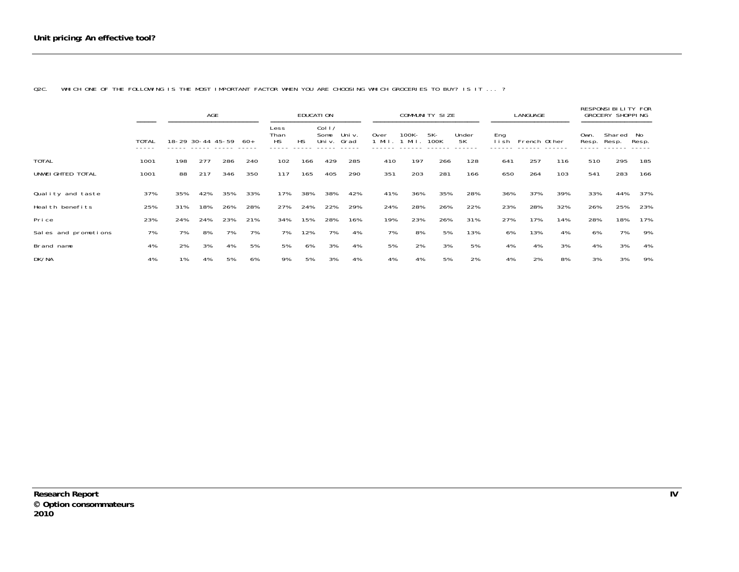Q2C. WHICH ONE OF THE FOLLOWING IS THE MOST IMPORTANT FACTOR WHEN YOU ARE CHOOSING WHICH GROCERIES TO BUY? IS IT ... ?

|                      |                                 |     | AGE                                    |     |      |                           |     | EDUCATI ON                         |                           |                  |               | COMMUNITY SIZE                       |             |             | LANGUAGE                             |     |                     | RESPONSI BILITY FOR<br><b>GROCERY SHOPPING</b> |             |
|----------------------|---------------------------------|-----|----------------------------------------|-----|------|---------------------------|-----|------------------------------------|---------------------------|------------------|---------------|--------------------------------------|-------------|-------------|--------------------------------------|-----|---------------------|------------------------------------------------|-------------|
|                      | $=$ $=$ $=$ $=$<br><b>TOTAL</b> |     | -----------------<br>18-29 30-44 45-59 |     | -60+ | Less<br>Than<br><b>HS</b> | HS  | Col <sub>1</sub><br>Some<br>Uni v. | =======<br>Uni v.<br>Grad | 0ver<br>$1$ Mil. | 100K-<br>Mi I | =====================<br>5K-<br>100K | Under<br>5K | Eng<br>lish | --------------------<br>French Other |     | Own.<br>Resp. Resp. | ==================<br>Shared                   | No<br>Resp. |
| <b>TOTAL</b>         | 1001                            | 198 | 277                                    | 286 | 240  | 102                       | 166 | 429                                | 285                       | 410              | 197           | 266                                  | 128         | 641         | 257                                  | 116 | 510                 | 295                                            | 185         |
| UNWEI GHTED TOTAL    | 1001                            | 88  | 217                                    | 346 | 350  | 117                       | 165 | 405                                | 290                       | 351              | 203           | 281                                  | 166         | 650         | 264                                  | 103 | 541                 | 283                                            | 166         |
| Quality and taste    | 37%                             | 35% | 42%                                    | 35% | 33%  | 17%                       | 38% | 38%                                | 42%                       | 41%              | 36%           | 35%                                  | 28%         | 36%         | 37%                                  | 39% | 33%                 | 44%                                            | 37%         |
| Heal th benefits     | 25%                             | 31% | 18%                                    | 26% | 28%  | 27%                       | 24% | 22%                                | 29%                       | 24%              | 28%           | 26%                                  | 22%         | 23%         | 28%                                  | 32% | 26%                 | 25%                                            | 23%         |
| Pri ce               | 23%                             | 24% | 24%                                    | 23% | 21%  | 34%                       | 15% | 28%                                | 16%                       | 19%              | 23%           | 26%                                  | 31%         | 27%         | 17%                                  | 14% | 28%                 | 18%                                            | 17%         |
| Sales and promotions | 7%                              | 7%  | 8%                                     | 7%  | 7%   | 7%                        | 12% | 7%                                 | 4%                        | 7%               | 8%            | 5%                                   | 13%         | 6%          | 13%                                  | 4%  | 6%                  | 7%                                             | 9%          |
| Brand name           | 4%                              | 2%  | 3%                                     | 4%  | 5%   | 5%                        | 6%  | 3%                                 | 4%                        | 5%               | 2%            | 3%                                   | 5%          | 4%          | 4%                                   | 3%  | 4%                  | 3%                                             | 4%          |
| DK/NA                | 4%                              | 1%  | 4%                                     | 5%  | 6%   | 9%                        | 5%  | 3%                                 | 4%                        | 4%               | 4%            | 5%                                   | 2%          | 4%          | 2%                                   | 8%  | 3%                  | 3%                                             | 9%          |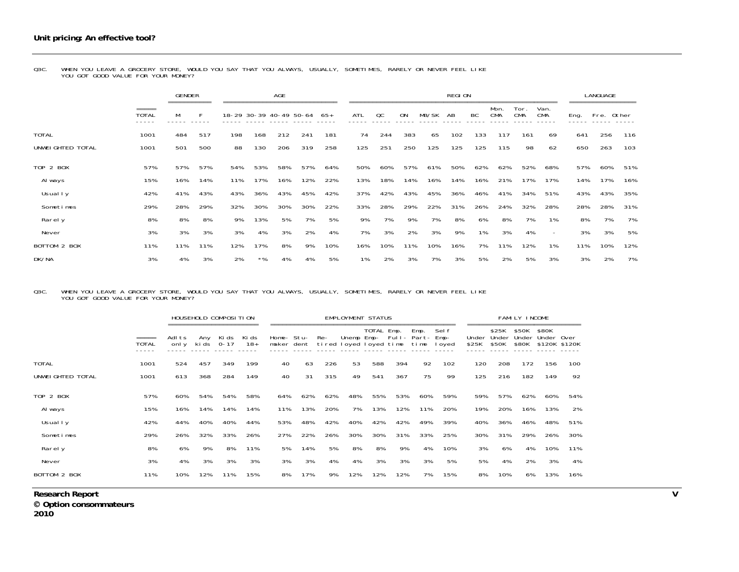Q3C. WHEN YOU LEAVE A GROCERY STORE, WOULD YOU SAY THAT YOU ALWAYS, USUALLY, SOMETIMES, RARELY OR NEVER FEEL LIKE<br>YOU GOT GOOD VALUE FOR YOUR MONEY?

|                   |                       | <b>GENDER</b> |     |     |                         | <b>AGE</b> |     |       |     |     |           |       | REGION |     |                    |                    |                          |      | LANGUAGE |       |
|-------------------|-----------------------|---------------|-----|-----|-------------------------|------------|-----|-------|-----|-----|-----------|-------|--------|-----|--------------------|--------------------|--------------------------|------|----------|-------|
|                   | =====<br><b>TOTAL</b> | М             | F   |     | 18-29 30-39 40-49 50-64 |            |     | $65+$ | ATL | QC  | <b>ON</b> | MB/SK | AB     | BC  | Mon.<br><b>CMA</b> | Tor.<br><b>CMA</b> | Van.<br><b>CMA</b>       | Eng. | Fre.     | Other |
| <b>TOTAL</b>      | 1001                  | 484           | 517 | 198 | 168                     | 212        | 241 | 181   | 74  | 244 | 383       | 65    | 102    | 133 | 117                | 161                | 69                       | 641  | 256      | 116   |
| UNWEI GHTED TOTAL | 1001                  | 501           | 500 | 88  | 130                     | 206        | 319 | 258   | 125 | 251 | 250       | 125   | 125    | 125 | 115                | 98                 | 62                       | 650  | 263      | 103   |
| TOP 2 BOX         | 57%                   | 57%           | 57% | 54% | 53%                     | 58%        | 57% | 64%   | 50% | 60% | 57%       | 61%   | 50%    | 62% | 62%                | 52%                | 68%                      | 57%  | 60%      | 51%   |
| Al ways           | 15%                   | 16%           | 14% | 11% | 17%                     | 16%        | 12% | 22%   | 13% | 18% | 14%       | 16%   | 14%    | 16% | 21%                | 17%                | 17%                      | 14%  | 17%      | 16%   |
| Usual I y         | 42%                   | 41%           | 43% | 43% | 36%                     | 43%        | 45% | 42%   | 37% | 42% | 43%       | 45%   | 36%    | 46% | 41%                | 34%                | 51%                      | 43%  | 43%      | 35%   |
| Sometimes         | 29%                   | 28%           | 29% | 32% | 30%                     | 30%        | 30% | 22%   | 33% | 28% | 29%       | 22%   | 31%    | 26% | 24%                | 32%                | 28%                      | 28%  | 28%      | 31%   |
| Rarely            | 8%                    | 8%            | 8%  | 9%  | 13%                     | 5%         | 7%  | 5%    | 9%  | 7%  | 9%        | 7%    | 8%     | 6%  | 8%                 | 7%                 | 1%                       | 8%   | 7%       | 7%    |
| Never             | 3%                    | 3%            | 3%  | 3%  | 4%                      | 3%         | 2%  | 4%    | 7%  | 3%  | 2%        | 3%    | 9%     | 1%  | 3%                 | 4%                 | $\overline{\phantom{0}}$ | 3%   | 3%       | 5%    |
| BOTTOM 2 BOX      | 11%                   | 11%           | 11% | 12% | 17%                     | 8%         | 9%  | 10%   | 16% | 10% | 11%       | 10%   | 16%    | 7%  | 11%                | 12%                | 1%                       | 11%  | 10%      | 12%   |
| DK/NA             | 3%                    | 4%            | 3%  | 2%  | $*$ %                   | 4%         | 4%  | 5%    | 1%  | 2%  | 3%        | 7%    | 3%     | 5%  | 2%                 | 5%                 | 3%                       | 3%   | 2%       | 7%    |

### Q3C. WHEN YOU LEAVE A GROCERY STORE, WOULD YOU SAY THAT YOU ALWAYS, USUALLY, SOMETIMES, RARELY OR NEVER FEEL LIKE<br>YOU GOT GOOD VALUE FOR YOUR MONEY?

|                   |                       |                |            | HOUSEHOLD COMPOSITION |                |                          |     |                               | <b>EMPLOYMENT STATUS</b> |            |     |              |                         |                |                         | <b>FAMILY INCOME</b>    |                                      |     |
|-------------------|-----------------------|----------------|------------|-----------------------|----------------|--------------------------|-----|-------------------------------|--------------------------|------------|-----|--------------|-------------------------|----------------|-------------------------|-------------------------|--------------------------------------|-----|
|                   | =====<br><b>TOTAL</b> | Adlts<br>onl y | ki ds 0-17 | Any Kids              | Ki ds<br>$18+$ | Home- Stu-<br>maker dent |     | Re-<br>tired loyed loyed time | Unemp Emp- Full- Part-   | TOTAL Emp. |     | Emp.<br>time | Sel f<br>Emp-<br>I oyed | Under<br>\$25K | \$25K<br>Under<br>\$50K | \$50K<br>Under<br>\$80K | \$80K<br>Under Over<br>\$120K \$120K |     |
| <b>TOTAL</b>      | 1001                  | 524            | 457        | 349                   | 199            | 40                       | 63  | 226                           | 53                       | 588        | 394 | 92           | 102                     | 120            | 208                     | 172                     | 156                                  | 100 |
| UNWEI GHTED TOTAL | 1001                  | 613            | 368        | 284                   | 149            | 40                       | 31  | 315                           | 49                       | 541        | 367 | 75           | 99                      | 125            | 216                     | 182                     | 149                                  | 92  |
| TOP 2 BOX         | 57%                   | 60%            | 54%        | 54%                   | 58%            | 64%                      | 62% | 62%                           | 48%                      | 55%        | 53% | 60%          | 59%                     | 59%            | 57%                     | 62%                     | 60%                                  | 54% |
| Al ways           | 15%                   | 16%            | 14%        | 14%                   | 14%            | 11%                      | 13% | 20%                           | 7%                       | 13%        | 12% | 11%          | 20%                     | 19%            | 20%                     | 16%                     | 13%                                  | 2%  |
| Usual I y         | 42%                   | 44%            | 40%        | 40%                   | 44%            | 53%                      | 48% | 42%                           | 40%                      | 42%        | 42% | 49%          | 39%                     | 40%            | 36%                     | 46%                     | 48%                                  | 51% |
| Sometimes         | 29%                   | 26%            | 32%        | 33%                   | 26%            | 27%                      | 22% | 26%                           | 30%                      | 30%        | 31% | 33%          | 25%                     | 30%            | 31%                     | 29%                     | 26%                                  | 30% |
| Rarely            | 8%                    | 6%             | 9%         | 8%                    | 11%            | 5%                       | 14% | 5%                            | 8%                       | 8%         | 9%  | 4%           | 10%                     | 3%             | 6%                      | 4%                      | 10%                                  | 11% |
| Never             | 3%                    | 4%             | 3%         | 3%                    | 3%             | 3%                       | 3%  | 4%                            | 4%                       | 3%         | 3%  | 3%           | 5%                      | 5%             | 4%                      | 2%                      | 3%                                   | 4%  |
| BOTTOM 2 BOX      | 11%                   | 10%            | 12%        | 11%                   | 15%            | 8%                       | 17% | 9%                            | 12%                      | 12%        | 12% | 7%           | 15%                     | 8%             | 10%                     | 6%                      | 13%                                  | 16% |

**Research Report V** 

 **Option consommateurs** 

**2010**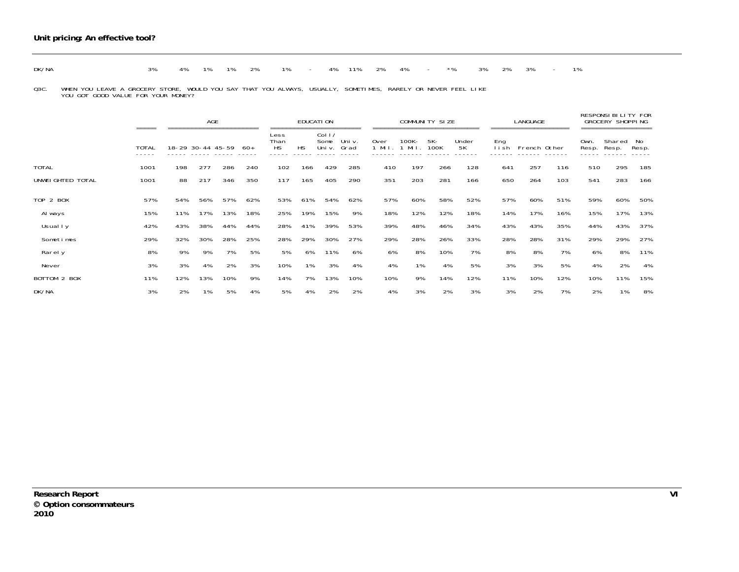|  | DK/NA | 3% 4% 1% 1% 2% 1% - 4% 11% 2% 4% - *% 3% 2% 3% - 1% |  |  |  |  |  |  |  |  |  |  |  |  |  |  |  |  |  |
|--|-------|-----------------------------------------------------|--|--|--|--|--|--|--|--|--|--|--|--|--|--|--|--|--|
|--|-------|-----------------------------------------------------|--|--|--|--|--|--|--|--|--|--|--|--|--|--|--|--|--|

Q3C. WHEN YOU LEAVE A GROCERY STORE, WOULD YOU SAY THAT YOU ALWAYS, USUALLY, SOMETIMES, RARELY OR NEVER FEEL LIKE<br>YOU GOT GOOD VALUE FOR YOUR MONEY?

|                   | $=$ $=$ $=$ $=$ |     | AGE<br>----------------------- |     |     |                           |           | EDUCATI ON                         | ========       |                  | =========================== | <b>COMMUNITY SIZE</b> |             |               | LANGUAGE<br>============== |     |               | RESPONSIBILITY FOR<br><b>GROCERY SHOPPING</b> |             |
|-------------------|-----------------|-----|--------------------------------|-----|-----|---------------------------|-----------|------------------------------------|----------------|------------------|-----------------------------|-----------------------|-------------|---------------|----------------------------|-----|---------------|-----------------------------------------------|-------------|
|                   | <b>TOTAL</b>    |     | 18-29 30-44 45-59              |     | -60 | Less<br>Than<br><b>HS</b> | <b>HS</b> | Col <sub>1</sub><br>Some<br>Uni v. | Uni v.<br>Grad | 0ver<br>1 Mil. 1 | 100K-<br>Mil.               | 5K-<br>100K           | Under<br>5K | Eng<br>l i sh | French Other               |     | Own.<br>Resp. | Shared<br>Resp.                               | No<br>Resp. |
| <b>TOTAL</b>      | 1001            | 198 | 277                            | 286 | 240 | 102                       | 166       | 429                                | 285            | 410              | 197                         | 266                   | 128         | 641           | 257                        | 116 | 510           | 295                                           | 185         |
| UNWEI GHTED TOTAL | 1001            | 88  | 217                            | 346 | 350 | 117                       | 165       | 405                                | 290            | 351              | 203                         | 281                   | 166         | 650           | 264                        | 103 | 541           | 283                                           | 166         |
| <b>TOP 2 BOX</b>  | 57%             | 54% | 56%                            | 57% | 62% | 53%                       | 61%       | 54%                                | 62%            | 57%              | 60%                         | 58%                   | 52%         | 57%           | 60%                        | 51% | 59%           | 60%                                           | 50%         |
| Al ways           | 15%             | 11% | 17%                            | 13% | 18% | 25%                       | 19%       | 15%                                | 9%             | 18%              | 12%                         | 12%                   | 18%         | 14%           | 17%                        | 16% | 15%           | 17%                                           | 13%         |
| Usual I y         | 42%             | 43% | 38%                            | 44% | 44% | 28%                       | 41%       | 39%                                | 53%            | 39%              | 48%                         | 46%                   | 34%         | 43%           | 43%                        | 35% | 44%           | 43%                                           | 37%         |
| Sometimes         | 29%             | 32% | 30%                            | 28% | 25% | 28%                       | 29%       | 30%                                | 27%            | 29%              | 28%                         | 26%                   | 33%         | 28%           | 28%                        | 31% | 29%           | 29%                                           | 27%         |
| Rarely            | 8%              | 9%  | 9%                             | 7%  | 5%  | 5%                        | 6%        | 11%                                | 6%             | 6%               | 8%                          | 10%                   | 7%          | 8%            | 8%                         | 7%  | 6%            | 8%                                            | 11%         |
| Never             | 3%              | 3%  | 4%                             | 2%  | 3%  | 10%                       | 1%        | 3%                                 | 4%             | 4%               | 1%                          | 4%                    | 5%          | 3%            | 3%                         | 5%  | 4%            | 2%                                            | 4%          |
| BOTTOM 2 BOX      | 11%             | 12% | 13%                            | 10% | 9%  | 14%                       | 7%        | 13%                                | 10%            | 10%              | 9%                          | 14%                   | 12%         | 11%           | 10%                        | 12% | 10%           | 11%                                           | 15%         |
| DK/NA             | 3%              | 2%  | 1%                             | 5%  | 4%  | 5%                        | 4%        | 2%                                 | 2%             | 4%               | 3%                          | 2%                    | 3%          | 3%            | 2%                         | 7%  | 2%            | 1%                                            | 8%          |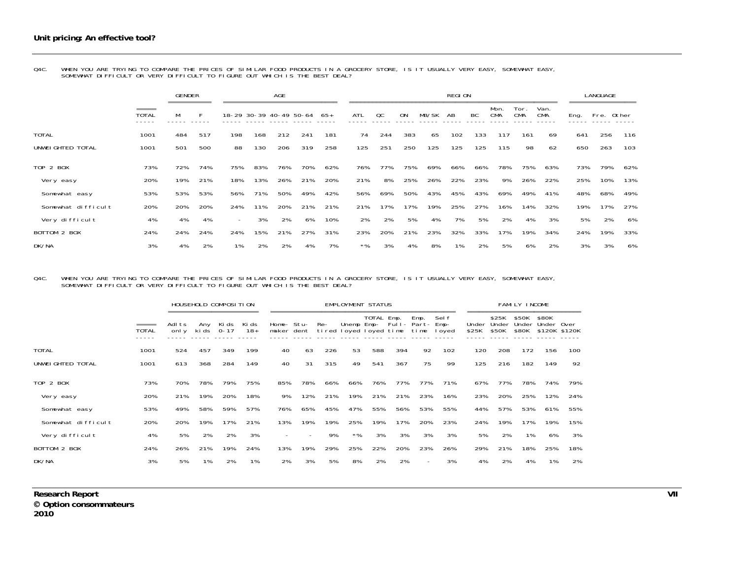|                    |                                   | <b>GENDER</b><br>========== |     |                          |     | <b>AGE</b> |                         |     |       |     |           |       | <b>REGION</b> |     |                    |             |                    |      | LANGUAGE   |     |
|--------------------|-----------------------------------|-----------------------------|-----|--------------------------|-----|------------|-------------------------|-----|-------|-----|-----------|-------|---------------|-----|--------------------|-------------|--------------------|------|------------|-----|
|                    | $=$ $=$ $=$ $=$<br>TOTAL<br>----- | M                           |     |                          |     |            | 18-29 30-39 40-49 50-64 | 65+ | ATL   | QC  | <b>ON</b> | MB/SK | AB            | BC  | Mon.<br><b>CMA</b> | Tor.<br>CMA | Van.<br><b>CMA</b> | Eng. | Fre. Other |     |
| <b>TOTAL</b>       | 1001                              | 484                         | 517 | 198                      | 168 | 212        | 241                     | 181 | 74    | 244 | 383       | 65    | 102           | 133 | 117                | 161         | 69                 | 641  | 256        | 116 |
| UNWEI GHTED TOTAL  | 1001                              | 501                         | 500 | 88                       | 130 | 206        | 319                     | 258 | 125   | 251 | 250       | 125   | 125           | 125 | 115                | 98          | 62                 | 650  | 263        | 103 |
| TOP 2 BOX          | 73%                               | 72%                         | 74% | 75%                      | 83% | 76%        | 70%                     | 62% | 76%   | 77% | 75%       | 69%   | 66%           | 66% | 78%                | 75%         | 63%                | 73%  | 79%        | 62% |
| Very easy          | 20%                               | 19%                         | 21% | 18%                      | 13% | 26%        | 21%                     | 20% | 21%   | 8%  | 25%       | 26%   | 22%           | 23% | 9%                 | 26%         | 22%                | 25%  | 10%        | 13% |
| Somewhat easy      | 53%                               | 53%                         | 53% | 56%                      | 71% | 50%        | 49%                     | 42% | 56%   | 69% | 50%       | 43%   | 45%           | 43% | 69%                | 49%         | 41%                | 48%  | 68%        | 49% |
| Somewhat difficult | 20%                               | 20%                         | 20% | 24%                      | 11% | 20%        | 21%                     | 21% | 21%   | 17% | 17%       | 19%   | 25%           | 27% | 16%                | 14%         | 32%                | 19%  | 17%        | 27% |
| Very di ffi cul t  | 4%                                | 4%                          | 4%  | $\overline{\phantom{0}}$ | 3%  | 2%         | 6%                      | 10% | 2%    | 2%  | 5%        | 4%    | 7%            | 5%  | 2%                 | 4%          | 3%                 | 5%   | 2%         | 6%  |
| BOTTOM 2 BOX       | 24%                               | 24%                         | 24% | 24%                      | 15% | 21%        | 27%                     | 31% | 23%   | 20% | 21%       | 23%   | 32%           | 33% | 17%                | 19%         | 34%                | 24%  | 19%        | 33% |
| DK/NA              | 3%                                | 4%                          | 2%  | 1%                       | 2%  | 2%         | 4%                      | 7%  | $*$ % | 3%  | 4%        | 8%    | 1%            | 2%  | 5%                 | 6%          | 2%                 | 3%   | 3%         | 6%  |

Q4C. WHEN YOU ARE TRYING TO COMPARE THE PRICES OF SIMILAR FOOD PRODUCTS IN A GROCERY STORE, IS IT USUALLY VERY EASY, SOMEWHAT EASY,<br>SOMEWHAT DIFFICULT OR VERY DIFFICULT TO FIGURE OUT WHICH IS THE BEST DEAL?

#### Q4C. WHEN YOU ARE TRYING TO COMPARE THE PRICES OF SIMILAR FOOD PRODUCTS IN A GROCERY STORE, IS IT USUALLY VERY EASY, SOMEWHAT EASY,<br>SOMEWHAT DIFFICULT OR VERY DIFFICULT TO FIGURE OUT WHICH IS THE BEST DEAL?

|                    |       |                 | HOUSEHOLD COMPOSITION |                   |                |                          |     |     | <b>EMPLOYMENT STATUS</b>             |            |     |                                  |                 |       |                               | <b>FAMILY INCOME</b>    |                                      |     |
|--------------------|-------|-----------------|-----------------------|-------------------|----------------|--------------------------|-----|-----|--------------------------------------|------------|-----|----------------------------------|-----------------|-------|-------------------------------|-------------------------|--------------------------------------|-----|
|                    | TOTAL | Adl ts<br>onl y | Any<br>ki ds          | Ki ds<br>$0 - 17$ | Ki ds<br>$18+$ | Home- Stu-<br>maker dent |     | Re- | Unemp Emp-<br>tired loyed loyed time | TOTAL Emp. |     | Emp.<br>Full- Part- Emp-<br>time | Sel f<br>I oyed | \$25K | \$25K<br>Under Under<br>\$50K | \$50K<br>Under<br>\$80K | \$80K<br>Under Over<br>\$120K \$120K |     |
| <b>TOTAL</b>       | 1001  | 524             | 457                   | 349               | 199            | 40                       | 63  | 226 | 53                                   | 588        | 394 | 92                               | 102             | 120   | 208                           | 172                     | 156                                  | 100 |
| UNWEI GHTED TOTAL  | 1001  | 613             | 368                   | 284               | 149            | 40                       | 31  | 315 | 49                                   | 541        | 367 | 75                               | 99              | 125   | 216                           | 182                     | 149                                  | 92  |
| <b>TOP 2 BOX</b>   | 73%   | 70%             | 78%                   | 79%               | 75%            | 85%                      | 78% | 66% | 66%                                  | 76%        | 77% | 77%                              | 71%             | 67%   | 77%                           | 78%                     | 74%                                  | 79% |
| Very easy          | 20%   | 21%             | 19%                   | 20%               | 18%            | 9%                       | 12% | 21% | 19%                                  | 21%        | 21% | 23%                              | 16%             | 23%   | 20%                           | 25%                     | 12%                                  | 24% |
| Somewhat easy      | 53%   | 49%             | 58%                   | 59%               | 57%            | 76%                      | 65% | 45% | 47%                                  | 55%        | 56% | 53%                              | 55%             | 44%   | 57%                           | 53%                     | 61%                                  | 55% |
| Somewhat difficult | 20%   | 20%             | 19%                   | 17%               | 21%            | 13%                      | 19% | 19% | 25%                                  | 19%        | 17% | 20%                              | 23%             | 24%   | 19%                           | 17%                     | 19%                                  | 15% |
| Very difficult     | 4%    | 5%              | 2%                    | 2%                | 3%             | $\overline{\phantom{a}}$ |     | 9%  | $*$ %                                | 3%         | 3%  | 3%                               | 3%              | 5%    | 2%                            | 1%                      | 6%                                   | 3%  |
| BOTTOM 2 BOX       | 24%   | 26%             | 21%                   | 19%               | 24%            | 13%                      | 19% | 29% | 25%                                  | 22%        | 20% | 23%                              | 26%             | 29%   | 21%                           | 18%                     | 25%                                  | 18% |
| DK/NA              | 3%    | 5%              | 1%                    | 2%                | 1%             | 2%                       | 3%  | 5%  | 8%                                   | 2%         | 2%  |                                  | 3%              | 4%    | 2%                            | 4%                      | 1%                                   | 2%  |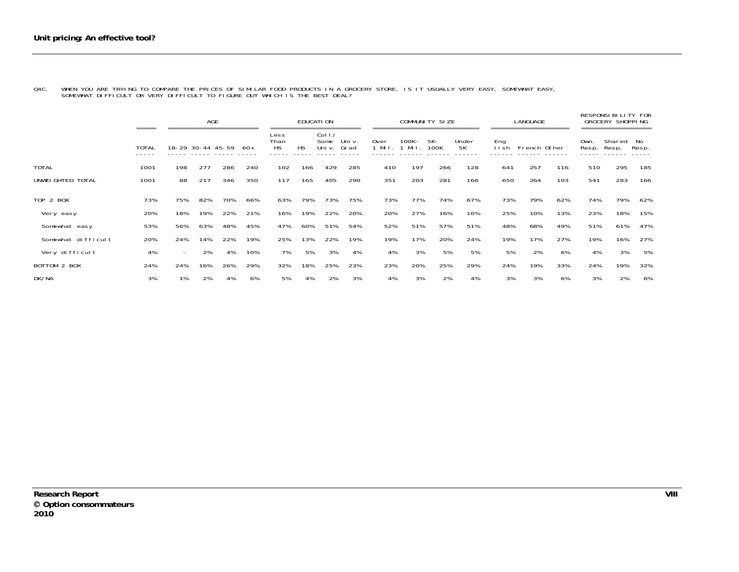Q4C. WHEN YOU ARE TRYING TO COMPARE THE PRICES OF SIMILAR FOOD PRODUCTS IN A GROCERY STORE, IS IT USUALLY VERY EASY, SOMEWHAT EASY,<br>SOMEWHAT DIFFICULT OR VERY DIFFICULT TO FIGURE OUT WHICH IS THE BEST DEAL?

|                    |                       |                          | <b>AGE</b>                              |     |      |                           |           | EDUCATI ON                         |                           |                 |                  | COMMUNITY SIZE |             |               | LANGUAGE     |     |               | <b>RESPONSI BILITY FOR</b><br><b>GROCERY SHOPPING</b> |             |
|--------------------|-----------------------|--------------------------|-----------------------------------------|-----|------|---------------------------|-----------|------------------------------------|---------------------------|-----------------|------------------|----------------|-------------|---------------|--------------|-----|---------------|-------------------------------------------------------|-------------|
|                    | =====<br><b>TOTAL</b> |                          | ------------------<br>18-29 30-44 45-59 |     | -60+ | Less<br>Than<br><b>HS</b> | <b>HS</b> | Col <sub>1</sub><br>Some<br>Uni v. | =======<br>Uni v.<br>Grad | 0ver<br>$1$ Mil | $100K -$<br>Mi I | 5K-<br>100K    | Under<br>5K | Eng<br>í i sh | French Other |     | Own.<br>Resp. | Shared<br>Resp.                                       | No<br>Resp. |
| <b>TOTAL</b>       | 1001                  | 198                      | 277                                     | 286 | 240  | 102                       | 166       | 429                                | 285                       | 410             | 197              | 266            | 128         | 641           | 257          | 116 | 510           | 295                                                   | 185         |
| UNWEI GHTED TOTAL  | 1001                  | 88                       | 217                                     | 346 | 350  | 117                       | 165       | 405                                | 290                       | 351             | 203              | 281            | 166         | 650           | 264          | 103 | 541           | 283                                                   | 166         |
| TOP 2 BOX          | 73%                   | 75%                      | 82%                                     | 70% | 66%  | 63%                       | 79%       | 73%                                | 75%                       | 73%             | 77%              | 74%            | 67%         | 73%           | 79%          | 62% | 74%           | 79%                                                   | 62%         |
| Very easy          | 20%                   | 18%                      | 19%                                     | 22% | 21%  | 16%                       | 19%       | 22%                                | 20%                       | 20%             | 27%              | 16%            | 16%         | 25%           | 10%          | 13% | 23%           | 18%                                                   | 15%         |
| Somewhat easy      | 53%                   | 56%                      | 63%                                     | 48% | 45%  | 47%                       | 60%       | 51%                                | 54%                       | 52%             | 51%              | 57%            | 51%         | 48%           | 68%          | 49% | 51%           | 61%                                                   | 47%         |
| Somewhat difficult | 20%                   | 24%                      | 14%                                     | 22% | 19%  | 25%                       | 13%       | 22%                                | 19%                       | 19%             | 17%              | 20%            | 24%         | 19%           | 17%          | 27% | 19%           | 16%                                                   | 27%         |
| Very difficult     | 4%                    | $\overline{\phantom{0}}$ | 2%                                      | 4%  | 10%  | 7%                        | 5%        | 3%                                 | 4%                        | 4%              | 3%               | 5%             | 5%          | 5%            | 2%           | 6%  | 4%            | 3%                                                    | 5%          |
| BOTTOM 2 BOX       | 24%                   | 24%                      | 16%                                     | 26% | 29%  | 32%                       | 18%       | 25%                                | 23%                       | 23%             | 20%              | 25%            | 29%         | 24%           | 19%          | 33% | 24%           | 19%                                                   | 32%         |
| DK/NA              | 3%                    | 1%                       | 2%                                      | 4%  | 6%   | 5%                        | 4%        | 2%                                 | 3%                        | 4%              | 3%               | 2%             | 4%          | 3%            | 3%           | 6%  | 3%            | 2%                                                    | 6%          |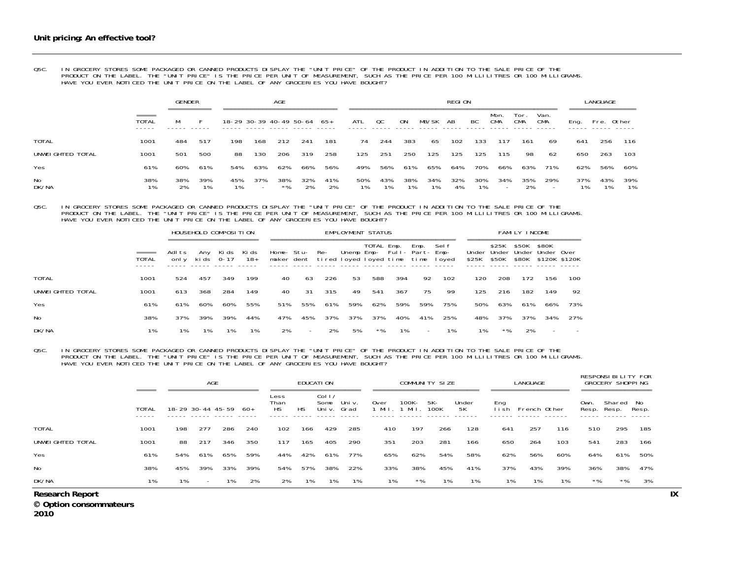# OSC. IN GROCERY STORES SOME PACKAGED OR CANNED PRODUCTS DISPLAY THE "UNIT PRICE" OF THE PRODUCT IN ADDITION TO THE SALE PRICE OF THE<br>PRODUCT ON THE LABEL. THE "UNIT PRICE" IS THE PRICE PER UNIT OF MEASUREMENT, SUCH AS THE

|                   |                          | <b>GENDER</b><br>----------- |           |                             |                                 | AGE         |           |           |           |           |           |       | <b>REGION</b> |           |                                 |                    |                    |            | LANGUAGE  |       |
|-------------------|--------------------------|------------------------------|-----------|-----------------------------|---------------------------------|-------------|-----------|-----------|-----------|-----------|-----------|-------|---------------|-----------|---------------------------------|--------------------|--------------------|------------|-----------|-------|
|                   | $=$ $=$ $=$ $=$<br>TOTAL | -----------                  |           | 18-29 30-39 40-49 50-64 65+ |                                 |             |           |           | ATL       | QC        | ON        | MB/SK | AB            | BC        | Mon.<br><b>CMA</b>              | Tor.<br><b>CMA</b> | Van.<br><b>CMA</b> | Ena.       | Fre.      | Other |
| <b>TOTAL</b>      | 1001                     | 484                          | 517       | 198                         | 168                             | 212         | 241       | 181       | 74        | 244       | 383       | 65    | 102           | 133       | 117                             | 161                | 69                 | 641        | 256       | 116   |
| UNWEI GHTED TOTAL | 1001                     | 501                          | 500       | 88                          | 130                             | 206         | 319       | 258       | 125       | 251       | 250       | 125   | 125           | 125       | 115                             | 98                 | 62                 | 650        | 263       | 103   |
| Yes               | 61%                      | 60%                          | 61%       | 54%                         | 63%                             | 62%         | 66%       | 56%       | 49%       | 56%       | 61%       | 65%   | 64%           | 70%       | 66%                             | 63%                | 71%                | 62%        | 56%       | 60%   |
| No<br>DK/NA       | 38%<br>1%                | 38%<br>2%                    | 39%<br>1% | 45%<br>1%                   | 37%<br>$\overline{\phantom{0}}$ | 38%<br>$*0$ | 32%<br>20 | 41%<br>2% | 50%<br>1% | 43%<br>1% | 38%<br>1% | 34%   | 32%<br>4%     | 30%<br>1% | 34%<br>$\overline{\phantom{a}}$ | 35%<br>2%          | 29%<br>-           | 37%<br>170 | 43%<br>1% | 39%   |

OSC. IN GROCERY STORES SOME PACKAGED OR CANNED PRODUCTS DISPLAY THE "UNIT PRICE" OF THE PRODUCT IN ADDITION TO THE SALE PRICE OF THE<br>PRODUCT ON THE LABEL. THE "UNIT PRICE" IS THE PRICE PER UNIT OF MEASUREMENT, SUCH AS THE

|                   |              |                | HOUSEHOLD COMPOSITION |       |              |                                              |                |     |     | EMPLOYMENT STATUS                         |     |      |       |       |                                                | FAMILY INCOME  |                        |     |
|-------------------|--------------|----------------|-----------------------|-------|--------------|----------------------------------------------|----------------|-----|-----|-------------------------------------------|-----|------|-------|-------|------------------------------------------------|----------------|------------------------|-----|
|                   | <b>TOTAL</b> | Adlts<br>onl v | Any<br>kids 0-17      | Ki ds | Ki ds<br>18+ | maker dent tired loyed loyed time time loyed | Home- Stu- Re- |     |     | TOTAL Emp.<br>Unemp Emp- Full- Part- Emp- |     | Emp. | Sel f | \$25K | \$25K<br>Under Under Under Under Over<br>\$50K | \$50K<br>\$80K | \$80K<br>\$120K \$120K |     |
| <b>TOTAL</b>      | 1001         | 524            | 457                   | 349   | 199          | 40                                           | 63             | 226 | 53  | 588                                       | 394 | 92   | 102   | 120   | 208                                            | 172            | 156                    | 100 |
| UNWEI GHTED TOTAL | 1001         | 613            | 368                   | 284   | 149          | 40                                           | 31             | 315 | 49  | 541                                       | 367 | 75   | -99   | 125   | 216                                            | 182            | 149                    | 92  |
| Yes               | 61%          | 61%            | 60%                   | 60%   | 55%          | 51%                                          | 55%            | 61% | 59% | 62%                                       | 59% | 59%  | 75%   | 50%   | 63%                                            | 61%            | 66%                    | 73% |
| No                | 38%          | 37%            | 39%                   | 39%   | 44%          | 47%                                          | 45%            | 37% | 37% | 37%                                       | 40% | 41%  | 25%   | 48%   | 37%                                            | 37%            | 34%                    | 27% |
| DK/NA             | 1%           | 1%             | 1%                    |       | 1%           | 2%                                           |                | 2%  | 5%  | $*$ %                                     | 1%  |      | 1%    | 1%    | $*$ %                                          | 2%             |                        |     |

O5C. IN GROCERY STORES SOME PACKAGED OR CANNED PRODUCTS DISPLAY THE "UNIT PRICE" OF THE PRODUCT IN ADDITION TO THE SALE PRICE OF THE<br>PRODUCT ON THE LABEL THE "UNIT PRICE" IS THE PRICE PER UNIT OF MEASUREMENT, SUCH AS THE P

|                   | $= = = = =$ |     | AGE<br>====================== |     |      |                           |     | EDUCATI ON<br>------------ |                |              | ========================== | COMMUNITY SIZE |             |               | LANGUAGE<br>==================== |     |               | RESPONSIBILITY FOR<br>GROCERY SHOPPING<br>================== |       |
|-------------------|-------------|-----|-------------------------------|-----|------|---------------------------|-----|----------------------------|----------------|--------------|----------------------------|----------------|-------------|---------------|----------------------------------|-----|---------------|--------------------------------------------------------------|-------|
|                   | TOTAL       |     | 18-29 30-44 45-59             |     | -60+ | Less<br>Than<br><b>HS</b> | НS  | Col 1/<br>Some<br>Uni v.   | Uni v.<br>Grad | 0ver<br>Mi I | 100K-<br>Mil               | 5K-<br>100K    | Under<br>5K | Eng<br>l i sh | French Other                     |     | Own.<br>Resp. | Shared No<br>Resp.                                           | Resp. |
| <b>TOTAL</b>      | 1001        | 198 | 277                           | 286 | 240  | 102                       | 166 | 429                        | 285            | 410          | 197                        | 266            | 128         | 641           | 257                              | 116 | 510           | 295                                                          | 185   |
| UNWEI GHTED TOTAL | 1001        | 88  | 217                           | 346 | 350  | 117                       | 165 | 405                        | 290            | 351          | 203                        | 281            | 166         | 650           | 264                              | 103 | 541           | 283                                                          | 166   |
| Yes               | 61%         | 54% | 61%                           | 65% | 59%  | 44%                       | 42% | 61%                        | 77%            | 65%          | 62%                        | 54%            | 58%         | 62%           | 56%                              | 60% | 64%           | 61%                                                          | 50%   |
| <b>No</b>         | 38%         | 45% | 39%                           | 33% | 39%  | 54%                       | 57% | 38%                        | 22%            | 33%          | 38%                        | 45%            | 41%         | 37%           | 43%                              | 39% | 36%           | 38%                                                          | 47%   |
| DK/NA             | 1%          | 1%  | $\overline{\phantom{a}}$      | 1%  | 2%   | 2%                        | 1%  | 1%                         | 1%             | 1%           | $*$ %                      | 1%             | $1\%$       | 1%            | 1%                               | 1%  | $*$ %         | $*$ %                                                        | 3%    |

**Research Report IX** 

 **Option consommateurs** 

**2010**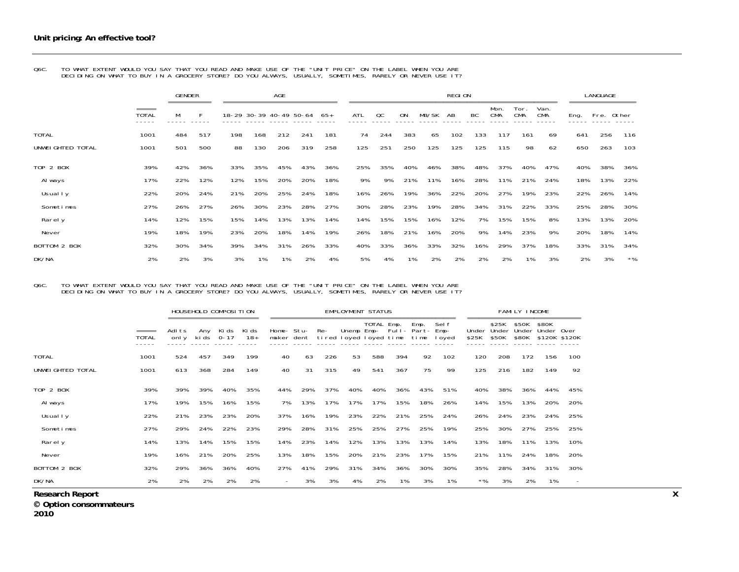|                   |                                          | <b>GENDER</b> |     |     | <b>AGE</b><br>18-29 30-39 40-49 50-64 |     |     |       |     |     |           |       | <b>REGION</b> |     |                    |                    |                    |      | <b>LANGUAGE</b> |       |
|-------------------|------------------------------------------|---------------|-----|-----|---------------------------------------|-----|-----|-------|-----|-----|-----------|-------|---------------|-----|--------------------|--------------------|--------------------|------|-----------------|-------|
|                   | $=$ $=$ $=$ $=$<br><b>TOTAL</b><br>----- | М             | F   |     |                                       |     |     | $65+$ | ATL | OC  | <b>ON</b> | MB/SK | AB            | BC  | Mon.<br><b>CMA</b> | Tor.<br><b>CMA</b> | Van.<br><b>CMA</b> | Eng. | Fre. Other      |       |
| <b>TOTAL</b>      | 1001                                     | 484           | 517 | 198 | 168                                   | 212 | 241 | 181   | 74  | 244 | 383       | 65    | 102           | 133 | 117                | 161                | 69                 | 641  | 256             | 116   |
| UNWEI GHTED TOTAL | 1001                                     | 501           | 500 | 88  | 130                                   | 206 | 319 | 258   | 125 | 251 | 250       | 125   | 125           | 125 | 115                | 98                 | 62                 | 650  | 263             | 103   |
| TOP 2 BOX         | 39%                                      | 42%           | 36% | 33% | 35%                                   | 45% | 43% | 36%   | 25% | 35% | 40%       | 46%   | 38%           | 48% | 37%                | 40%                | 47%                | 40%  | 38%             | 36%   |
| Al ways           | 17%                                      | 22%           | 12% | 12% | 15%                                   | 20% | 20% | 18%   | 9%  | 9%  | 21%       | 11%   | 16%           | 28% | 11%                | 21%                | 24%                | 18%  | 13%             | 22%   |
| Usual I y         | 22%                                      | 20%           | 24% | 21% | 20%                                   | 25% | 24% | 18%   | 16% | 26% | 19%       | 36%   | 22%           | 20% | 27%                | 19%                | 23%                | 22%  | 26%             | 14%   |
| Sometimes         | 27%                                      | 26%           | 27% | 26% | 30%                                   | 23% | 28% | 27%   | 30% | 28% | 23%       | 19%   | 28%           | 34% | 31%                | 22%                | 33%                | 25%  | 28%             | 30%   |
| Rarel y           | 14%                                      | 12%           | 15% | 15% | 14%                                   | 13% | 13% | 14%   | 14% | 15% | 15%       | 16%   | 12%           | 7%  | 15%                | 15%                | 8%                 | 13%  | 13%             | 20%   |
| Never             | 19%                                      | 18%           | 19% | 23% | 20%                                   | 18% | 14% | 19%   | 26% | 18% | 21%       | 16%   | 20%           | 9%  | 14%                | 23%                | 9%                 | 20%  | 18%             | 14%   |
| BOTTOM 2 BOX      | 32%                                      | 30%           | 34% | 39% | 34%                                   | 31% | 26% | 33%   | 40% | 33% | 36%       | 33%   | 32%           | 16% | 29%                | 37%                | 18%                | 33%  | 31%             | 34%   |
| DK/NA             | 2%                                       | 2%            | 3%  | 3%  | 1%                                    | 1%  | 2%  | 4%    | 5%  | 4%  | 1%        | 2%    | 2%            | 2%  | 2%                 | 1%                 | 3%                 | 2%   | 3%              | $*$ % |

Q6C. TO WHAT EXTENT WOULD YOU SAY THAT YOU READ AND MAKE USE OF THE "UNIT PRICE" ON THE LABEL WHEN YOU ARE DECIDING ON WHAT TO BUY IN A GROCERY STORE? DO YOU ALWAYS, USUALLY, SOMETIMES, RARELY OR NEVER USE IT?

#### Q6C. TO WHAT EXTENT WOULD YOU SAY THAT YOU READ AND MAKE USE OF THE "UNIT PRICE" ON THE LABEL WHEN YOU ARE DECIDING ON WHAT TO BUY IN A GROCERY STORE? DO YOU ALWAYS, USUALLY, SOMETIMES, RARELY OR NEVER USE IT?

|                        |                       |                |     | HOUSEHOLD COMPOSITION  |                |        |                |                                              | EMPLOYMENT STATUS           |     |                      |     |     |             |     | FAMILY INCOME     |                                                     |                          |
|------------------------|-----------------------|----------------|-----|------------------------|----------------|--------|----------------|----------------------------------------------|-----------------------------|-----|----------------------|-----|-----|-------------|-----|-------------------|-----------------------------------------------------|--------------------------|
|                        | =====<br><b>TOTAL</b> | Adlts<br>onl y |     | Any Kids<br>ki ds 0-17 | Ki ds<br>$18+$ |        | Home- Stu- Re- | maker dent tired loyed loyed time time loyed | Unemp Emp- Full- Part- Emp- |     | TOTAL Emp. Emp. Self |     |     | \$25K \$50K |     | \$25K \$50K \$80K | Under Under Under Under Over<br>\$80K \$120K \$120K |                          |
| TOTAL                  | 1001                  | 524            | 457 | 349                    | 199            | 40     | 63             | 226                                          | 53                          | 588 | 394                  | 92  | 102 | 120         | 208 | 172               | 156                                                 | 100                      |
| UNWEI GHTED TOTAL      | 1001                  | 613            | 368 | 284                    | 149            | 40     | 31             | 315                                          | 49                          | 541 | 367                  | 75  | 99  | 125         | 216 | 182               | 149                                                 | 92                       |
| TOP 2 BOX              | 39%                   | 39%            | 39% | 40%                    | 35%            | 44%    | 29%            | 37%                                          | 40%                         | 40% | 36%                  | 43% | 51% | 40%         | 38% | 36%               | 44%                                                 | 45%                      |
| Al ways                | 17%                   | 19%            | 15% | 16%                    | 15%            | 7%     | 13%            | 17%                                          | 17%                         | 17% | 15%                  | 18% | 26% | 14%         | 15% | 13%               | 20%                                                 | 20%                      |
| Usual I y              | 22%                   | 21%            | 23% | 23%                    | 20%            | 37%    | 16%            | 19%                                          | 23%                         | 22% | 21%                  | 25% | 24% | 26%         | 24% | 23%               | 24%                                                 | 25%                      |
| Sometimes              | 27%                   | 29%            | 24% | 22%                    | 23%            | 29%    | 28%            | 31%                                          | 25%                         | 25% | 27%                  | 25% | 19% | 25%         | 30% | 27%               | 25%                                                 | 25%                      |
| Rarely                 | 14%                   | 13%            | 14% | 15%                    | 15%            | 14%    | 23%            | 14%                                          | 12%                         | 13% | 13%                  | 13% | 14% | 13%         | 18% | 11%               | 13%                                                 | 10%                      |
| Never                  | 19%                   | 16%            | 21% | 20%                    | 25%            | 13%    | 18%            | 15%                                          | 20%                         | 21% | 23%                  | 17% | 15% | 21%         | 11% | 24%               | 18%                                                 | 20%                      |
| BOTTOM 2 BOX           | 32%                   | 29%            | 36% | 36%                    | 40%            | 27%    | 41%            | 29%                                          | 31%                         | 34% | 36%                  | 30% | 30% | 35%         | 28% | 34%               | 31%                                                 | 30%                      |
| DK/NA                  | 2%                    | 2%             | 2%  | 2%                     | 2%             | $\sim$ | 3%             | 3%                                           | 4%                          | 2%  | 1%                   | 3%  | 1%  | $*$ %       | 3%  | 2%                | 1%                                                  | $\overline{\phantom{a}}$ |
| <b>Research Report</b> |                       |                |     |                        |                |        |                |                                              |                             |     |                      |     |     |             |     |                   |                                                     |                          |

 **Option consommateurs** 

**2010**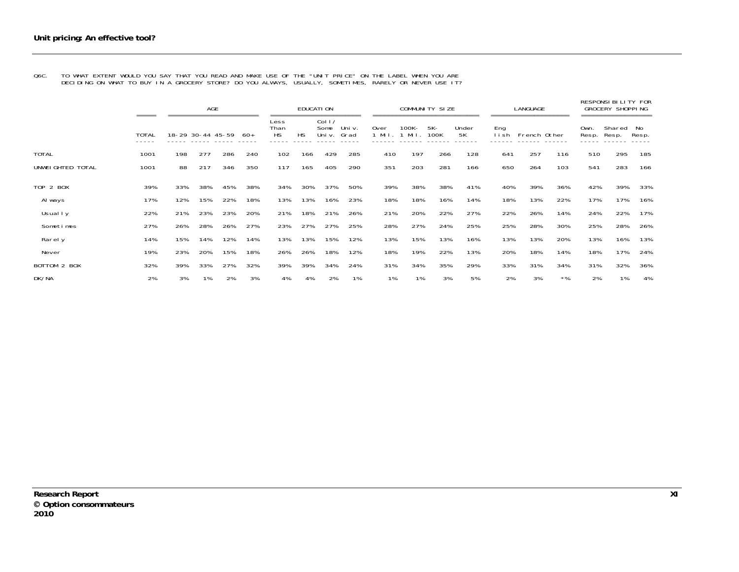#### Q6C. TO WHAT EXTENT WOULD YOU SAY THAT YOU READ AND MAKE USE OF THE "UNIT PRICE" ON THE LABEL WHEN YOU ARE DECIDING ON WHAT TO BUY IN A GROCERY STORE? DO YOU ALWAYS, USUALLY, SOMETIMES, RARELY OR NEVER USE IT?

|                   | =====          |                   | AGE<br>----------------------- |     |     |                                    |           | EDUCATI ON               |                |                  |               | COMMUNITY SIZE |             |             | LANGUAGE     |       |                                | RESPONSI BILITY FOR<br><b>GROCERY SHOPPING</b> |             |
|-------------------|----------------|-------------------|--------------------------------|-----|-----|------------------------------------|-----------|--------------------------|----------------|------------------|---------------|----------------|-------------|-------------|--------------|-------|--------------------------------|------------------------------------------------|-------------|
|                   | TOTAL<br>----- | 18-29 30-44 45-59 |                                |     | -60 | Less<br>Than<br><b>HS</b><br>----- | <b>HS</b> | Col 1/<br>Some<br>Uni v. | Uni v.<br>Grad | 0ver<br>$1$ Mil. | 100K-<br>Mi I | $5K -$<br>100K | Under<br>5K | Eng<br>lish | French Other |       | Own.<br>Resp.<br>$- - - - - -$ | Shared<br>Resp.                                | No<br>Resp. |
| <b>TOTAL</b>      | 1001           | 198               | 277                            | 286 | 240 | 102                                | 166       | 429                      | 285            | 410              | 197           | 266            | 128         | 641         | 257          | 116   | 510                            | 295                                            | 185         |
| UNWEI GHTED TOTAL | 1001           | 88                | 217                            | 346 | 350 | 117                                | 165       | 405                      | 290            | 351              | 203           | 281            | 166         | 650         | 264          | 103   | 541                            | 283                                            | 166         |
| TOP 2 BOX         | 39%            | 33%               | 38%                            | 45% | 38% | 34%                                | 30%       | 37%                      | 50%            | 39%              | 38%           | 38%            | 41%         | 40%         | 39%          | 36%   | 42%                            | 39%                                            | 33%         |
| Al ways           | 17%            | 12%               | 15%                            | 22% | 18% | 13%                                | 13%       | 16%                      | 23%            | 18%              | 18%           | 16%            | 14%         | 18%         | 13%          | 22%   | 17%                            | 17%                                            | 16%         |
| Usually           | 22%            | 21%               | 23%                            | 23% | 20% | 21%                                | 18%       | 21%                      | 26%            | 21%              | 20%           | 22%            | 27%         | 22%         | 26%          | 14%   | 24%                            | 22%                                            | 17%         |
| Sometimes         | 27%            | 26%               | 28%                            | 26% | 27% | 23%                                | 27%       | 27%                      | 25%            | 28%              | 27%           | 24%            | 25%         | 25%         | 28%          | 30%   | 25%                            | 28%                                            | 26%         |
| Rarel y           | 14%            | 15%               | 14%                            | 12% | 14% | 13%                                | 13%       | 15%                      | 12%            | 13%              | 15%           | 13%            | 16%         | 13%         | 13%          | 20%   | 13%                            | 16%                                            | 13%         |
| Never             | 19%            | 23%               | 20%                            | 15% | 18% | 26%                                | 26%       | 18%                      | 12%            | 18%              | 19%           | 22%            | 13%         | 20%         | 18%          | 14%   | 18%                            | 17%                                            | 24%         |
| BOTTOM 2 BOX      | 32%            | 39%               | 33%                            | 27% | 32% | 39%                                | 39%       | 34%                      | 24%            | 31%              | 34%           | 35%            | 29%         | 33%         | 31%          | 34%   | 31%                            | 32%                                            | 36%         |
| DK/NA             | 2%             | 3%                | 1%                             | 2%  | 3%  | 4%                                 | 4%        | 2%                       | 1%             | 1%               | 1%            | 3%             | 5%          | 2%          | 3%           | $*$ % | 2%                             | 1%                                             | 4%          |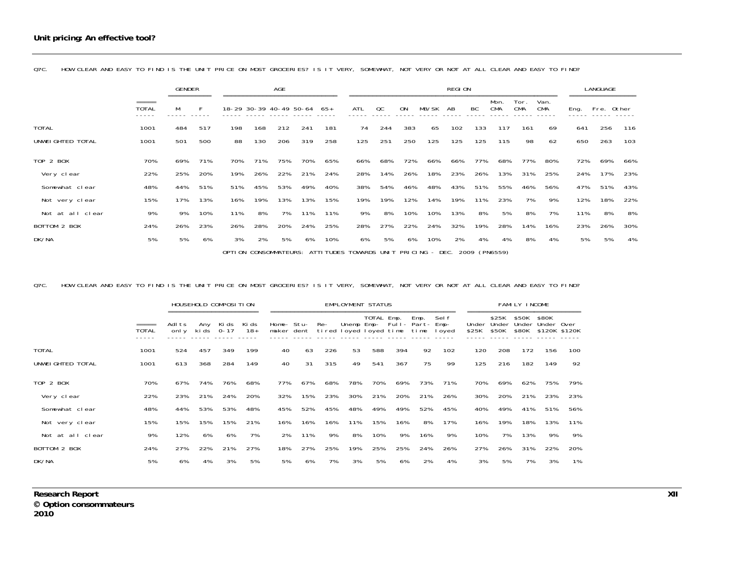|                   |                       | <b>GENDER</b><br>=========== |     |     |                         | <b>AGE</b> |     |       |                                                                           |     |           |       | REGION |     |                    |                    |                    |      | LANGUAGE   | ---------- |
|-------------------|-----------------------|------------------------------|-----|-----|-------------------------|------------|-----|-------|---------------------------------------------------------------------------|-----|-----------|-------|--------|-----|--------------------|--------------------|--------------------|------|------------|------------|
|                   | =====<br><b>TOTAL</b> | M                            |     |     | 18-29 30-39 40-49 50-64 |            |     | $65+$ | ATL                                                                       | OC  | <b>ON</b> | MB/SK | AB     | BC  | Mon.<br><b>CMA</b> | Tor.<br><b>CMA</b> | Van.<br><b>CMA</b> | Eng. | Fre. Other |            |
| <b>TOTAL</b>      | 1001                  | 484                          | 517 | 198 | 168                     | 212        | 241 | 181   | 74                                                                        | 244 | 383       | 65    | 102    | 133 | 117                | 161                | 69                 | 641  | 256        | 116        |
| UNWEI GHTED TOTAL | 1001                  | 501                          | 500 | 88  | 130                     | 206        | 319 | 258   | 125                                                                       | 251 | 250       | 125   | 125    | 125 | 115                | 98                 | 62                 | 650  | 263        | 103        |
| TOP 2 BOX         | 70%                   | 69%                          | 71% | 70% | 71%                     | 75%        | 70% | 65%   | 66%                                                                       | 68% | 72%       | 66%   | 66%    | 77% | 68%                | 77%                | 80%                | 72%  | 69%        | 66%        |
| Very clear        | 22%                   | 25%                          | 20% | 19% | 26%                     | 22%        | 21% | 24%   | 28%                                                                       | 14% | 26%       | 18%   | 23%    | 26% | 13%                | 31%                | 25%                | 24%  | 17%        | 23%        |
| Somewhat clear    | 48%                   | 44%                          | 51% | 51% | 45%                     | 53%        | 49% | 40%   | 38%                                                                       | 54% | 46%       | 48%   | 43%    | 51% | 55%                | 46%                | 56%                | 47%  | 51%        | 43%        |
| Not very clear    | 15%                   | 17%                          | 13% | 16% | 19%                     | 13%        | 13% | 15%   | 19%                                                                       | 19% | 12%       | 14%   | 19%    | 11% | 23%                | 7%                 | 9%                 | 12%  | 18%        | 22%        |
| Not at all clear  | 9%                    | 9%                           | 10% | 11% | 8%                      | 7%         | 11% | 11%   | 9%                                                                        | 8%  | 10%       | 10%   | 13%    | 8%  | 5%                 | 8%                 | 7%                 | 11%  | 8%         | 8%         |
| BOTTOM 2 BOX      | 24%                   | 26%                          | 23% | 26% | 28%                     | 20%        | 24% | 25%   | 28%                                                                       | 27% | 22%       | 24%   | 32%    | 19% | 28%                | 14%                | 16%                | 23%  | 26%        | 30%        |
| DK/NA             | 5%                    | 5%                           | 6%  | 3%  | 2%                      | 5%         | 6%  | 10%   | 6%                                                                        | 5%  | 6%        | 10%   | 2%     | 4%  | 4%                 | 8%                 | 4%                 | 5%   | 5%         | 4%         |
|                   |                       |                              |     |     |                         |            |     |       | OPTION CONSOMMATEURS: ATTITUDES TOWARDS UNIT PRICING - DEC. 2009 (PN6559) |     |           |       |        |     |                    |                    |                    |      |            |            |

Q7C. HOW CLEAR AND EASY TO FIND IS THE UNIT PRICE ON MOST GROCERIES? IS IT VERY, SOMEWHAT, NOT VERY OR NOT AT ALL CLEAR AND EASY TO FIND?

#### Q7C. HOW CLEAR AND EASY TO FIND IS THE UNIT PRICE ON MOST GROCERIES? IS IT VERY, SOMEWHAT, NOT VERY OR NOT AT ALL CLEAR AND EASY TO FIND?

|                   |                                 |                 |              | HOUSEHOLD COMPOSITION |                |                          |     |     | <b>EMPLOYMENT STATUS</b> |            |     |                                             |                 |                |                         | FAMILY INCOME           |                     |               |
|-------------------|---------------------------------|-----------------|--------------|-----------------------|----------------|--------------------------|-----|-----|--------------------------|------------|-----|---------------------------------------------|-----------------|----------------|-------------------------|-------------------------|---------------------|---------------|
|                   | $=$ $=$ $=$ $=$<br><b>TOTAL</b> | Adl ts<br>onl y | Anv<br>ki ds | Ki ds<br>$0 - 17$     | Ki ds<br>$18+$ | Home- Stu-<br>maker dent |     | Re- | tired loyed loyed time   | TOTAL Emp. |     | Emp.<br>Unemp Emp- Full- Part- Emp-<br>time | Sel f<br>I oyed | Under<br>\$25K | \$25K<br>Under<br>\$50K | \$50K<br>Under<br>\$80K | \$80K<br>Under Over | \$120K \$120K |
| <b>TOTAL</b>      | 1001                            | 524             | 457          | 349                   | 199            | 40                       | 63  | 226 | 53                       | 588        | 394 | 92                                          | 102             | 120            | 208                     | 172                     | 156                 | 100           |
| UNWEI GHTED TOTAL | 1001                            | 613             | 368          | 284                   | 149            | 40                       | 31  | 315 | 49                       | 541        | 367 | 75                                          | 99              | 125            | 216                     | 182                     | 149                 | 92            |
| TOP 2 BOX         | 70%                             | 67%             | 74%          | 76%                   | 68%            | 77%                      | 67% | 68% | 78%                      | 70%        | 69% | 73%                                         | 71%             | 70%            | 69%                     | 62%                     | 75%                 | 79%           |
| Very clear        | 22%                             | 23%             | 21%          | 24%                   | 20%            | 32%                      | 15% | 23% | 30%                      | 21%        | 20% | 21%                                         | 26%             | 30%            | 20%                     | 21%                     | 23%                 | 23%           |
| Somewhat clear    | 48%                             | 44%             | 53%          | 53%                   | 48%            | 45%                      | 52% | 45% | 48%                      | 49%        | 49% | 52%                                         | 45%             | 40%            | 49%                     | 41%                     | 51%                 | 56%           |
| Not very clear    | 15%                             | 15%             | 15%          | 15%                   | 21%            | 16%                      | 16% | 16% | 11%                      | 15%        | 16% | 8%                                          | 17%             | 16%            | 19%                     | 18%                     | 13%                 | 11%           |
| Not at all clear  | 9%                              | 12%             | 6%           | 6%                    | 7%             | 2%                       | 11% | 9%  | 8%                       | 10%        | 9%  | 16%                                         | 9%              | 10%            | 7%                      | 13%                     | 9%                  | 9%            |
| BOTTOM 2 BOX      | 24%                             | 27%             | 22%          | 21%                   | 27%            | 18%                      | 27% | 25% | 19%                      | 25%        | 25% | 24%                                         | 26%             | 27%            | 26%                     | 31%                     | 22%                 | 20%           |
| DK/NA             | 5%                              | 6%              | 4%           | 3%                    | 5%             | 5%                       | 6%  | 7%  | 3%                       | 5%         | 6%  | 2%                                          | 4%              | 3%             | 5%                      | 7%                      | 3%                  | 1%            |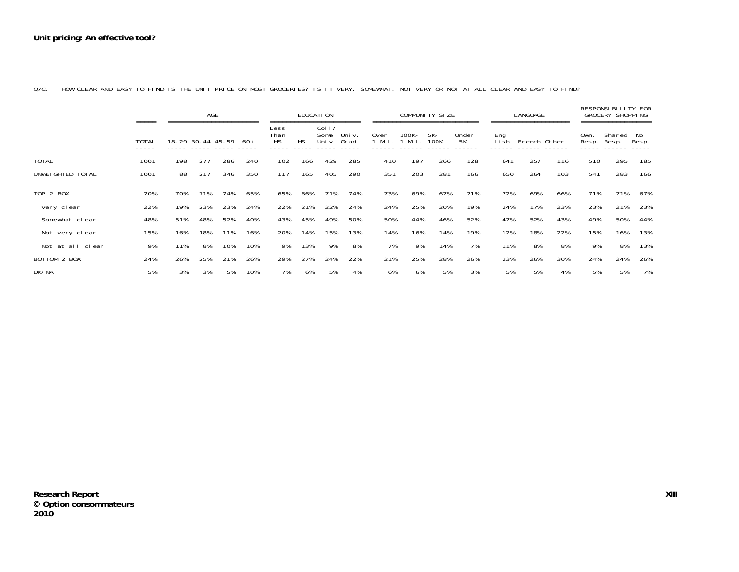|                   |                                |                   | AGE |                        |     |                           |           | EDUCATI ON              |                |              |               | COMMUNITY SIZE |             |             | LANGUAGE     |     |               | RESPONSIBILITY FOR<br><b>GROCERY SHOPPING</b> |             |
|-------------------|--------------------------------|-------------------|-----|------------------------|-----|---------------------------|-----------|-------------------------|----------------|--------------|---------------|----------------|-------------|-------------|--------------|-----|---------------|-----------------------------------------------|-------------|
|                   | =====<br><b>TOTAL</b><br>----- | 18-29 30-44 45-59 |     | ====================== | 60+ | Less<br>Than<br><b>HS</b> | <b>HS</b> | Col 1<br>Some<br>Uni v. | Uni v.<br>Grad | 0ver<br>Mi I | 100K-<br>Mi I | 5K-<br>100K    | Under<br>5K | Eng<br>lish | French Other |     | Own.<br>Resp. | =================<br>Shared<br>Resp.          | No<br>Resp. |
| <b>TOTAL</b>      | 1001                           | 198               | 277 | 286                    | 240 | 102                       | 166       | 429                     | 285            | 410          | 197           | 266            | 128         | 641         | 257          | 116 | 510           | 295                                           | 185         |
| UNWEI GHTED TOTAL | 1001                           | 88                | 217 | 346                    | 350 | 117                       | 165       | 405                     | 290            | 351          | 203           | 281            | 166         | 650         | 264          | 103 | 541           | 283                                           | 166         |
| TOP 2 BOX         | 70%                            | 70%               | 71% | 74%                    | 65% | 65%                       | 66%       | 71%                     | 74%            | 73%          | 69%           | 67%            | 71%         | 72%         | 69%          | 66% | 71%           | 71%                                           | 67%         |
| Very clear        | 22%                            | 19%               | 23% | 23%                    | 24% | 22%                       | 21%       | 22%                     | 24%            | 24%          | 25%           | 20%            | 19%         | 24%         | 17%          | 23% | 23%           | 21%                                           | 23%         |
| Somewhat clear    | 48%                            | 51%               | 48% | 52%                    | 40% | 43%                       | 45%       | 49%                     | 50%            | 50%          | 44%           | 46%            | 52%         | 47%         | 52%          | 43% | 49%           | 50%                                           | 44%         |
| Not very clear    | 15%                            | 16%               | 18% | 11%                    | 16% | 20%                       | 14%       | 15%                     | 13%            | 14%          | 16%           | 14%            | 19%         | 12%         | 18%          | 22% | 15%           | 16%                                           | 13%         |
| Not at all clear  | 9%                             | 11%               | 8%  | 10%                    | 10% | 9%                        | 13%       | 9%                      | 8%             | 7%           | 9%            | 14%            | 7%          | 11%         | 8%           | 8%  | 9%            | 8%                                            | 13%         |
| BOTTOM 2 BOX      | 24%                            | 26%               | 25% | 21%                    | 26% | 29%                       | 27%       | 24%                     | 22%            | 21%          | 25%           | 28%            | 26%         | 23%         | 26%          | 30% | 24%           | 24%                                           | 26%         |
| DK/NA             | 5%                             | 3%                | 3%  | 5%                     | 10% | 7%                        | 6%        | 5%                      | 4%             | 6%           | 6%            | 5%             | 3%          | 5%          | 5%           | 4%  | 5%            | 5%                                            | 7%          |

Q7C. HOW CLEAR AND EASY TO FIND IS THE UNIT PRICE ON MOST GROCERIES? IS IT VERY, SOMEWHAT, NOT VERY OR NOT AT ALL CLEAR AND EASY TO FIND?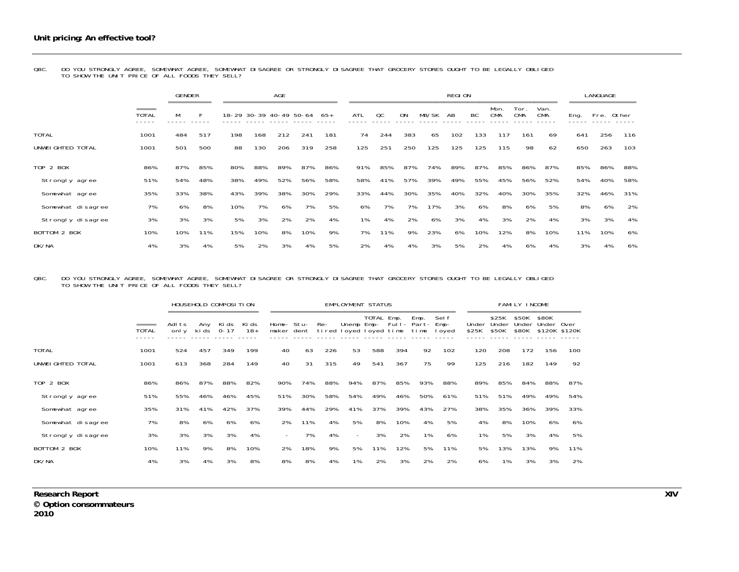Q8C. DO YOU STRONGLY AGREE, SOMEWHAT AGREE, SOMEWHAT DISAGREE OR STRONGLY DISAGREE THAT GROCERY STORES OUGHT TO BE LEGALLY OBLIGED<br>TO SHOW THE UNIT PRICE OF ALL FOODS THEY SELL?

|                   |                                 | <b>GENDER</b><br>=========== |     |                         |     | AGE | ============================ |     |            |     |     |       | <b>REGION</b> |     |                    |                    |                    |      | LANGUAGE   |     |
|-------------------|---------------------------------|------------------------------|-----|-------------------------|-----|-----|------------------------------|-----|------------|-----|-----|-------|---------------|-----|--------------------|--------------------|--------------------|------|------------|-----|
|                   | $=$ $=$ $=$ $=$<br><b>TOTAL</b> | м                            | F   | 18-29 30-39 40-49 50-64 |     |     |                              | 65+ | <b>ATL</b> | OC  | ON  | MB/SK | AB            | BC  | Mon.<br><b>CMA</b> | Tor.<br><b>CMA</b> | Van.<br><b>CMA</b> | Eng. | Fre. Other |     |
| <b>TOTAL</b>      | 1001                            | 484                          | 517 | 198                     | 168 | 212 | 241                          | 181 | 74         | 244 | 383 | 65    | 102           | 133 | 117                | 161                | 69                 | 641  | 256        | 116 |
| UNWEI GHTED TOTAL | 1001                            | 501                          | 500 | 88                      | 130 | 206 | 319                          | 258 | 125        | 251 | 250 | 125   | 125           | 125 | 115                | 98                 | 62                 | 650  | 263        | 103 |
| TOP 2 BOX         | 86%                             | 87%                          | 85% | 80%                     | 88% | 89% | 87%                          | 86% | 91%        | 85% | 87% | 74%   | 89%           | 87% | 85%                | 86%                | 87%                | 85%  | 86%        | 88% |
| Strongly agree    | 51%                             | 54%                          | 48% | 38%                     | 49% | 52% | 56%                          | 58% | 58%        | 41% | 57% | 39%   | 49%           | 55% | 45%                | 56%                | 52%                | 54%  | 40%        | 58% |
| Somewhat agree    | 35%                             | 33%                          | 38% | 43%                     | 39% | 38% | 30%                          | 29% | 33%        | 44% | 30% | 35%   | 40%           | 32% | 40%                | 30%                | 35%                | 32%  | 46%        | 31% |
| Somewhat disagree | 7%                              | 6%                           | 8%  | 10%                     | 7%  | 6%  | 7%                           | 5%  | 6%         | 7%  | 7%  | 17%   | 3%            | 6%  | 8%                 | 6%                 | 5%                 | 8%   | 6%         | 2%  |
| Strongly disagree | 3%                              | 3%                           | 3%  | 5%                      | 3%  | 2%  | 2%                           | 4%  | 1%         | 4%  | 2%  | 6%    | 3%            | 4%  | 3%                 | 2%                 | 4%                 | 3%   | 3%         | 4%  |
| BOTTOM 2 BOX      | 10%                             | 10%                          | 11% | 15%                     | 10% | 8%  | 10%                          | 9%  | 7%         | 11% | 9%  | 23%   | 6%            | 10% | 12%                | 8%                 | 10%                | 11%  | 10%        | 6%  |
| DK/NA             | 4%                              | 3%                           | 4%  | 5%                      | 2%  | 3%  | 4%                           | 5%  | 2%         | 4%  | 4%  | 3%    | 5%            | 2%  | 4%                 | 6%                 | 4%                 | 3%   | 4%         | 6%  |

## Q8C. DO YOU STRONGLY AGREE, SOMEWHAT AGREE, SOMEWHAT DISAGREE OR STRONGLY DISAGREE THAT GROCERY STORES OUGHT TO BE LEGALLY OBLIGED<br>TO SHOW THE UNIT PRICE OF ALL FOODS THEY SELL?

|                   |              |                |              | HOUSEHOLD COMPOSITION |                |                          |     |     | EMPLOYMENT STATUS                    |            |     |                                  |                 |                |                         | FAMILY INCOME           |                     |               |
|-------------------|--------------|----------------|--------------|-----------------------|----------------|--------------------------|-----|-----|--------------------------------------|------------|-----|----------------------------------|-----------------|----------------|-------------------------|-------------------------|---------------------|---------------|
|                   | <b>TOTAL</b> | Adlts<br>onl y | Any<br>ki ds | Ki ds<br>$0 - 17$     | Ki ds<br>$18+$ | Home- Stu-<br>maker dent |     | Re- | Unemp Emp-<br>tired loyed loyed time | TOTAL Emp. |     | Emp.<br>Full- Part- Emp-<br>time | Sel f<br>I oyed | Under<br>\$25K | \$25K<br>Under<br>\$50K | \$50K<br>Under<br>\$80K | \$80K<br>Under Over | \$120K \$120K |
| <b>TOTAL</b>      | 1001         | 524            | 457          | 349                   | 199            | 40                       | 63  | 226 | 53                                   | 588        | 394 | 92                               | 102             | 120            | 208                     | 172                     | 156                 | 100           |
| UNWEI GHTED TOTAL | 1001         | 613            | 368          | 284                   | 149            | 40                       | 31  | 315 | 49                                   | 541        | 367 | 75                               | 99              | 125            | 216                     | 182                     | 149                 | 92            |
| TOP 2 BOX         | 86%          | 86%            | 87%          | 88%                   | 82%            | 90%                      | 74% | 88% | 94%                                  | 87%        | 85% | 93%                              | 88%             | 89%            | 85%                     | 84%                     | 88%                 | 87%           |
| Strongly agree    | 51%          | 55%            | 46%          | 46%                   | 45%            | 51%                      | 30% | 58% | 54%                                  | 49%        | 46% | 50%                              | 61%             | 51%            | 51%                     | 49%                     | 49%                 | 54%           |
| Somewhat agree    | 35%          | 31%            | 41%          | 42%                   | 37%            | 39%                      | 44% | 29% | 41%                                  | 37%        | 39% | 43%                              | 27%             | 38%            | 35%                     | 36%                     | 39%                 | 33%           |
| Somewhat disagree | 7%           | 8%             | 6%           | 6%                    | 6%             | 2%                       | 11% | 4%  | 5%                                   | 8%         | 10% | 4%                               | 5%              | 4%             | 8%                      | 10%                     | 6%                  | 6%            |
| Strongly disagree | 3%           | 3%             | 3%           | 3%                    | 4%             | $\sim$                   | 7%  | 4%  | $\overline{\phantom{0}}$             | 3%         | 2%  | 1%                               | 6%              | 1%             | 5%                      | 3%                      | 4%                  | 5%            |
| BOTTOM 2 BOX      | 10%          | 11%            | 9%           | 8%                    | 10%            | 2%                       | 18% | 9%  | 5%                                   | 11%        | 12% | 5%                               | 11%             | 5%             | 13%                     | 13%                     | 9%                  | 11%           |
| DK/NA             | 4%           | 3%             | 4%           | 3%                    | 8%             | 8%                       | 8%  | 4%  | 1%                                   | 2%         | 3%  | 2%                               | 2%              | 6%             | 1%                      | 3%                      | 3%                  | 2%            |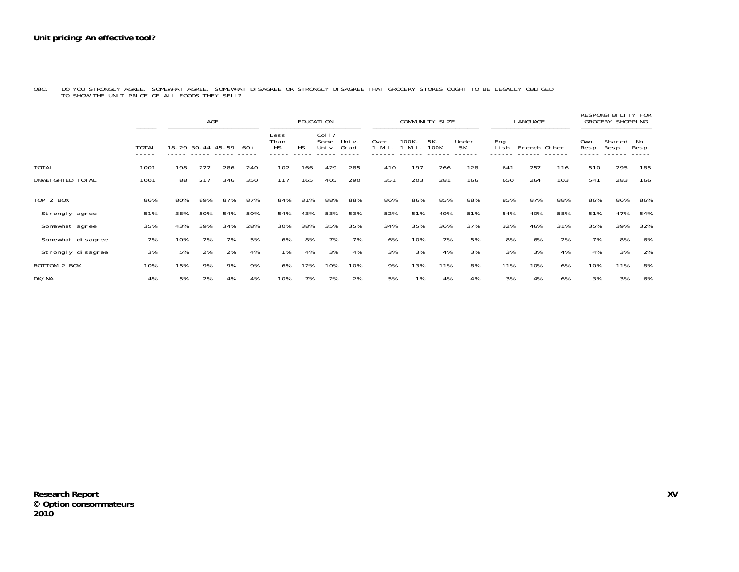|                   |                                 | AGE |                   |     |       | EDUCATI ON                |           |                          |               | COMMUNITY SIZE |                |             |             | LANGUAGE      |              |     | RESPONSI BILITY FOR<br><b>GROCERY SHOPPING</b> |                 |             |  |
|-------------------|---------------------------------|-----|-------------------|-----|-------|---------------------------|-----------|--------------------------|---------------|----------------|----------------|-------------|-------------|---------------|--------------|-----|------------------------------------------------|-----------------|-------------|--|
|                   | $=$ $=$ $=$ $=$<br><b>TOTAL</b> |     | 18-29 30-44 45-59 |     | $60+$ | Less<br>Than<br><b>HS</b> | <b>HS</b> | Col I/<br>Some<br>Uni v. | Uni v<br>Grad | 0ver<br>Mil. 1 | 100K –<br>Mil. | 5K-<br>100K | Under<br>5K | Eng<br>l i sh | French Other |     | Own.<br>Resp.                                  | Shared<br>Resp. | No<br>Resp. |  |
| <b>TOTAL</b>      | 1001                            | 198 | 277               | 286 | 240   | 102                       | 166       | 429                      | 285           | 410            | 197            | 266         | 128         | 641           | 257          | 116 | 510                                            | 295             | 185         |  |
| UNWEI GHTED TOTAL | 1001                            | 88  | 217               | 346 | 350   | 117                       | 165       | 405                      | 290           | 351            | 203            | 281         | 166         | 650           | 264          | 103 | 541                                            | 283             | 166         |  |
| <b>TOP 2 BOX</b>  | 86%                             | 80% | 89%               | 87% | 87%   | 84%                       | 81%       | 88%                      | 88%           | 86%            | 86%            | 85%         | 88%         | 85%           | 87%          | 88% | 86%                                            | 86%             | 86%         |  |
| Strongly agree    | 51%                             | 38% | 50%               | 54% | 59%   | 54%                       | 43%       | 53%                      | 53%           | 52%            | 51%            | 49%         | 51%         | 54%           | 40%          | 58% | 51%                                            | 47%             | 54%         |  |
| Somewhat agree    | 35%                             | 43% | 39%               | 34% | 28%   | 30%                       | 38%       | 35%                      | 35%           | 34%            | 35%            | 36%         | 37%         | 32%           | 46%          | 31% | 35%                                            | 39%             | 32%         |  |
| Somewhat disagree | 7%                              | 10% | 7%                | 7%  | 5%    | 6%                        | 8%        | 7%                       | 7%            | 6%             | 10%            | 7%          | 5%          | 8%            | 6%           | 2%  | 7%                                             | 8%              | 6%          |  |
| Strongly disagree | 3%                              | 5%  | 2%                | 2%  | 4%    | 1%                        | 4%        | 3%                       | 4%            | 3%             | 3%             | 4%          | 3%          | 3%            | 3%           | 4%  | 4%                                             | 3%              | 2%          |  |
| BOTTOM 2 BOX      | 10%                             | 15% | 9%                | 9%  | 9%    | 6%                        | 12%       | 10%                      | 10%           | 9%             | 13%            | 11%         | 8%          | 11%           | 10%          | 6%  | 10%                                            | 11%             | 8%          |  |
| DK/NA             | 4%                              | 5%  | 2%                | 4%  | 4%    | 10%                       | 7%        | 2%                       | 2%            | 5%             | 1%             | 4%          | 4%          | 3%            | 4%           | 6%  | 3%                                             | 3%              | 6%          |  |

Q8C. DO YOU STRONGLY AGREE, SOMEWHAT AGREE, SOMEWHAT DISAGREE OR STRONGLY DISAGREE THAT GROCERY STORES OUGHT TO BE LEGALLY OBLIGED<br>TO SHOW THE UNIT PRICE OF ALL FOODS THEY SELL?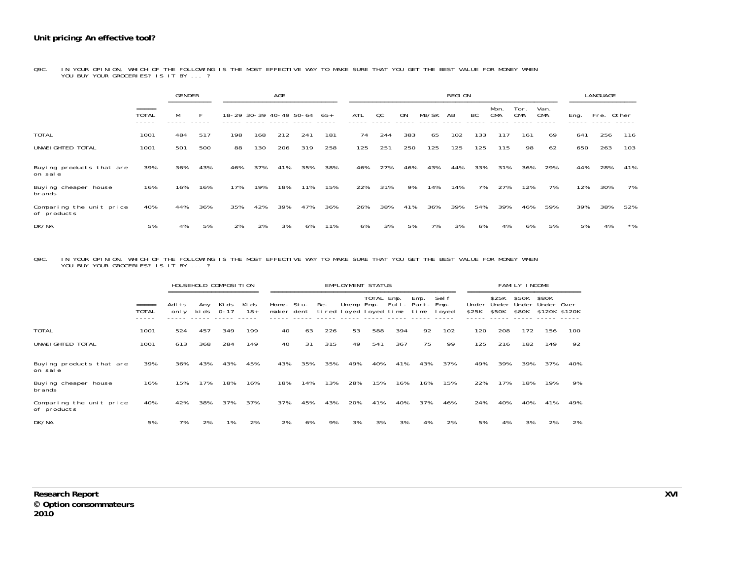Q9C. IN YOUR OPINION, WHICH OF THE FOLLOWING IS THE MOST EFFECTIVE WAY TO MAKE SURE THAT YOU GET THE BEST VALUE FOR MONEY WHEN<br>YOU BUY YOUR GROCERIES? IS IT BY ... ?

|                                         |                             | <b>GENDER</b><br>========== |     |     |     | <b>AGE</b> | ----------------------------- |     |     |     |           |       | <b>REGION</b> |     |                    |                    |                    |      | LANGUAGE<br>---------------- |       |
|-----------------------------------------|-----------------------------|-----------------------------|-----|-----|-----|------------|-------------------------------|-----|-----|-----|-----------|-------|---------------|-----|--------------------|--------------------|--------------------|------|------------------------------|-------|
|                                         | $=$ = = = =<br><b>TOTAL</b> | M                           |     |     |     |            | 18-29 30-39 40-49 50-64       | 65+ | ATL | QC  | <b>ON</b> | MB/SK | AB            | BC  | Mon.<br><b>CMA</b> | Tor.<br><b>CMA</b> | Van.<br><b>CMA</b> | Eng. | Fre. Other                   |       |
| <b>TOTAL</b>                            | 1001                        | 484                         | 517 | 198 | 168 | 212        | 241                           | 181 | 74  | 244 | 383       | 65    | 102           | 133 | 117                | 161                | 69                 | 641  | 256                          | 116   |
| UNWEI GHTED TOTAL                       | 1001                        | 501                         | 500 | 88  | 130 | 206        | 319                           | 258 | 125 | 251 | 250       | 125   | 125           | 125 | 115                | 98                 | 62                 | 650  | 263                          | 103   |
| Buying products that are<br>on sale     | 39%                         | 36%                         | 43% | 46% | 37% | 41%        | 35%                           | 38% | 46% | 27% | 46%       | 43%   | 44%           | 33% | 31%                | 36%                | 29%                | 44%  | 28%                          | 41%   |
| Buying cheaper house<br>brands          | 16%                         | 16%                         | 16% | 17% | 19% | 18%        | 11%                           | 15% | 22% | 31% | 9%        | 14%   | 14%           | 7%  | 27%                | 12%                | 7%                 | 12%  | 30%                          | 7%    |
| Comparing the unit price<br>of products | 40%                         | 44%                         | 36% | 35% | 42% | 39%        | 47%                           | 36% | 26% | 38% | 41%       | 36%   | 39%           | 54% | 39%                | 46%                | 59%                | 39%  | 38%                          | 52%   |
| DK/NA                                   | 5%                          | 4%                          | 5%  | 2%  | 2%  | 3%         | 6%                            | 11% | 6%  | 3%  | 5%        | 7%    | 3%            | 6%  | 4%                 | 6%                 | 5%                 | 5%   | 4%                           | $*$ % |

Q9C. IN YOUR OPINION, WHICH OF THE FOLLOWING IS THE MOST EFFECTIVE WAY TO MAKE SURE THAT YOU GET THE BEST VALUE FOR MONEY WHEN<br>YOU BUY YOUR GROCERIES? IS IT BY ... ?

|                                         |                                 |                |              | HOUSEHOLD COMPOSITION |                |            | <b>EMPLOYMENT STATUS</b> |                                    |            |            |     | FAMILY INCOME       |                           |                |                         |                         |                                      |     |
|-----------------------------------------|---------------------------------|----------------|--------------|-----------------------|----------------|------------|--------------------------|------------------------------------|------------|------------|-----|---------------------|---------------------------|----------------|-------------------------|-------------------------|--------------------------------------|-----|
|                                         | $=$ $=$ $=$ $=$<br><b>TOTAL</b> | Adlts<br>onl v | Any<br>ki ds | Ki ds<br>$0 - 17$     | Ki ds<br>$18+$ | maker dent | Home- Stu-               | Re-<br>tired loyed loyed time time | Unemp Emp- | TOTAL Emp. |     | Emp.<br>Full- Part- | Sel f<br>$Emp-$<br>I oyed | Under<br>\$25K | \$25K<br>Under<br>\$50K | \$50K<br>Under<br>\$80K | \$80K<br>Under Over<br>\$120K \$120K |     |
| <b>TOTAL</b>                            | 1001                            | 524            | 457          | 349                   | 199            | 40         | 63                       | 226                                | 53         | 588        | 394 | 92                  | 102                       | 120            | 208                     | 172                     | 156                                  | 100 |
| UNWEI GHTED TOTAL                       | 1001                            | 613            | 368          | 284                   | 149            | 40         | 31                       | 315                                | 49         | 541        | 367 | 75                  | 99                        | 125            | 216                     | 182                     | 149                                  | 92  |
| Buying products that are<br>on sale     | 39%                             | 36%            | 43%          | 43%                   | 45%            | 43%        | 35%                      | 35%                                | 49%        | 40%        | 41% | 43%                 | 37%                       | 49%            | 39%                     | 39%                     | 37%                                  | 40% |
| Buying cheaper house<br>brands          | 16%                             | 15%            | 17%          | 18%                   | 16%            | 18%        | 14%                      | 13%                                | 28%        | 15%        | 16% | 16%                 | 15%                       | 22%            | 17%                     | 18%                     | 19%                                  | 9%  |
| Comparing the unit price<br>of products | 40%                             | 42%            | 38%          | 37%                   | 37%            | 37%        | 45%                      | 43%                                | 20%        | 41%        | 40% | 37%                 | 46%                       | 24%            | 40%                     | 40%                     | 41%                                  | 49% |
| DK/NA                                   | 5%                              | 7%             | 2%           | 1%                    | 2%             | 2%         | 6%                       | 9%                                 | 3%         | 3%         | 3%  | 4%                  | 2%                        | 5%             | 4%                      | 3%                      | 2%                                   | 2%  |